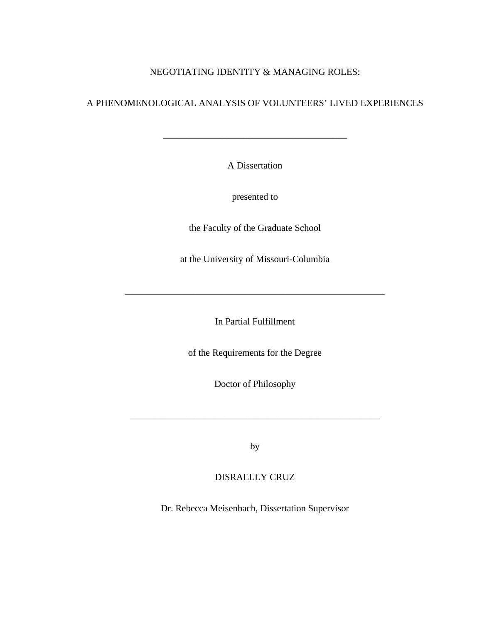# NEGOTIATING IDENTITY & MANAGING ROLES:

# A PHENOMENOLOGICAL ANALYSIS OF VOLUNTEERS' LIVED EXPERIENCES

A Dissertation

\_\_\_\_\_\_\_\_\_\_\_\_\_\_\_\_\_\_\_\_\_\_\_\_\_\_\_\_\_\_\_\_\_\_\_\_\_\_\_

presented to

the Faculty of the Graduate School

at the University of Missouri-Columbia

In Partial Fulfillment

\_\_\_\_\_\_\_\_\_\_\_\_\_\_\_\_\_\_\_\_\_\_\_\_\_\_\_\_\_\_\_\_\_\_\_\_\_\_\_\_\_\_\_\_\_\_\_\_\_\_\_\_\_\_\_

of the Requirements for the Degree

Doctor of Philosophy

by

\_\_\_\_\_\_\_\_\_\_\_\_\_\_\_\_\_\_\_\_\_\_\_\_\_\_\_\_\_\_\_\_\_\_\_\_\_\_\_\_\_\_\_\_\_\_\_\_\_\_\_\_\_

DISRAELLY CRUZ

Dr. Rebecca Meisenbach, Dissertation Supervisor

DECEMBER 2009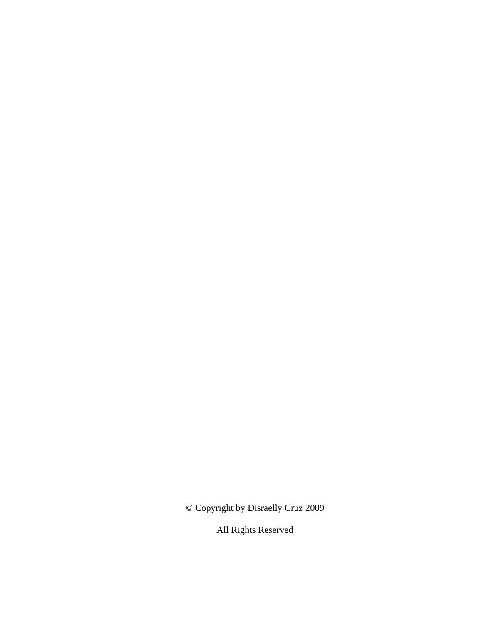© Copyright by Disraelly Cruz 2009

All Rights Reserved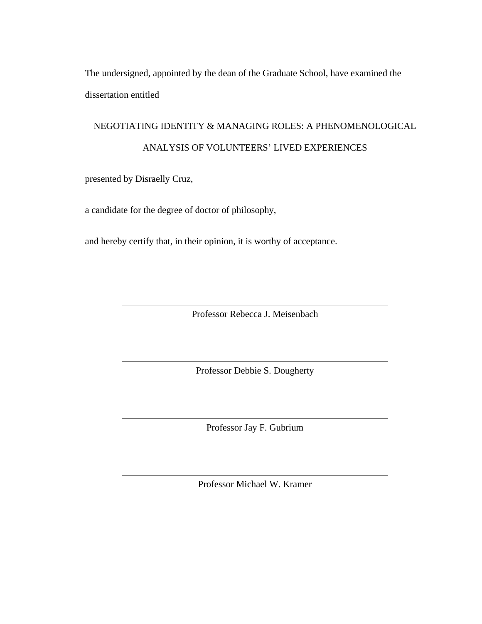The undersigned, appointed by the dean of the Graduate School, have examined the dissertation entitled

# NEGOTIATING IDENTITY & MANAGING ROLES: A PHENOMENOLOGICAL ANALYSIS OF VOLUNTEERS' LIVED EXPERIENCES

presented by Disraelly Cruz,

a candidate for the degree of doctor of philosophy,

and hereby certify that, in their opinion, it is worthy of acceptance.

Professor Rebecca J. Meisenbach

Professor Debbie S. Dougherty

Professor Jay F. Gubrium

Professor Michael W. Kramer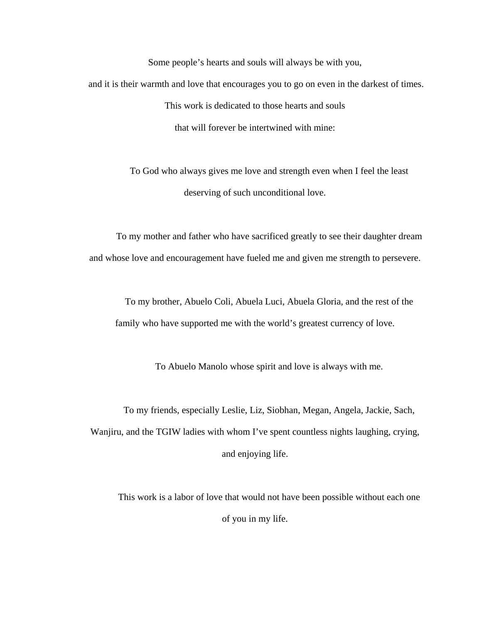Some people's hearts and souls will always be with you, and it is their warmth and love that encourages you to go on even in the darkest of times. This work is dedicated to those hearts and souls that will forever be intertwined with mine:

> To God who always gives me love and strength even when I feel the least deserving of such unconditional love.

To my mother and father who have sacrificed greatly to see their daughter dream and whose love and encouragement have fueled me and given me strength to persevere.

To my brother, Abuelo Coli, Abuela Luci, Abuela Gloria, and the rest of the family who have supported me with the world's greatest currency of love.

To Abuelo Manolo whose spirit and love is always with me.

To my friends, especially Leslie, Liz, Siobhan, Megan, Angela, Jackie, Sach, Wanjiru, and the TGIW ladies with whom I've spent countless nights laughing, crying, and enjoying life.

This work is a labor of love that would not have been possible without each one of you in my life.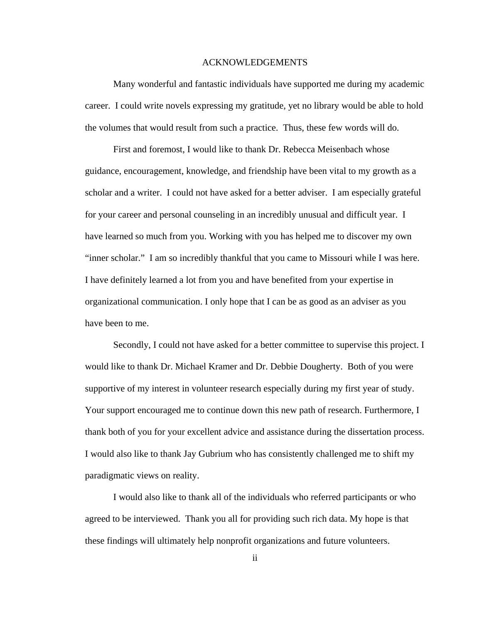#### ACKNOWLEDGEMENTS

Many wonderful and fantastic individuals have supported me during my academic career. I could write novels expressing my gratitude, yet no library would be able to hold the volumes that would result from such a practice. Thus, these few words will do.

First and foremost, I would like to thank Dr. Rebecca Meisenbach whose guidance, encouragement, knowledge, and friendship have been vital to my growth as a scholar and a writer. I could not have asked for a better adviser. I am especially grateful for your career and personal counseling in an incredibly unusual and difficult year. I have learned so much from you. Working with you has helped me to discover my own "inner scholar." I am so incredibly thankful that you came to Missouri while I was here. I have definitely learned a lot from you and have benefited from your expertise in organizational communication. I only hope that I can be as good as an adviser as you have been to me.

Secondly, I could not have asked for a better committee to supervise this project. I would like to thank Dr. Michael Kramer and Dr. Debbie Dougherty. Both of you were supportive of my interest in volunteer research especially during my first year of study. Your support encouraged me to continue down this new path of research. Furthermore, I thank both of you for your excellent advice and assistance during the dissertation process. I would also like to thank Jay Gubrium who has consistently challenged me to shift my paradigmatic views on reality.

I would also like to thank all of the individuals who referred participants or who agreed to be interviewed. Thank you all for providing such rich data. My hope is that these findings will ultimately help nonprofit organizations and future volunteers.

ii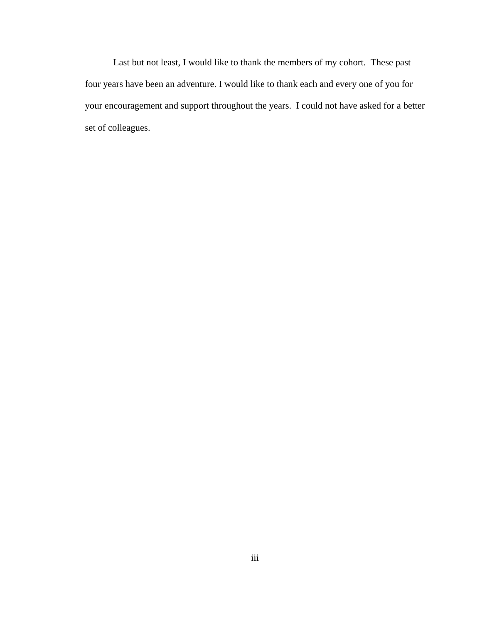Last but not least, I would like to thank the members of my cohort. These past four years have been an adventure. I would like to thank each and every one of you for your encouragement and support throughout the years. I could not have asked for a better set of colleagues.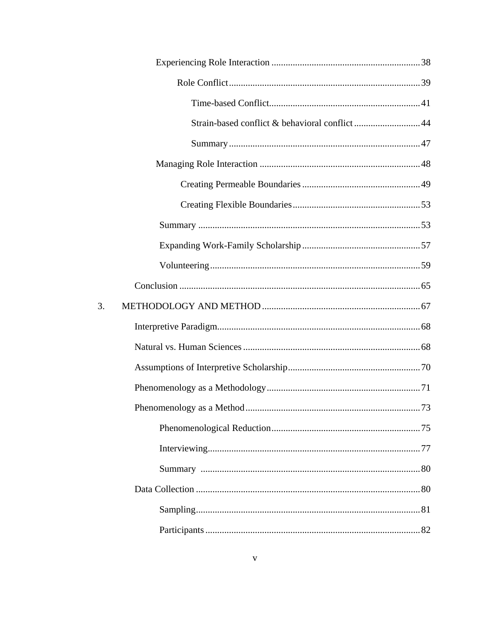| Strain-based conflict & behavioral conflict44 |  |
|-----------------------------------------------|--|
|                                               |  |
|                                               |  |
|                                               |  |
|                                               |  |
|                                               |  |
|                                               |  |
|                                               |  |
|                                               |  |
| 3.                                            |  |
|                                               |  |
|                                               |  |
|                                               |  |
|                                               |  |
|                                               |  |
|                                               |  |
|                                               |  |
|                                               |  |
|                                               |  |
|                                               |  |
|                                               |  |
|                                               |  |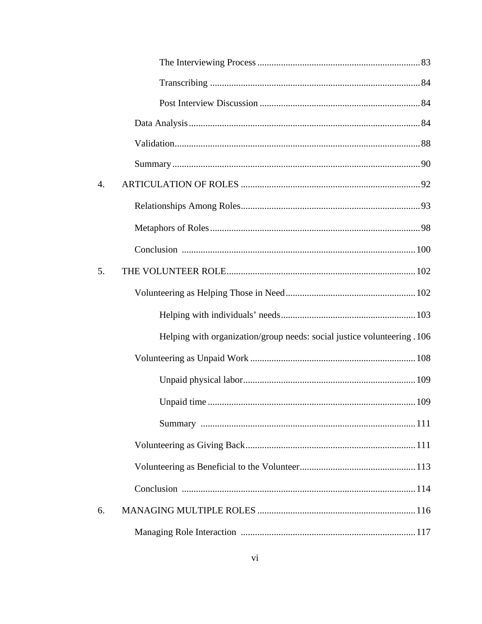| 4. |                                                                         |  |
|----|-------------------------------------------------------------------------|--|
|    |                                                                         |  |
|    |                                                                         |  |
|    |                                                                         |  |
| 5. |                                                                         |  |
|    |                                                                         |  |
|    |                                                                         |  |
|    | Helping with organization/group needs: social justice volunteering .106 |  |
|    |                                                                         |  |
|    |                                                                         |  |
|    |                                                                         |  |
|    |                                                                         |  |
|    |                                                                         |  |
|    |                                                                         |  |
|    |                                                                         |  |
| 6. |                                                                         |  |
|    |                                                                         |  |
|    |                                                                         |  |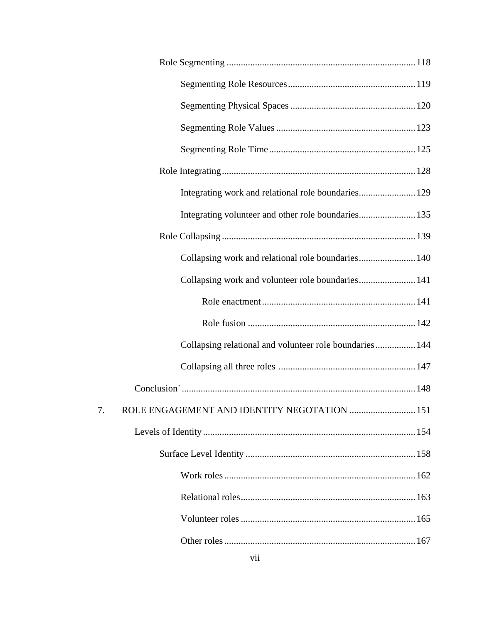| Integrating work and relational role boundaries 129                                                                                                                                                                            |  |
|--------------------------------------------------------------------------------------------------------------------------------------------------------------------------------------------------------------------------------|--|
|                                                                                                                                                                                                                                |  |
|                                                                                                                                                                                                                                |  |
| Collapsing work and relational role boundaries 140                                                                                                                                                                             |  |
| Collapsing work and volunteer role boundaries 141                                                                                                                                                                              |  |
|                                                                                                                                                                                                                                |  |
|                                                                                                                                                                                                                                |  |
| Collapsing relational and volunteer role boundaries 144                                                                                                                                                                        |  |
|                                                                                                                                                                                                                                |  |
| Conclusion members and the conclusion of the conclusion of the conclusion of the conclusion of the concern of the concern of the concern of the concern of the concern of the concern of the concern of the concern of the con |  |
| ROLE ENGAGEMENT AND IDENTITY NEGOTATION  151                                                                                                                                                                                   |  |
|                                                                                                                                                                                                                                |  |
|                                                                                                                                                                                                                                |  |
|                                                                                                                                                                                                                                |  |
|                                                                                                                                                                                                                                |  |
|                                                                                                                                                                                                                                |  |
|                                                                                                                                                                                                                                |  |
|                                                                                                                                                                                                                                |  |

7.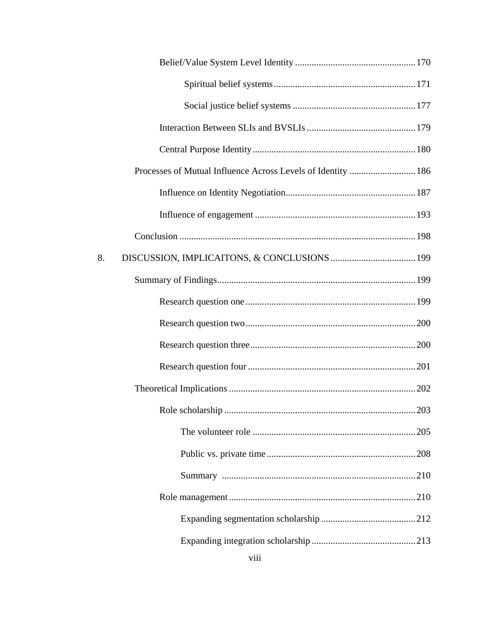| Processes of Mutual Influence Across Levels of Identity  186 |  |
|--------------------------------------------------------------|--|
|                                                              |  |
|                                                              |  |
|                                                              |  |
| 8.                                                           |  |
|                                                              |  |
|                                                              |  |
|                                                              |  |
|                                                              |  |
|                                                              |  |
|                                                              |  |
|                                                              |  |
|                                                              |  |
|                                                              |  |
|                                                              |  |
|                                                              |  |
|                                                              |  |
|                                                              |  |
|                                                              |  |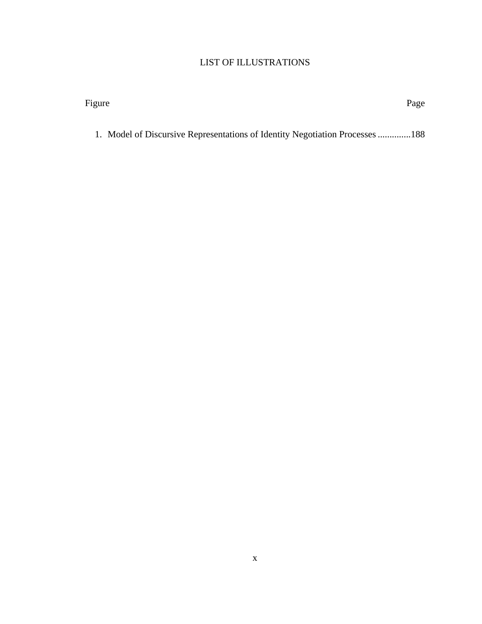# LIST OF ILLUSTRATIONS

| Figure                                                                       | Page |
|------------------------------------------------------------------------------|------|
|                                                                              |      |
| 1. Model of Discursive Representations of Identity Negotiation Processes 188 |      |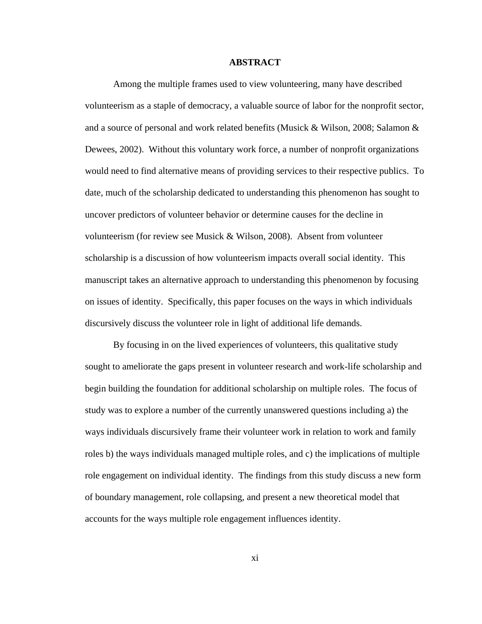#### **ABSTRACT**

Among the multiple frames used to view volunteering, many have described volunteerism as a staple of democracy, a valuable source of labor for the nonprofit sector, and a source of personal and work related benefits (Musick & Wilson, 2008; Salamon & Dewees, 2002). Without this voluntary work force, a number of nonprofit organizations would need to find alternative means of providing services to their respective publics. To date, much of the scholarship dedicated to understanding this phenomenon has sought to uncover predictors of volunteer behavior or determine causes for the decline in volunteerism (for review see Musick & Wilson, 2008). Absent from volunteer scholarship is a discussion of how volunteerism impacts overall social identity. This manuscript takes an alternative approach to understanding this phenomenon by focusing on issues of identity. Specifically, this paper focuses on the ways in which individuals discursively discuss the volunteer role in light of additional life demands.

By focusing in on the lived experiences of volunteers, this qualitative study sought to ameliorate the gaps present in volunteer research and work-life scholarship and begin building the foundation for additional scholarship on multiple roles. The focus of study was to explore a number of the currently unanswered questions including a) the ways individuals discursively frame their volunteer work in relation to work and family roles b) the ways individuals managed multiple roles, and c) the implications of multiple role engagement on individual identity. The findings from this study discuss a new form of boundary management, role collapsing, and present a new theoretical model that accounts for the ways multiple role engagement influences identity.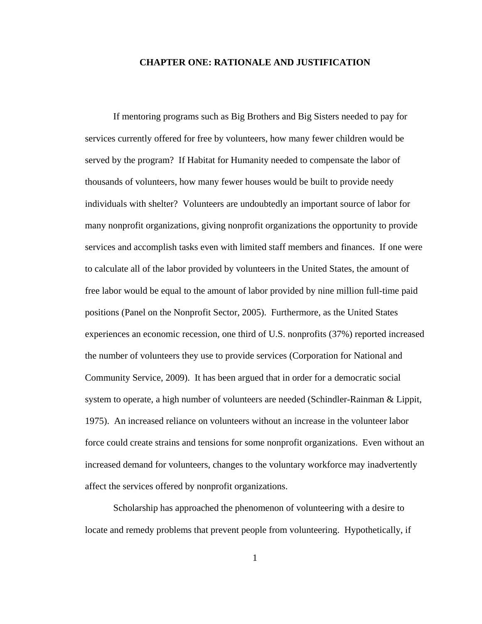#### **CHAPTER ONE: RATIONALE AND JUSTIFICATION**

If mentoring programs such as Big Brothers and Big Sisters needed to pay for services currently offered for free by volunteers, how many fewer children would be served by the program? If Habitat for Humanity needed to compensate the labor of thousands of volunteers, how many fewer houses would be built to provide needy individuals with shelter? Volunteers are undoubtedly an important source of labor for many nonprofit organizations, giving nonprofit organizations the opportunity to provide services and accomplish tasks even with limited staff members and finances. If one were to calculate all of the labor provided by volunteers in the United States, the amount of free labor would be equal to the amount of labor provided by nine million full-time paid positions (Panel on the Nonprofit Sector, 2005). Furthermore, as the United States experiences an economic recession, one third of U.S. nonprofits (37%) reported increased the number of volunteers they use to provide services (Corporation for National and Community Service, 2009). It has been argued that in order for a democratic social system to operate, a high number of volunteers are needed (Schindler-Rainman & Lippit, 1975). An increased reliance on volunteers without an increase in the volunteer labor force could create strains and tensions for some nonprofit organizations. Even without an increased demand for volunteers, changes to the voluntary workforce may inadvertently affect the services offered by nonprofit organizations.

Scholarship has approached the phenomenon of volunteering with a desire to locate and remedy problems that prevent people from volunteering. Hypothetically, if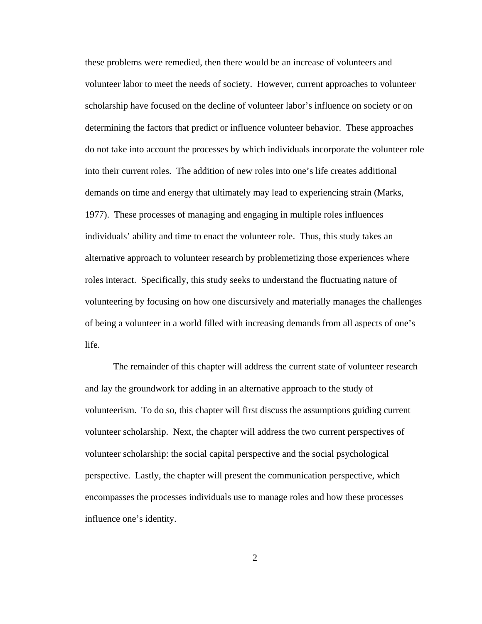these problems were remedied, then there would be an increase of volunteers and volunteer labor to meet the needs of society. However, current approaches to volunteer scholarship have focused on the decline of volunteer labor's influence on society or on determining the factors that predict or influence volunteer behavior. These approaches do not take into account the processes by which individuals incorporate the volunteer role into their current roles. The addition of new roles into one's life creates additional demands on time and energy that ultimately may lead to experiencing strain (Marks, 1977). These processes of managing and engaging in multiple roles influences individuals' ability and time to enact the volunteer role. Thus, this study takes an alternative approach to volunteer research by problemetizing those experiences where roles interact. Specifically, this study seeks to understand the fluctuating nature of volunteering by focusing on how one discursively and materially manages the challenges of being a volunteer in a world filled with increasing demands from all aspects of one's life.

The remainder of this chapter will address the current state of volunteer research and lay the groundwork for adding in an alternative approach to the study of volunteerism. To do so, this chapter will first discuss the assumptions guiding current volunteer scholarship. Next, the chapter will address the two current perspectives of volunteer scholarship: the social capital perspective and the social psychological perspective. Lastly, the chapter will present the communication perspective, which encompasses the processes individuals use to manage roles and how these processes influence one's identity.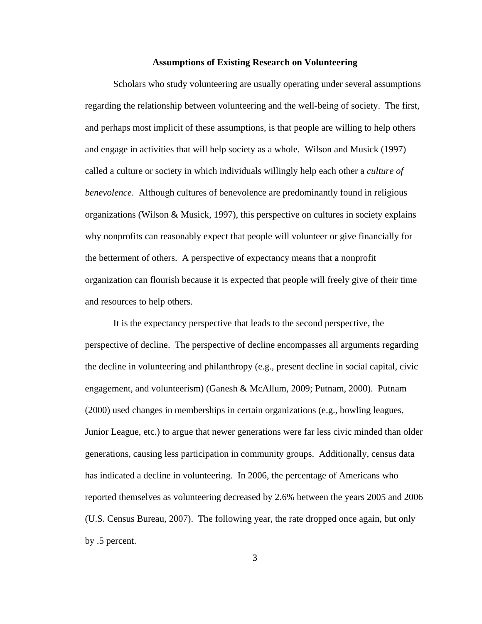#### **Assumptions of Existing Research on Volunteering**

Scholars who study volunteering are usually operating under several assumptions regarding the relationship between volunteering and the well-being of society. The first, and perhaps most implicit of these assumptions, is that people are willing to help others and engage in activities that will help society as a whole. Wilson and Musick (1997) called a culture or society in which individuals willingly help each other a *culture of benevolence*. Although cultures of benevolence are predominantly found in religious organizations (Wilson & Musick, 1997), this perspective on cultures in society explains why nonprofits can reasonably expect that people will volunteer or give financially for the betterment of others. A perspective of expectancy means that a nonprofit organization can flourish because it is expected that people will freely give of their time and resources to help others.

It is the expectancy perspective that leads to the second perspective, the perspective of decline. The perspective of decline encompasses all arguments regarding the decline in volunteering and philanthropy (e.g., present decline in social capital, civic engagement, and volunteerism) (Ganesh & McAllum, 2009; Putnam, 2000). Putnam (2000) used changes in memberships in certain organizations (e.g., bowling leagues, Junior League, etc.) to argue that newer generations were far less civic minded than older generations, causing less participation in community groups. Additionally, census data has indicated a decline in volunteering. In 2006, the percentage of Americans who reported themselves as volunteering decreased by 2.6% between the years 2005 and 2006 (U.S. Census Bureau, 2007). The following year, the rate dropped once again, but only by .5 percent.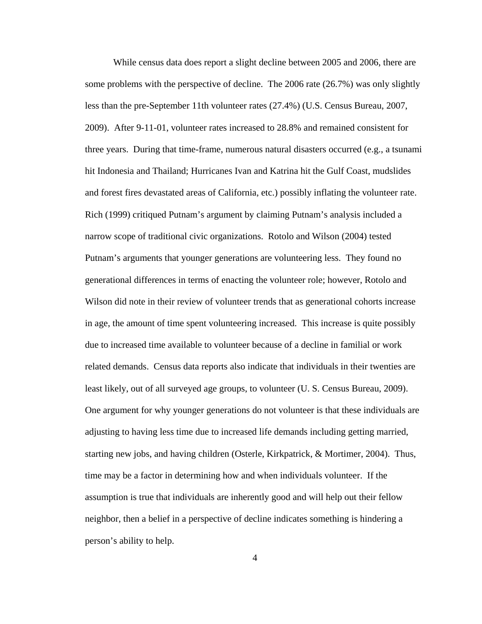While census data does report a slight decline between 2005 and 2006, there are some problems with the perspective of decline. The 2006 rate (26.7%) was only slightly less than the pre-September 11th volunteer rates (27.4%) (U.S. Census Bureau, 2007, 2009). After 9-11-01, volunteer rates increased to 28.8% and remained consistent for three years. During that time-frame, numerous natural disasters occurred (e.g., a tsunami hit Indonesia and Thailand; Hurricanes Ivan and Katrina hit the Gulf Coast, mudslides and forest fires devastated areas of California, etc.) possibly inflating the volunteer rate. Rich (1999) critiqued Putnam's argument by claiming Putnam's analysis included a narrow scope of traditional civic organizations. Rotolo and Wilson (2004) tested Putnam's arguments that younger generations are volunteering less. They found no generational differences in terms of enacting the volunteer role; however, Rotolo and Wilson did note in their review of volunteer trends that as generational cohorts increase in age, the amount of time spent volunteering increased. This increase is quite possibly due to increased time available to volunteer because of a decline in familial or work related demands. Census data reports also indicate that individuals in their twenties are least likely, out of all surveyed age groups, to volunteer (U. S. Census Bureau, 2009). One argument for why younger generations do not volunteer is that these individuals are adjusting to having less time due to increased life demands including getting married, starting new jobs, and having children (Osterle, Kirkpatrick, & Mortimer, 2004). Thus, time may be a factor in determining how and when individuals volunteer. If the assumption is true that individuals are inherently good and will help out their fellow neighbor, then a belief in a perspective of decline indicates something is hindering a person's ability to help.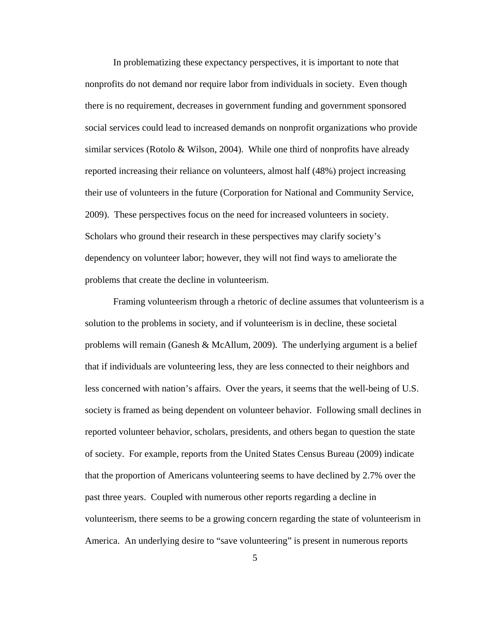In problematizing these expectancy perspectives, it is important to note that nonprofits do not demand nor require labor from individuals in society. Even though there is no requirement, decreases in government funding and government sponsored social services could lead to increased demands on nonprofit organizations who provide similar services (Rotolo & Wilson, 2004). While one third of nonprofits have already reported increasing their reliance on volunteers, almost half (48%) project increasing their use of volunteers in the future (Corporation for National and Community Service, 2009). These perspectives focus on the need for increased volunteers in society. Scholars who ground their research in these perspectives may clarify society's dependency on volunteer labor; however, they will not find ways to ameliorate the problems that create the decline in volunteerism.

Framing volunteerism through a rhetoric of decline assumes that volunteerism is a solution to the problems in society, and if volunteerism is in decline, these societal problems will remain (Ganesh & McAllum, 2009). The underlying argument is a belief that if individuals are volunteering less, they are less connected to their neighbors and less concerned with nation's affairs. Over the years, it seems that the well-being of U.S. society is framed as being dependent on volunteer behavior. Following small declines in reported volunteer behavior, scholars, presidents, and others began to question the state of society. For example, reports from the United States Census Bureau (2009) indicate that the proportion of Americans volunteering seems to have declined by 2.7% over the past three years. Coupled with numerous other reports regarding a decline in volunteerism, there seems to be a growing concern regarding the state of volunteerism in America. An underlying desire to "save volunteering" is present in numerous reports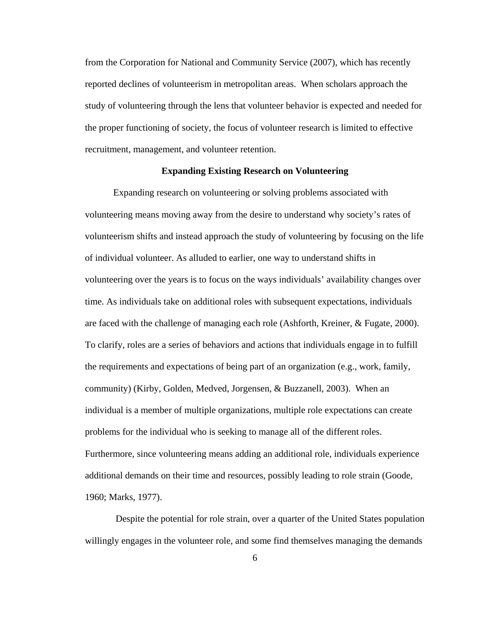from the Corporation for National and Community Service (2007), which has recently reported declines of volunteerism in metropolitan areas. When scholars approach the study of volunteering through the lens that volunteer behavior is expected and needed for the proper functioning of society, the focus of volunteer research is limited to effective recruitment, management, and volunteer retention.

## **Expanding Existing Research on Volunteering**

Expanding research on volunteering or solving problems associated with volunteering means moving away from the desire to understand why society's rates of volunteerism shifts and instead approach the study of volunteering by focusing on the life of individual volunteer. As alluded to earlier, one way to understand shifts in volunteering over the years is to focus on the ways individuals' availability changes over time. As individuals take on additional roles with subsequent expectations, individuals are faced with the challenge of managing each role (Ashforth, Kreiner, & Fugate, 2000). To clarify, roles are a series of behaviors and actions that individuals engage in to fulfill the requirements and expectations of being part of an organization (e.g., work, family, community) (Kirby, Golden, Medved, Jorgensen, & Buzzanell, 2003). When an individual is a member of multiple organizations, multiple role expectations can create problems for the individual who is seeking to manage all of the different roles. Furthermore, since volunteering means adding an additional role, individuals experience additional demands on their time and resources, possibly leading to role strain (Goode, 1960; Marks, 1977).

Despite the potential for role strain, over a quarter of the United States population willingly engages in the volunteer role, and some find themselves managing the demands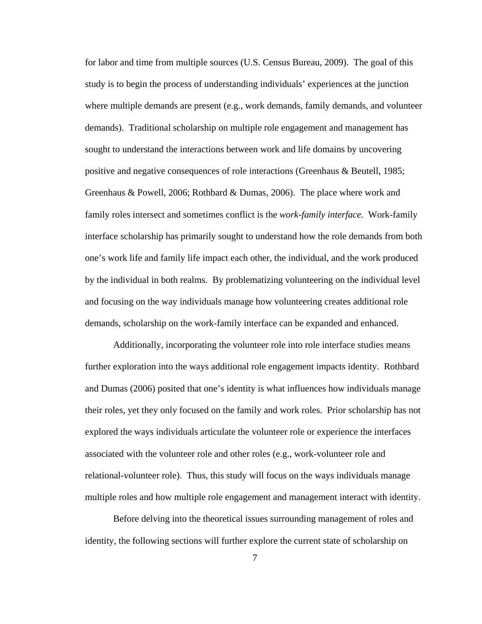for labor and time from multiple sources (U.S. Census Bureau, 2009). The goal of this study is to begin the process of understanding individuals' experiences at the junction where multiple demands are present (e.g., work demands, family demands, and volunteer demands). Traditional scholarship on multiple role engagement and management has sought to understand the interactions between work and life domains by uncovering positive and negative consequences of role interactions (Greenhaus & Beutell, 1985; Greenhaus & Powell, 2006; Rothbard & Dumas, 2006). The place where work and family roles intersect and sometimes conflict is the *work-family interface.* Work-family interface scholarship has primarily sought to understand how the role demands from both one's work life and family life impact each other, the individual, and the work produced by the individual in both realms. By problematizing volunteering on the individual level and focusing on the way individuals manage how volunteering creates additional role demands, scholarship on the work-family interface can be expanded and enhanced.

Additionally, incorporating the volunteer role into role interface studies means further exploration into the ways additional role engagement impacts identity. Rothbard and Dumas (2006) posited that one's identity is what influences how individuals manage their roles, yet they only focused on the family and work roles. Prior scholarship has not explored the ways individuals articulate the volunteer role or experience the interfaces associated with the volunteer role and other roles (e.g., work-volunteer role and relational-volunteer role). Thus, this study will focus on the ways individuals manage multiple roles and how multiple role engagement and management interact with identity.

Before delving into the theoretical issues surrounding management of roles and identity, the following sections will further explore the current state of scholarship on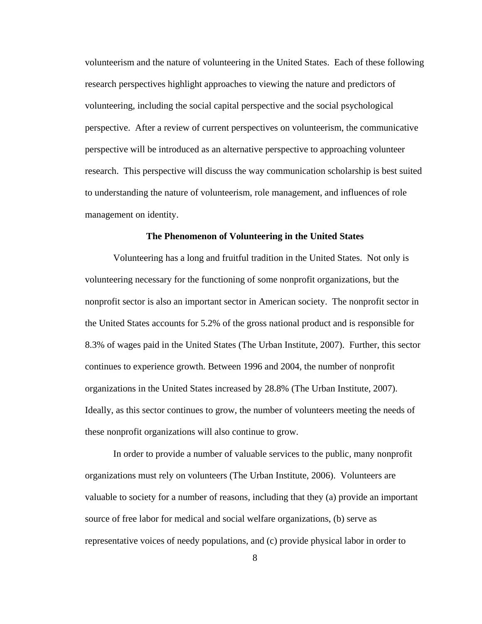volunteerism and the nature of volunteering in the United States. Each of these following research perspectives highlight approaches to viewing the nature and predictors of volunteering, including the social capital perspective and the social psychological perspective. After a review of current perspectives on volunteerism, the communicative perspective will be introduced as an alternative perspective to approaching volunteer research. This perspective will discuss the way communication scholarship is best suited to understanding the nature of volunteerism, role management, and influences of role management on identity.

#### **The Phenomenon of Volunteering in the United States**

Volunteering has a long and fruitful tradition in the United States. Not only is volunteering necessary for the functioning of some nonprofit organizations, but the nonprofit sector is also an important sector in American society. The nonprofit sector in the United States accounts for 5.2% of the gross national product and is responsible for 8.3% of wages paid in the United States (The Urban Institute, 2007). Further, this sector continues to experience growth. Between 1996 and 2004, the number of nonprofit organizations in the United States increased by 28.8% (The Urban Institute, 2007). Ideally, as this sector continues to grow, the number of volunteers meeting the needs of these nonprofit organizations will also continue to grow.

In order to provide a number of valuable services to the public, many nonprofit organizations must rely on volunteers (The Urban Institute, 2006). Volunteers are valuable to society for a number of reasons, including that they (a) provide an important source of free labor for medical and social welfare organizations, (b) serve as representative voices of needy populations, and (c) provide physical labor in order to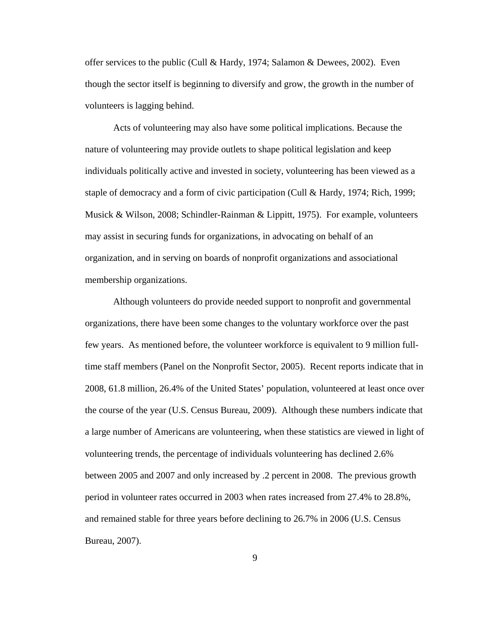offer services to the public (Cull & Hardy, 1974; Salamon & Dewees, 2002). Even though the sector itself is beginning to diversify and grow, the growth in the number of volunteers is lagging behind.

Acts of volunteering may also have some political implications. Because the nature of volunteering may provide outlets to shape political legislation and keep individuals politically active and invested in society, volunteering has been viewed as a staple of democracy and a form of civic participation (Cull & Hardy, 1974; Rich, 1999; Musick & Wilson, 2008; Schindler-Rainman & Lippitt, 1975). For example, volunteers may assist in securing funds for organizations, in advocating on behalf of an organization, and in serving on boards of nonprofit organizations and associational membership organizations.

Although volunteers do provide needed support to nonprofit and governmental organizations, there have been some changes to the voluntary workforce over the past few years. As mentioned before, the volunteer workforce is equivalent to 9 million fulltime staff members (Panel on the Nonprofit Sector, 2005). Recent reports indicate that in 2008, 61.8 million, 26.4% of the United States' population, volunteered at least once over the course of the year (U.S. Census Bureau, 2009). Although these numbers indicate that a large number of Americans are volunteering, when these statistics are viewed in light of volunteering trends, the percentage of individuals volunteering has declined 2.6% between 2005 and 2007 and only increased by .2 percent in 2008. The previous growth period in volunteer rates occurred in 2003 when rates increased from 27.4% to 28.8%, and remained stable for three years before declining to 26.7% in 2006 (U.S. Census Bureau, 2007).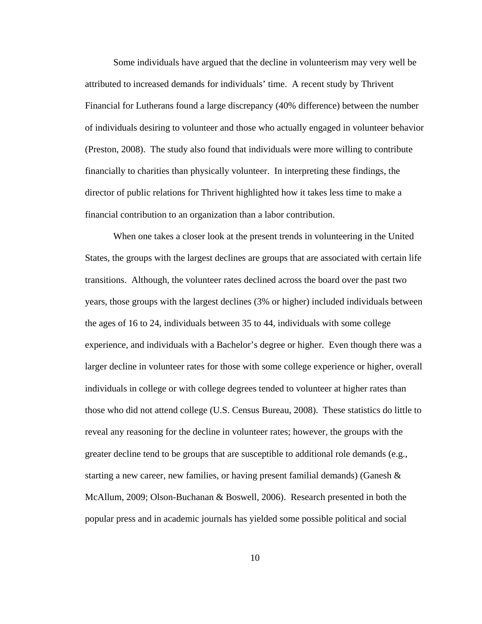Some individuals have argued that the decline in volunteerism may very well be attributed to increased demands for individuals' time. A recent study by Thrivent Financial for Lutherans found a large discrepancy (40% difference) between the number of individuals desiring to volunteer and those who actually engaged in volunteer behavior (Preston, 2008). The study also found that individuals were more willing to contribute financially to charities than physically volunteer. In interpreting these findings, the director of public relations for Thrivent highlighted how it takes less time to make a financial contribution to an organization than a labor contribution.

When one takes a closer look at the present trends in volunteering in the United States, the groups with the largest declines are groups that are associated with certain life transitions. Although, the volunteer rates declined across the board over the past two years, those groups with the largest declines (3% or higher) included individuals between the ages of 16 to 24, individuals between 35 to 44, individuals with some college experience, and individuals with a Bachelor's degree or higher. Even though there was a larger decline in volunteer rates for those with some college experience or higher, overall individuals in college or with college degrees tended to volunteer at higher rates than those who did not attend college (U.S. Census Bureau, 2008). These statistics do little to reveal any reasoning for the decline in volunteer rates; however, the groups with the greater decline tend to be groups that are susceptible to additional role demands (e.g., starting a new career, new families, or having present familial demands) (Ganesh  $\&$ McAllum, 2009; Olson-Buchanan & Boswell, 2006). Research presented in both the popular press and in academic journals has yielded some possible political and social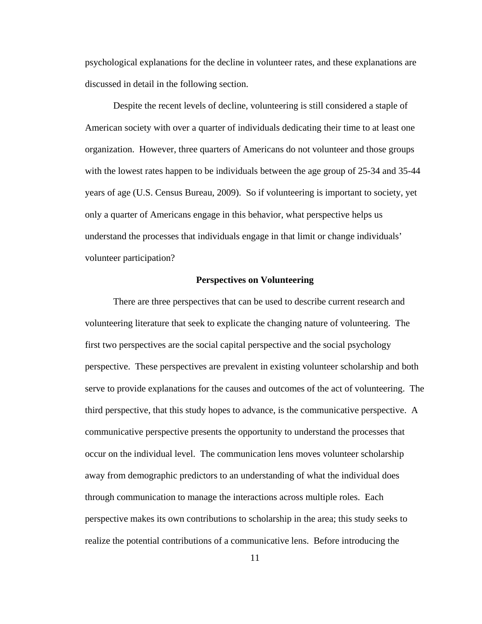psychological explanations for the decline in volunteer rates, and these explanations are discussed in detail in the following section.

Despite the recent levels of decline, volunteering is still considered a staple of American society with over a quarter of individuals dedicating their time to at least one organization. However, three quarters of Americans do not volunteer and those groups with the lowest rates happen to be individuals between the age group of 25-34 and 35-44 years of age (U.S. Census Bureau, 2009). So if volunteering is important to society, yet only a quarter of Americans engage in this behavior, what perspective helps us understand the processes that individuals engage in that limit or change individuals' volunteer participation?

#### **Perspectives on Volunteering**

There are three perspectives that can be used to describe current research and volunteering literature that seek to explicate the changing nature of volunteering. The first two perspectives are the social capital perspective and the social psychology perspective. These perspectives are prevalent in existing volunteer scholarship and both serve to provide explanations for the causes and outcomes of the act of volunteering. The third perspective, that this study hopes to advance, is the communicative perspective. A communicative perspective presents the opportunity to understand the processes that occur on the individual level. The communication lens moves volunteer scholarship away from demographic predictors to an understanding of what the individual does through communication to manage the interactions across multiple roles. Each perspective makes its own contributions to scholarship in the area; this study seeks to realize the potential contributions of a communicative lens. Before introducing the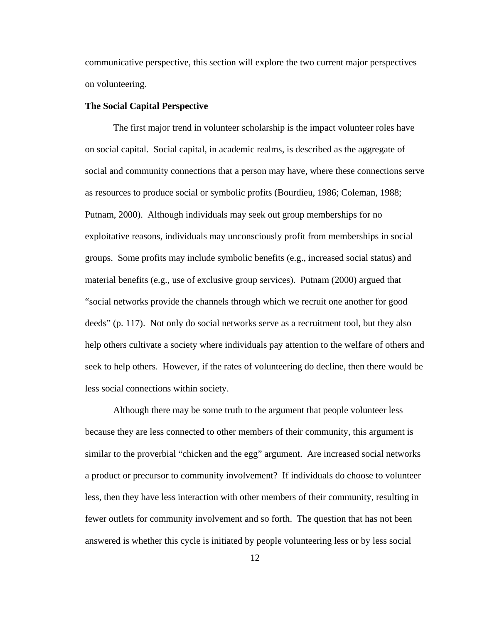communicative perspective, this section will explore the two current major perspectives on volunteering.

#### **The Social Capital Perspective**

The first major trend in volunteer scholarship is the impact volunteer roles have on social capital. Social capital, in academic realms, is described as the aggregate of social and community connections that a person may have, where these connections serve as resources to produce social or symbolic profits (Bourdieu, 1986; Coleman, 1988; Putnam, 2000). Although individuals may seek out group memberships for no exploitative reasons, individuals may unconsciously profit from memberships in social groups. Some profits may include symbolic benefits (e.g., increased social status) and material benefits (e.g., use of exclusive group services). Putnam (2000) argued that "social networks provide the channels through which we recruit one another for good deeds" (p. 117). Not only do social networks serve as a recruitment tool, but they also help others cultivate a society where individuals pay attention to the welfare of others and seek to help others. However, if the rates of volunteering do decline, then there would be less social connections within society.

Although there may be some truth to the argument that people volunteer less because they are less connected to other members of their community, this argument is similar to the proverbial "chicken and the egg" argument. Are increased social networks a product or precursor to community involvement? If individuals do choose to volunteer less, then they have less interaction with other members of their community, resulting in fewer outlets for community involvement and so forth. The question that has not been answered is whether this cycle is initiated by people volunteering less or by less social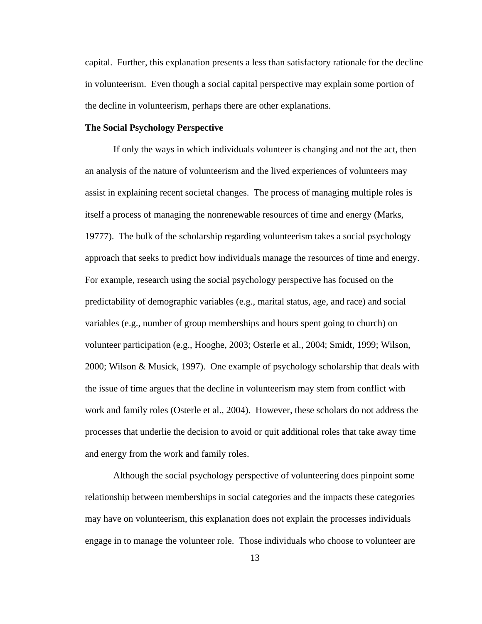capital. Further, this explanation presents a less than satisfactory rationale for the decline in volunteerism. Even though a social capital perspective may explain some portion of the decline in volunteerism, perhaps there are other explanations.

## **The Social Psychology Perspective**

If only the ways in which individuals volunteer is changing and not the act, then an analysis of the nature of volunteerism and the lived experiences of volunteers may assist in explaining recent societal changes. The process of managing multiple roles is itself a process of managing the nonrenewable resources of time and energy (Marks, 19777). The bulk of the scholarship regarding volunteerism takes a social psychology approach that seeks to predict how individuals manage the resources of time and energy. For example, research using the social psychology perspective has focused on the predictability of demographic variables (e.g., marital status, age, and race) and social variables (e.g., number of group memberships and hours spent going to church) on volunteer participation (e.g., Hooghe, 2003; Osterle et al., 2004; Smidt, 1999; Wilson, 2000; Wilson & Musick, 1997). One example of psychology scholarship that deals with the issue of time argues that the decline in volunteerism may stem from conflict with work and family roles (Osterle et al., 2004). However, these scholars do not address the processes that underlie the decision to avoid or quit additional roles that take away time and energy from the work and family roles.

Although the social psychology perspective of volunteering does pinpoint some relationship between memberships in social categories and the impacts these categories may have on volunteerism, this explanation does not explain the processes individuals engage in to manage the volunteer role. Those individuals who choose to volunteer are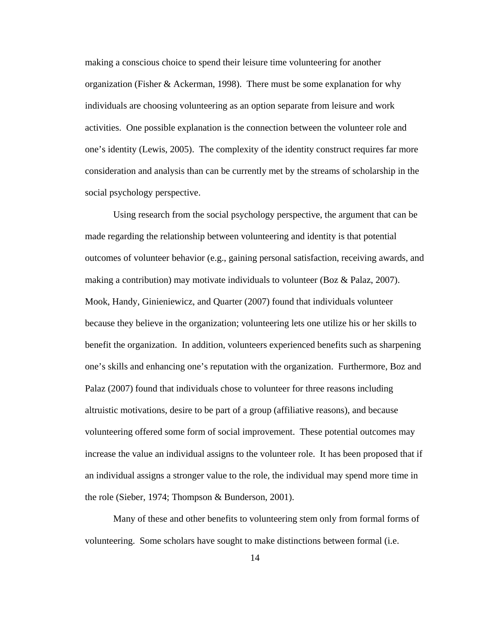making a conscious choice to spend their leisure time volunteering for another organization (Fisher & Ackerman, 1998). There must be some explanation for why individuals are choosing volunteering as an option separate from leisure and work activities. One possible explanation is the connection between the volunteer role and one's identity (Lewis, 2005). The complexity of the identity construct requires far more consideration and analysis than can be currently met by the streams of scholarship in the social psychology perspective.

Using research from the social psychology perspective, the argument that can be made regarding the relationship between volunteering and identity is that potential outcomes of volunteer behavior (e.g., gaining personal satisfaction, receiving awards, and making a contribution) may motivate individuals to volunteer (Boz & Palaz, 2007). Mook, Handy, Ginieniewicz, and Quarter (2007) found that individuals volunteer because they believe in the organization; volunteering lets one utilize his or her skills to benefit the organization. In addition, volunteers experienced benefits such as sharpening one's skills and enhancing one's reputation with the organization. Furthermore, Boz and Palaz (2007) found that individuals chose to volunteer for three reasons including altruistic motivations, desire to be part of a group (affiliative reasons), and because volunteering offered some form of social improvement. These potential outcomes may increase the value an individual assigns to the volunteer role. It has been proposed that if an individual assigns a stronger value to the role, the individual may spend more time in the role (Sieber, 1974; Thompson & Bunderson, 2001).

Many of these and other benefits to volunteering stem only from formal forms of volunteering. Some scholars have sought to make distinctions between formal (i.e.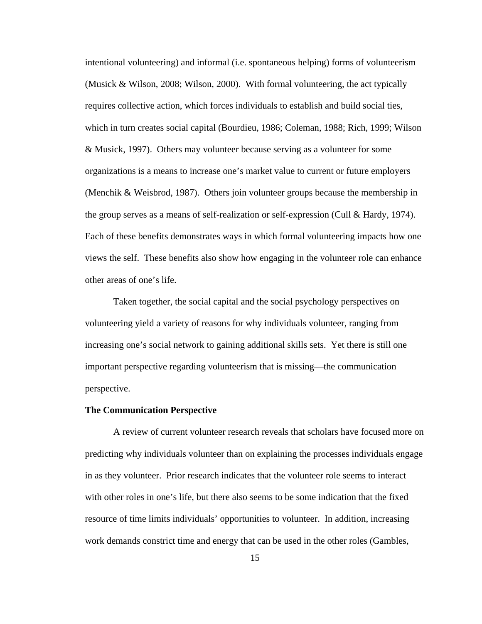intentional volunteering) and informal (i.e. spontaneous helping) forms of volunteerism (Musick & Wilson, 2008; Wilson, 2000). With formal volunteering, the act typically requires collective action, which forces individuals to establish and build social ties, which in turn creates social capital (Bourdieu, 1986; Coleman, 1988; Rich, 1999; Wilson & Musick, 1997). Others may volunteer because serving as a volunteer for some organizations is a means to increase one's market value to current or future employers (Menchik & Weisbrod, 1987). Others join volunteer groups because the membership in the group serves as a means of self-realization or self-expression (Cull & Hardy, 1974). Each of these benefits demonstrates ways in which formal volunteering impacts how one views the self. These benefits also show how engaging in the volunteer role can enhance other areas of one's life.

Taken together, the social capital and the social psychology perspectives on volunteering yield a variety of reasons for why individuals volunteer, ranging from increasing one's social network to gaining additional skills sets. Yet there is still one important perspective regarding volunteerism that is missing—the communication perspective.

#### **The Communication Perspective**

A review of current volunteer research reveals that scholars have focused more on predicting why individuals volunteer than on explaining the processes individuals engage in as they volunteer. Prior research indicates that the volunteer role seems to interact with other roles in one's life, but there also seems to be some indication that the fixed resource of time limits individuals' opportunities to volunteer. In addition, increasing work demands constrict time and energy that can be used in the other roles (Gambles,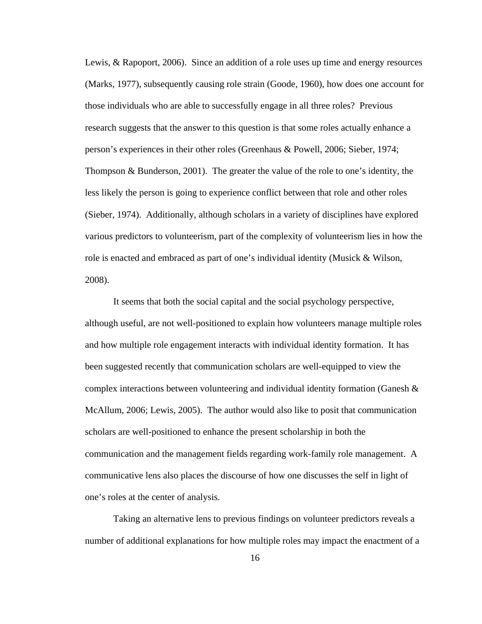Lewis, & Rapoport, 2006). Since an addition of a role uses up time and energy resources (Marks, 1977), subsequently causing role strain (Goode, 1960), how does one account for those individuals who are able to successfully engage in all three roles? Previous research suggests that the answer to this question is that some roles actually enhance a person's experiences in their other roles (Greenhaus & Powell, 2006; Sieber, 1974; Thompson & Bunderson, 2001). The greater the value of the role to one's identity, the less likely the person is going to experience conflict between that role and other roles (Sieber, 1974). Additionally, although scholars in a variety of disciplines have explored various predictors to volunteerism, part of the complexity of volunteerism lies in how the role is enacted and embraced as part of one's individual identity (Musick & Wilson, 2008).

It seems that both the social capital and the social psychology perspective, although useful, are not well-positioned to explain how volunteers manage multiple roles and how multiple role engagement interacts with individual identity formation. It has been suggested recently that communication scholars are well-equipped to view the complex interactions between volunteering and individual identity formation (Ganesh & McAllum, 2006; Lewis, 2005). The author would also like to posit that communication scholars are well-positioned to enhance the present scholarship in both the communication and the management fields regarding work-family role management. A communicative lens also places the discourse of how one discusses the self in light of one's roles at the center of analysis.

Taking an alternative lens to previous findings on volunteer predictors reveals a number of additional explanations for how multiple roles may impact the enactment of a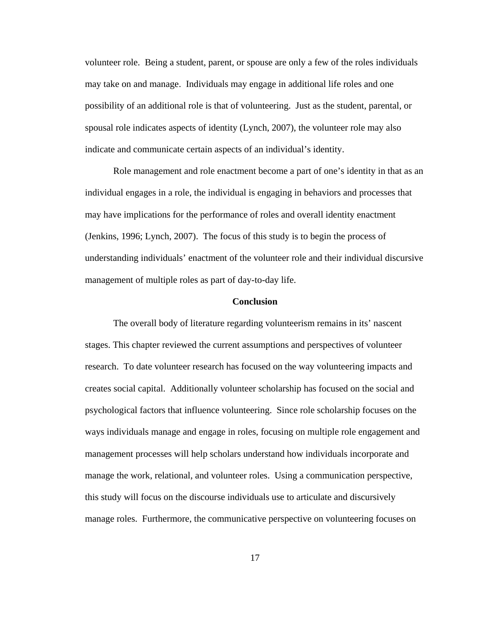volunteer role. Being a student, parent, or spouse are only a few of the roles individuals may take on and manage. Individuals may engage in additional life roles and one possibility of an additional role is that of volunteering. Just as the student, parental, or spousal role indicates aspects of identity (Lynch, 2007), the volunteer role may also indicate and communicate certain aspects of an individual's identity.

Role management and role enactment become a part of one's identity in that as an individual engages in a role, the individual is engaging in behaviors and processes that may have implications for the performance of roles and overall identity enactment (Jenkins, 1996; Lynch, 2007). The focus of this study is to begin the process of understanding individuals' enactment of the volunteer role and their individual discursive management of multiple roles as part of day-to-day life.

#### **Conclusion**

The overall body of literature regarding volunteerism remains in its' nascent stages. This chapter reviewed the current assumptions and perspectives of volunteer research. To date volunteer research has focused on the way volunteering impacts and creates social capital. Additionally volunteer scholarship has focused on the social and psychological factors that influence volunteering. Since role scholarship focuses on the ways individuals manage and engage in roles, focusing on multiple role engagement and management processes will help scholars understand how individuals incorporate and manage the work, relational, and volunteer roles. Using a communication perspective, this study will focus on the discourse individuals use to articulate and discursively manage roles. Furthermore, the communicative perspective on volunteering focuses on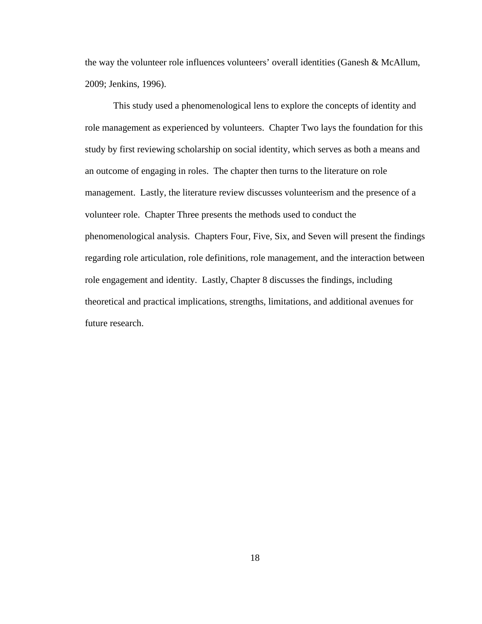the way the volunteer role influences volunteers' overall identities (Ganesh & McAllum, 2009; Jenkins, 1996).

This study used a phenomenological lens to explore the concepts of identity and role management as experienced by volunteers. Chapter Two lays the foundation for this study by first reviewing scholarship on social identity, which serves as both a means and an outcome of engaging in roles. The chapter then turns to the literature on role management. Lastly, the literature review discusses volunteerism and the presence of a volunteer role. Chapter Three presents the methods used to conduct the phenomenological analysis. Chapters Four, Five, Six, and Seven will present the findings regarding role articulation, role definitions, role management, and the interaction between role engagement and identity. Lastly, Chapter 8 discusses the findings, including theoretical and practical implications, strengths, limitations, and additional avenues for future research.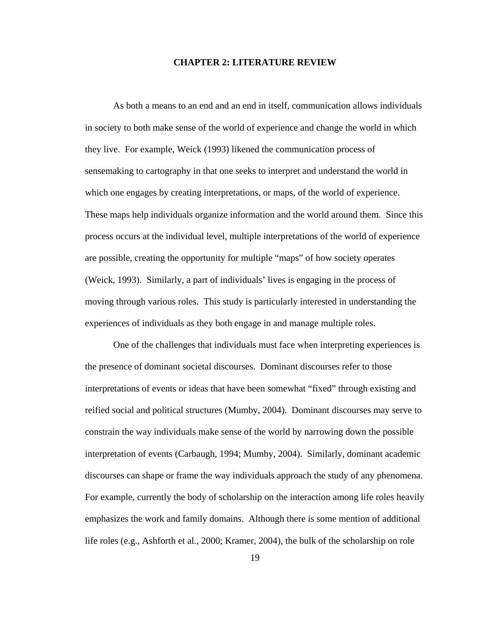#### **CHAPTER 2: LITERATURE REVIEW**

As both a means to an end and an end in itself, communication allows individuals in society to both make sense of the world of experience and change the world in which they live. For example, Weick (1993) likened the communication process of sensemaking to cartography in that one seeks to interpret and understand the world in which one engages by creating interpretations, or maps, of the world of experience. These maps help individuals organize information and the world around them. Since this process occurs at the individual level, multiple interpretations of the world of experience are possible, creating the opportunity for multiple "maps" of how society operates (Weick, 1993). Similarly, a part of individuals' lives is engaging in the process of moving through various roles. This study is particularly interested in understanding the experiences of individuals as they both engage in and manage multiple roles.

One of the challenges that individuals must face when interpreting experiences is the presence of dominant societal discourses. Dominant discourses refer to those interpretations of events or ideas that have been somewhat "fixed" through existing and reified social and political structures (Mumby, 2004). Dominant discourses may serve to constrain the way individuals make sense of the world by narrowing down the possible interpretation of events (Carbaugh, 1994; Mumby, 2004). Similarly, dominant academic discourses can shape or frame the way individuals approach the study of any phenomena. For example, currently the body of scholarship on the interaction among life roles heavily emphasizes the work and family domains. Although there is some mention of additional life roles (e.g., Ashforth et al., 2000; Kramer, 2004), the bulk of the scholarship on role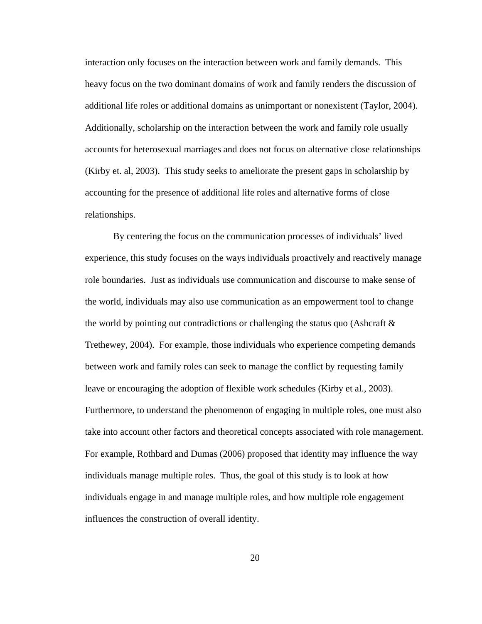interaction only focuses on the interaction between work and family demands. This heavy focus on the two dominant domains of work and family renders the discussion of additional life roles or additional domains as unimportant or nonexistent (Taylor, 2004). Additionally, scholarship on the interaction between the work and family role usually accounts for heterosexual marriages and does not focus on alternative close relationships (Kirby et. al, 2003). This study seeks to ameliorate the present gaps in scholarship by accounting for the presence of additional life roles and alternative forms of close relationships.

By centering the focus on the communication processes of individuals' lived experience, this study focuses on the ways individuals proactively and reactively manage role boundaries. Just as individuals use communication and discourse to make sense of the world, individuals may also use communication as an empowerment tool to change the world by pointing out contradictions or challenging the status quo (Ashcraft  $\&$ Trethewey, 2004). For example, those individuals who experience competing demands between work and family roles can seek to manage the conflict by requesting family leave or encouraging the adoption of flexible work schedules (Kirby et al., 2003). Furthermore, to understand the phenomenon of engaging in multiple roles, one must also take into account other factors and theoretical concepts associated with role management. For example, Rothbard and Dumas (2006) proposed that identity may influence the way individuals manage multiple roles. Thus, the goal of this study is to look at how individuals engage in and manage multiple roles, and how multiple role engagement influences the construction of overall identity.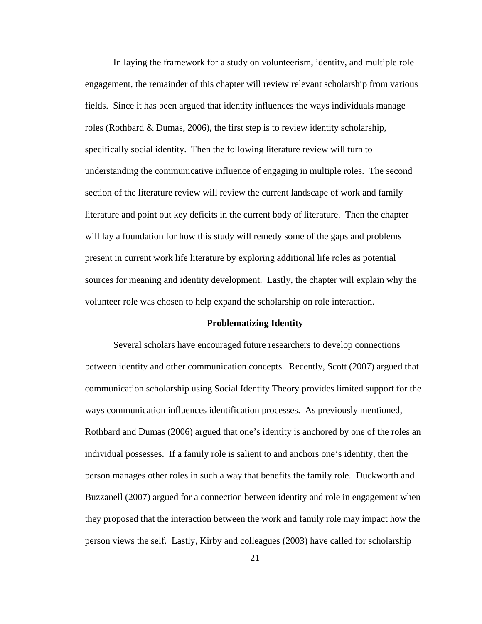In laying the framework for a study on volunteerism, identity, and multiple role engagement, the remainder of this chapter will review relevant scholarship from various fields. Since it has been argued that identity influences the ways individuals manage roles (Rothbard & Dumas, 2006), the first step is to review identity scholarship, specifically social identity. Then the following literature review will turn to understanding the communicative influence of engaging in multiple roles. The second section of the literature review will review the current landscape of work and family literature and point out key deficits in the current body of literature. Then the chapter will lay a foundation for how this study will remedy some of the gaps and problems present in current work life literature by exploring additional life roles as potential sources for meaning and identity development. Lastly, the chapter will explain why the volunteer role was chosen to help expand the scholarship on role interaction.

#### **Problematizing Identity**

Several scholars have encouraged future researchers to develop connections between identity and other communication concepts. Recently, Scott (2007) argued that communication scholarship using Social Identity Theory provides limited support for the ways communication influences identification processes. As previously mentioned, Rothbard and Dumas (2006) argued that one's identity is anchored by one of the roles an individual possesses. If a family role is salient to and anchors one's identity, then the person manages other roles in such a way that benefits the family role. Duckworth and Buzzanell (2007) argued for a connection between identity and role in engagement when they proposed that the interaction between the work and family role may impact how the person views the self. Lastly, Kirby and colleagues (2003) have called for scholarship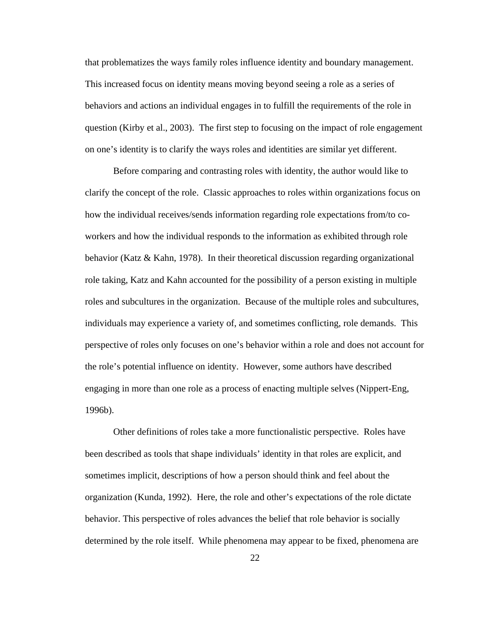that problematizes the ways family roles influence identity and boundary management. This increased focus on identity means moving beyond seeing a role as a series of behaviors and actions an individual engages in to fulfill the requirements of the role in question (Kirby et al., 2003). The first step to focusing on the impact of role engagement on one's identity is to clarify the ways roles and identities are similar yet different.

Before comparing and contrasting roles with identity, the author would like to clarify the concept of the role. Classic approaches to roles within organizations focus on how the individual receives/sends information regarding role expectations from/to coworkers and how the individual responds to the information as exhibited through role behavior (Katz  $\&$  Kahn, 1978). In their theoretical discussion regarding organizational role taking, Katz and Kahn accounted for the possibility of a person existing in multiple roles and subcultures in the organization. Because of the multiple roles and subcultures, individuals may experience a variety of, and sometimes conflicting, role demands. This perspective of roles only focuses on one's behavior within a role and does not account for the role's potential influence on identity. However, some authors have described engaging in more than one role as a process of enacting multiple selves (Nippert-Eng, 1996b).

Other definitions of roles take a more functionalistic perspective. Roles have been described as tools that shape individuals' identity in that roles are explicit, and sometimes implicit, descriptions of how a person should think and feel about the organization (Kunda, 1992). Here, the role and other's expectations of the role dictate behavior. This perspective of roles advances the belief that role behavior is socially determined by the role itself. While phenomena may appear to be fixed, phenomena are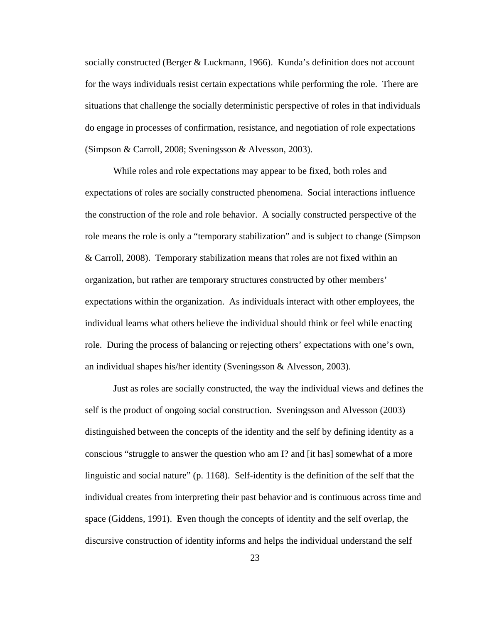socially constructed (Berger & Luckmann, 1966). Kunda's definition does not account for the ways individuals resist certain expectations while performing the role. There are situations that challenge the socially deterministic perspective of roles in that individuals do engage in processes of confirmation, resistance, and negotiation of role expectations (Simpson & Carroll, 2008; Sveningsson & Alvesson, 2003).

While roles and role expectations may appear to be fixed, both roles and expectations of roles are socially constructed phenomena. Social interactions influence the construction of the role and role behavior. A socially constructed perspective of the role means the role is only a "temporary stabilization" and is subject to change (Simpson & Carroll, 2008). Temporary stabilization means that roles are not fixed within an organization, but rather are temporary structures constructed by other members' expectations within the organization. As individuals interact with other employees, the individual learns what others believe the individual should think or feel while enacting role. During the process of balancing or rejecting others' expectations with one's own, an individual shapes his/her identity (Sveningsson & Alvesson, 2003).

Just as roles are socially constructed, the way the individual views and defines the self is the product of ongoing social construction. Sveningsson and Alvesson (2003) distinguished between the concepts of the identity and the self by defining identity as a conscious "struggle to answer the question who am I? and [it has] somewhat of a more linguistic and social nature" (p. 1168). Self-identity is the definition of the self that the individual creates from interpreting their past behavior and is continuous across time and space (Giddens, 1991). Even though the concepts of identity and the self overlap, the discursive construction of identity informs and helps the individual understand the self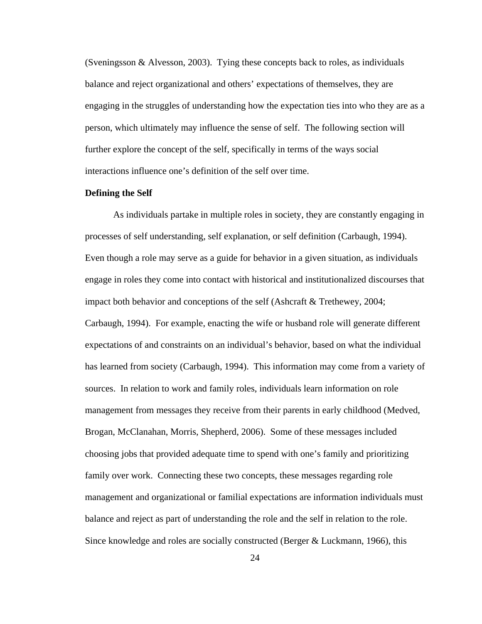(Sveningsson & Alvesson, 2003). Tying these concepts back to roles, as individuals balance and reject organizational and others' expectations of themselves, they are engaging in the struggles of understanding how the expectation ties into who they are as a person, which ultimately may influence the sense of self. The following section will further explore the concept of the self, specifically in terms of the ways social interactions influence one's definition of the self over time.

## **Defining the Self**

As individuals partake in multiple roles in society, they are constantly engaging in processes of self understanding, self explanation, or self definition (Carbaugh, 1994). Even though a role may serve as a guide for behavior in a given situation, as individuals engage in roles they come into contact with historical and institutionalized discourses that impact both behavior and conceptions of the self (Ashcraft & Trethewey, 2004; Carbaugh, 1994). For example, enacting the wife or husband role will generate different expectations of and constraints on an individual's behavior, based on what the individual has learned from society (Carbaugh, 1994). This information may come from a variety of sources. In relation to work and family roles, individuals learn information on role management from messages they receive from their parents in early childhood (Medved, Brogan, McClanahan, Morris, Shepherd, 2006). Some of these messages included choosing jobs that provided adequate time to spend with one's family and prioritizing family over work. Connecting these two concepts, these messages regarding role management and organizational or familial expectations are information individuals must balance and reject as part of understanding the role and the self in relation to the role. Since knowledge and roles are socially constructed (Berger & Luckmann, 1966), this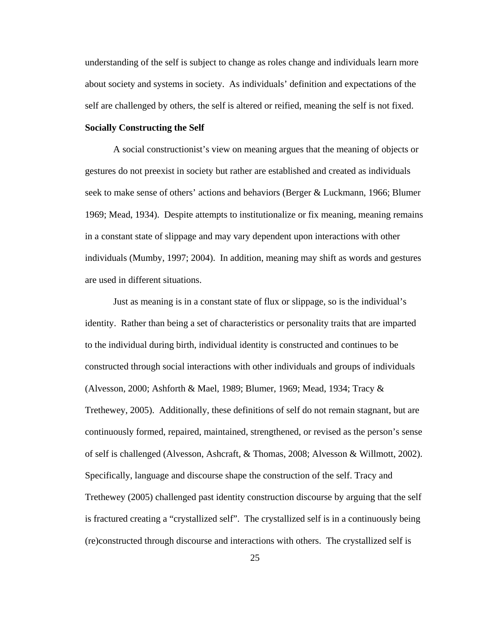understanding of the self is subject to change as roles change and individuals learn more about society and systems in society. As individuals' definition and expectations of the self are challenged by others, the self is altered or reified, meaning the self is not fixed.

# **Socially Constructing the Self**

A social constructionist's view on meaning argues that the meaning of objects or gestures do not preexist in society but rather are established and created as individuals seek to make sense of others' actions and behaviors (Berger & Luckmann, 1966; Blumer 1969; Mead, 1934). Despite attempts to institutionalize or fix meaning, meaning remains in a constant state of slippage and may vary dependent upon interactions with other individuals (Mumby, 1997; 2004). In addition, meaning may shift as words and gestures are used in different situations.

Just as meaning is in a constant state of flux or slippage, so is the individual's identity. Rather than being a set of characteristics or personality traits that are imparted to the individual during birth, individual identity is constructed and continues to be constructed through social interactions with other individuals and groups of individuals (Alvesson, 2000; Ashforth & Mael, 1989; Blumer, 1969; Mead, 1934; Tracy & Trethewey, 2005). Additionally, these definitions of self do not remain stagnant, but are continuously formed, repaired, maintained, strengthened, or revised as the person's sense of self is challenged (Alvesson, Ashcraft, & Thomas, 2008; Alvesson & Willmott, 2002). Specifically, language and discourse shape the construction of the self. Tracy and Trethewey (2005) challenged past identity construction discourse by arguing that the self is fractured creating a "crystallized self". The crystallized self is in a continuously being (re)constructed through discourse and interactions with others. The crystallized self is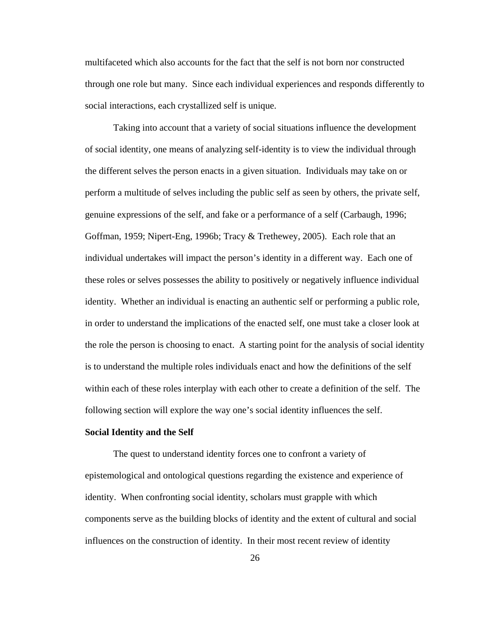multifaceted which also accounts for the fact that the self is not born nor constructed through one role but many. Since each individual experiences and responds differently to social interactions, each crystallized self is unique.

Taking into account that a variety of social situations influence the development of social identity, one means of analyzing self-identity is to view the individual through the different selves the person enacts in a given situation. Individuals may take on or perform a multitude of selves including the public self as seen by others, the private self, genuine expressions of the self, and fake or a performance of a self (Carbaugh, 1996; Goffman, 1959; Nipert-Eng, 1996b; Tracy & Trethewey, 2005). Each role that an individual undertakes will impact the person's identity in a different way. Each one of these roles or selves possesses the ability to positively or negatively influence individual identity. Whether an individual is enacting an authentic self or performing a public role, in order to understand the implications of the enacted self, one must take a closer look at the role the person is choosing to enact. A starting point for the analysis of social identity is to understand the multiple roles individuals enact and how the definitions of the self within each of these roles interplay with each other to create a definition of the self. The following section will explore the way one's social identity influences the self.

#### **Social Identity and the Self**

The quest to understand identity forces one to confront a variety of epistemological and ontological questions regarding the existence and experience of identity. When confronting social identity, scholars must grapple with which components serve as the building blocks of identity and the extent of cultural and social influences on the construction of identity. In their most recent review of identity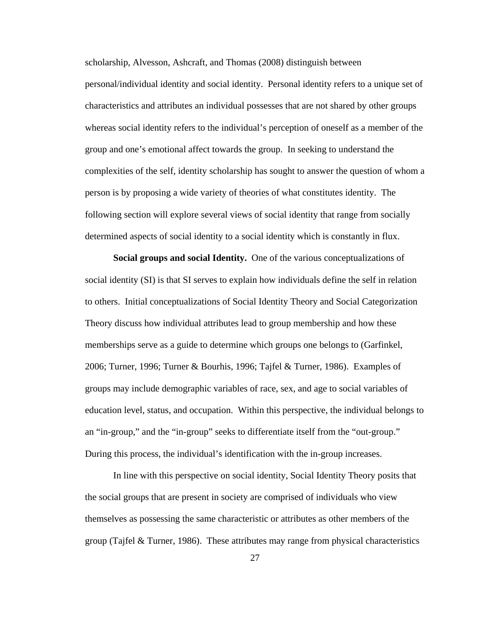scholarship, Alvesson, Ashcraft, and Thomas (2008) distinguish between personal/individual identity and social identity. Personal identity refers to a unique set of characteristics and attributes an individual possesses that are not shared by other groups

whereas social identity refers to the individual's perception of oneself as a member of the group and one's emotional affect towards the group. In seeking to understand the complexities of the self, identity scholarship has sought to answer the question of whom a person is by proposing a wide variety of theories of what constitutes identity. The following section will explore several views of social identity that range from socially determined aspects of social identity to a social identity which is constantly in flux.

**Social groups and social Identity.** One of the various conceptualizations of social identity (SI) is that SI serves to explain how individuals define the self in relation to others. Initial conceptualizations of Social Identity Theory and Social Categorization Theory discuss how individual attributes lead to group membership and how these memberships serve as a guide to determine which groups one belongs to (Garfinkel, 2006; Turner, 1996; Turner & Bourhis, 1996; Tajfel & Turner, 1986). Examples of groups may include demographic variables of race, sex, and age to social variables of education level, status, and occupation. Within this perspective, the individual belongs to an "in-group," and the "in-group" seeks to differentiate itself from the "out-group." During this process, the individual's identification with the in-group increases.

In line with this perspective on social identity, Social Identity Theory posits that the social groups that are present in society are comprised of individuals who view themselves as possessing the same characteristic or attributes as other members of the group (Tajfel & Turner, 1986). These attributes may range from physical characteristics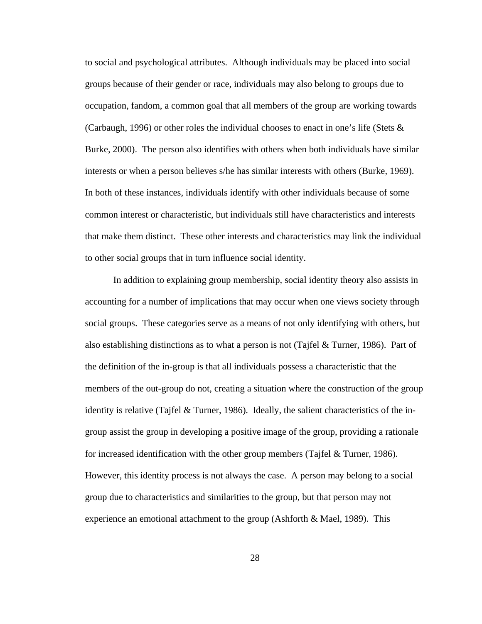to social and psychological attributes. Although individuals may be placed into social groups because of their gender or race, individuals may also belong to groups due to occupation, fandom, a common goal that all members of the group are working towards (Carbaugh, 1996) or other roles the individual chooses to enact in one's life (Stets & Burke, 2000). The person also identifies with others when both individuals have similar interests or when a person believes s/he has similar interests with others (Burke, 1969). In both of these instances, individuals identify with other individuals because of some common interest or characteristic, but individuals still have characteristics and interests that make them distinct. These other interests and characteristics may link the individual to other social groups that in turn influence social identity.

In addition to explaining group membership, social identity theory also assists in accounting for a number of implications that may occur when one views society through social groups. These categories serve as a means of not only identifying with others, but also establishing distinctions as to what a person is not (Tajfel & Turner, 1986). Part of the definition of the in-group is that all individuals possess a characteristic that the members of the out-group do not, creating a situation where the construction of the group identity is relative (Tajfel  $&$  Turner, 1986). Ideally, the salient characteristics of the ingroup assist the group in developing a positive image of the group, providing a rationale for increased identification with the other group members (Tajfel & Turner, 1986). However, this identity process is not always the case. A person may belong to a social group due to characteristics and similarities to the group, but that person may not experience an emotional attachment to the group (Ashforth & Mael, 1989). This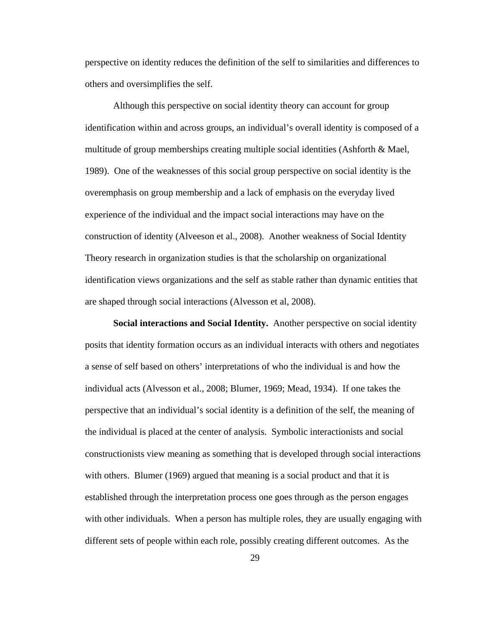perspective on identity reduces the definition of the self to similarities and differences to others and oversimplifies the self.

Although this perspective on social identity theory can account for group identification within and across groups, an individual's overall identity is composed of a multitude of group memberships creating multiple social identities (Ashforth & Mael, 1989). One of the weaknesses of this social group perspective on social identity is the overemphasis on group membership and a lack of emphasis on the everyday lived experience of the individual and the impact social interactions may have on the construction of identity (Alveeson et al., 2008). Another weakness of Social Identity Theory research in organization studies is that the scholarship on organizational identification views organizations and the self as stable rather than dynamic entities that are shaped through social interactions (Alvesson et al, 2008).

**Social interactions and Social Identity.** Another perspective on social identity posits that identity formation occurs as an individual interacts with others and negotiates a sense of self based on others' interpretations of who the individual is and how the individual acts (Alvesson et al., 2008; Blumer, 1969; Mead, 1934). If one takes the perspective that an individual's social identity is a definition of the self, the meaning of the individual is placed at the center of analysis. Symbolic interactionists and social constructionists view meaning as something that is developed through social interactions with others. Blumer (1969) argued that meaning is a social product and that it is established through the interpretation process one goes through as the person engages with other individuals. When a person has multiple roles, they are usually engaging with different sets of people within each role, possibly creating different outcomes. As the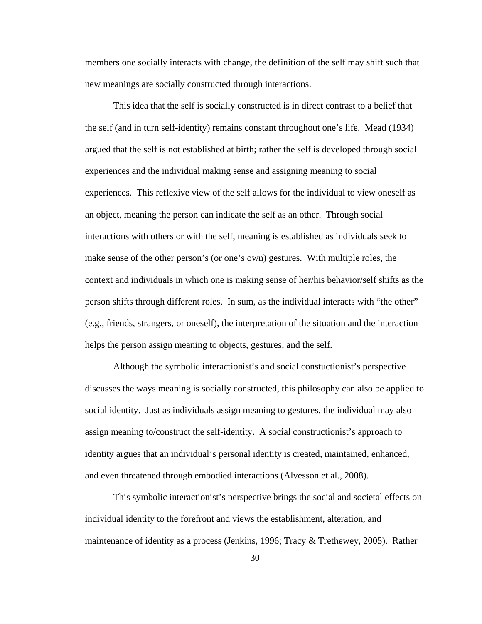members one socially interacts with change, the definition of the self may shift such that new meanings are socially constructed through interactions.

This idea that the self is socially constructed is in direct contrast to a belief that the self (and in turn self-identity) remains constant throughout one's life. Mead (1934) argued that the self is not established at birth; rather the self is developed through social experiences and the individual making sense and assigning meaning to social experiences. This reflexive view of the self allows for the individual to view oneself as an object, meaning the person can indicate the self as an other. Through social interactions with others or with the self, meaning is established as individuals seek to make sense of the other person's (or one's own) gestures. With multiple roles, the context and individuals in which one is making sense of her/his behavior/self shifts as the person shifts through different roles. In sum, as the individual interacts with "the other" (e.g., friends, strangers, or oneself), the interpretation of the situation and the interaction helps the person assign meaning to objects, gestures, and the self.

Although the symbolic interactionist's and social constuctionist's perspective discusses the ways meaning is socially constructed, this philosophy can also be applied to social identity. Just as individuals assign meaning to gestures, the individual may also assign meaning to/construct the self-identity. A social constructionist's approach to identity argues that an individual's personal identity is created, maintained, enhanced, and even threatened through embodied interactions (Alvesson et al., 2008).

This symbolic interactionist's perspective brings the social and societal effects on individual identity to the forefront and views the establishment, alteration, and maintenance of identity as a process (Jenkins, 1996; Tracy  $&$  Trethewey, 2005). Rather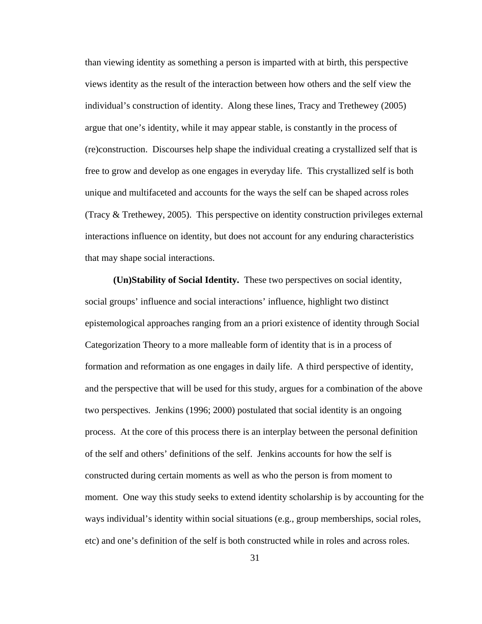than viewing identity as something a person is imparted with at birth, this perspective views identity as the result of the interaction between how others and the self view the individual's construction of identity. Along these lines, Tracy and Trethewey (2005) argue that one's identity, while it may appear stable, is constantly in the process of (re)construction. Discourses help shape the individual creating a crystallized self that is free to grow and develop as one engages in everyday life. This crystallized self is both unique and multifaceted and accounts for the ways the self can be shaped across roles (Tracy & Trethewey, 2005). This perspective on identity construction privileges external interactions influence on identity, but does not account for any enduring characteristics that may shape social interactions.

**(Un)Stability of Social Identity.** These two perspectives on social identity, social groups' influence and social interactions' influence, highlight two distinct epistemological approaches ranging from an a priori existence of identity through Social Categorization Theory to a more malleable form of identity that is in a process of formation and reformation as one engages in daily life. A third perspective of identity, and the perspective that will be used for this study, argues for a combination of the above two perspectives. Jenkins (1996; 2000) postulated that social identity is an ongoing process. At the core of this process there is an interplay between the personal definition of the self and others' definitions of the self. Jenkins accounts for how the self is constructed during certain moments as well as who the person is from moment to moment. One way this study seeks to extend identity scholarship is by accounting for the ways individual's identity within social situations (e.g., group memberships, social roles, etc) and one's definition of the self is both constructed while in roles and across roles.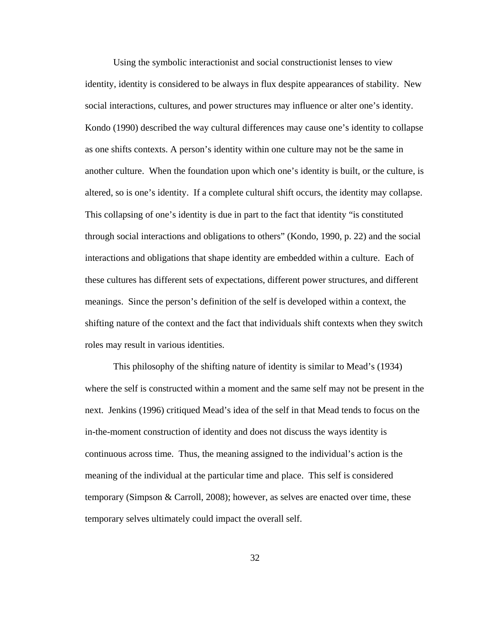Using the symbolic interactionist and social constructionist lenses to view identity, identity is considered to be always in flux despite appearances of stability. New social interactions, cultures, and power structures may influence or alter one's identity. Kondo (1990) described the way cultural differences may cause one's identity to collapse as one shifts contexts. A person's identity within one culture may not be the same in another culture. When the foundation upon which one's identity is built, or the culture, is altered, so is one's identity. If a complete cultural shift occurs, the identity may collapse. This collapsing of one's identity is due in part to the fact that identity "is constituted through social interactions and obligations to others" (Kondo, 1990, p. 22) and the social interactions and obligations that shape identity are embedded within a culture. Each of these cultures has different sets of expectations, different power structures, and different meanings. Since the person's definition of the self is developed within a context, the shifting nature of the context and the fact that individuals shift contexts when they switch roles may result in various identities.

This philosophy of the shifting nature of identity is similar to Mead's (1934) where the self is constructed within a moment and the same self may not be present in the next. Jenkins (1996) critiqued Mead's idea of the self in that Mead tends to focus on the in-the-moment construction of identity and does not discuss the ways identity is continuous across time. Thus, the meaning assigned to the individual's action is the meaning of the individual at the particular time and place. This self is considered temporary (Simpson & Carroll, 2008); however, as selves are enacted over time, these temporary selves ultimately could impact the overall self.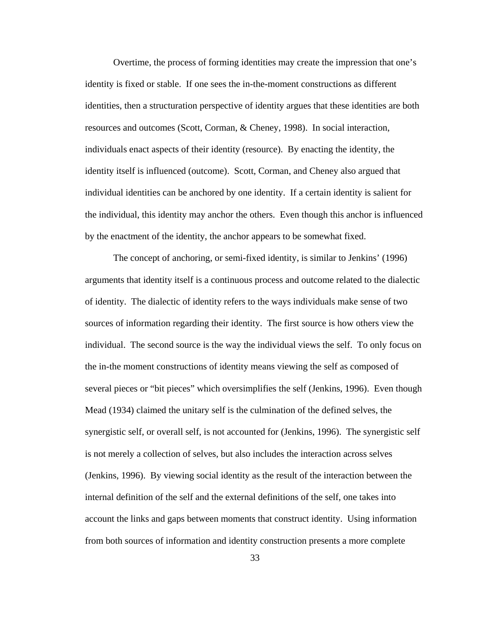Overtime, the process of forming identities may create the impression that one's identity is fixed or stable. If one sees the in-the-moment constructions as different identities, then a structuration perspective of identity argues that these identities are both resources and outcomes (Scott, Corman, & Cheney, 1998). In social interaction, individuals enact aspects of their identity (resource). By enacting the identity, the identity itself is influenced (outcome). Scott, Corman, and Cheney also argued that individual identities can be anchored by one identity. If a certain identity is salient for the individual, this identity may anchor the others. Even though this anchor is influenced by the enactment of the identity, the anchor appears to be somewhat fixed.

The concept of anchoring, or semi-fixed identity, is similar to Jenkins' (1996) arguments that identity itself is a continuous process and outcome related to the dialectic of identity. The dialectic of identity refers to the ways individuals make sense of two sources of information regarding their identity. The first source is how others view the individual. The second source is the way the individual views the self. To only focus on the in-the moment constructions of identity means viewing the self as composed of several pieces or "bit pieces" which oversimplifies the self (Jenkins, 1996). Even though Mead (1934) claimed the unitary self is the culmination of the defined selves, the synergistic self, or overall self, is not accounted for (Jenkins, 1996). The synergistic self is not merely a collection of selves, but also includes the interaction across selves (Jenkins, 1996). By viewing social identity as the result of the interaction between the internal definition of the self and the external definitions of the self, one takes into account the links and gaps between moments that construct identity. Using information from both sources of information and identity construction presents a more complete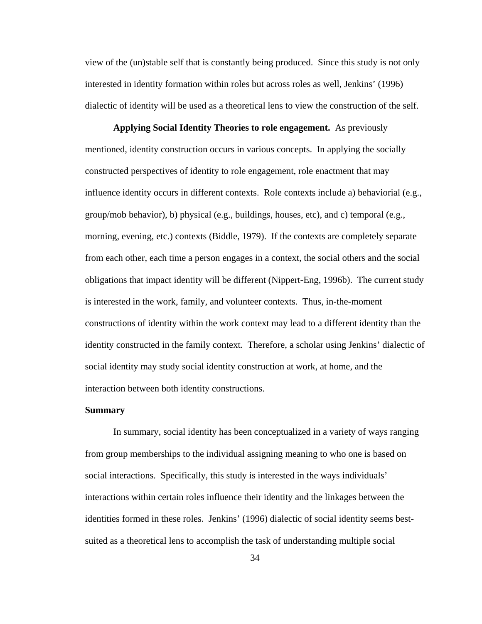view of the (un)stable self that is constantly being produced. Since this study is not only interested in identity formation within roles but across roles as well, Jenkins' (1996) dialectic of identity will be used as a theoretical lens to view the construction of the self.

**Applying Social Identity Theories to role engagement.** As previously mentioned, identity construction occurs in various concepts. In applying the socially constructed perspectives of identity to role engagement, role enactment that may influence identity occurs in different contexts. Role contexts include a) behaviorial (e.g., group/mob behavior), b) physical (e.g., buildings, houses, etc), and c) temporal (e.g., morning, evening, etc.) contexts (Biddle, 1979). If the contexts are completely separate from each other, each time a person engages in a context, the social others and the social obligations that impact identity will be different (Nippert-Eng, 1996b). The current study is interested in the work, family, and volunteer contexts. Thus, in-the-moment constructions of identity within the work context may lead to a different identity than the identity constructed in the family context. Therefore, a scholar using Jenkins' dialectic of social identity may study social identity construction at work, at home, and the interaction between both identity constructions.

## **Summary**

In summary, social identity has been conceptualized in a variety of ways ranging from group memberships to the individual assigning meaning to who one is based on social interactions. Specifically, this study is interested in the ways individuals' interactions within certain roles influence their identity and the linkages between the identities formed in these roles. Jenkins' (1996) dialectic of social identity seems bestsuited as a theoretical lens to accomplish the task of understanding multiple social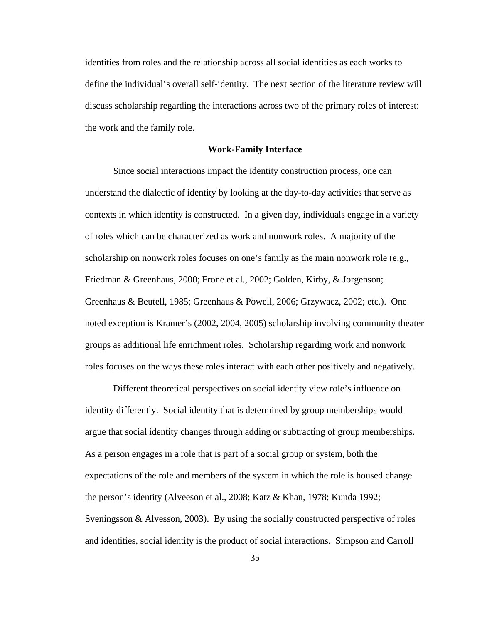identities from roles and the relationship across all social identities as each works to define the individual's overall self-identity. The next section of the literature review will discuss scholarship regarding the interactions across two of the primary roles of interest: the work and the family role.

#### **Work-Family Interface**

Since social interactions impact the identity construction process, one can understand the dialectic of identity by looking at the day-to-day activities that serve as contexts in which identity is constructed. In a given day, individuals engage in a variety of roles which can be characterized as work and nonwork roles. A majority of the scholarship on nonwork roles focuses on one's family as the main nonwork role (e.g., Friedman & Greenhaus, 2000; Frone et al., 2002; Golden, Kirby, & Jorgenson; Greenhaus & Beutell, 1985; Greenhaus & Powell, 2006; Grzywacz, 2002; etc.). One noted exception is Kramer's (2002, 2004, 2005) scholarship involving community theater groups as additional life enrichment roles. Scholarship regarding work and nonwork roles focuses on the ways these roles interact with each other positively and negatively.

Different theoretical perspectives on social identity view role's influence on identity differently. Social identity that is determined by group memberships would argue that social identity changes through adding or subtracting of group memberships. As a person engages in a role that is part of a social group or system, both the expectations of the role and members of the system in which the role is housed change the person's identity (Alveeson et al., 2008; Katz & Khan, 1978; Kunda 1992; Sveningsson  $\&$  Alvesson, 2003). By using the socially constructed perspective of roles and identities, social identity is the product of social interactions. Simpson and Carroll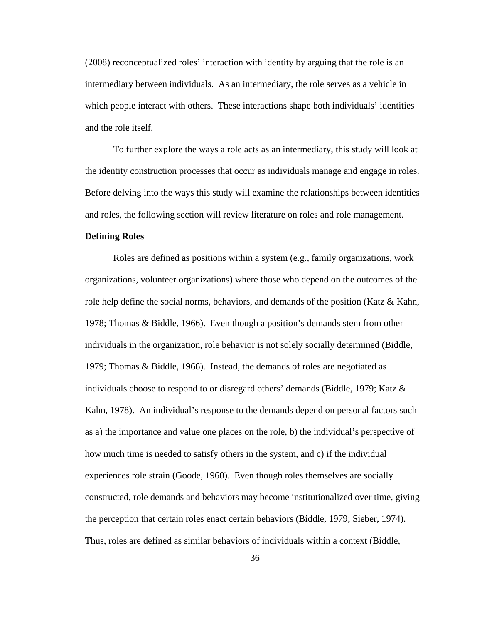(2008) reconceptualized roles' interaction with identity by arguing that the role is an intermediary between individuals. As an intermediary, the role serves as a vehicle in which people interact with others. These interactions shape both individuals' identities and the role itself.

To further explore the ways a role acts as an intermediary, this study will look at the identity construction processes that occur as individuals manage and engage in roles. Before delving into the ways this study will examine the relationships between identities and roles, the following section will review literature on roles and role management.

## **Defining Roles**

Roles are defined as positions within a system (e.g., family organizations, work organizations, volunteer organizations) where those who depend on the outcomes of the role help define the social norms, behaviors, and demands of the position (Katz  $\&$  Kahn, 1978; Thomas & Biddle, 1966). Even though a position's demands stem from other individuals in the organization, role behavior is not solely socially determined (Biddle, 1979; Thomas & Biddle, 1966). Instead, the demands of roles are negotiated as individuals choose to respond to or disregard others' demands (Biddle, 1979; Katz  $\&$ Kahn, 1978). An individual's response to the demands depend on personal factors such as a) the importance and value one places on the role, b) the individual's perspective of how much time is needed to satisfy others in the system, and c) if the individual experiences role strain (Goode, 1960). Even though roles themselves are socially constructed, role demands and behaviors may become institutionalized over time, giving the perception that certain roles enact certain behaviors (Biddle, 1979; Sieber, 1974). Thus, roles are defined as similar behaviors of individuals within a context (Biddle,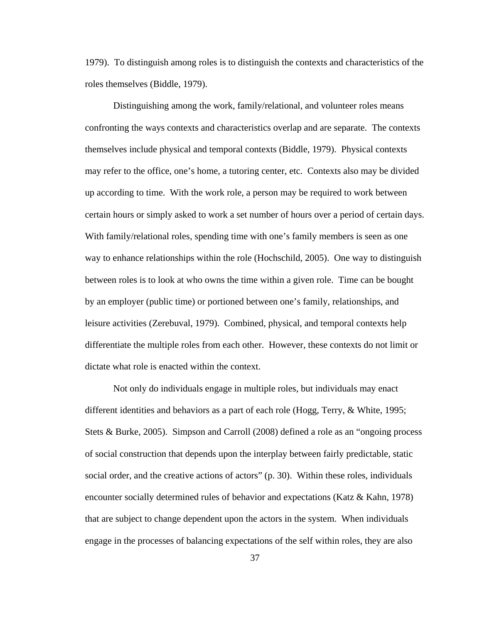1979). To distinguish among roles is to distinguish the contexts and characteristics of the roles themselves (Biddle, 1979).

Distinguishing among the work, family/relational, and volunteer roles means confronting the ways contexts and characteristics overlap and are separate. The contexts themselves include physical and temporal contexts (Biddle, 1979). Physical contexts may refer to the office, one's home, a tutoring center, etc. Contexts also may be divided up according to time. With the work role, a person may be required to work between certain hours or simply asked to work a set number of hours over a period of certain days. With family/relational roles, spending time with one's family members is seen as one way to enhance relationships within the role (Hochschild, 2005). One way to distinguish between roles is to look at who owns the time within a given role. Time can be bought by an employer (public time) or portioned between one's family, relationships, and leisure activities (Zerebuval, 1979). Combined, physical, and temporal contexts help differentiate the multiple roles from each other. However, these contexts do not limit or dictate what role is enacted within the context.

Not only do individuals engage in multiple roles, but individuals may enact different identities and behaviors as a part of each role (Hogg, Terry, & White, 1995; Stets & Burke, 2005). Simpson and Carroll (2008) defined a role as an "ongoing process of social construction that depends upon the interplay between fairly predictable, static social order, and the creative actions of actors" (p. 30). Within these roles, individuals encounter socially determined rules of behavior and expectations (Katz & Kahn, 1978) that are subject to change dependent upon the actors in the system. When individuals engage in the processes of balancing expectations of the self within roles, they are also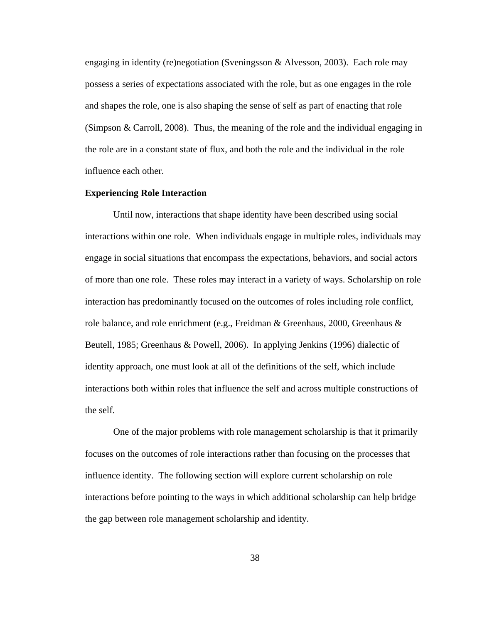engaging in identity (re)negotiation (Sveningsson & Alvesson, 2003). Each role may possess a series of expectations associated with the role, but as one engages in the role and shapes the role, one is also shaping the sense of self as part of enacting that role (Simpson & Carroll, 2008). Thus, the meaning of the role and the individual engaging in the role are in a constant state of flux, and both the role and the individual in the role influence each other.

# **Experiencing Role Interaction**

Until now, interactions that shape identity have been described using social interactions within one role. When individuals engage in multiple roles, individuals may engage in social situations that encompass the expectations, behaviors, and social actors of more than one role. These roles may interact in a variety of ways. Scholarship on role interaction has predominantly focused on the outcomes of roles including role conflict, role balance, and role enrichment (e.g., Freidman & Greenhaus, 2000, Greenhaus & Beutell, 1985; Greenhaus & Powell, 2006). In applying Jenkins (1996) dialectic of identity approach, one must look at all of the definitions of the self, which include interactions both within roles that influence the self and across multiple constructions of the self.

One of the major problems with role management scholarship is that it primarily focuses on the outcomes of role interactions rather than focusing on the processes that influence identity. The following section will explore current scholarship on role interactions before pointing to the ways in which additional scholarship can help bridge the gap between role management scholarship and identity.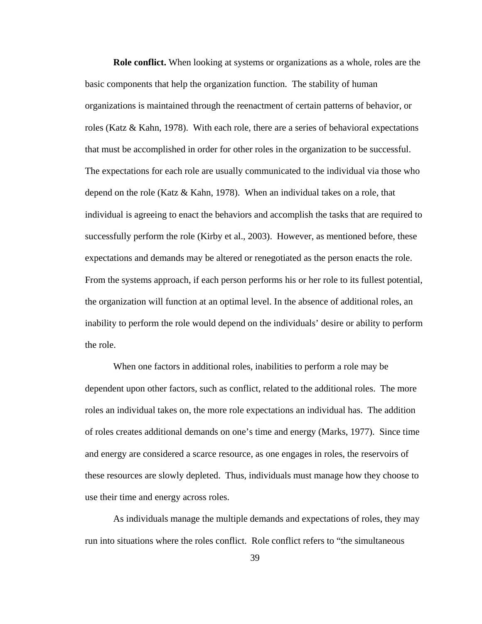**Role conflict.** When looking at systems or organizations as a whole, roles are the basic components that help the organization function. The stability of human organizations is maintained through the reenactment of certain patterns of behavior, or roles (Katz & Kahn, 1978). With each role, there are a series of behavioral expectations that must be accomplished in order for other roles in the organization to be successful. The expectations for each role are usually communicated to the individual via those who depend on the role (Katz & Kahn, 1978). When an individual takes on a role, that individual is agreeing to enact the behaviors and accomplish the tasks that are required to successfully perform the role (Kirby et al., 2003). However, as mentioned before, these expectations and demands may be altered or renegotiated as the person enacts the role. From the systems approach, if each person performs his or her role to its fullest potential, the organization will function at an optimal level. In the absence of additional roles, an inability to perform the role would depend on the individuals' desire or ability to perform the role.

When one factors in additional roles, inabilities to perform a role may be dependent upon other factors, such as conflict, related to the additional roles. The more roles an individual takes on, the more role expectations an individual has. The addition of roles creates additional demands on one's time and energy (Marks, 1977). Since time and energy are considered a scarce resource, as one engages in roles, the reservoirs of these resources are slowly depleted. Thus, individuals must manage how they choose to use their time and energy across roles.

As individuals manage the multiple demands and expectations of roles, they may run into situations where the roles conflict. Role conflict refers to "the simultaneous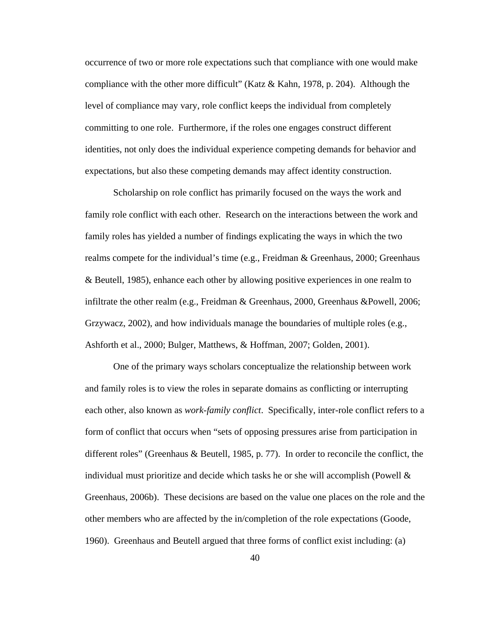occurrence of two or more role expectations such that compliance with one would make compliance with the other more difficult" (Katz & Kahn, 1978, p. 204). Although the level of compliance may vary, role conflict keeps the individual from completely committing to one role. Furthermore, if the roles one engages construct different identities, not only does the individual experience competing demands for behavior and expectations, but also these competing demands may affect identity construction.

Scholarship on role conflict has primarily focused on the ways the work and family role conflict with each other. Research on the interactions between the work and family roles has yielded a number of findings explicating the ways in which the two realms compete for the individual's time (e.g., Freidman & Greenhaus, 2000; Greenhaus & Beutell, 1985), enhance each other by allowing positive experiences in one realm to infiltrate the other realm (e.g., Freidman & Greenhaus, 2000, Greenhaus &Powell, 2006; Grzywacz, 2002), and how individuals manage the boundaries of multiple roles (e.g., Ashforth et al., 2000; Bulger, Matthews, & Hoffman, 2007; Golden, 2001).

One of the primary ways scholars conceptualize the relationship between work and family roles is to view the roles in separate domains as conflicting or interrupting each other, also known as *work-family conflict*. Specifically, inter-role conflict refers to a form of conflict that occurs when "sets of opposing pressures arise from participation in different roles" (Greenhaus & Beutell, 1985, p. 77). In order to reconcile the conflict, the individual must prioritize and decide which tasks he or she will accomplish (Powell  $\&$ Greenhaus, 2006b). These decisions are based on the value one places on the role and the other members who are affected by the in/completion of the role expectations (Goode, 1960). Greenhaus and Beutell argued that three forms of conflict exist including: (a)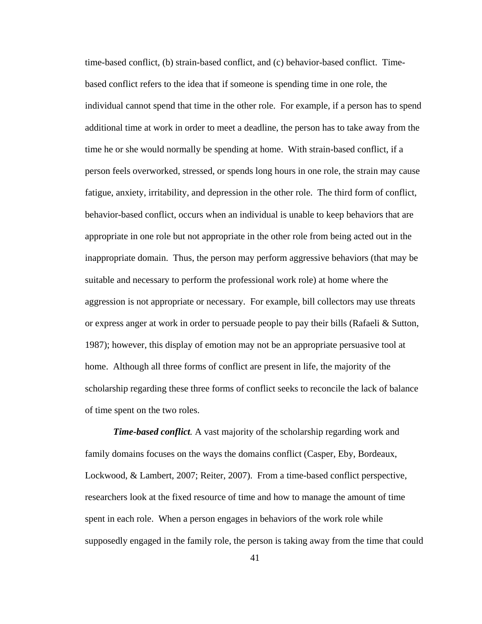time-based conflict, (b) strain-based conflict, and (c) behavior-based conflict. Timebased conflict refers to the idea that if someone is spending time in one role, the individual cannot spend that time in the other role. For example, if a person has to spend additional time at work in order to meet a deadline, the person has to take away from the time he or she would normally be spending at home. With strain-based conflict, if a person feels overworked, stressed, or spends long hours in one role, the strain may cause fatigue, anxiety, irritability, and depression in the other role. The third form of conflict, behavior-based conflict, occurs when an individual is unable to keep behaviors that are appropriate in one role but not appropriate in the other role from being acted out in the inappropriate domain. Thus, the person may perform aggressive behaviors (that may be suitable and necessary to perform the professional work role) at home where the aggression is not appropriate or necessary. For example, bill collectors may use threats or express anger at work in order to persuade people to pay their bills (Rafaeli & Sutton, 1987); however, this display of emotion may not be an appropriate persuasive tool at home. Although all three forms of conflict are present in life, the majority of the scholarship regarding these three forms of conflict seeks to reconcile the lack of balance of time spent on the two roles.

*Time-based conflict.* A vast majority of the scholarship regarding work and family domains focuses on the ways the domains conflict (Casper, Eby, Bordeaux, Lockwood, & Lambert, 2007; Reiter, 2007). From a time-based conflict perspective, researchers look at the fixed resource of time and how to manage the amount of time spent in each role. When a person engages in behaviors of the work role while supposedly engaged in the family role, the person is taking away from the time that could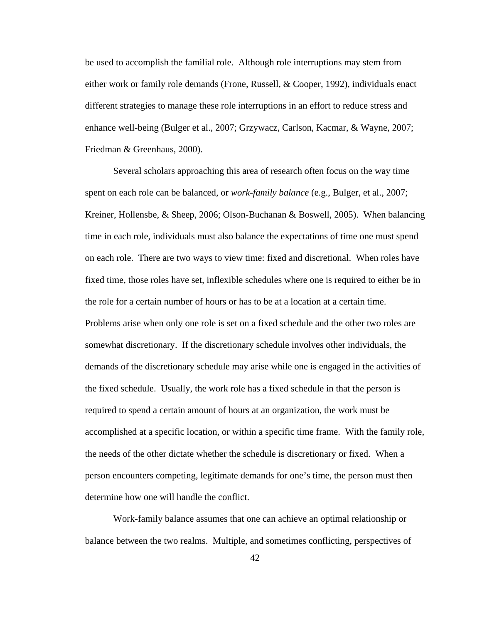be used to accomplish the familial role. Although role interruptions may stem from either work or family role demands (Frone, Russell, & Cooper, 1992), individuals enact different strategies to manage these role interruptions in an effort to reduce stress and enhance well-being (Bulger et al., 2007; Grzywacz, Carlson, Kacmar, & Wayne, 2007; Friedman & Greenhaus, 2000).

Several scholars approaching this area of research often focus on the way time spent on each role can be balanced, or *work-family balance* (e.g., Bulger, et al., 2007; Kreiner, Hollensbe, & Sheep, 2006; Olson-Buchanan & Boswell, 2005). When balancing time in each role, individuals must also balance the expectations of time one must spend on each role. There are two ways to view time: fixed and discretional. When roles have fixed time, those roles have set, inflexible schedules where one is required to either be in the role for a certain number of hours or has to be at a location at a certain time. Problems arise when only one role is set on a fixed schedule and the other two roles are somewhat discretionary. If the discretionary schedule involves other individuals, the demands of the discretionary schedule may arise while one is engaged in the activities of the fixed schedule. Usually, the work role has a fixed schedule in that the person is required to spend a certain amount of hours at an organization, the work must be accomplished at a specific location, or within a specific time frame. With the family role, the needs of the other dictate whether the schedule is discretionary or fixed. When a person encounters competing, legitimate demands for one's time, the person must then determine how one will handle the conflict.

Work-family balance assumes that one can achieve an optimal relationship or balance between the two realms. Multiple, and sometimes conflicting, perspectives of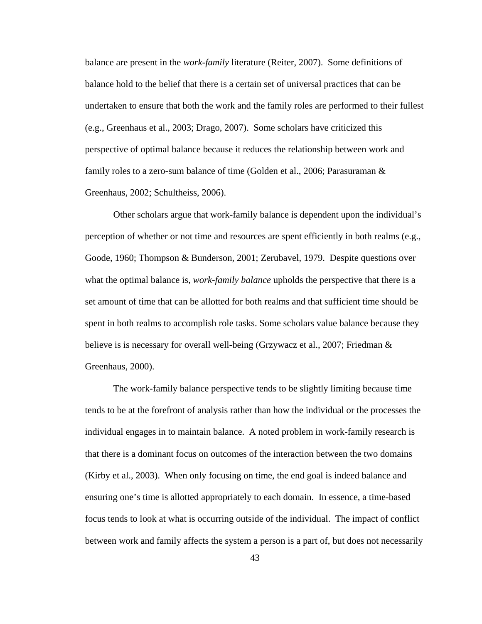balance are present in the *work-family* literature (Reiter, 2007). Some definitions of balance hold to the belief that there is a certain set of universal practices that can be undertaken to ensure that both the work and the family roles are performed to their fullest (e.g., Greenhaus et al., 2003; Drago, 2007). Some scholars have criticized this perspective of optimal balance because it reduces the relationship between work and family roles to a zero-sum balance of time (Golden et al., 2006; Parasuraman & Greenhaus, 2002; Schultheiss, 2006).

Other scholars argue that work-family balance is dependent upon the individual's perception of whether or not time and resources are spent efficiently in both realms (e.g., Goode, 1960; Thompson & Bunderson, 2001; Zerubavel, 1979. Despite questions over what the optimal balance is, *work-family balance* upholds the perspective that there is a set amount of time that can be allotted for both realms and that sufficient time should be spent in both realms to accomplish role tasks. Some scholars value balance because they believe is is necessary for overall well-being (Grzywacz et al., 2007; Friedman & Greenhaus, 2000).

The work-family balance perspective tends to be slightly limiting because time tends to be at the forefront of analysis rather than how the individual or the processes the individual engages in to maintain balance. A noted problem in work-family research is that there is a dominant focus on outcomes of the interaction between the two domains (Kirby et al., 2003). When only focusing on time, the end goal is indeed balance and ensuring one's time is allotted appropriately to each domain. In essence, a time-based focus tends to look at what is occurring outside of the individual. The impact of conflict between work and family affects the system a person is a part of, but does not necessarily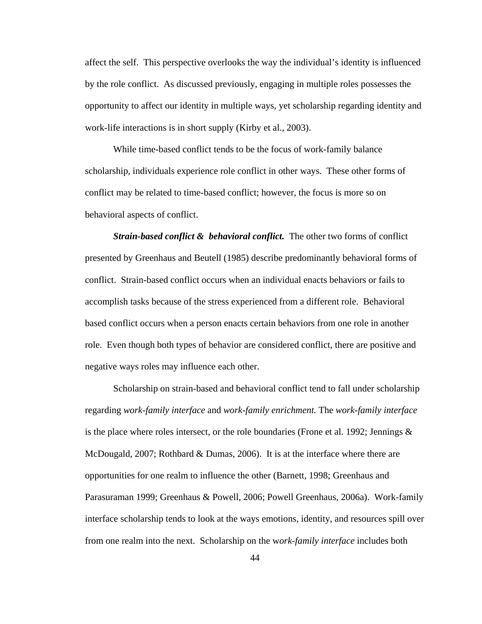affect the self. This perspective overlooks the way the individual's identity is influenced by the role conflict. As discussed previously, engaging in multiple roles possesses the opportunity to affect our identity in multiple ways, yet scholarship regarding identity and work-life interactions is in short supply (Kirby et al., 2003).

While time-based conflict tends to be the focus of work-family balance scholarship, individuals experience role conflict in other ways. These other forms of conflict may be related to time-based conflict; however, the focus is more so on behavioral aspects of conflict.

*Strain-based conflict & behavioral conflict.* The other two forms of conflict presented by Greenhaus and Beutell (1985) describe predominantly behavioral forms of conflict. Strain-based conflict occurs when an individual enacts behaviors or fails to accomplish tasks because of the stress experienced from a different role. Behavioral based conflict occurs when a person enacts certain behaviors from one role in another role. Even though both types of behavior are considered conflict, there are positive and negative ways roles may influence each other.

Scholarship on strain-based and behavioral conflict tend to fall under scholarship regarding *work-family interface* and *work-family enrichment.* The *work-family interface* is the place where roles intersect, or the role boundaries (Frone et al. 1992; Jennings  $\&$ McDougald, 2007; Rothbard & Dumas, 2006). It is at the interface where there are opportunities for one realm to influence the other (Barnett, 1998; Greenhaus and Parasuraman 1999; Greenhaus & Powell, 2006; Powell Greenhaus, 2006a). Work-family interface scholarship tends to look at the ways emotions, identity, and resources spill over from one realm into the next. Scholarship on the w*ork-family interface* includes both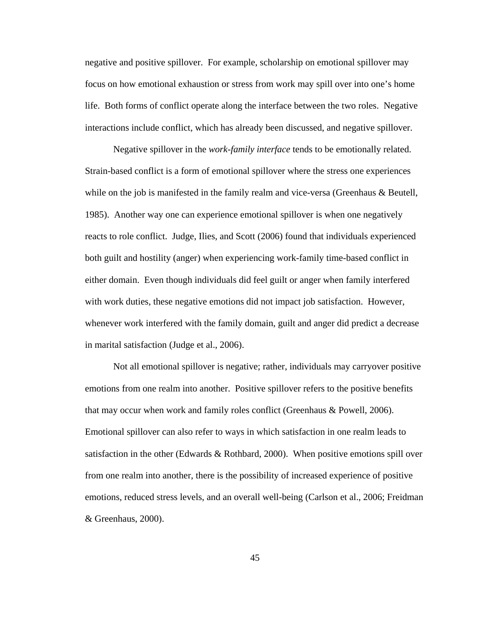negative and positive spillover. For example, scholarship on emotional spillover may focus on how emotional exhaustion or stress from work may spill over into one's home life. Both forms of conflict operate along the interface between the two roles. Negative interactions include conflict, which has already been discussed, and negative spillover.

Negative spillover in the *work-family interface* tends to be emotionally related. Strain-based conflict is a form of emotional spillover where the stress one experiences while on the job is manifested in the family realm and vice-versa (Greenhaus & Beutell, 1985). Another way one can experience emotional spillover is when one negatively reacts to role conflict. Judge, Ilies, and Scott (2006) found that individuals experienced both guilt and hostility (anger) when experiencing work-family time-based conflict in either domain. Even though individuals did feel guilt or anger when family interfered with work duties, these negative emotions did not impact job satisfaction. However, whenever work interfered with the family domain, guilt and anger did predict a decrease in marital satisfaction (Judge et al., 2006).

Not all emotional spillover is negative; rather, individuals may carryover positive emotions from one realm into another. Positive spillover refers to the positive benefits that may occur when work and family roles conflict (Greenhaus & Powell, 2006). Emotional spillover can also refer to ways in which satisfaction in one realm leads to satisfaction in the other (Edwards & Rothbard, 2000). When positive emotions spill over from one realm into another, there is the possibility of increased experience of positive emotions, reduced stress levels, and an overall well-being (Carlson et al., 2006; Freidman & Greenhaus, 2000).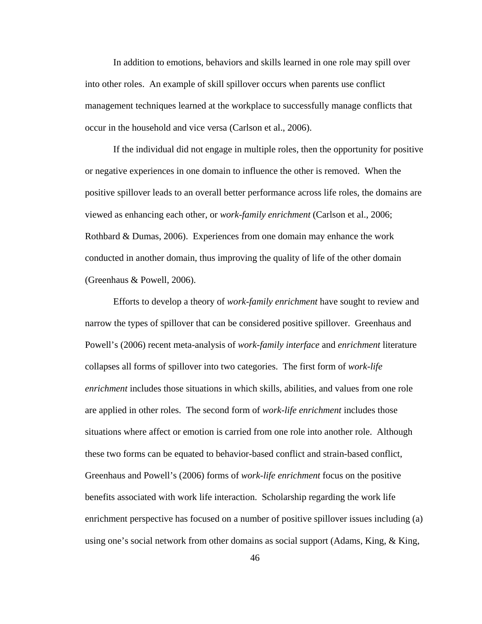In addition to emotions, behaviors and skills learned in one role may spill over into other roles. An example of skill spillover occurs when parents use conflict management techniques learned at the workplace to successfully manage conflicts that occur in the household and vice versa (Carlson et al., 2006).

If the individual did not engage in multiple roles, then the opportunity for positive or negative experiences in one domain to influence the other is removed. When the positive spillover leads to an overall better performance across life roles, the domains are viewed as enhancing each other, or *work-family enrichment* (Carlson et al., 2006; Rothbard & Dumas, 2006). Experiences from one domain may enhance the work conducted in another domain, thus improving the quality of life of the other domain (Greenhaus & Powell, 2006).

Efforts to develop a theory of *work-family enrichment* have sought to review and narrow the types of spillover that can be considered positive spillover. Greenhaus and Powell's (2006) recent meta-analysis of *work-family interface* and *enrichment* literature collapses all forms of spillover into two categories. The first form of *work-life enrichment* includes those situations in which skills, abilities, and values from one role are applied in other roles. The second form of *work-life enrichment* includes those situations where affect or emotion is carried from one role into another role. Although these two forms can be equated to behavior-based conflict and strain-based conflict, Greenhaus and Powell's (2006) forms of *work-life enrichment* focus on the positive benefits associated with work life interaction. Scholarship regarding the work life enrichment perspective has focused on a number of positive spillover issues including (a) using one's social network from other domains as social support (Adams, King, & King,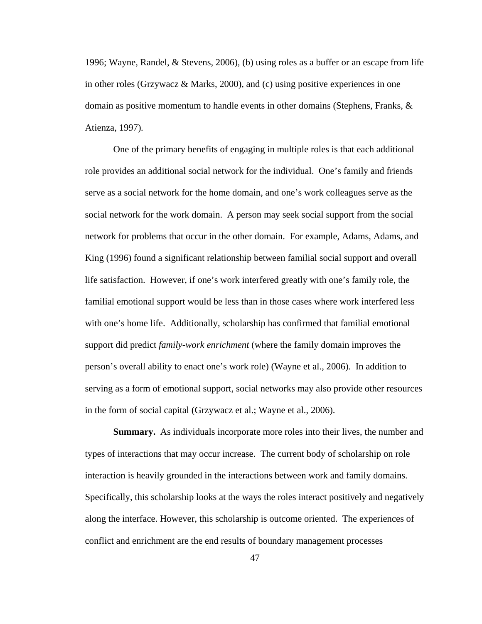1996; Wayne, Randel, & Stevens, 2006)*,* (b) using roles as a buffer or an escape from life in other roles (Grzywacz & Marks, 2000)*,* and (c) using positive experiences in one domain as positive momentum to handle events in other domains (Stephens, Franks,  $\&$ Atienza, 1997)*.*

One of the primary benefits of engaging in multiple roles is that each additional role provides an additional social network for the individual. One's family and friends serve as a social network for the home domain, and one's work colleagues serve as the social network for the work domain. A person may seek social support from the social network for problems that occur in the other domain. For example, Adams, Adams, and King (1996) found a significant relationship between familial social support and overall life satisfaction. However, if one's work interfered greatly with one's family role, the familial emotional support would be less than in those cases where work interfered less with one's home life. Additionally, scholarship has confirmed that familial emotional support did predict *family-work enrichment* (where the family domain improves the person's overall ability to enact one's work role) (Wayne et al., 2006). In addition to serving as a form of emotional support, social networks may also provide other resources in the form of social capital (Grzywacz et al.; Wayne et al., 2006).

**Summary.** As individuals incorporate more roles into their lives, the number and types of interactions that may occur increase. The current body of scholarship on role interaction is heavily grounded in the interactions between work and family domains. Specifically, this scholarship looks at the ways the roles interact positively and negatively along the interface. However, this scholarship is outcome oriented. The experiences of conflict and enrichment are the end results of boundary management processes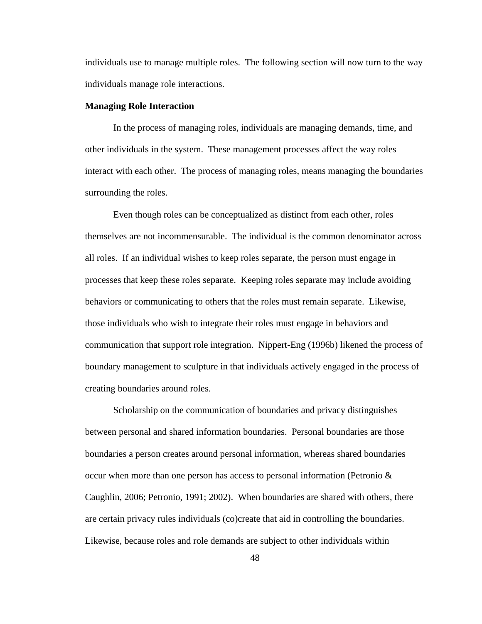individuals use to manage multiple roles. The following section will now turn to the way individuals manage role interactions.

#### **Managing Role Interaction**

In the process of managing roles, individuals are managing demands, time, and other individuals in the system. These management processes affect the way roles interact with each other. The process of managing roles, means managing the boundaries surrounding the roles.

Even though roles can be conceptualized as distinct from each other, roles themselves are not incommensurable. The individual is the common denominator across all roles. If an individual wishes to keep roles separate, the person must engage in processes that keep these roles separate. Keeping roles separate may include avoiding behaviors or communicating to others that the roles must remain separate. Likewise, those individuals who wish to integrate their roles must engage in behaviors and communication that support role integration. Nippert-Eng (1996b) likened the process of boundary management to sculpture in that individuals actively engaged in the process of creating boundaries around roles.

Scholarship on the communication of boundaries and privacy distinguishes between personal and shared information boundaries. Personal boundaries are those boundaries a person creates around personal information, whereas shared boundaries occur when more than one person has access to personal information (Petronio & Caughlin, 2006; Petronio, 1991; 2002). When boundaries are shared with others, there are certain privacy rules individuals (co)create that aid in controlling the boundaries. Likewise, because roles and role demands are subject to other individuals within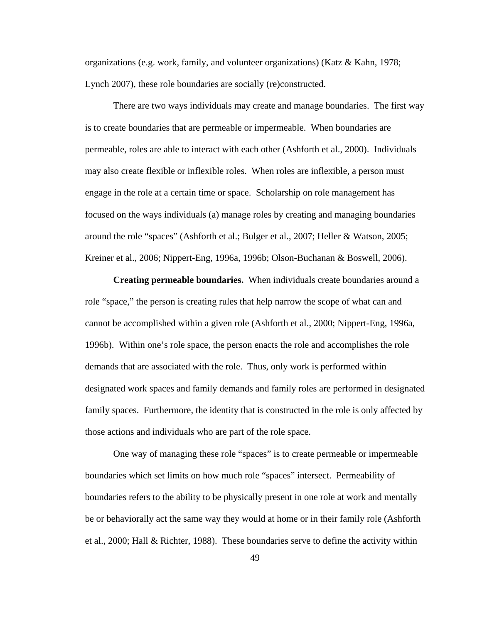organizations (e.g. work, family, and volunteer organizations) (Katz & Kahn, 1978; Lynch 2007), these role boundaries are socially (re)constructed.

There are two ways individuals may create and manage boundaries. The first way is to create boundaries that are permeable or impermeable. When boundaries are permeable, roles are able to interact with each other (Ashforth et al., 2000). Individuals may also create flexible or inflexible roles. When roles are inflexible, a person must engage in the role at a certain time or space. Scholarship on role management has focused on the ways individuals (a) manage roles by creating and managing boundaries around the role "spaces" (Ashforth et al.; Bulger et al., 2007; Heller & Watson, 2005; Kreiner et al., 2006; Nippert-Eng, 1996a, 1996b; Olson-Buchanan & Boswell, 2006).

**Creating permeable boundaries.** When individuals create boundaries around a role "space," the person is creating rules that help narrow the scope of what can and cannot be accomplished within a given role (Ashforth et al., 2000; Nippert-Eng, 1996a, 1996b). Within one's role space, the person enacts the role and accomplishes the role demands that are associated with the role. Thus, only work is performed within designated work spaces and family demands and family roles are performed in designated family spaces. Furthermore, the identity that is constructed in the role is only affected by those actions and individuals who are part of the role space.

One way of managing these role "spaces" is to create permeable or impermeable boundaries which set limits on how much role "spaces" intersect. Permeability of boundaries refers to the ability to be physically present in one role at work and mentally be or behaviorally act the same way they would at home or in their family role (Ashforth et al., 2000; Hall & Richter, 1988). These boundaries serve to define the activity within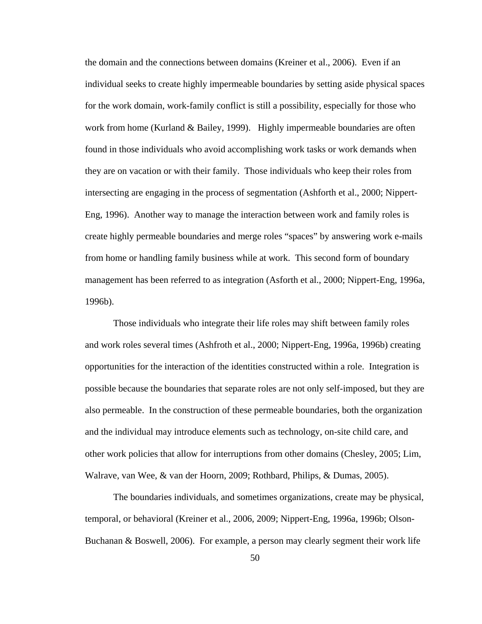the domain and the connections between domains (Kreiner et al., 2006). Even if an individual seeks to create highly impermeable boundaries by setting aside physical spaces for the work domain, work-family conflict is still a possibility, especially for those who work from home (Kurland & Bailey, 1999). Highly impermeable boundaries are often found in those individuals who avoid accomplishing work tasks or work demands when they are on vacation or with their family. Those individuals who keep their roles from intersecting are engaging in the process of segmentation (Ashforth et al., 2000; Nippert-Eng, 1996). Another way to manage the interaction between work and family roles is create highly permeable boundaries and merge roles "spaces" by answering work e-mails from home or handling family business while at work. This second form of boundary management has been referred to as integration (Asforth et al., 2000; Nippert-Eng, 1996a, 1996b).

Those individuals who integrate their life roles may shift between family roles and work roles several times (Ashfroth et al., 2000; Nippert-Eng, 1996a, 1996b) creating opportunities for the interaction of the identities constructed within a role. Integration is possible because the boundaries that separate roles are not only self-imposed, but they are also permeable. In the construction of these permeable boundaries, both the organization and the individual may introduce elements such as technology, on-site child care, and other work policies that allow for interruptions from other domains (Chesley, 2005; Lim, Walrave, van Wee, & van der Hoorn, 2009; Rothbard, Philips, & Dumas, 2005).

The boundaries individuals, and sometimes organizations, create may be physical, temporal, or behavioral (Kreiner et al., 2006, 2009; Nippert-Eng, 1996a, 1996b; Olson-Buchanan & Boswell, 2006). For example, a person may clearly segment their work life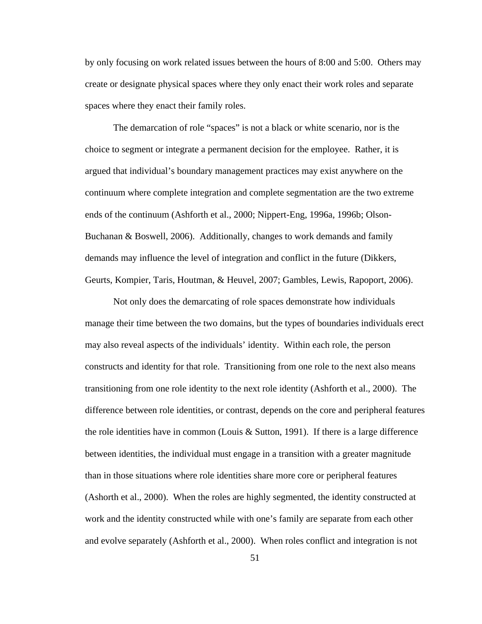by only focusing on work related issues between the hours of 8:00 and 5:00. Others may create or designate physical spaces where they only enact their work roles and separate spaces where they enact their family roles.

The demarcation of role "spaces" is not a black or white scenario, nor is the choice to segment or integrate a permanent decision for the employee. Rather, it is argued that individual's boundary management practices may exist anywhere on the continuum where complete integration and complete segmentation are the two extreme ends of the continuum (Ashforth et al., 2000; Nippert-Eng, 1996a, 1996b; Olson-Buchanan & Boswell, 2006). Additionally, changes to work demands and family demands may influence the level of integration and conflict in the future (Dikkers, Geurts, Kompier, Taris, Houtman, & Heuvel, 2007; Gambles, Lewis, Rapoport, 2006).

Not only does the demarcating of role spaces demonstrate how individuals manage their time between the two domains, but the types of boundaries individuals erect may also reveal aspects of the individuals' identity. Within each role, the person constructs and identity for that role. Transitioning from one role to the next also means transitioning from one role identity to the next role identity (Ashforth et al., 2000). The difference between role identities, or contrast, depends on the core and peripheral features the role identities have in common (Louis  $\&$  Sutton, 1991). If there is a large difference between identities, the individual must engage in a transition with a greater magnitude than in those situations where role identities share more core or peripheral features (Ashorth et al., 2000). When the roles are highly segmented, the identity constructed at work and the identity constructed while with one's family are separate from each other and evolve separately (Ashforth et al., 2000). When roles conflict and integration is not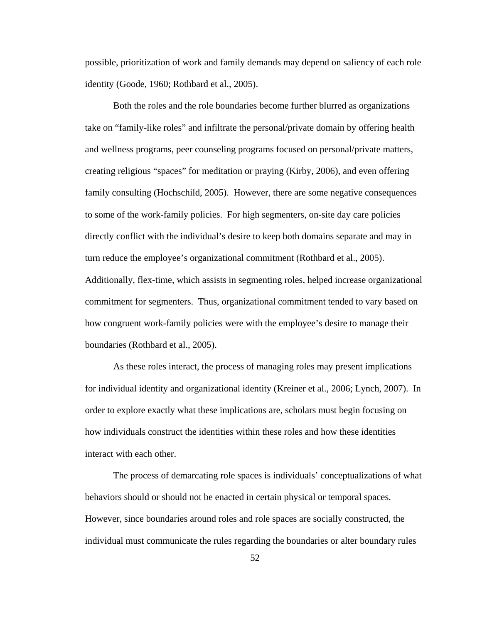possible, prioritization of work and family demands may depend on saliency of each role identity (Goode, 1960; Rothbard et al., 2005).

Both the roles and the role boundaries become further blurred as organizations take on "family-like roles" and infiltrate the personal/private domain by offering health and wellness programs, peer counseling programs focused on personal/private matters, creating religious "spaces" for meditation or praying (Kirby, 2006), and even offering family consulting (Hochschild, 2005). However, there are some negative consequences to some of the work-family policies. For high segmenters, on-site day care policies directly conflict with the individual's desire to keep both domains separate and may in turn reduce the employee's organizational commitment (Rothbard et al., 2005). Additionally, flex-time, which assists in segmenting roles, helped increase organizational commitment for segmenters. Thus, organizational commitment tended to vary based on how congruent work-family policies were with the employee's desire to manage their boundaries (Rothbard et al., 2005).

As these roles interact, the process of managing roles may present implications for individual identity and organizational identity (Kreiner et al., 2006; Lynch, 2007). In order to explore exactly what these implications are, scholars must begin focusing on how individuals construct the identities within these roles and how these identities interact with each other.

The process of demarcating role spaces is individuals' conceptualizations of what behaviors should or should not be enacted in certain physical or temporal spaces. However, since boundaries around roles and role spaces are socially constructed, the individual must communicate the rules regarding the boundaries or alter boundary rules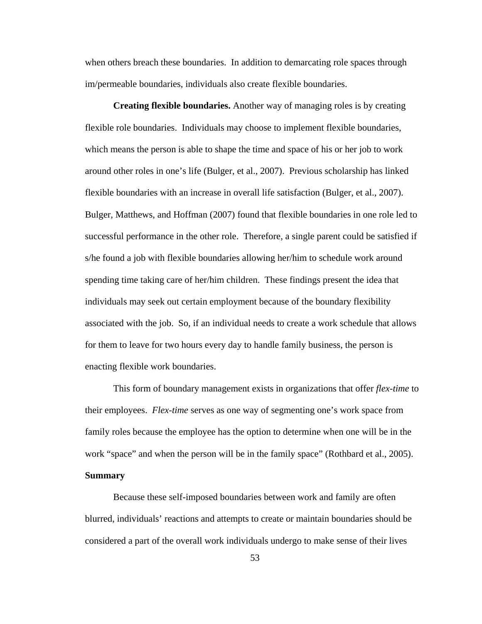when others breach these boundaries. In addition to demarcating role spaces through im/permeable boundaries, individuals also create flexible boundaries.

**Creating flexible boundaries.** Another way of managing roles is by creating flexible role boundaries. Individuals may choose to implement flexible boundaries, which means the person is able to shape the time and space of his or her job to work around other roles in one's life (Bulger, et al., 2007). Previous scholarship has linked flexible boundaries with an increase in overall life satisfaction (Bulger, et al., 2007). Bulger, Matthews, and Hoffman (2007) found that flexible boundaries in one role led to successful performance in the other role. Therefore, a single parent could be satisfied if s/he found a job with flexible boundaries allowing her/him to schedule work around spending time taking care of her/him children. These findings present the idea that individuals may seek out certain employment because of the boundary flexibility associated with the job. So, if an individual needs to create a work schedule that allows for them to leave for two hours every day to handle family business, the person is enacting flexible work boundaries.

This form of boundary management exists in organizations that offer *flex-time* to their employees. *Flex-time* serves as one way of segmenting one's work space from family roles because the employee has the option to determine when one will be in the work "space" and when the person will be in the family space" (Rothbard et al., 2005). **Summary**

Because these self-imposed boundaries between work and family are often blurred, individuals' reactions and attempts to create or maintain boundaries should be considered a part of the overall work individuals undergo to make sense of their lives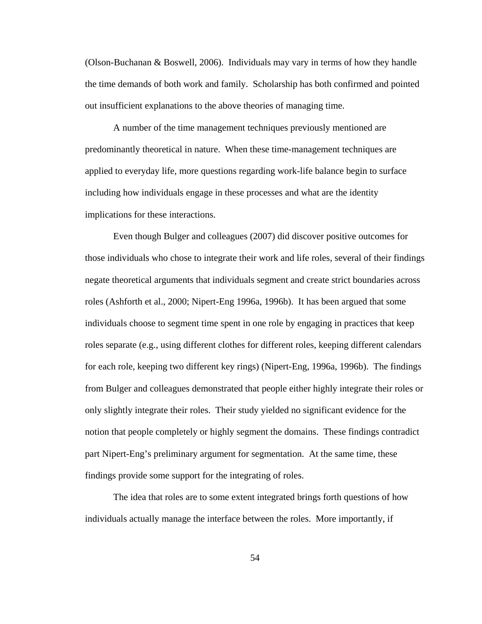(Olson-Buchanan & Boswell, 2006). Individuals may vary in terms of how they handle the time demands of both work and family. Scholarship has both confirmed and pointed out insufficient explanations to the above theories of managing time.

A number of the time management techniques previously mentioned are predominantly theoretical in nature. When these time-management techniques are applied to everyday life, more questions regarding work-life balance begin to surface including how individuals engage in these processes and what are the identity implications for these interactions.

Even though Bulger and colleagues (2007) did discover positive outcomes for those individuals who chose to integrate their work and life roles, several of their findings negate theoretical arguments that individuals segment and create strict boundaries across roles (Ashforth et al., 2000; Nipert-Eng 1996a, 1996b). It has been argued that some individuals choose to segment time spent in one role by engaging in practices that keep roles separate (e.g., using different clothes for different roles, keeping different calendars for each role, keeping two different key rings) (Nipert-Eng, 1996a, 1996b). The findings from Bulger and colleagues demonstrated that people either highly integrate their roles or only slightly integrate their roles. Their study yielded no significant evidence for the notion that people completely or highly segment the domains. These findings contradict part Nipert-Eng's preliminary argument for segmentation. At the same time, these findings provide some support for the integrating of roles.

The idea that roles are to some extent integrated brings forth questions of how individuals actually manage the interface between the roles. More importantly, if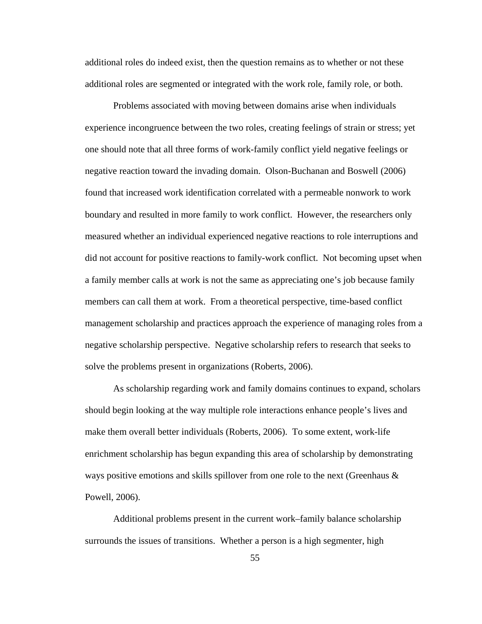additional roles do indeed exist, then the question remains as to whether or not these additional roles are segmented or integrated with the work role, family role, or both.

Problems associated with moving between domains arise when individuals experience incongruence between the two roles, creating feelings of strain or stress; yet one should note that all three forms of work-family conflict yield negative feelings or negative reaction toward the invading domain. Olson-Buchanan and Boswell (2006) found that increased work identification correlated with a permeable nonwork to work boundary and resulted in more family to work conflict. However, the researchers only measured whether an individual experienced negative reactions to role interruptions and did not account for positive reactions to family-work conflict. Not becoming upset when a family member calls at work is not the same as appreciating one's job because family members can call them at work. From a theoretical perspective, time-based conflict management scholarship and practices approach the experience of managing roles from a negative scholarship perspective. Negative scholarship refers to research that seeks to solve the problems present in organizations (Roberts, 2006).

As scholarship regarding work and family domains continues to expand, scholars should begin looking at the way multiple role interactions enhance people's lives and make them overall better individuals (Roberts, 2006). To some extent, work-life enrichment scholarship has begun expanding this area of scholarship by demonstrating ways positive emotions and skills spillover from one role to the next (Greenhaus  $\&$ Powell, 2006).

Additional problems present in the current work–family balance scholarship surrounds the issues of transitions. Whether a person is a high segmenter, high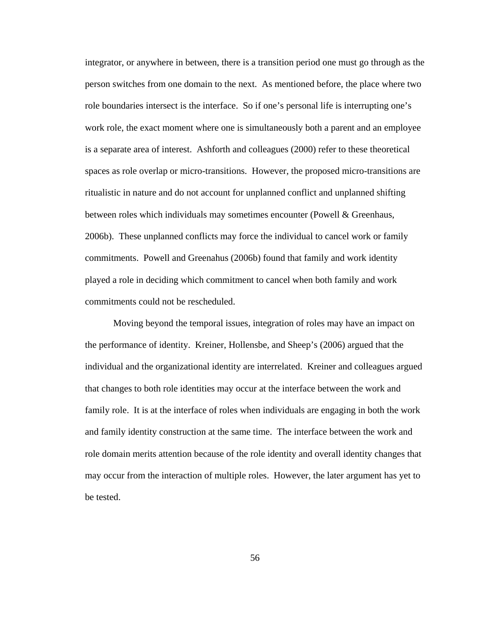integrator, or anywhere in between, there is a transition period one must go through as the person switches from one domain to the next. As mentioned before, the place where two role boundaries intersect is the interface. So if one's personal life is interrupting one's work role, the exact moment where one is simultaneously both a parent and an employee is a separate area of interest. Ashforth and colleagues (2000) refer to these theoretical spaces as role overlap or micro-transitions. However, the proposed micro-transitions are ritualistic in nature and do not account for unplanned conflict and unplanned shifting between roles which individuals may sometimes encounter (Powell & Greenhaus, 2006b). These unplanned conflicts may force the individual to cancel work or family commitments. Powell and Greenahus (2006b) found that family and work identity played a role in deciding which commitment to cancel when both family and work commitments could not be rescheduled.

Moving beyond the temporal issues, integration of roles may have an impact on the performance of identity. Kreiner, Hollensbe, and Sheep's (2006) argued that the individual and the organizational identity are interrelated. Kreiner and colleagues argued that changes to both role identities may occur at the interface between the work and family role. It is at the interface of roles when individuals are engaging in both the work and family identity construction at the same time. The interface between the work and role domain merits attention because of the role identity and overall identity changes that may occur from the interaction of multiple roles. However, the later argument has yet to be tested.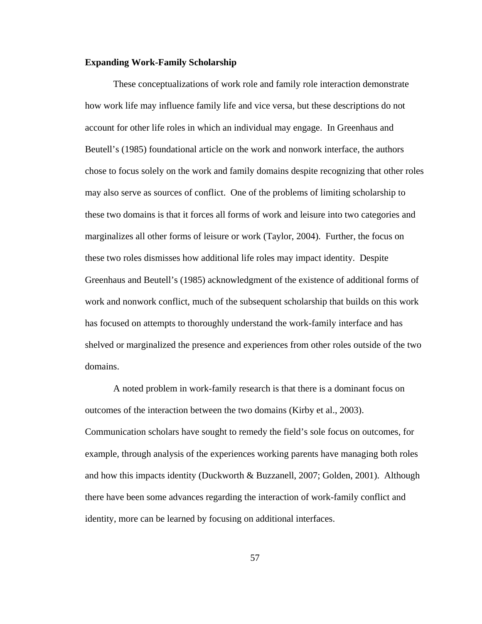### **Expanding Work-Family Scholarship**

These conceptualizations of work role and family role interaction demonstrate how work life may influence family life and vice versa, but these descriptions do not account for other life roles in which an individual may engage. In Greenhaus and Beutell's (1985) foundational article on the work and nonwork interface, the authors chose to focus solely on the work and family domains despite recognizing that other roles may also serve as sources of conflict. One of the problems of limiting scholarship to these two domains is that it forces all forms of work and leisure into two categories and marginalizes all other forms of leisure or work (Taylor, 2004). Further, the focus on these two roles dismisses how additional life roles may impact identity. Despite Greenhaus and Beutell's (1985) acknowledgment of the existence of additional forms of work and nonwork conflict, much of the subsequent scholarship that builds on this work has focused on attempts to thoroughly understand the work-family interface and has shelved or marginalized the presence and experiences from other roles outside of the two domains.

A noted problem in work-family research is that there is a dominant focus on outcomes of the interaction between the two domains (Kirby et al., 2003). Communication scholars have sought to remedy the field's sole focus on outcomes, for example, through analysis of the experiences working parents have managing both roles and how this impacts identity (Duckworth & Buzzanell, 2007; Golden, 2001). Although there have been some advances regarding the interaction of work-family conflict and identity, more can be learned by focusing on additional interfaces.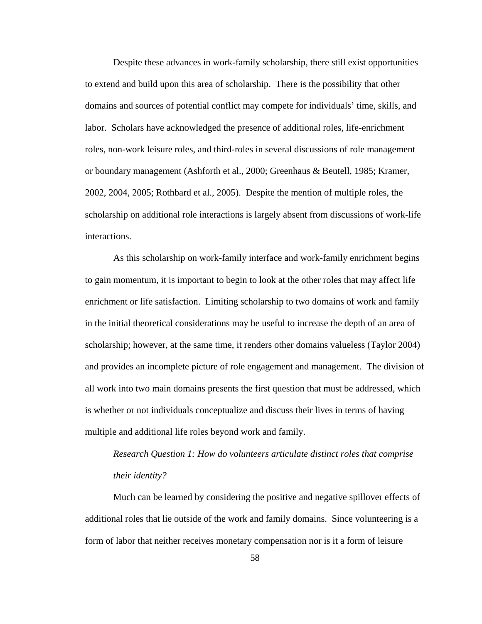Despite these advances in work-family scholarship, there still exist opportunities to extend and build upon this area of scholarship. There is the possibility that other domains and sources of potential conflict may compete for individuals' time, skills, and labor. Scholars have acknowledged the presence of additional roles, life-enrichment roles, non-work leisure roles, and third-roles in several discussions of role management or boundary management (Ashforth et al., 2000; Greenhaus & Beutell, 1985; Kramer, 2002, 2004, 2005; Rothbard et al., 2005). Despite the mention of multiple roles, the scholarship on additional role interactions is largely absent from discussions of work-life interactions.

As this scholarship on work-family interface and work-family enrichment begins to gain momentum, it is important to begin to look at the other roles that may affect life enrichment or life satisfaction. Limiting scholarship to two domains of work and family in the initial theoretical considerations may be useful to increase the depth of an area of scholarship; however, at the same time, it renders other domains valueless (Taylor 2004) and provides an incomplete picture of role engagement and management. The division of all work into two main domains presents the first question that must be addressed, which is whether or not individuals conceptualize and discuss their lives in terms of having multiple and additional life roles beyond work and family.

*Research Question 1: How do volunteers articulate distinct roles that comprise their identity?*

Much can be learned by considering the positive and negative spillover effects of additional roles that lie outside of the work and family domains. Since volunteering is a form of labor that neither receives monetary compensation nor is it a form of leisure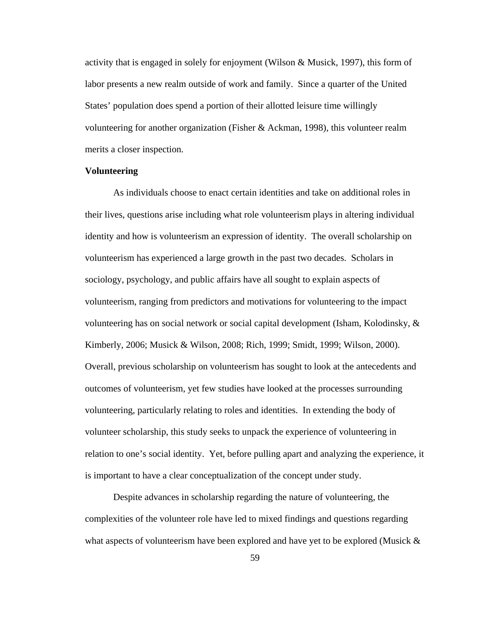activity that is engaged in solely for enjoyment (Wilson & Musick, 1997), this form of labor presents a new realm outside of work and family. Since a quarter of the United States' population does spend a portion of their allotted leisure time willingly volunteering for another organization (Fisher & Ackman, 1998), this volunteer realm merits a closer inspection.

# **Volunteering**

As individuals choose to enact certain identities and take on additional roles in their lives, questions arise including what role volunteerism plays in altering individual identity and how is volunteerism an expression of identity. The overall scholarship on volunteerism has experienced a large growth in the past two decades. Scholars in sociology, psychology, and public affairs have all sought to explain aspects of volunteerism, ranging from predictors and motivations for volunteering to the impact volunteering has on social network or social capital development (Isham, Kolodinsky, & Kimberly, 2006; Musick & Wilson, 2008; Rich, 1999; Smidt, 1999; Wilson, 2000). Overall, previous scholarship on volunteerism has sought to look at the antecedents and outcomes of volunteerism, yet few studies have looked at the processes surrounding volunteering, particularly relating to roles and identities. In extending the body of volunteer scholarship, this study seeks to unpack the experience of volunteering in relation to one's social identity. Yet, before pulling apart and analyzing the experience, it is important to have a clear conceptualization of the concept under study.

Despite advances in scholarship regarding the nature of volunteering, the complexities of the volunteer role have led to mixed findings and questions regarding what aspects of volunteerism have been explored and have yet to be explored (Musick  $\&$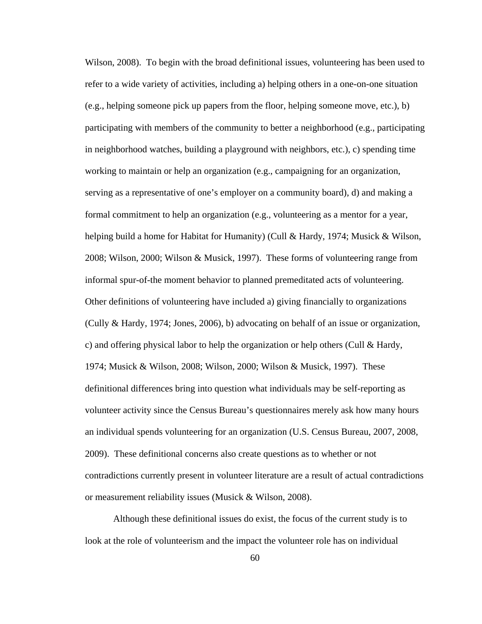Wilson, 2008). To begin with the broad definitional issues, volunteering has been used to refer to a wide variety of activities, including a) helping others in a one-on-one situation (e.g., helping someone pick up papers from the floor, helping someone move, etc.), b) participating with members of the community to better a neighborhood (e.g., participating in neighborhood watches, building a playground with neighbors, etc.), c) spending time working to maintain or help an organization (e.g., campaigning for an organization, serving as a representative of one's employer on a community board), d) and making a formal commitment to help an organization (e.g., volunteering as a mentor for a year, helping build a home for Habitat for Humanity) (Cull & Hardy, 1974; Musick & Wilson, 2008; Wilson, 2000; Wilson & Musick, 1997). These forms of volunteering range from informal spur-of-the moment behavior to planned premeditated acts of volunteering. Other definitions of volunteering have included a) giving financially to organizations (Cully & Hardy, 1974; Jones, 2006), b) advocating on behalf of an issue or organization, c) and offering physical labor to help the organization or help others (Cull & Hardy, 1974; Musick & Wilson, 2008; Wilson, 2000; Wilson & Musick, 1997). These definitional differences bring into question what individuals may be self-reporting as volunteer activity since the Census Bureau's questionnaires merely ask how many hours an individual spends volunteering for an organization (U.S. Census Bureau, 2007, 2008, 2009). These definitional concerns also create questions as to whether or not contradictions currently present in volunteer literature are a result of actual contradictions or measurement reliability issues (Musick & Wilson, 2008).

Although these definitional issues do exist, the focus of the current study is to look at the role of volunteerism and the impact the volunteer role has on individual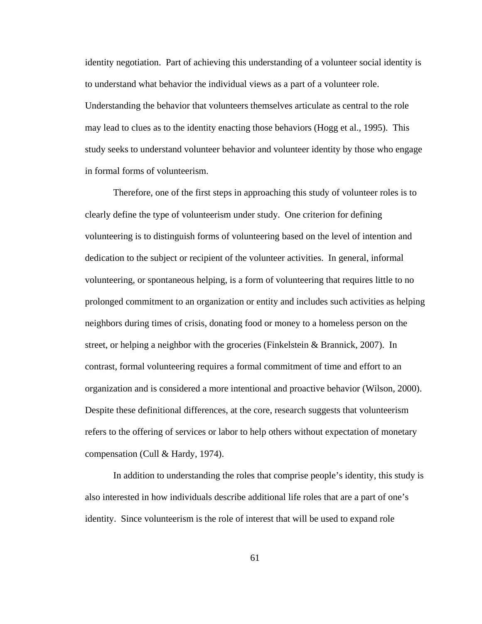identity negotiation. Part of achieving this understanding of a volunteer social identity is to understand what behavior the individual views as a part of a volunteer role. Understanding the behavior that volunteers themselves articulate as central to the role may lead to clues as to the identity enacting those behaviors (Hogg et al., 1995). This study seeks to understand volunteer behavior and volunteer identity by those who engage in formal forms of volunteerism.

Therefore, one of the first steps in approaching this study of volunteer roles is to clearly define the type of volunteerism under study. One criterion for defining volunteering is to distinguish forms of volunteering based on the level of intention and dedication to the subject or recipient of the volunteer activities. In general, informal volunteering, or spontaneous helping, is a form of volunteering that requires little to no prolonged commitment to an organization or entity and includes such activities as helping neighbors during times of crisis, donating food or money to a homeless person on the street, or helping a neighbor with the groceries (Finkelstein & Brannick, 2007). In contrast, formal volunteering requires a formal commitment of time and effort to an organization and is considered a more intentional and proactive behavior (Wilson, 2000). Despite these definitional differences, at the core, research suggests that volunteerism refers to the offering of services or labor to help others without expectation of monetary compensation (Cull & Hardy, 1974).

In addition to understanding the roles that comprise people's identity, this study is also interested in how individuals describe additional life roles that are a part of one's identity. Since volunteerism is the role of interest that will be used to expand role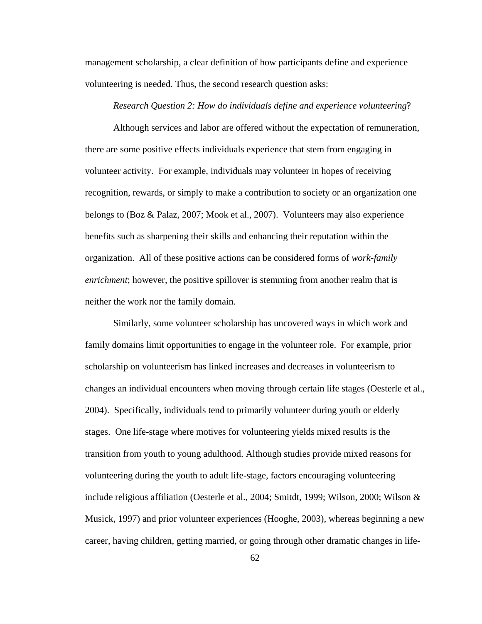management scholarship, a clear definition of how participants define and experience volunteering is needed. Thus, the second research question asks:

#### *Research Question 2: How do individuals define and experience volunteering*?

Although services and labor are offered without the expectation of remuneration, there are some positive effects individuals experience that stem from engaging in volunteer activity. For example, individuals may volunteer in hopes of receiving recognition, rewards, or simply to make a contribution to society or an organization one belongs to (Boz & Palaz, 2007; Mook et al., 2007). Volunteers may also experience benefits such as sharpening their skills and enhancing their reputation within the organization. All of these positive actions can be considered forms of *work-family enrichment*; however, the positive spillover is stemming from another realm that is neither the work nor the family domain.

Similarly, some volunteer scholarship has uncovered ways in which work and family domains limit opportunities to engage in the volunteer role. For example, prior scholarship on volunteerism has linked increases and decreases in volunteerism to changes an individual encounters when moving through certain life stages (Oesterle et al., 2004). Specifically, individuals tend to primarily volunteer during youth or elderly stages. One life-stage where motives for volunteering yields mixed results is the transition from youth to young adulthood. Although studies provide mixed reasons for volunteering during the youth to adult life-stage, factors encouraging volunteering include religious affiliation (Oesterle et al., 2004; Smitdt, 1999; Wilson, 2000; Wilson & Musick, 1997) and prior volunteer experiences (Hooghe, 2003), whereas beginning a new career, having children, getting married, or going through other dramatic changes in life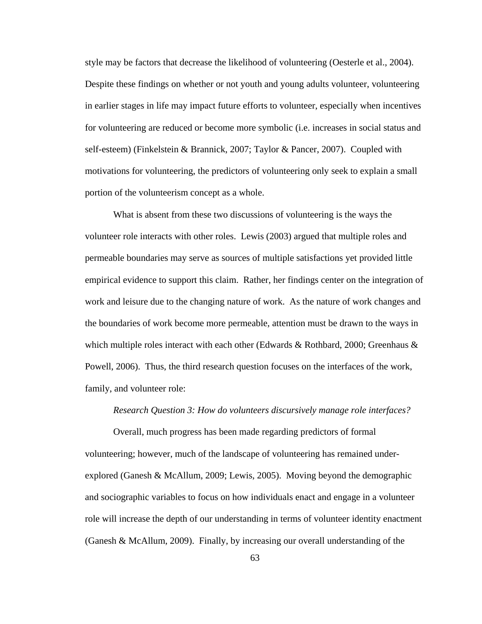style may be factors that decrease the likelihood of volunteering (Oesterle et al., 2004). Despite these findings on whether or not youth and young adults volunteer, volunteering in earlier stages in life may impact future efforts to volunteer, especially when incentives for volunteering are reduced or become more symbolic (i.e. increases in social status and self-esteem) (Finkelstein & Brannick, 2007; Taylor & Pancer, 2007). Coupled with motivations for volunteering, the predictors of volunteering only seek to explain a small portion of the volunteerism concept as a whole.

What is absent from these two discussions of volunteering is the ways the volunteer role interacts with other roles. Lewis (2003) argued that multiple roles and permeable boundaries may serve as sources of multiple satisfactions yet provided little empirical evidence to support this claim. Rather, her findings center on the integration of work and leisure due to the changing nature of work. As the nature of work changes and the boundaries of work become more permeable, attention must be drawn to the ways in which multiple roles interact with each other (Edwards & Rothbard, 2000; Greenhaus  $\&$ Powell, 2006). Thus, the third research question focuses on the interfaces of the work, family, and volunteer role:

## *Research Question 3: How do volunteers discursively manage role interfaces?*

Overall, much progress has been made regarding predictors of formal volunteering; however, much of the landscape of volunteering has remained underexplored (Ganesh & McAllum, 2009; Lewis, 2005). Moving beyond the demographic and sociographic variables to focus on how individuals enact and engage in a volunteer role will increase the depth of our understanding in terms of volunteer identity enactment (Ganesh & McAllum, 2009). Finally, by increasing our overall understanding of the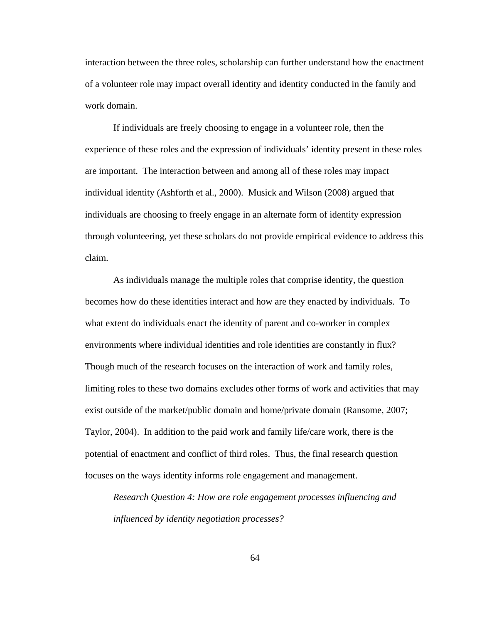interaction between the three roles, scholarship can further understand how the enactment of a volunteer role may impact overall identity and identity conducted in the family and work domain.

If individuals are freely choosing to engage in a volunteer role, then the experience of these roles and the expression of individuals' identity present in these roles are important. The interaction between and among all of these roles may impact individual identity (Ashforth et al., 2000). Musick and Wilson (2008) argued that individuals are choosing to freely engage in an alternate form of identity expression through volunteering, yet these scholars do not provide empirical evidence to address this claim.

As individuals manage the multiple roles that comprise identity, the question becomes how do these identities interact and how are they enacted by individuals. To what extent do individuals enact the identity of parent and co-worker in complex environments where individual identities and role identities are constantly in flux? Though much of the research focuses on the interaction of work and family roles, limiting roles to these two domains excludes other forms of work and activities that may exist outside of the market/public domain and home/private domain (Ransome, 2007; Taylor, 2004). In addition to the paid work and family life/care work, there is the potential of enactment and conflict of third roles. Thus, the final research question focuses on the ways identity informs role engagement and management.

*Research Question 4: How are role engagement processes influencing and influenced by identity negotiation processes?*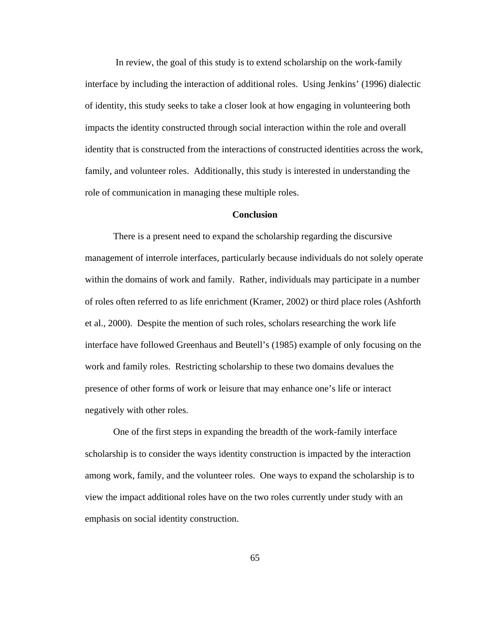In review, the goal of this study is to extend scholarship on the work-family interface by including the interaction of additional roles. Using Jenkins' (1996) dialectic of identity, this study seeks to take a closer look at how engaging in volunteering both impacts the identity constructed through social interaction within the role and overall identity that is constructed from the interactions of constructed identities across the work, family, and volunteer roles. Additionally, this study is interested in understanding the role of communication in managing these multiple roles.

## **Conclusion**

There is a present need to expand the scholarship regarding the discursive management of interrole interfaces, particularly because individuals do not solely operate within the domains of work and family. Rather, individuals may participate in a number of roles often referred to as life enrichment (Kramer, 2002) or third place roles (Ashforth et al., 2000). Despite the mention of such roles, scholars researching the work life interface have followed Greenhaus and Beutell's (1985) example of only focusing on the work and family roles. Restricting scholarship to these two domains devalues the presence of other forms of work or leisure that may enhance one's life or interact negatively with other roles.

One of the first steps in expanding the breadth of the work-family interface scholarship is to consider the ways identity construction is impacted by the interaction among work, family, and the volunteer roles. One ways to expand the scholarship is to view the impact additional roles have on the two roles currently under study with an emphasis on social identity construction.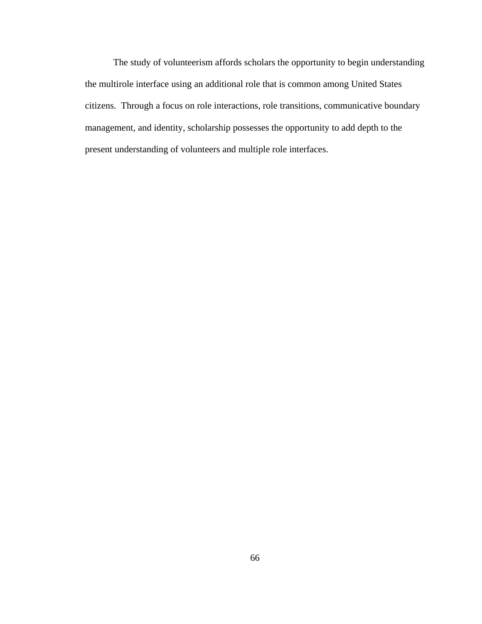The study of volunteerism affords scholars the opportunity to begin understanding the multirole interface using an additional role that is common among United States citizens. Through a focus on role interactions, role transitions, communicative boundary management, and identity, scholarship possesses the opportunity to add depth to the present understanding of volunteers and multiple role interfaces.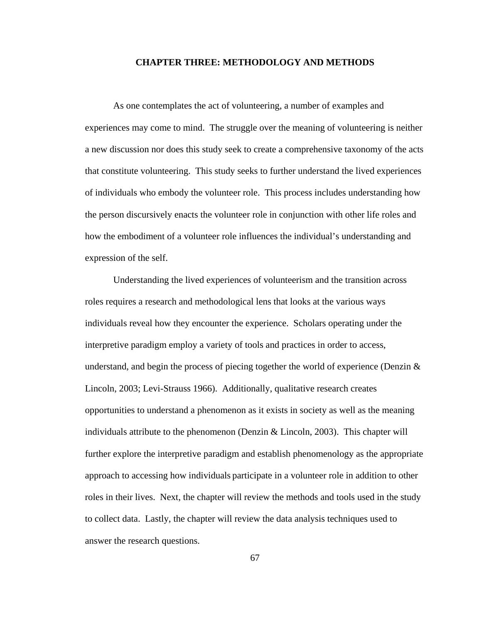## **CHAPTER THREE: METHODOLOGY AND METHODS**

As one contemplates the act of volunteering, a number of examples and experiences may come to mind. The struggle over the meaning of volunteering is neither a new discussion nor does this study seek to create a comprehensive taxonomy of the acts that constitute volunteering. This study seeks to further understand the lived experiences of individuals who embody the volunteer role. This process includes understanding how the person discursively enacts the volunteer role in conjunction with other life roles and how the embodiment of a volunteer role influences the individual's understanding and expression of the self.

Understanding the lived experiences of volunteerism and the transition across roles requires a research and methodological lens that looks at the various ways individuals reveal how they encounter the experience. Scholars operating under the interpretive paradigm employ a variety of tools and practices in order to access, understand, and begin the process of piecing together the world of experience (Denzin  $\&$ Lincoln, 2003; Levi-Strauss 1966). Additionally, qualitative research creates opportunities to understand a phenomenon as it exists in society as well as the meaning individuals attribute to the phenomenon (Denzin & Lincoln, 2003). This chapter will further explore the interpretive paradigm and establish phenomenology as the appropriate approach to accessing how individuals participate in a volunteer role in addition to other roles in their lives. Next, the chapter will review the methods and tools used in the study to collect data. Lastly, the chapter will review the data analysis techniques used to answer the research questions.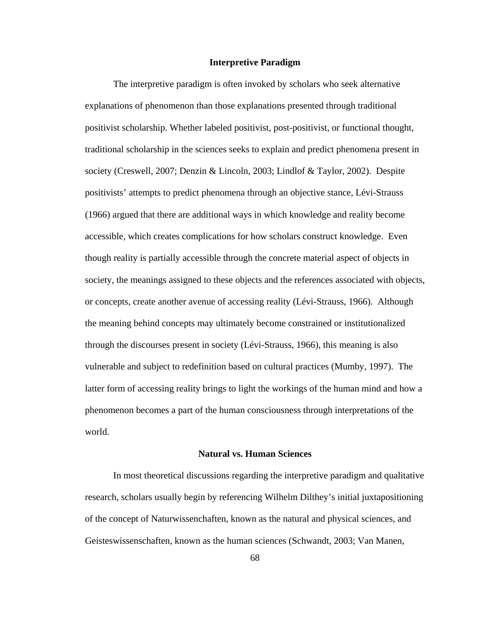#### **Interpretive Paradigm**

The interpretive paradigm is often invoked by scholars who seek alternative explanations of phenomenon than those explanations presented through traditional positivist scholarship. Whether labeled positivist, post-positivist, or functional thought, traditional scholarship in the sciences seeks to explain and predict phenomena present in society (Creswell, 2007; Denzin & Lincoln, 2003; Lindlof & Taylor, 2002). Despite positivists' attempts to predict phenomena through an objective stance, Lévi-Strauss (1966) argued that there are additional ways in which knowledge and reality become accessible, which creates complications for how scholars construct knowledge. Even though reality is partially accessible through the concrete material aspect of objects in society, the meanings assigned to these objects and the references associated with objects, or concepts, create another avenue of accessing reality (Lévi-Strauss, 1966). Although the meaning behind concepts may ultimately become constrained or institutionalized through the discourses present in society (Lévi-Strauss, 1966), this meaning is also vulnerable and subject to redefinition based on cultural practices (Mumby, 1997). The latter form of accessing reality brings to light the workings of the human mind and how a phenomenon becomes a part of the human consciousness through interpretations of the world.

### **Natural vs. Human Sciences**

In most theoretical discussions regarding the interpretive paradigm and qualitative research, scholars usually begin by referencing Wilhelm Dilthey's initial juxtapositioning of the concept of Naturwissenchaften, known as the natural and physical sciences, and Geisteswissenschaften, known as the human sciences (Schwandt, 2003; Van Manen,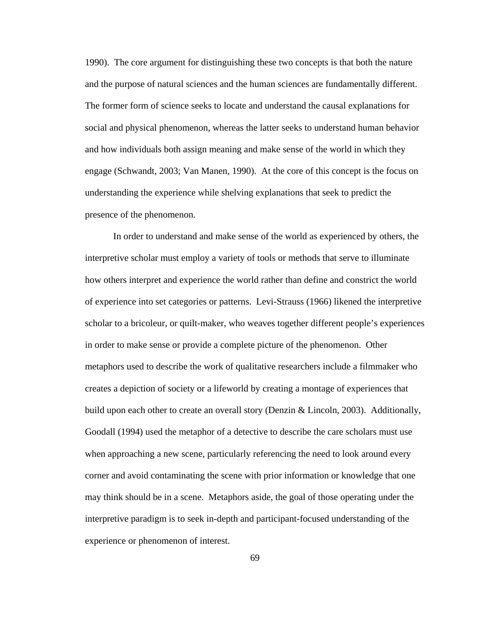1990). The core argument for distinguishing these two concepts is that both the nature and the purpose of natural sciences and the human sciences are fundamentally different. The former form of science seeks to locate and understand the causal explanations for social and physical phenomenon, whereas the latter seeks to understand human behavior and how individuals both assign meaning and make sense of the world in which they engage (Schwandt, 2003; Van Manen, 1990). At the core of this concept is the focus on understanding the experience while shelving explanations that seek to predict the presence of the phenomenon.

In order to understand and make sense of the world as experienced by others, the interpretive scholar must employ a variety of tools or methods that serve to illuminate how others interpret and experience the world rather than define and constrict the world of experience into set categories or patterns. Levi-Strauss (1966) likened the interpretive scholar to a bricoleur, or quilt-maker, who weaves together different people's experiences in order to make sense or provide a complete picture of the phenomenon. Other metaphors used to describe the work of qualitative researchers include a filmmaker who creates a depiction of society or a lifeworld by creating a montage of experiences that build upon each other to create an overall story (Denzin & Lincoln, 2003). Additionally, Goodall (1994) used the metaphor of a detective to describe the care scholars must use when approaching a new scene, particularly referencing the need to look around every corner and avoid contaminating the scene with prior information or knowledge that one may think should be in a scene. Metaphors aside, the goal of those operating under the interpretive paradigm is to seek in-depth and participant-focused understanding of the experience or phenomenon of interest.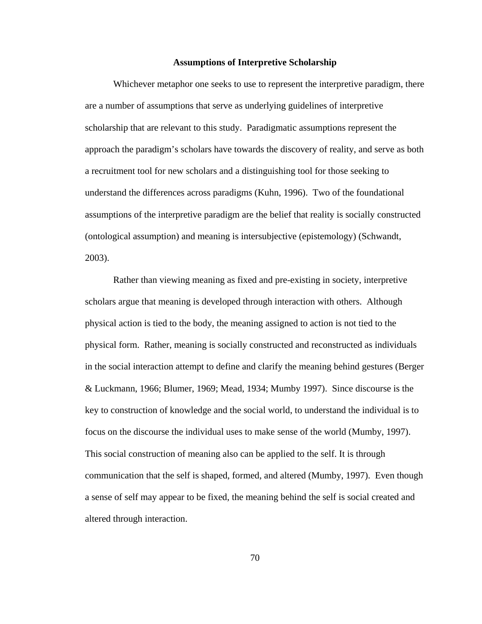### **Assumptions of Interpretive Scholarship**

Whichever metaphor one seeks to use to represent the interpretive paradigm, there are a number of assumptions that serve as underlying guidelines of interpretive scholarship that are relevant to this study. Paradigmatic assumptions represent the approach the paradigm's scholars have towards the discovery of reality, and serve as both a recruitment tool for new scholars and a distinguishing tool for those seeking to understand the differences across paradigms (Kuhn, 1996). Two of the foundational assumptions of the interpretive paradigm are the belief that reality is socially constructed (ontological assumption) and meaning is intersubjective (epistemology) (Schwandt, 2003).

Rather than viewing meaning as fixed and pre-existing in society, interpretive scholars argue that meaning is developed through interaction with others. Although physical action is tied to the body, the meaning assigned to action is not tied to the physical form. Rather, meaning is socially constructed and reconstructed as individuals in the social interaction attempt to define and clarify the meaning behind gestures (Berger & Luckmann, 1966; Blumer, 1969; Mead, 1934; Mumby 1997). Since discourse is the key to construction of knowledge and the social world, to understand the individual is to focus on the discourse the individual uses to make sense of the world (Mumby, 1997). This social construction of meaning also can be applied to the self. It is through communication that the self is shaped, formed, and altered (Mumby, 1997). Even though a sense of self may appear to be fixed, the meaning behind the self is social created and altered through interaction.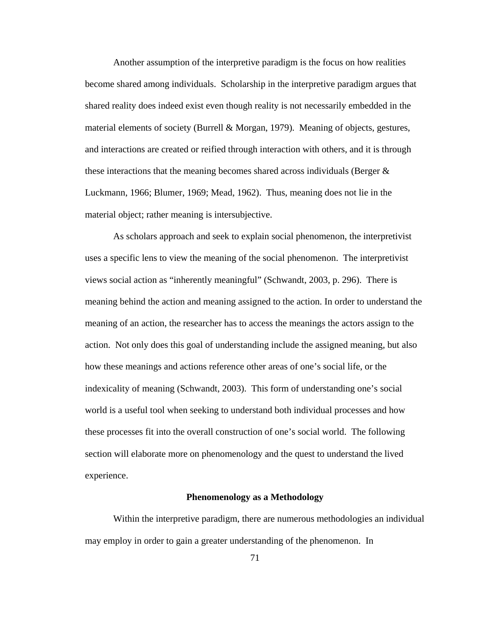Another assumption of the interpretive paradigm is the focus on how realities become shared among individuals. Scholarship in the interpretive paradigm argues that shared reality does indeed exist even though reality is not necessarily embedded in the material elements of society (Burrell & Morgan, 1979). Meaning of objects, gestures, and interactions are created or reified through interaction with others, and it is through these interactions that the meaning becomes shared across individuals (Berger & Luckmann, 1966; Blumer, 1969; Mead, 1962). Thus, meaning does not lie in the material object; rather meaning is intersubjective.

As scholars approach and seek to explain social phenomenon, the interpretivist uses a specific lens to view the meaning of the social phenomenon. The interpretivist views social action as "inherently meaningful" (Schwandt, 2003, p. 296). There is meaning behind the action and meaning assigned to the action. In order to understand the meaning of an action, the researcher has to access the meanings the actors assign to the action. Not only does this goal of understanding include the assigned meaning, but also how these meanings and actions reference other areas of one's social life, or the indexicality of meaning (Schwandt, 2003). This form of understanding one's social world is a useful tool when seeking to understand both individual processes and how these processes fit into the overall construction of one's social world. The following section will elaborate more on phenomenology and the quest to understand the lived experience.

### **Phenomenology as a Methodology**

Within the interpretive paradigm, there are numerous methodologies an individual may employ in order to gain a greater understanding of the phenomenon. In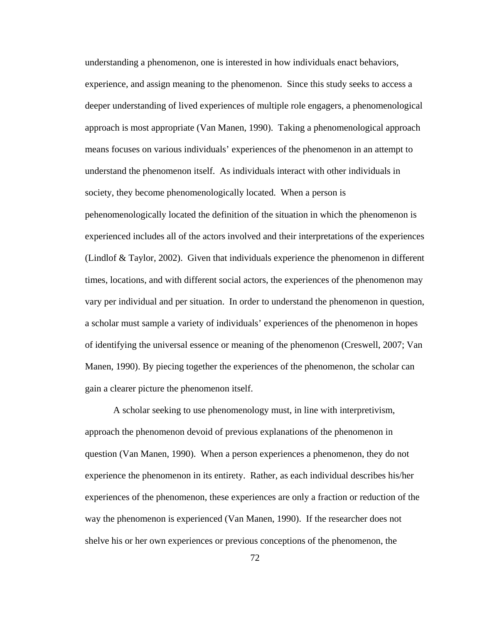understanding a phenomenon, one is interested in how individuals enact behaviors, experience, and assign meaning to the phenomenon. Since this study seeks to access a deeper understanding of lived experiences of multiple role engagers, a phenomenological approach is most appropriate (Van Manen, 1990). Taking a phenomenological approach means focuses on various individuals' experiences of the phenomenon in an attempt to understand the phenomenon itself. As individuals interact with other individuals in society, they become phenomenologically located. When a person is pehenomenologically located the definition of the situation in which the phenomenon is experienced includes all of the actors involved and their interpretations of the experiences (Lindlof & Taylor, 2002). Given that individuals experience the phenomenon in different times, locations, and with different social actors, the experiences of the phenomenon may vary per individual and per situation. In order to understand the phenomenon in question, a scholar must sample a variety of individuals' experiences of the phenomenon in hopes of identifying the universal essence or meaning of the phenomenon (Creswell, 2007; Van Manen, 1990). By piecing together the experiences of the phenomenon, the scholar can gain a clearer picture the phenomenon itself.

A scholar seeking to use phenomenology must, in line with interpretivism, approach the phenomenon devoid of previous explanations of the phenomenon in question (Van Manen, 1990). When a person experiences a phenomenon, they do not experience the phenomenon in its entirety. Rather, as each individual describes his/her experiences of the phenomenon, these experiences are only a fraction or reduction of the way the phenomenon is experienced (Van Manen, 1990). If the researcher does not shelve his or her own experiences or previous conceptions of the phenomenon, the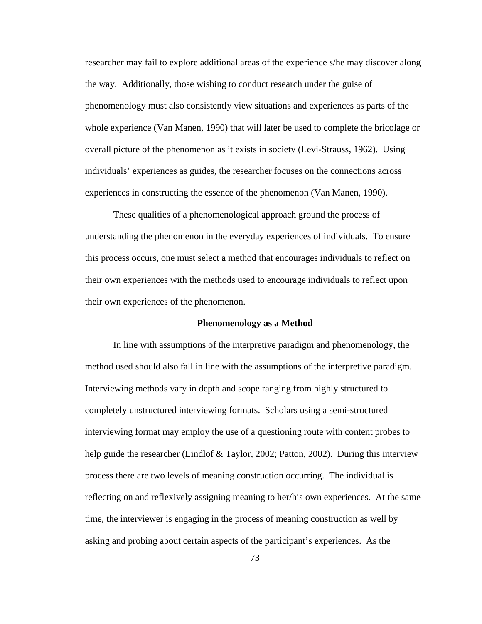researcher may fail to explore additional areas of the experience s/he may discover along the way. Additionally, those wishing to conduct research under the guise of phenomenology must also consistently view situations and experiences as parts of the whole experience (Van Manen, 1990) that will later be used to complete the bricolage or overall picture of the phenomenon as it exists in society (Levi-Strauss, 1962). Using individuals' experiences as guides, the researcher focuses on the connections across experiences in constructing the essence of the phenomenon (Van Manen, 1990).

These qualities of a phenomenological approach ground the process of understanding the phenomenon in the everyday experiences of individuals. To ensure this process occurs, one must select a method that encourages individuals to reflect on their own experiences with the methods used to encourage individuals to reflect upon their own experiences of the phenomenon.

### **Phenomenology as a Method**

In line with assumptions of the interpretive paradigm and phenomenology, the method used should also fall in line with the assumptions of the interpretive paradigm. Interviewing methods vary in depth and scope ranging from highly structured to completely unstructured interviewing formats. Scholars using a semi-structured interviewing format may employ the use of a questioning route with content probes to help guide the researcher (Lindlof & Taylor, 2002; Patton, 2002). During this interview process there are two levels of meaning construction occurring. The individual is reflecting on and reflexively assigning meaning to her/his own experiences. At the same time, the interviewer is engaging in the process of meaning construction as well by asking and probing about certain aspects of the participant's experiences. As the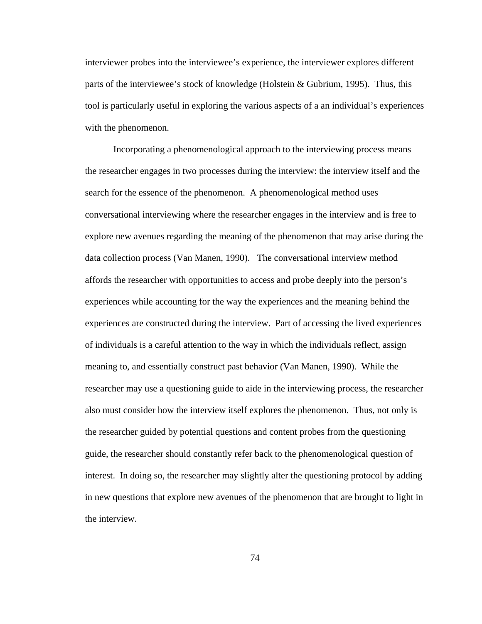interviewer probes into the interviewee's experience, the interviewer explores different parts of the interviewee's stock of knowledge (Holstein & Gubrium, 1995). Thus, this tool is particularly useful in exploring the various aspects of a an individual's experiences with the phenomenon.

Incorporating a phenomenological approach to the interviewing process means the researcher engages in two processes during the interview: the interview itself and the search for the essence of the phenomenon. A phenomenological method uses conversational interviewing where the researcher engages in the interview and is free to explore new avenues regarding the meaning of the phenomenon that may arise during the data collection process (Van Manen, 1990). The conversational interview method affords the researcher with opportunities to access and probe deeply into the person's experiences while accounting for the way the experiences and the meaning behind the experiences are constructed during the interview. Part of accessing the lived experiences of individuals is a careful attention to the way in which the individuals reflect, assign meaning to, and essentially construct past behavior (Van Manen, 1990). While the researcher may use a questioning guide to aide in the interviewing process, the researcher also must consider how the interview itself explores the phenomenon. Thus, not only is the researcher guided by potential questions and content probes from the questioning guide, the researcher should constantly refer back to the phenomenological question of interest. In doing so, the researcher may slightly alter the questioning protocol by adding in new questions that explore new avenues of the phenomenon that are brought to light in the interview.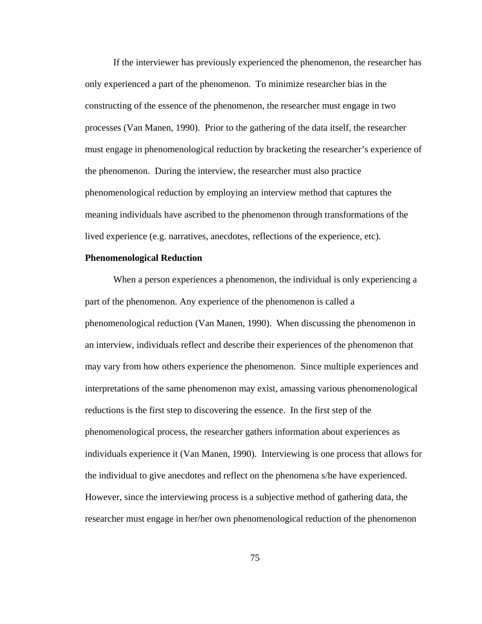If the interviewer has previously experienced the phenomenon, the researcher has only experienced a part of the phenomenon. To minimize researcher bias in the constructing of the essence of the phenomenon, the researcher must engage in two processes (Van Manen, 1990). Prior to the gathering of the data itself, the researcher must engage in phenomenological reduction by bracketing the researcher's experience of the phenomenon. During the interview, the researcher must also practice phenomenological reduction by employing an interview method that captures the meaning individuals have ascribed to the phenomenon through transformations of the lived experience (e.g. narratives, anecdotes, reflections of the experience, etc).

### **Phenomenological Reduction**

When a person experiences a phenomenon, the individual is only experiencing a part of the phenomenon. Any experience of the phenomenon is called a phenomenological reduction (Van Manen, 1990). When discussing the phenomenon in an interview, individuals reflect and describe their experiences of the phenomenon that may vary from how others experience the phenomenon. Since multiple experiences and interpretations of the same phenomenon may exist, amassing various phenomenological reductions is the first step to discovering the essence. In the first step of the phenomenological process, the researcher gathers information about experiences as individuals experience it (Van Manen, 1990). Interviewing is one process that allows for the individual to give anecdotes and reflect on the phenomena s/he have experienced. However, since the interviewing process is a subjective method of gathering data, the researcher must engage in her/her own phenomenological reduction of the phenomenon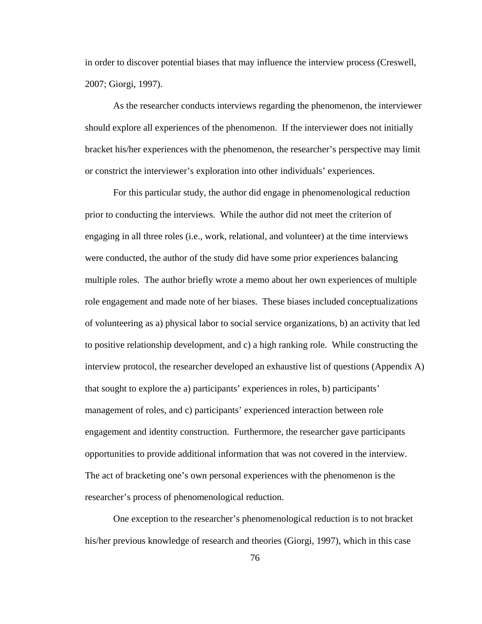in order to discover potential biases that may influence the interview process (Creswell, 2007; Giorgi, 1997).

As the researcher conducts interviews regarding the phenomenon, the interviewer should explore all experiences of the phenomenon. If the interviewer does not initially bracket his/her experiences with the phenomenon, the researcher's perspective may limit or constrict the interviewer's exploration into other individuals' experiences.

For this particular study, the author did engage in phenomenological reduction prior to conducting the interviews. While the author did not meet the criterion of engaging in all three roles (i.e., work, relational, and volunteer) at the time interviews were conducted, the author of the study did have some prior experiences balancing multiple roles. The author briefly wrote a memo about her own experiences of multiple role engagement and made note of her biases. These biases included conceptualizations of volunteering as a) physical labor to social service organizations, b) an activity that led to positive relationship development, and c) a high ranking role. While constructing the interview protocol, the researcher developed an exhaustive list of questions (Appendix A) that sought to explore the a) participants' experiences in roles, b) participants' management of roles, and c) participants' experienced interaction between role engagement and identity construction. Furthermore, the researcher gave participants opportunities to provide additional information that was not covered in the interview. The act of bracketing one's own personal experiences with the phenomenon is the researcher's process of phenomenological reduction.

One exception to the researcher's phenomenological reduction is to not bracket his/her previous knowledge of research and theories (Giorgi, 1997), which in this case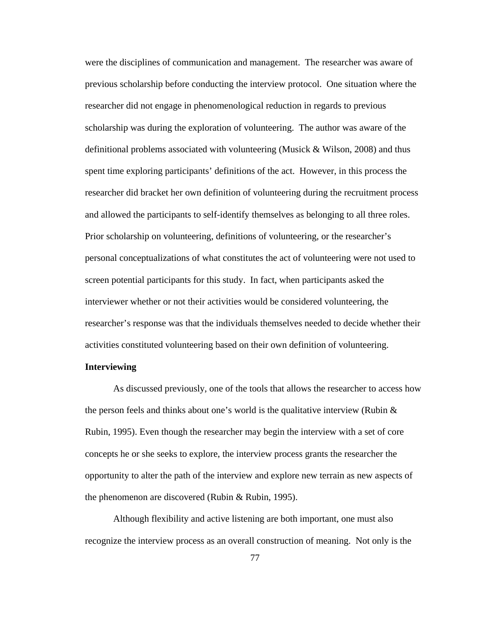were the disciplines of communication and management. The researcher was aware of previous scholarship before conducting the interview protocol. One situation where the researcher did not engage in phenomenological reduction in regards to previous scholarship was during the exploration of volunteering. The author was aware of the definitional problems associated with volunteering (Musick  $& Wilson, 2008$ ) and thus spent time exploring participants' definitions of the act. However, in this process the researcher did bracket her own definition of volunteering during the recruitment process and allowed the participants to self-identify themselves as belonging to all three roles. Prior scholarship on volunteering, definitions of volunteering, or the researcher's personal conceptualizations of what constitutes the act of volunteering were not used to screen potential participants for this study. In fact, when participants asked the interviewer whether or not their activities would be considered volunteering, the researcher's response was that the individuals themselves needed to decide whether their activities constituted volunteering based on their own definition of volunteering.

# **Interviewing**

As discussed previously, one of the tools that allows the researcher to access how the person feels and thinks about one's world is the qualitative interview (Rubin  $\&$ Rubin, 1995). Even though the researcher may begin the interview with a set of core concepts he or she seeks to explore, the interview process grants the researcher the opportunity to alter the path of the interview and explore new terrain as new aspects of the phenomenon are discovered (Rubin & Rubin, 1995).

Although flexibility and active listening are both important, one must also recognize the interview process as an overall construction of meaning. Not only is the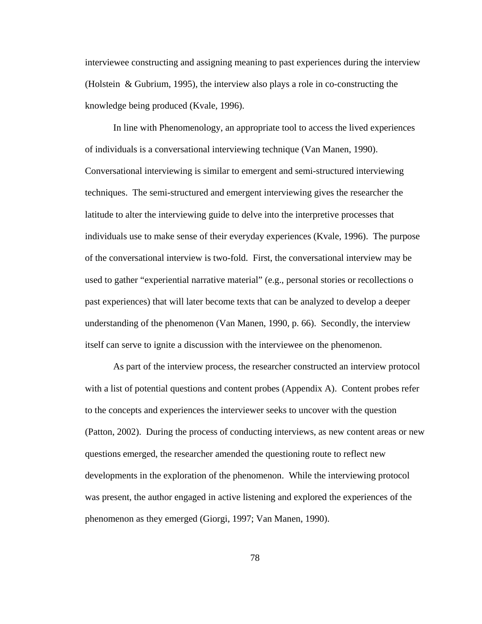interviewee constructing and assigning meaning to past experiences during the interview (Holstein & Gubrium, 1995), the interview also plays a role in co-constructing the knowledge being produced (Kvale, 1996).

In line with Phenomenology, an appropriate tool to access the lived experiences of individuals is a conversational interviewing technique (Van Manen, 1990). Conversational interviewing is similar to emergent and semi-structured interviewing techniques. The semi-structured and emergent interviewing gives the researcher the latitude to alter the interviewing guide to delve into the interpretive processes that individuals use to make sense of their everyday experiences (Kvale, 1996). The purpose of the conversational interview is two-fold. First, the conversational interview may be used to gather "experiential narrative material" (e.g., personal stories or recollections o past experiences) that will later become texts that can be analyzed to develop a deeper understanding of the phenomenon (Van Manen, 1990, p. 66). Secondly, the interview itself can serve to ignite a discussion with the interviewee on the phenomenon.

As part of the interview process, the researcher constructed an interview protocol with a list of potential questions and content probes (Appendix A). Content probes refer to the concepts and experiences the interviewer seeks to uncover with the question (Patton, 2002). During the process of conducting interviews, as new content areas or new questions emerged, the researcher amended the questioning route to reflect new developments in the exploration of the phenomenon. While the interviewing protocol was present, the author engaged in active listening and explored the experiences of the phenomenon as they emerged (Giorgi, 1997; Van Manen, 1990).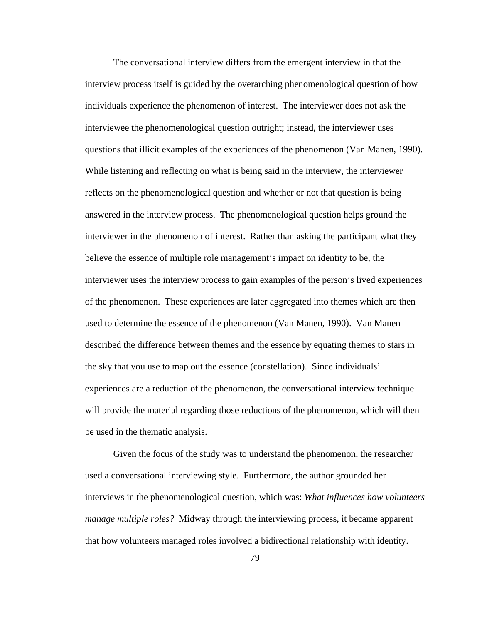The conversational interview differs from the emergent interview in that the interview process itself is guided by the overarching phenomenological question of how individuals experience the phenomenon of interest. The interviewer does not ask the interviewee the phenomenological question outright; instead, the interviewer uses questions that illicit examples of the experiences of the phenomenon (Van Manen, 1990). While listening and reflecting on what is being said in the interview, the interviewer reflects on the phenomenological question and whether or not that question is being answered in the interview process. The phenomenological question helps ground the interviewer in the phenomenon of interest. Rather than asking the participant what they believe the essence of multiple role management's impact on identity to be, the interviewer uses the interview process to gain examples of the person's lived experiences of the phenomenon. These experiences are later aggregated into themes which are then used to determine the essence of the phenomenon (Van Manen, 1990). Van Manen described the difference between themes and the essence by equating themes to stars in the sky that you use to map out the essence (constellation). Since individuals' experiences are a reduction of the phenomenon, the conversational interview technique will provide the material regarding those reductions of the phenomenon, which will then be used in the thematic analysis.

Given the focus of the study was to understand the phenomenon, the researcher used a conversational interviewing style. Furthermore, the author grounded her interviews in the phenomenological question, which was: *What influences how volunteers manage multiple roles?* Midway through the interviewing process, it became apparent that how volunteers managed roles involved a bidirectional relationship with identity.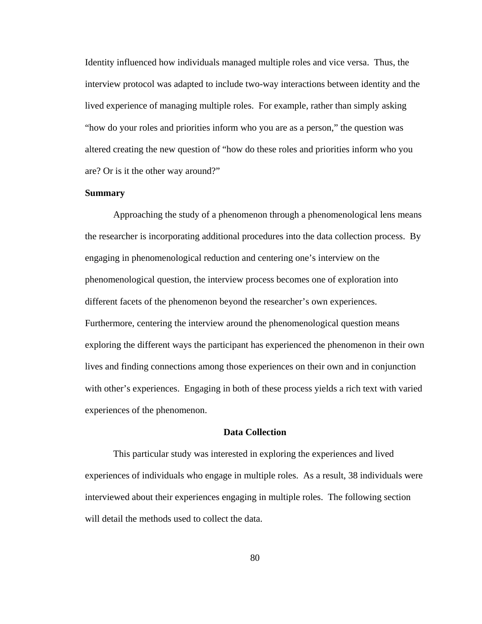Identity influenced how individuals managed multiple roles and vice versa. Thus, the interview protocol was adapted to include two-way interactions between identity and the lived experience of managing multiple roles. For example, rather than simply asking "how do your roles and priorities inform who you are as a person," the question was altered creating the new question of "how do these roles and priorities inform who you are? Or is it the other way around?"

### **Summary**

Approaching the study of a phenomenon through a phenomenological lens means the researcher is incorporating additional procedures into the data collection process. By engaging in phenomenological reduction and centering one's interview on the phenomenological question, the interview process becomes one of exploration into different facets of the phenomenon beyond the researcher's own experiences. Furthermore, centering the interview around the phenomenological question means exploring the different ways the participant has experienced the phenomenon in their own lives and finding connections among those experiences on their own and in conjunction with other's experiences. Engaging in both of these process yields a rich text with varied experiences of the phenomenon.

## **Data Collection**

This particular study was interested in exploring the experiences and lived experiences of individuals who engage in multiple roles. As a result, 38 individuals were interviewed about their experiences engaging in multiple roles. The following section will detail the methods used to collect the data.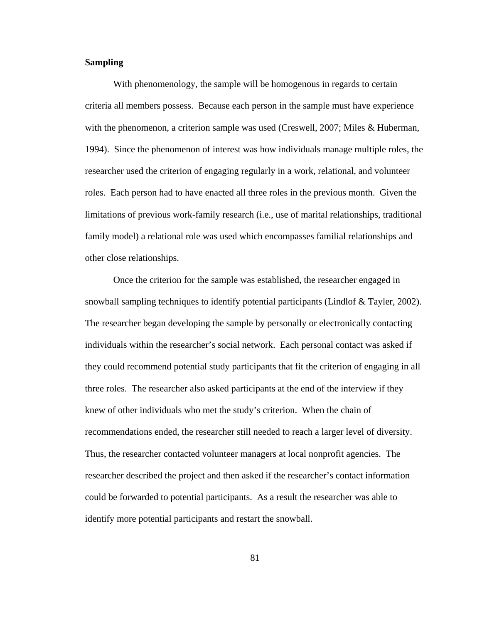# **Sampling**

With phenomenology, the sample will be homogenous in regards to certain criteria all members possess. Because each person in the sample must have experience with the phenomenon, a criterion sample was used (Creswell, 2007; Miles & Huberman, 1994). Since the phenomenon of interest was how individuals manage multiple roles, the researcher used the criterion of engaging regularly in a work, relational, and volunteer roles. Each person had to have enacted all three roles in the previous month. Given the limitations of previous work-family research (i.e., use of marital relationships, traditional family model) a relational role was used which encompasses familial relationships and other close relationships.

Once the criterion for the sample was established, the researcher engaged in snowball sampling techniques to identify potential participants (Lindlof & Tayler, 2002). The researcher began developing the sample by personally or electronically contacting individuals within the researcher's social network. Each personal contact was asked if they could recommend potential study participants that fit the criterion of engaging in all three roles. The researcher also asked participants at the end of the interview if they knew of other individuals who met the study's criterion. When the chain of recommendations ended, the researcher still needed to reach a larger level of diversity. Thus, the researcher contacted volunteer managers at local nonprofit agencies. The researcher described the project and then asked if the researcher's contact information could be forwarded to potential participants. As a result the researcher was able to identify more potential participants and restart the snowball.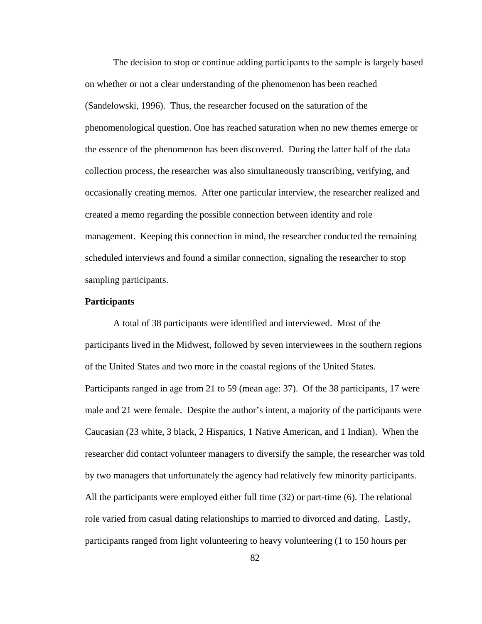The decision to stop or continue adding participants to the sample is largely based on whether or not a clear understanding of the phenomenon has been reached (Sandelowski, 1996). Thus, the researcher focused on the saturation of the phenomenological question. One has reached saturation when no new themes emerge or the essence of the phenomenon has been discovered. During the latter half of the data collection process, the researcher was also simultaneously transcribing, verifying, and occasionally creating memos. After one particular interview, the researcher realized and created a memo regarding the possible connection between identity and role management. Keeping this connection in mind, the researcher conducted the remaining scheduled interviews and found a similar connection, signaling the researcher to stop sampling participants.

### **Participants**

A total of 38 participants were identified and interviewed. Most of the participants lived in the Midwest, followed by seven interviewees in the southern regions of the United States and two more in the coastal regions of the United States. Participants ranged in age from 21 to 59 (mean age: 37). Of the 38 participants, 17 were male and 21 were female. Despite the author's intent, a majority of the participants were Caucasian (23 white, 3 black, 2 Hispanics, 1 Native American, and 1 Indian). When the researcher did contact volunteer managers to diversify the sample, the researcher was told by two managers that unfortunately the agency had relatively few minority participants. All the participants were employed either full time (32) or part-time (6). The relational role varied from casual dating relationships to married to divorced and dating. Lastly, participants ranged from light volunteering to heavy volunteering (1 to 150 hours per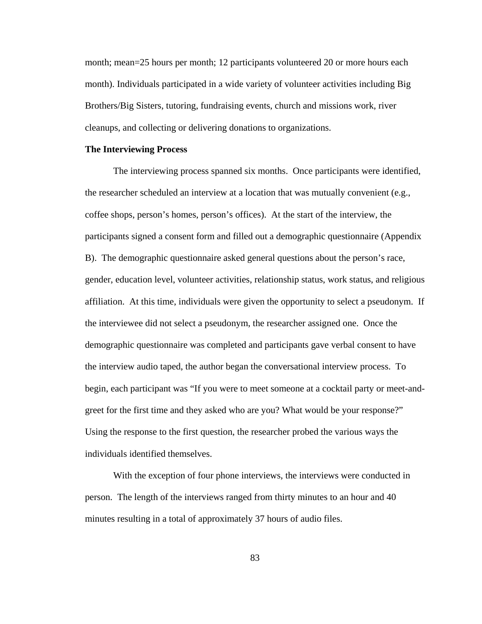month; mean=25 hours per month; 12 participants volunteered 20 or more hours each month). Individuals participated in a wide variety of volunteer activities including Big Brothers/Big Sisters, tutoring, fundraising events, church and missions work, river cleanups, and collecting or delivering donations to organizations.

#### **The Interviewing Process**

The interviewing process spanned six months. Once participants were identified, the researcher scheduled an interview at a location that was mutually convenient (e.g., coffee shops, person's homes, person's offices). At the start of the interview, the participants signed a consent form and filled out a demographic questionnaire (Appendix B). The demographic questionnaire asked general questions about the person's race, gender, education level, volunteer activities, relationship status, work status, and religious affiliation. At this time, individuals were given the opportunity to select a pseudonym. If the interviewee did not select a pseudonym, the researcher assigned one. Once the demographic questionnaire was completed and participants gave verbal consent to have the interview audio taped, the author began the conversational interview process. To begin, each participant was "If you were to meet someone at a cocktail party or meet-andgreet for the first time and they asked who are you? What would be your response?" Using the response to the first question, the researcher probed the various ways the individuals identified themselves.

With the exception of four phone interviews, the interviews were conducted in person. The length of the interviews ranged from thirty minutes to an hour and 40 minutes resulting in a total of approximately 37 hours of audio files.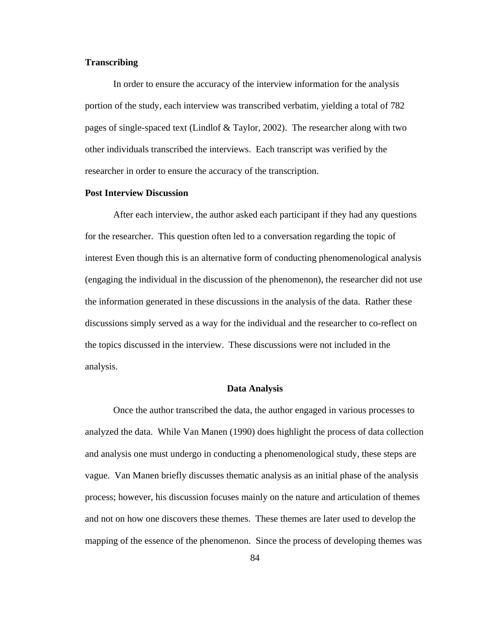# **Transcribing**

In order to ensure the accuracy of the interview information for the analysis portion of the study, each interview was transcribed verbatim, yielding a total of 782 pages of single-spaced text (Lindlof & Taylor, 2002). The researcher along with two other individuals transcribed the interviews. Each transcript was verified by the researcher in order to ensure the accuracy of the transcription.

### **Post Interview Discussion**

After each interview, the author asked each participant if they had any questions for the researcher. This question often led to a conversation regarding the topic of interest Even though this is an alternative form of conducting phenomenological analysis (engaging the individual in the discussion of the phenomenon), the researcher did not use the information generated in these discussions in the analysis of the data. Rather these discussions simply served as a way for the individual and the researcher to co-reflect on the topics discussed in the interview. These discussions were not included in the analysis.

### **Data Analysis**

Once the author transcribed the data, the author engaged in various processes to analyzed the data. While Van Manen (1990) does highlight the process of data collection and analysis one must undergo in conducting a phenomenological study, these steps are vague. Van Manen briefly discusses thematic analysis as an initial phase of the analysis process; however, his discussion focuses mainly on the nature and articulation of themes and not on how one discovers these themes. These themes are later used to develop the mapping of the essence of the phenomenon. Since the process of developing themes was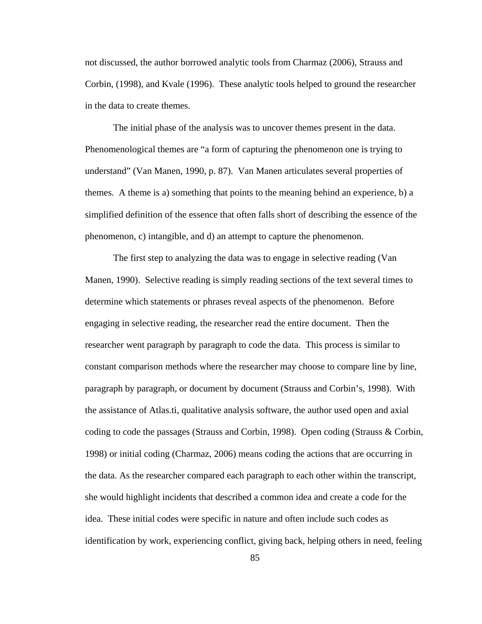not discussed, the author borrowed analytic tools from Charmaz (2006), Strauss and Corbin, (1998), and Kvale (1996). These analytic tools helped to ground the researcher in the data to create themes.

The initial phase of the analysis was to uncover themes present in the data. Phenomenological themes are "a form of capturing the phenomenon one is trying to understand" (Van Manen, 1990, p. 87). Van Manen articulates several properties of themes. A theme is a) something that points to the meaning behind an experience, b) a simplified definition of the essence that often falls short of describing the essence of the phenomenon, c) intangible, and d) an attempt to capture the phenomenon.

The first step to analyzing the data was to engage in selective reading (Van Manen, 1990). Selective reading is simply reading sections of the text several times to determine which statements or phrases reveal aspects of the phenomenon. Before engaging in selective reading, the researcher read the entire document. Then the researcher went paragraph by paragraph to code the data. This process is similar to constant comparison methods where the researcher may choose to compare line by line, paragraph by paragraph, or document by document (Strauss and Corbin's, 1998). With the assistance of Atlas.ti, qualitative analysis software, the author used open and axial coding to code the passages (Strauss and Corbin, 1998). Open coding (Strauss & Corbin, 1998) or initial coding (Charmaz, 2006) means coding the actions that are occurring in the data. As the researcher compared each paragraph to each other within the transcript, she would highlight incidents that described a common idea and create a code for the idea. These initial codes were specific in nature and often include such codes as identification by work, experiencing conflict, giving back, helping others in need, feeling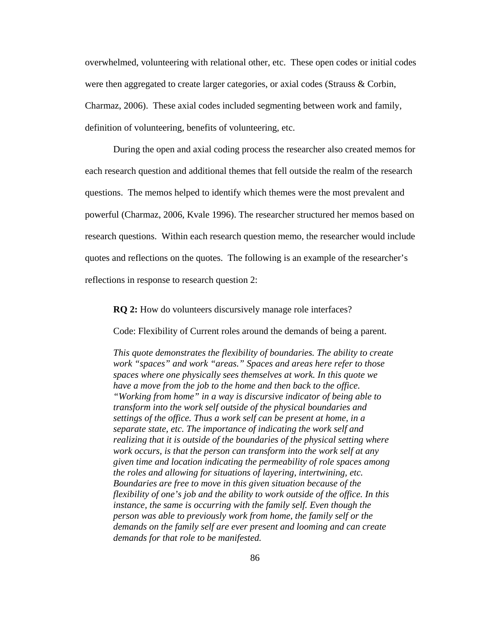overwhelmed, volunteering with relational other, etc. These open codes or initial codes were then aggregated to create larger categories, or axial codes (Strauss & Corbin, Charmaz, 2006). These axial codes included segmenting between work and family, definition of volunteering, benefits of volunteering, etc.

During the open and axial coding process the researcher also created memos for each research question and additional themes that fell outside the realm of the research questions. The memos helped to identify which themes were the most prevalent and powerful (Charmaz, 2006, Kvale 1996). The researcher structured her memos based on research questions. Within each research question memo, the researcher would include quotes and reflections on the quotes. The following is an example of the researcher's reflections in response to research question 2:

**RQ 2:** How do volunteers discursively manage role interfaces?

Code: Flexibility of Current roles around the demands of being a parent.

*This quote demonstrates the flexibility of boundaries. The ability to create work "spaces" and work "areas." Spaces and areas here refer to those spaces where one physically sees themselves at work. In this quote we have a move from the job to the home and then back to the office. "Working from home" in a way is discursive indicator of being able to transform into the work self outside of the physical boundaries and settings of the office. Thus a work self can be present at home, in a separate state, etc. The importance of indicating the work self and realizing that it is outside of the boundaries of the physical setting where work occurs, is that the person can transform into the work self at any given time and location indicating the permeability of role spaces among the roles and allowing for situations of layering, intertwining, etc. Boundaries are free to move in this given situation because of the flexibility of one's job and the ability to work outside of the office. In this instance, the same is occurring with the family self. Even though the person was able to previously work from home, the family self or the demands on the family self are ever present and looming and can create demands for that role to be manifested.*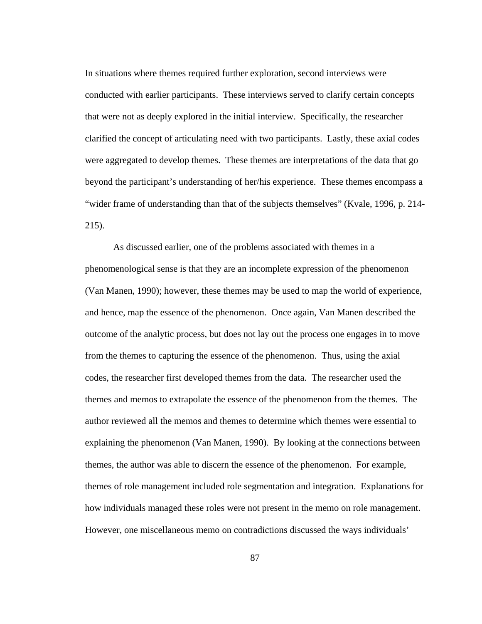In situations where themes required further exploration, second interviews were conducted with earlier participants. These interviews served to clarify certain concepts that were not as deeply explored in the initial interview. Specifically, the researcher clarified the concept of articulating need with two participants. Lastly, these axial codes were aggregated to develop themes. These themes are interpretations of the data that go beyond the participant's understanding of her/his experience. These themes encompass a "wider frame of understanding than that of the subjects themselves" (Kvale, 1996, p. 214- 215).

As discussed earlier, one of the problems associated with themes in a phenomenological sense is that they are an incomplete expression of the phenomenon (Van Manen, 1990); however, these themes may be used to map the world of experience, and hence, map the essence of the phenomenon. Once again, Van Manen described the outcome of the analytic process, but does not lay out the process one engages in to move from the themes to capturing the essence of the phenomenon. Thus, using the axial codes, the researcher first developed themes from the data. The researcher used the themes and memos to extrapolate the essence of the phenomenon from the themes. The author reviewed all the memos and themes to determine which themes were essential to explaining the phenomenon (Van Manen, 1990). By looking at the connections between themes, the author was able to discern the essence of the phenomenon. For example, themes of role management included role segmentation and integration. Explanations for how individuals managed these roles were not present in the memo on role management. However, one miscellaneous memo on contradictions discussed the ways individuals'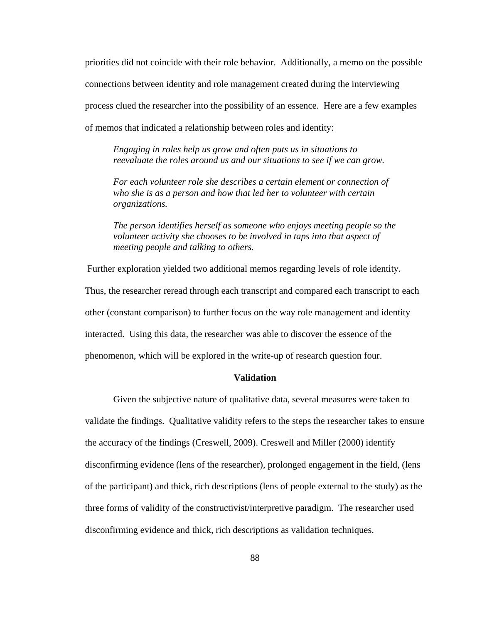priorities did not coincide with their role behavior. Additionally, a memo on the possible connections between identity and role management created during the interviewing process clued the researcher into the possibility of an essence. Here are a few examples of memos that indicated a relationship between roles and identity:

*Engaging in roles help us grow and often puts us in situations to reevaluate the roles around us and our situations to see if we can grow.*

*For each volunteer role she describes a certain element or connection of who she is as a person and how that led her to volunteer with certain organizations.*

*The person identifies herself as someone who enjoys meeting people so the volunteer activity she chooses to be involved in taps into that aspect of meeting people and talking to others.* 

Further exploration yielded two additional memos regarding levels of role identity. Thus, the researcher reread through each transcript and compared each transcript to each other (constant comparison) to further focus on the way role management and identity interacted. Using this data, the researcher was able to discover the essence of the phenomenon, which will be explored in the write-up of research question four.

## **Validation**

Given the subjective nature of qualitative data, several measures were taken to validate the findings. Qualitative validity refers to the steps the researcher takes to ensure the accuracy of the findings (Creswell, 2009). Creswell and Miller (2000) identify disconfirming evidence (lens of the researcher), prolonged engagement in the field, (lens of the participant) and thick, rich descriptions (lens of people external to the study) as the three forms of validity of the constructivist/interpretive paradigm. The researcher used disconfirming evidence and thick, rich descriptions as validation techniques.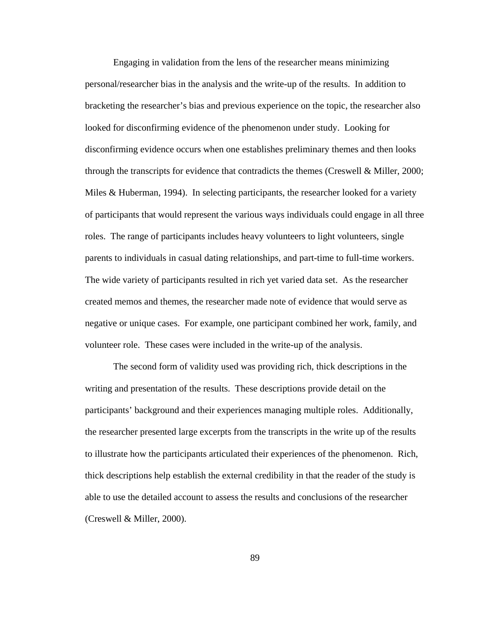Engaging in validation from the lens of the researcher means minimizing personal/researcher bias in the analysis and the write-up of the results. In addition to bracketing the researcher's bias and previous experience on the topic, the researcher also looked for disconfirming evidence of the phenomenon under study. Looking for disconfirming evidence occurs when one establishes preliminary themes and then looks through the transcripts for evidence that contradicts the themes (Creswell & Miller, 2000; Miles & Huberman, 1994). In selecting participants, the researcher looked for a variety of participants that would represent the various ways individuals could engage in all three roles. The range of participants includes heavy volunteers to light volunteers, single parents to individuals in casual dating relationships, and part-time to full-time workers. The wide variety of participants resulted in rich yet varied data set. As the researcher created memos and themes, the researcher made note of evidence that would serve as negative or unique cases. For example, one participant combined her work, family, and volunteer role. These cases were included in the write-up of the analysis.

The second form of validity used was providing rich, thick descriptions in the writing and presentation of the results. These descriptions provide detail on the participants' background and their experiences managing multiple roles. Additionally, the researcher presented large excerpts from the transcripts in the write up of the results to illustrate how the participants articulated their experiences of the phenomenon. Rich, thick descriptions help establish the external credibility in that the reader of the study is able to use the detailed account to assess the results and conclusions of the researcher (Creswell & Miller, 2000).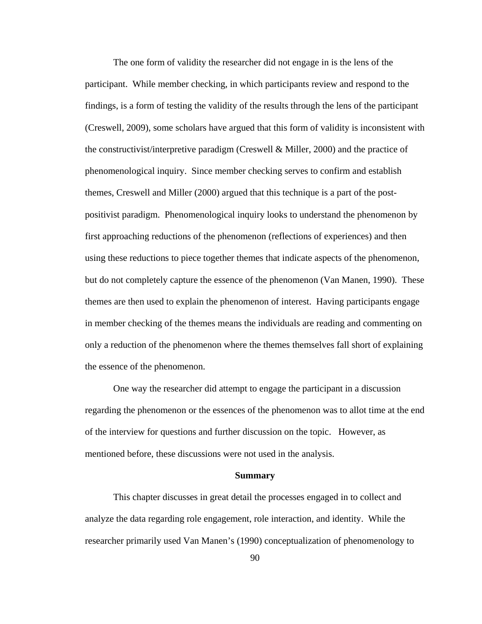The one form of validity the researcher did not engage in is the lens of the participant. While member checking, in which participants review and respond to the findings, is a form of testing the validity of the results through the lens of the participant (Creswell, 2009), some scholars have argued that this form of validity is inconsistent with the constructivist/interpretive paradigm (Creswell & Miller, 2000) and the practice of phenomenological inquiry. Since member checking serves to confirm and establish themes, Creswell and Miller (2000) argued that this technique is a part of the postpositivist paradigm. Phenomenological inquiry looks to understand the phenomenon by first approaching reductions of the phenomenon (reflections of experiences) and then using these reductions to piece together themes that indicate aspects of the phenomenon, but do not completely capture the essence of the phenomenon (Van Manen, 1990). These themes are then used to explain the phenomenon of interest. Having participants engage in member checking of the themes means the individuals are reading and commenting on only a reduction of the phenomenon where the themes themselves fall short of explaining the essence of the phenomenon.

One way the researcher did attempt to engage the participant in a discussion regarding the phenomenon or the essences of the phenomenon was to allot time at the end of the interview for questions and further discussion on the topic. However, as mentioned before, these discussions were not used in the analysis.

#### **Summary**

This chapter discusses in great detail the processes engaged in to collect and analyze the data regarding role engagement, role interaction, and identity. While the researcher primarily used Van Manen's (1990) conceptualization of phenomenology to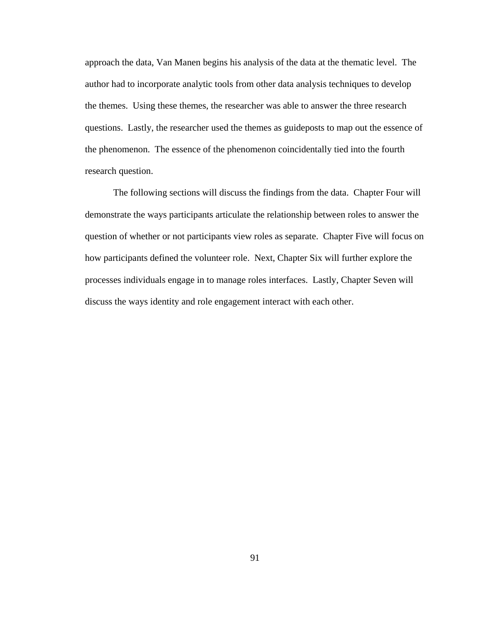approach the data, Van Manen begins his analysis of the data at the thematic level. The author had to incorporate analytic tools from other data analysis techniques to develop the themes. Using these themes, the researcher was able to answer the three research questions. Lastly, the researcher used the themes as guideposts to map out the essence of the phenomenon. The essence of the phenomenon coincidentally tied into the fourth research question.

The following sections will discuss the findings from the data. Chapter Four will demonstrate the ways participants articulate the relationship between roles to answer the question of whether or not participants view roles as separate. Chapter Five will focus on how participants defined the volunteer role. Next, Chapter Six will further explore the processes individuals engage in to manage roles interfaces. Lastly, Chapter Seven will discuss the ways identity and role engagement interact with each other.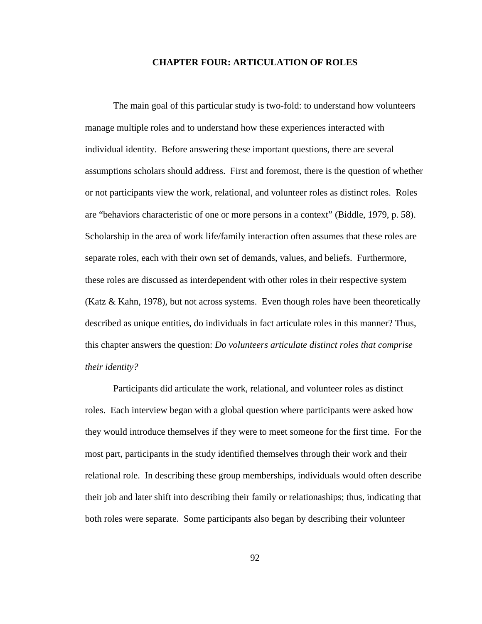## **CHAPTER FOUR: ARTICULATION OF ROLES**

The main goal of this particular study is two-fold: to understand how volunteers manage multiple roles and to understand how these experiences interacted with individual identity. Before answering these important questions, there are several assumptions scholars should address. First and foremost, there is the question of whether or not participants view the work, relational, and volunteer roles as distinct roles. Roles are "behaviors characteristic of one or more persons in a context" (Biddle, 1979, p. 58). Scholarship in the area of work life/family interaction often assumes that these roles are separate roles, each with their own set of demands, values, and beliefs. Furthermore, these roles are discussed as interdependent with other roles in their respective system (Katz & Kahn, 1978), but not across systems. Even though roles have been theoretically described as unique entities, do individuals in fact articulate roles in this manner? Thus, this chapter answers the question: *Do volunteers articulate distinct roles that comprise their identity?*

Participants did articulate the work, relational, and volunteer roles as distinct roles. Each interview began with a global question where participants were asked how they would introduce themselves if they were to meet someone for the first time. For the most part, participants in the study identified themselves through their work and their relational role. In describing these group memberships, individuals would often describe their job and later shift into describing their family or relationaships; thus, indicating that both roles were separate. Some participants also began by describing their volunteer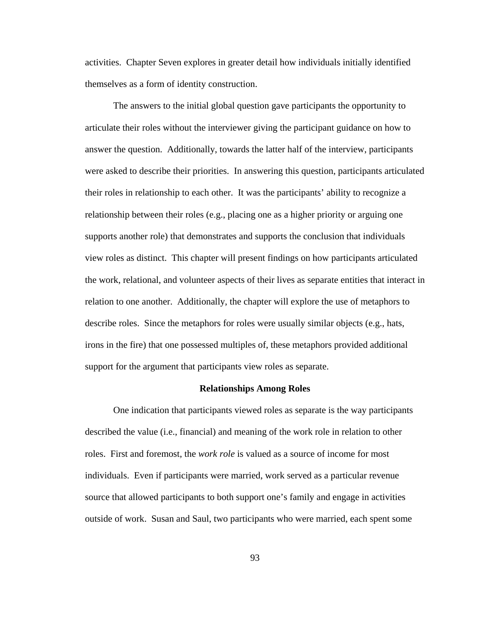activities. Chapter Seven explores in greater detail how individuals initially identified themselves as a form of identity construction.

The answers to the initial global question gave participants the opportunity to articulate their roles without the interviewer giving the participant guidance on how to answer the question. Additionally, towards the latter half of the interview, participants were asked to describe their priorities. In answering this question, participants articulated their roles in relationship to each other. It was the participants' ability to recognize a relationship between their roles (e.g., placing one as a higher priority or arguing one supports another role) that demonstrates and supports the conclusion that individuals view roles as distinct. This chapter will present findings on how participants articulated the work, relational, and volunteer aspects of their lives as separate entities that interact in relation to one another. Additionally, the chapter will explore the use of metaphors to describe roles. Since the metaphors for roles were usually similar objects (e.g., hats, irons in the fire) that one possessed multiples of, these metaphors provided additional support for the argument that participants view roles as separate.

#### **Relationships Among Roles**

One indication that participants viewed roles as separate is the way participants described the value (i.e., financial) and meaning of the work role in relation to other roles. First and foremost, the *work role* is valued as a source of income for most individuals. Even if participants were married, work served as a particular revenue source that allowed participants to both support one's family and engage in activities outside of work. Susan and Saul, two participants who were married, each spent some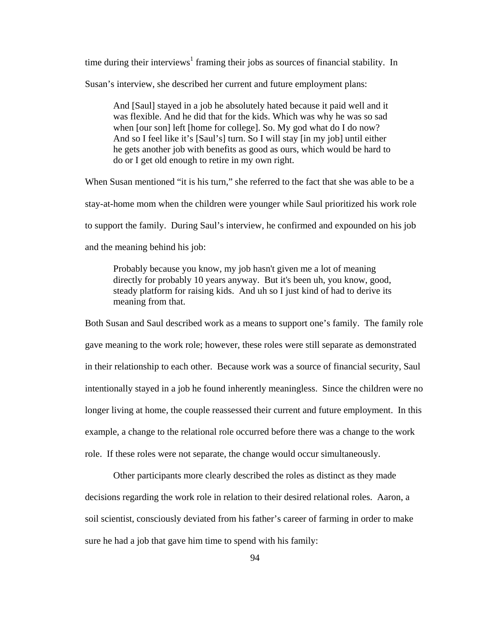time during their interviews<sup>1</sup> framing their jobs as sources of financial stability. In

Susan's interview, she described her current and future employment plans:

And [Saul] stayed in a job he absolutely hated because it paid well and it was flexible. And he did that for the kids. Which was why he was so sad when [our son] left [home for college]. So. My god what do I do now? And so I feel like it's [Saul's] turn. So I will stay [in my job] until either he gets another job with benefits as good as ours, which would be hard to do or I get old enough to retire in my own right.

When Susan mentioned "it is his turn," she referred to the fact that she was able to be a stay-at-home mom when the children were younger while Saul prioritized his work role to support the family. During Saul's interview, he confirmed and expounded on his job and the meaning behind his job:

Probably because you know, my job hasn't given me a lot of meaning directly for probably 10 years anyway. But it's been uh, you know, good, steady platform for raising kids. And uh so I just kind of had to derive its meaning from that.

Both Susan and Saul described work as a means to support one's family. The family role gave meaning to the work role; however, these roles were still separate as demonstrated in their relationship to each other. Because work was a source of financial security, Saul intentionally stayed in a job he found inherently meaningless. Since the children were no longer living at home, the couple reassessed their current and future employment. In this example, a change to the relational role occurred before there was a change to the work role. If these roles were not separate, the change would occur simultaneously.

Other participants more clearly described the roles as distinct as they made decisions regarding the work role in relation to their desired relational roles. Aaron, a soil scientist, consciously deviated from his father's career of farming in order to make sure he had a job that gave him time to spend with his family: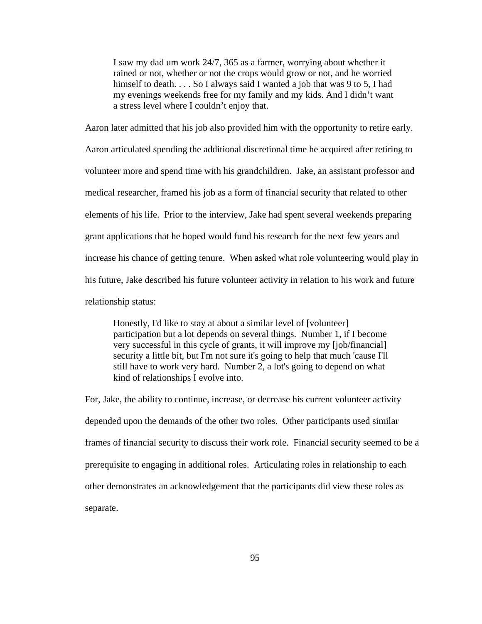I saw my dad um work 24/7, 365 as a farmer, worrying about whether it rained or not, whether or not the crops would grow or not, and he worried himself to death. . . . So I always said I wanted a job that was 9 to 5, I had my evenings weekends free for my family and my kids. And I didn't want a stress level where I couldn't enjoy that.

Aaron later admitted that his job also provided him with the opportunity to retire early. Aaron articulated spending the additional discretional time he acquired after retiring to volunteer more and spend time with his grandchildren. Jake, an assistant professor and medical researcher, framed his job as a form of financial security that related to other elements of his life. Prior to the interview, Jake had spent several weekends preparing grant applications that he hoped would fund his research for the next few years and increase his chance of getting tenure. When asked what role volunteering would play in his future, Jake described his future volunteer activity in relation to his work and future relationship status:

Honestly, I'd like to stay at about a similar level of [volunteer] participation but a lot depends on several things. Number 1, if I become very successful in this cycle of grants, it will improve my [job/financial] security a little bit, but I'm not sure it's going to help that much 'cause I'll still have to work very hard. Number 2, a lot's going to depend on what kind of relationships I evolve into.

For, Jake, the ability to continue, increase, or decrease his current volunteer activity depended upon the demands of the other two roles. Other participants used similar frames of financial security to discuss their work role. Financial security seemed to be a prerequisite to engaging in additional roles. Articulating roles in relationship to each other demonstrates an acknowledgement that the participants did view these roles as separate.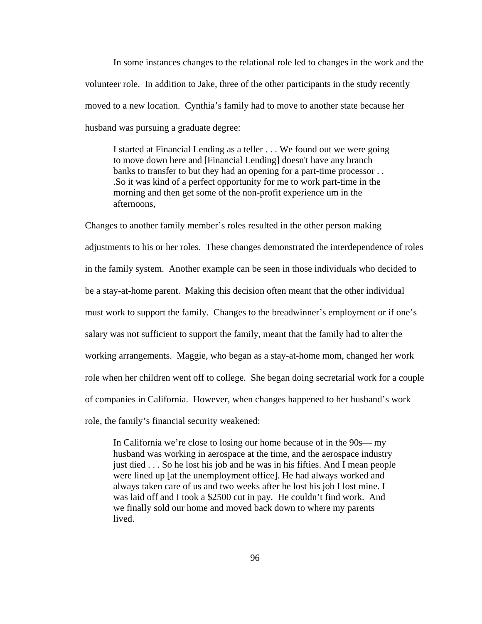In some instances changes to the relational role led to changes in the work and the volunteer role. In addition to Jake, three of the other participants in the study recently moved to a new location. Cynthia's family had to move to another state because her husband was pursuing a graduate degree:

I started at Financial Lending as a teller . . . We found out we were going to move down here and [Financial Lending] doesn't have any branch banks to transfer to but they had an opening for a part-time processor . . .So it was kind of a perfect opportunity for me to work part-time in the morning and then get some of the non-profit experience um in the afternoons,

Changes to another family member's roles resulted in the other person making adjustments to his or her roles. These changes demonstrated the interdependence of roles in the family system. Another example can be seen in those individuals who decided to be a stay-at-home parent. Making this decision often meant that the other individual must work to support the family. Changes to the breadwinner's employment or if one's salary was not sufficient to support the family, meant that the family had to alter the working arrangements. Maggie, who began as a stay-at-home mom, changed her work role when her children went off to college. She began doing secretarial work for a couple of companies in California. However, when changes happened to her husband's work role, the family's financial security weakened:

In California we're close to losing our home because of in the 90s— my husband was working in aerospace at the time, and the aerospace industry just died . . . So he lost his job and he was in his fifties. And I mean people were lined up [at the unemployment office]. He had always worked and always taken care of us and two weeks after he lost his job I lost mine. I was laid off and I took a \$2500 cut in pay. He couldn't find work. And we finally sold our home and moved back down to where my parents lived.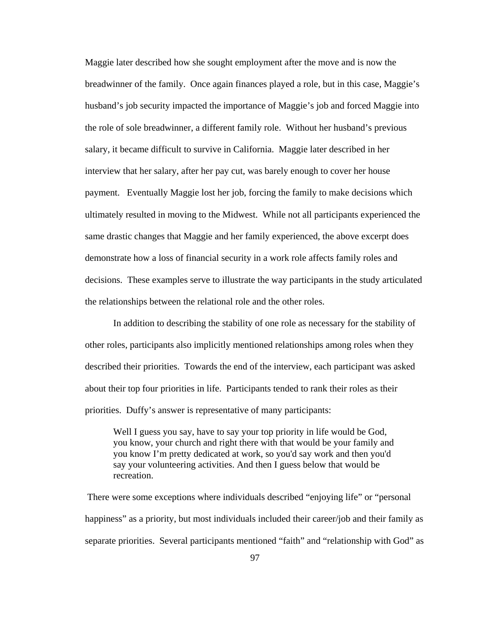Maggie later described how she sought employment after the move and is now the breadwinner of the family. Once again finances played a role, but in this case, Maggie's husband's job security impacted the importance of Maggie's job and forced Maggie into the role of sole breadwinner, a different family role. Without her husband's previous salary, it became difficult to survive in California. Maggie later described in her interview that her salary, after her pay cut, was barely enough to cover her house payment. Eventually Maggie lost her job, forcing the family to make decisions which ultimately resulted in moving to the Midwest. While not all participants experienced the same drastic changes that Maggie and her family experienced, the above excerpt does demonstrate how a loss of financial security in a work role affects family roles and decisions. These examples serve to illustrate the way participants in the study articulated the relationships between the relational role and the other roles.

In addition to describing the stability of one role as necessary for the stability of other roles, participants also implicitly mentioned relationships among roles when they described their priorities. Towards the end of the interview, each participant was asked about their top four priorities in life. Participants tended to rank their roles as their priorities. Duffy's answer is representative of many participants:

Well I guess you say, have to say your top priority in life would be God, you know, your church and right there with that would be your family and you know I'm pretty dedicated at work, so you'd say work and then you'd say your volunteering activities. And then I guess below that would be recreation.

There were some exceptions where individuals described "enjoying life" or "personal happiness" as a priority, but most individuals included their career/job and their family as separate priorities. Several participants mentioned "faith" and "relationship with God" as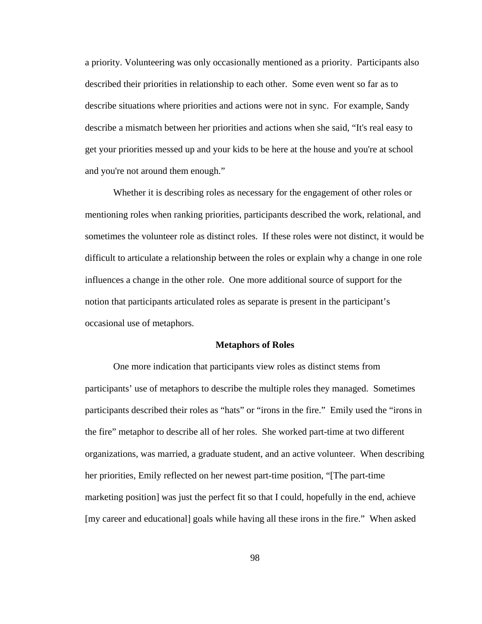a priority. Volunteering was only occasionally mentioned as a priority. Participants also described their priorities in relationship to each other. Some even went so far as to describe situations where priorities and actions were not in sync. For example, Sandy describe a mismatch between her priorities and actions when she said, "It's real easy to get your priorities messed up and your kids to be here at the house and you're at school and you're not around them enough."

Whether it is describing roles as necessary for the engagement of other roles or mentioning roles when ranking priorities, participants described the work, relational, and sometimes the volunteer role as distinct roles. If these roles were not distinct, it would be difficult to articulate a relationship between the roles or explain why a change in one role influences a change in the other role. One more additional source of support for the notion that participants articulated roles as separate is present in the participant's occasional use of metaphors.

#### **Metaphors of Roles**

One more indication that participants view roles as distinct stems from participants' use of metaphors to describe the multiple roles they managed. Sometimes participants described their roles as "hats" or "irons in the fire." Emily used the "irons in the fire" metaphor to describe all of her roles. She worked part-time at two different organizations, was married, a graduate student, and an active volunteer. When describing her priorities, Emily reflected on her newest part-time position, "[The part-time marketing position] was just the perfect fit so that I could, hopefully in the end, achieve [my career and educational] goals while having all these irons in the fire." When asked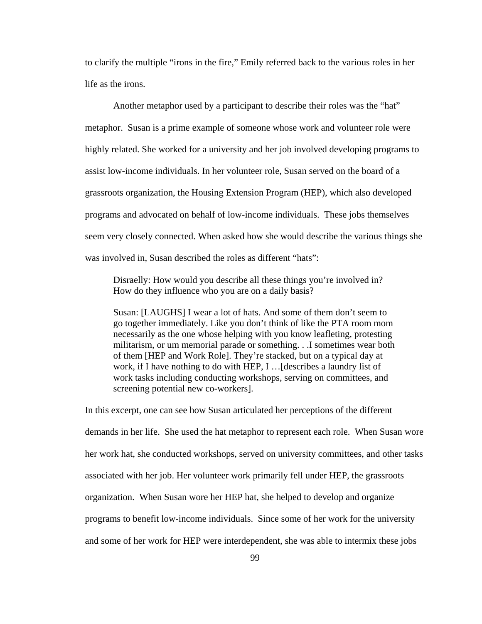to clarify the multiple "irons in the fire," Emily referred back to the various roles in her life as the irons.

Another metaphor used by a participant to describe their roles was the "hat" metaphor. Susan is a prime example of someone whose work and volunteer role were highly related. She worked for a university and her job involved developing programs to assist low-income individuals. In her volunteer role, Susan served on the board of a grassroots organization, the Housing Extension Program (HEP), which also developed programs and advocated on behalf of low-income individuals. These jobs themselves seem very closely connected. When asked how she would describe the various things she was involved in, Susan described the roles as different "hats":

Disraelly: How would you describe all these things you're involved in? How do they influence who you are on a daily basis?

Susan: [LAUGHS] I wear a lot of hats. And some of them don't seem to go together immediately. Like you don't think of like the PTA room mom necessarily as the one whose helping with you know leafleting, protesting militarism, or um memorial parade or something. . .I sometimes wear both of them [HEP and Work Role]. They're stacked, but on a typical day at work, if I have nothing to do with HEP, I …[describes a laundry list of work tasks including conducting workshops, serving on committees, and screening potential new co-workers].

In this excerpt, one can see how Susan articulated her perceptions of the different demands in her life. She used the hat metaphor to represent each role. When Susan wore her work hat, she conducted workshops, served on university committees, and other tasks associated with her job. Her volunteer work primarily fell under HEP, the grassroots organization. When Susan wore her HEP hat, she helped to develop and organize programs to benefit low-income individuals. Since some of her work for the university and some of her work for HEP were interdependent, she was able to intermix these jobs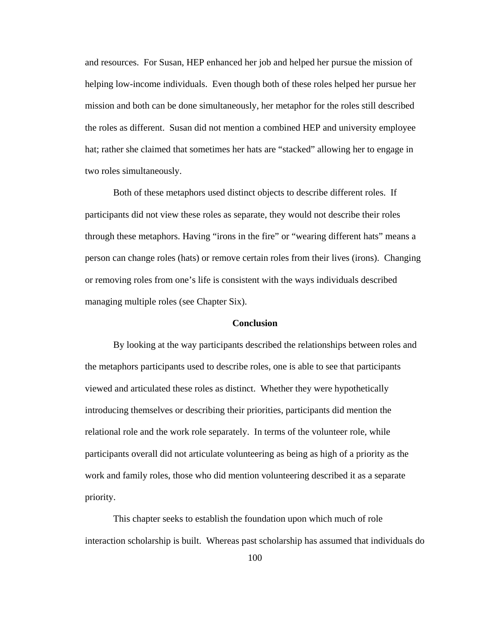and resources. For Susan, HEP enhanced her job and helped her pursue the mission of helping low-income individuals. Even though both of these roles helped her pursue her mission and both can be done simultaneously, her metaphor for the roles still described the roles as different. Susan did not mention a combined HEP and university employee hat; rather she claimed that sometimes her hats are "stacked" allowing her to engage in two roles simultaneously.

Both of these metaphors used distinct objects to describe different roles. If participants did not view these roles as separate, they would not describe their roles through these metaphors. Having "irons in the fire" or "wearing different hats" means a person can change roles (hats) or remove certain roles from their lives (irons). Changing or removing roles from one's life is consistent with the ways individuals described managing multiple roles (see Chapter Six).

# **Conclusion**

By looking at the way participants described the relationships between roles and the metaphors participants used to describe roles, one is able to see that participants viewed and articulated these roles as distinct. Whether they were hypothetically introducing themselves or describing their priorities, participants did mention the relational role and the work role separately. In terms of the volunteer role, while participants overall did not articulate volunteering as being as high of a priority as the work and family roles, those who did mention volunteering described it as a separate priority.

This chapter seeks to establish the foundation upon which much of role interaction scholarship is built. Whereas past scholarship has assumed that individuals do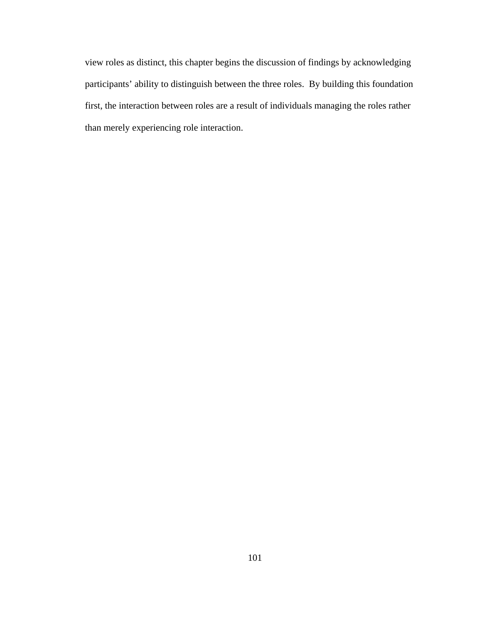view roles as distinct, this chapter begins the discussion of findings by acknowledging participants' ability to distinguish between the three roles. By building this foundation first, the interaction between roles are a result of individuals managing the roles rather than merely experiencing role interaction.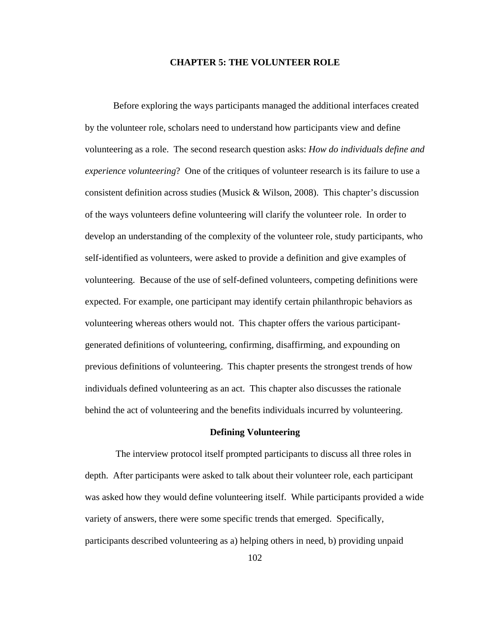## **CHAPTER 5: THE VOLUNTEER ROLE**

Before exploring the ways participants managed the additional interfaces created by the volunteer role, scholars need to understand how participants view and define volunteering as a role. The second research question asks: *How do individuals define and experience volunteering*? One of the critiques of volunteer research is its failure to use a consistent definition across studies (Musick & Wilson, 2008). This chapter's discussion of the ways volunteers define volunteering will clarify the volunteer role. In order to develop an understanding of the complexity of the volunteer role, study participants, who self-identified as volunteers, were asked to provide a definition and give examples of volunteering. Because of the use of self-defined volunteers, competing definitions were expected. For example, one participant may identify certain philanthropic behaviors as volunteering whereas others would not. This chapter offers the various participantgenerated definitions of volunteering, confirming, disaffirming, and expounding on previous definitions of volunteering. This chapter presents the strongest trends of how individuals defined volunteering as an act. This chapter also discusses the rationale behind the act of volunteering and the benefits individuals incurred by volunteering.

#### **Defining Volunteering**

The interview protocol itself prompted participants to discuss all three roles in depth. After participants were asked to talk about their volunteer role, each participant was asked how they would define volunteering itself. While participants provided a wide variety of answers, there were some specific trends that emerged. Specifically, participants described volunteering as a) helping others in need, b) providing unpaid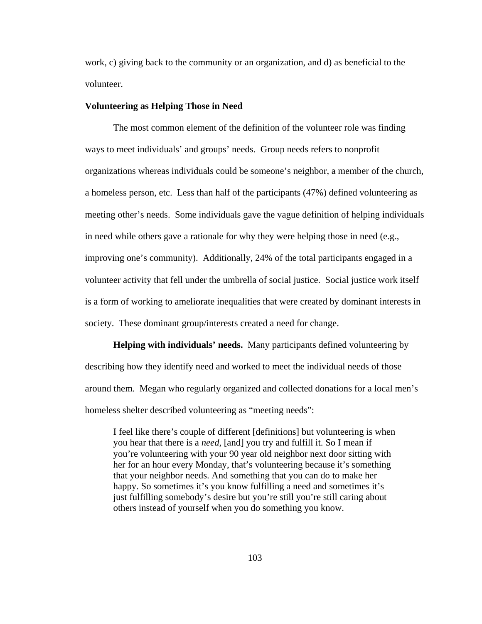work, c) giving back to the community or an organization, and d) as beneficial to the volunteer.

## **Volunteering as Helping Those in Need**

The most common element of the definition of the volunteer role was finding ways to meet individuals' and groups' needs. Group needs refers to nonprofit organizations whereas individuals could be someone's neighbor, a member of the church, a homeless person, etc. Less than half of the participants (47%) defined volunteering as meeting other's needs. Some individuals gave the vague definition of helping individuals in need while others gave a rationale for why they were helping those in need (e.g., improving one's community). Additionally, 24% of the total participants engaged in a volunteer activity that fell under the umbrella of social justice. Social justice work itself is a form of working to ameliorate inequalities that were created by dominant interests in society. These dominant group/interests created a need for change.

**Helping with individuals' needs.** Many participants defined volunteering by describing how they identify need and worked to meet the individual needs of those around them. Megan who regularly organized and collected donations for a local men's homeless shelter described volunteering as "meeting needs":

I feel like there's couple of different [definitions] but volunteering is when you hear that there is a *need*, [and] you try and fulfill it. So I mean if you're volunteering with your 90 year old neighbor next door sitting with her for an hour every Monday, that's volunteering because it's something that your neighbor needs. And something that you can do to make her happy. So sometimes it's you know fulfilling a need and sometimes it's just fulfilling somebody's desire but you're still you're still caring about others instead of yourself when you do something you know.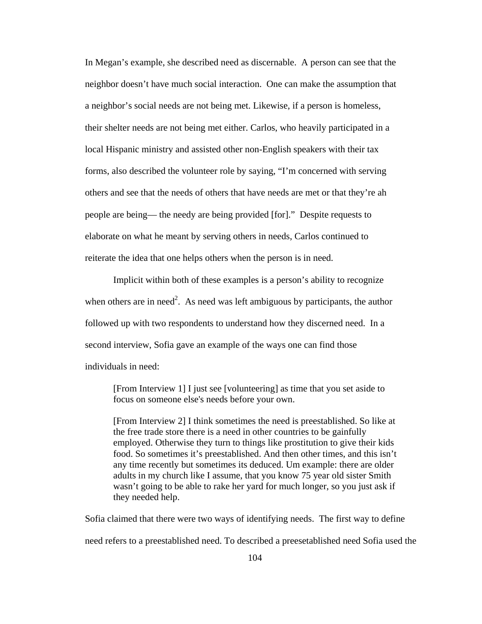In Megan's example, she described need as discernable. A person can see that the neighbor doesn't have much social interaction. One can make the assumption that a neighbor's social needs are not being met. Likewise, if a person is homeless, their shelter needs are not being met either. Carlos, who heavily participated in a local Hispanic ministry and assisted other non-English speakers with their tax forms, also described the volunteer role by saying, "I'm concerned with serving others and see that the needs of others that have needs are met or that they're ah people are being— the needy are being provided [for]." Despite requests to elaborate on what he meant by serving others in needs, Carlos continued to reiterate the idea that one helps others when the person is in need.

Implicit within both of these examples is a person's ability to recognize when others are in need<sup>2</sup>. As need was left ambiguous by participants, the author followed up with two respondents to understand how they discerned need. In a second interview, Sofia gave an example of the ways one can find those individuals in need:

[From Interview 1] I just see [volunteering] as time that you set aside to focus on someone else's needs before your own.

[From Interview 2] I think sometimes the need is preestablished. So like at the free trade store there is a need in other countries to be gainfully employed. Otherwise they turn to things like prostitution to give their kids food. So sometimes it's preestablished. And then other times, and this isn't any time recently but sometimes its deduced. Um example: there are older adults in my church like I assume, that you know 75 year old sister Smith wasn't going to be able to rake her yard for much longer, so you just ask if they needed help.

Sofia claimed that there were two ways of identifying needs. The first way to define need refers to a preestablished need. To described a preesetablished need Sofia used the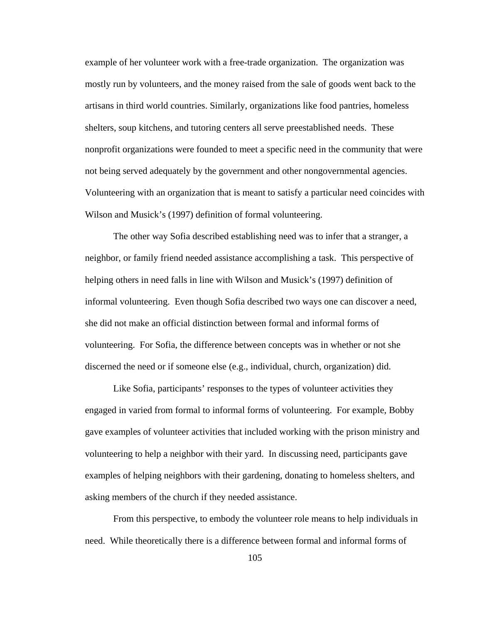example of her volunteer work with a free-trade organization. The organization was mostly run by volunteers, and the money raised from the sale of goods went back to the artisans in third world countries. Similarly, organizations like food pantries, homeless shelters, soup kitchens, and tutoring centers all serve preestablished needs. These nonprofit organizations were founded to meet a specific need in the community that were not being served adequately by the government and other nongovernmental agencies. Volunteering with an organization that is meant to satisfy a particular need coincides with Wilson and Musick's (1997) definition of formal volunteering.

The other way Sofia described establishing need was to infer that a stranger, a neighbor, or family friend needed assistance accomplishing a task. This perspective of helping others in need falls in line with Wilson and Musick's (1997) definition of informal volunteering. Even though Sofia described two ways one can discover a need, she did not make an official distinction between formal and informal forms of volunteering. For Sofia, the difference between concepts was in whether or not she discerned the need or if someone else (e.g., individual, church, organization) did.

Like Sofia, participants' responses to the types of volunteer activities they engaged in varied from formal to informal forms of volunteering. For example, Bobby gave examples of volunteer activities that included working with the prison ministry and volunteering to help a neighbor with their yard. In discussing need, participants gave examples of helping neighbors with their gardening, donating to homeless shelters, and asking members of the church if they needed assistance.

From this perspective, to embody the volunteer role means to help individuals in need. While theoretically there is a difference between formal and informal forms of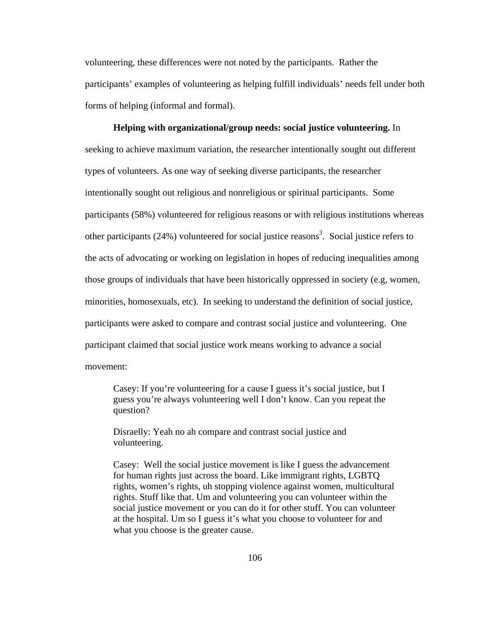volunteering, these differences were not noted by the participants. Rather the participants' examples of volunteering as helping fulfill individuals' needs fell under both forms of helping (informal and formal).

**Helping with organizational/group needs: social justice volunteering.** In seeking to achieve maximum variation, the researcher intentionally sought out different types of volunteers. As one way of seeking diverse participants, the researcher intentionally sought out religious and nonreligious or spiritual participants. Some participants (58%) volunteered for religious reasons or with religious institutions whereas other participants (24%) volunteered for social justice reasons<sup>3</sup>. Social justice refers to the acts of advocating or working on legislation in hopes of reducing inequalities among those groups of individuals that have been historically oppressed in society (e.g, women, minorities, homosexuals, etc). In seeking to understand the definition of social justice, participants were asked to compare and contrast social justice and volunteering. One participant claimed that social justice work means working to advance a social movement:

Casey: If you're volunteering for a cause I guess it's social justice, but I guess you're always volunteering well I don't know. Can you repeat the question?

Disraelly: Yeah no ah compare and contrast social justice and volunteering.

Casey: Well the social justice movement is like I guess the advancement for human rights just across the board. Like immigrant rights, LGBTQ rights, women's rights, uh stopping violence against women, multicultural rights. Stuff like that. Um and volunteering you can volunteer within the social justice movement or you can do it for other stuff. You can volunteer at the hospital. Um so I guess it's what you choose to volunteer for and what you choose is the greater cause.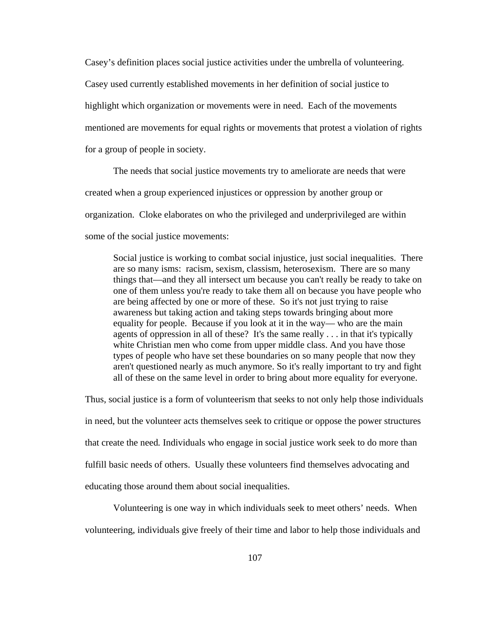Casey's definition places social justice activities under the umbrella of volunteering. Casey used currently established movements in her definition of social justice to highlight which organization or movements were in need. Each of the movements mentioned are movements for equal rights or movements that protest a violation of rights for a group of people in society.

The needs that social justice movements try to ameliorate are needs that were created when a group experienced injustices or oppression by another group or organization. Cloke elaborates on who the privileged and underprivileged are within some of the social justice movements:

Social justice is working to combat social injustice, just social inequalities. There are so many isms: racism, sexism, classism, heterosexism. There are so many things that—and they all intersect um because you can't really be ready to take on one of them unless you're ready to take them all on because you have people who are being affected by one or more of these. So it's not just trying to raise awareness but taking action and taking steps towards bringing about more equality for people. Because if you look at it in the way— who are the main agents of oppression in all of these? It's the same really . . . in that it's typically white Christian men who come from upper middle class. And you have those types of people who have set these boundaries on so many people that now they aren't questioned nearly as much anymore. So it's really important to try and fight all of these on the same level in order to bring about more equality for everyone.

Thus, social justice is a form of volunteerism that seeks to not only help those individuals in need, but the volunteer acts themselves seek to critique or oppose the power structures that create the need*.* Individuals who engage in social justice work seek to do more than fulfill basic needs of others. Usually these volunteers find themselves advocating and educating those around them about social inequalities.

Volunteering is one way in which individuals seek to meet others' needs. When volunteering, individuals give freely of their time and labor to help those individuals and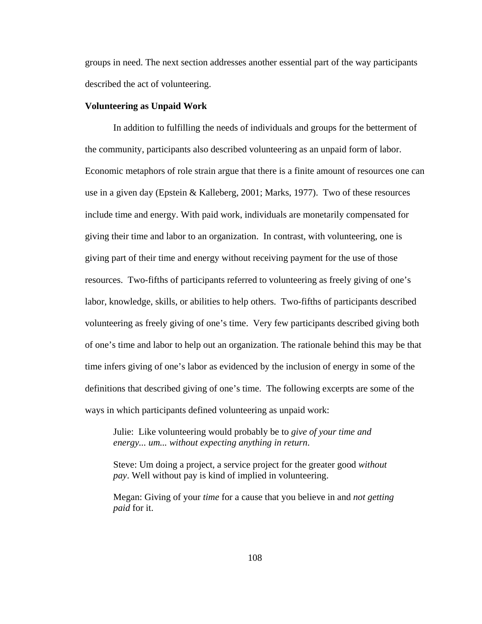groups in need. The next section addresses another essential part of the way participants described the act of volunteering.

### **Volunteering as Unpaid Work**

In addition to fulfilling the needs of individuals and groups for the betterment of the community, participants also described volunteering as an unpaid form of labor. Economic metaphors of role strain argue that there is a finite amount of resources one can use in a given day (Epstein & Kalleberg, 2001; Marks, 1977). Two of these resources include time and energy. With paid work, individuals are monetarily compensated for giving their time and labor to an organization. In contrast, with volunteering, one is giving part of their time and energy without receiving payment for the use of those resources. Two-fifths of participants referred to volunteering as freely giving of one's labor, knowledge, skills, or abilities to help others. Two-fifths of participants described volunteering as freely giving of one's time. Very few participants described giving both of one's time and labor to help out an organization. The rationale behind this may be that time infers giving of one's labor as evidenced by the inclusion of energy in some of the definitions that described giving of one's time. The following excerpts are some of the ways in which participants defined volunteering as unpaid work:

Julie: Like volunteering would probably be to *give of your time and energy... um... without expecting anything in return*.

Steve: Um doing a project, a service project for the greater good *without pay*. Well without pay is kind of implied in volunteering.

Megan: Giving of your *time* for a cause that you believe in and *not getting paid* for it.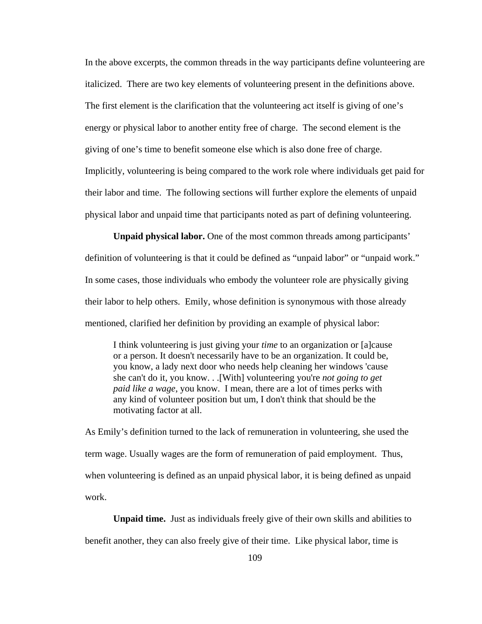In the above excerpts, the common threads in the way participants define volunteering are italicized. There are two key elements of volunteering present in the definitions above. The first element is the clarification that the volunteering act itself is giving of one's energy or physical labor to another entity free of charge. The second element is the giving of one's time to benefit someone else which is also done free of charge. Implicitly, volunteering is being compared to the work role where individuals get paid for their labor and time. The following sections will further explore the elements of unpaid physical labor and unpaid time that participants noted as part of defining volunteering.

**Unpaid physical labor.** One of the most common threads among participants' definition of volunteering is that it could be defined as "unpaid labor" or "unpaid work." In some cases, those individuals who embody the volunteer role are physically giving their labor to help others. Emily, whose definition is synonymous with those already mentioned, clarified her definition by providing an example of physical labor:

I think volunteering is just giving your *time* to an organization or [a]cause or a person. It doesn't necessarily have to be an organization. It could be, you know, a lady next door who needs help cleaning her windows 'cause she can't do it, you know. . .[With] volunteering you're *not going to get paid like a wage*, you know. I mean, there are a lot of times perks with any kind of volunteer position but um, I don't think that should be the motivating factor at all.

As Emily's definition turned to the lack of remuneration in volunteering, she used the term wage. Usually wages are the form of remuneration of paid employment. Thus, when volunteering is defined as an unpaid physical labor, it is being defined as unpaid work.

**Unpaid time.** Just as individuals freely give of their own skills and abilities to benefit another, they can also freely give of their time. Like physical labor, time is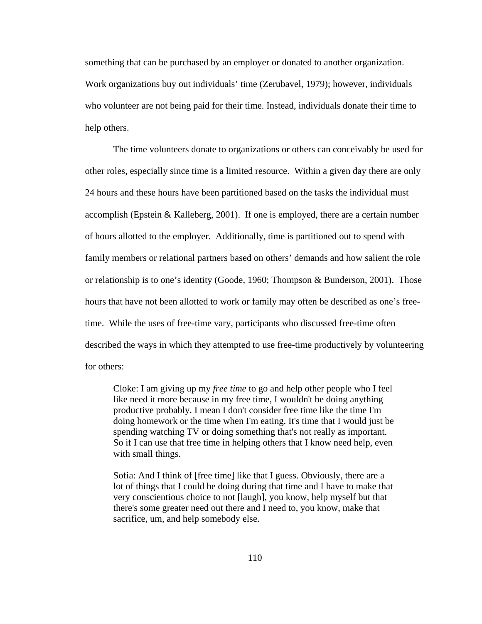something that can be purchased by an employer or donated to another organization. Work organizations buy out individuals' time (Zerubavel, 1979); however, individuals who volunteer are not being paid for their time. Instead, individuals donate their time to help others.

The time volunteers donate to organizations or others can conceivably be used for other roles, especially since time is a limited resource. Within a given day there are only 24 hours and these hours have been partitioned based on the tasks the individual must accomplish (Epstein & Kalleberg, 2001). If one is employed, there are a certain number of hours allotted to the employer. Additionally, time is partitioned out to spend with family members or relational partners based on others' demands and how salient the role or relationship is to one's identity (Goode, 1960; Thompson & Bunderson, 2001). Those hours that have not been allotted to work or family may often be described as one's freetime. While the uses of free-time vary, participants who discussed free-time often described the ways in which they attempted to use free-time productively by volunteering for others:

Cloke: I am giving up my *free time* to go and help other people who I feel like need it more because in my free time, I wouldn't be doing anything productive probably. I mean I don't consider free time like the time I'm doing homework or the time when I'm eating. It's time that I would just be spending watching TV or doing something that's not really as important. So if I can use that free time in helping others that I know need help, even with small things.

Sofia: And I think of [free time] like that I guess. Obviously, there are a lot of things that I could be doing during that time and I have to make that very conscientious choice to not [laugh], you know, help myself but that there's some greater need out there and I need to, you know, make that sacrifice, um, and help somebody else.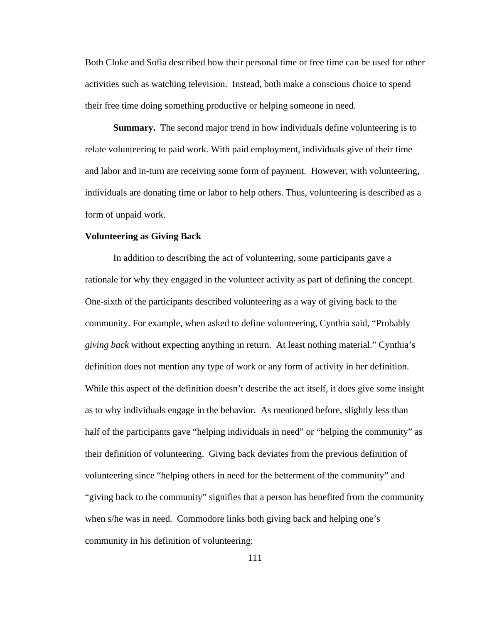Both Cloke and Sofia described how their personal time or free time can be used for other activities such as watching television. Instead, both make a conscious choice to spend their free time doing something productive or helping someone in need.

**Summary.** The second major trend in how individuals define volunteering is to relate volunteering to paid work. With paid employment, individuals give of their time and labor and in-turn are receiving some form of payment. However, with volunteering, individuals are donating time or labor to help others. Thus, volunteering is described as a form of unpaid work.

# **Volunteering as Giving Back**

In addition to describing the act of volunteering, some participants gave a rationale for why they engaged in the volunteer activity as part of defining the concept. One-sixth of the participants described volunteering as a way of giving back to the community. For example, when asked to define volunteering, Cynthia said, "Probably *giving back* without expecting anything in return. At least nothing material." Cynthia's definition does not mention any type of work or any form of activity in her definition. While this aspect of the definition doesn't describe the act itself, it does give some insight as to why individuals engage in the behavior. As mentioned before, slightly less than half of the participants gave "helping individuals in need" or "helping the community" as their definition of volunteering. Giving back deviates from the previous definition of volunteering since "helping others in need for the betterment of the community" and "giving back to the community" signifies that a person has benefited from the community when s/he was in need. Commodore links both giving back and helping one's community in his definition of volunteering: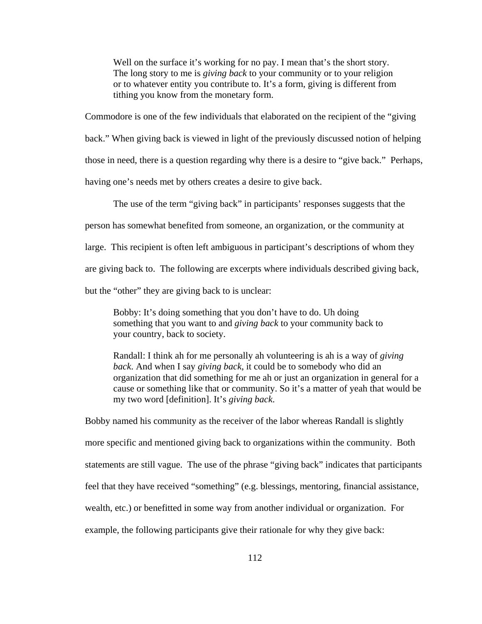Well on the surface it's working for no pay. I mean that's the short story. The long story to me is *giving back* to your community or to your religion or to whatever entity you contribute to. It's a form, giving is different from tithing you know from the monetary form.

Commodore is one of the few individuals that elaborated on the recipient of the "giving back." When giving back is viewed in light of the previously discussed notion of helping those in need, there is a question regarding why there is a desire to "give back." Perhaps, having one's needs met by others creates a desire to give back.

The use of the term "giving back" in participants' responses suggests that the

person has somewhat benefited from someone, an organization, or the community at

large. This recipient is often left ambiguous in participant's descriptions of whom they

are giving back to. The following are excerpts where individuals described giving back,

but the "other" they are giving back to is unclear:

Bobby: It's doing something that you don't have to do. Uh doing something that you want to and *giving back* to your community back to your country, back to society.

Randall: I think ah for me personally ah volunteering is ah is a way of *giving back*. And when I say *giving back*, it could be to somebody who did an organization that did something for me ah or just an organization in general for a cause or something like that or community. So it's a matter of yeah that would be my two word [definition]. It's *giving back*.

Bobby named his community as the receiver of the labor whereas Randall is slightly more specific and mentioned giving back to organizations within the community. Both statements are still vague. The use of the phrase "giving back" indicates that participants feel that they have received "something" (e.g. blessings, mentoring, financial assistance, wealth, etc.) or benefitted in some way from another individual or organization. For example, the following participants give their rationale for why they give back: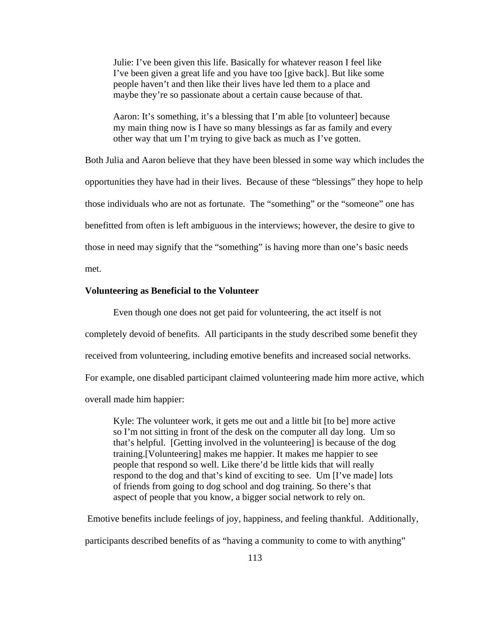Julie: I've been given this life. Basically for whatever reason I feel like I've been given a great life and you have too [give back]. But like some people haven't and then like their lives have led them to a place and maybe they're so passionate about a certain cause because of that.

Aaron: It's something, it's a blessing that I'm able [to volunteer] because my main thing now is I have so many blessings as far as family and every other way that um I'm trying to give back as much as I've gotten.

Both Julia and Aaron believe that they have been blessed in some way which includes the opportunities they have had in their lives. Because of these "blessings" they hope to help those individuals who are not as fortunate. The "something" or the "someone" one has benefitted from often is left ambiguous in the interviews; however, the desire to give to those in need may signify that the "something" is having more than one's basic needs met.

# **Volunteering as Beneficial to the Volunteer**

Even though one does not get paid for volunteering, the act itself is not completely devoid of benefits. All participants in the study described some benefit they received from volunteering, including emotive benefits and increased social networks. For example, one disabled participant claimed volunteering made him more active, which overall made him happier:

Kyle: The volunteer work, it gets me out and a little bit [to be] more active so I'm not sitting in front of the desk on the computer all day long. Um so that's helpful. [Getting involved in the volunteering] is because of the dog training.[Volunteering] makes me happier. It makes me happier to see people that respond so well. Like there'd be little kids that will really respond to the dog and that's kind of exciting to see. Um [I've made] lots of friends from going to dog school and dog training. So there's that aspect of people that you know, a bigger social network to rely on.

Emotive benefits include feelings of joy, happiness, and feeling thankful. Additionally, participants described benefits of as "having a community to come to with anything"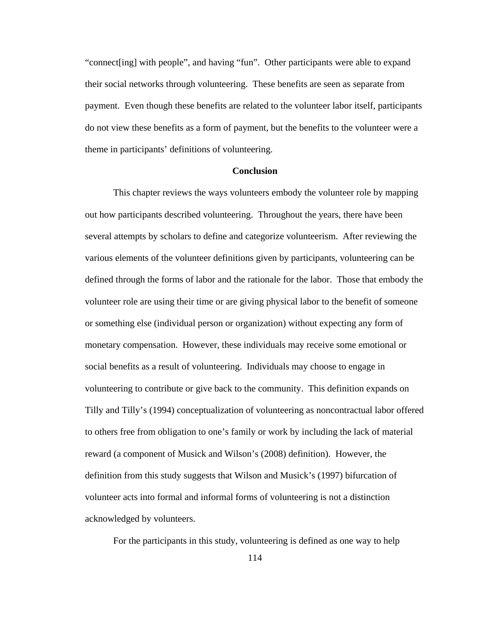"connect[ing] with people", and having "fun". Other participants were able to expand their social networks through volunteering. These benefits are seen as separate from payment. Even though these benefits are related to the volunteer labor itself, participants do not view these benefits as a form of payment, but the benefits to the volunteer were a theme in participants' definitions of volunteering.

## **Conclusion**

This chapter reviews the ways volunteers embody the volunteer role by mapping out how participants described volunteering. Throughout the years, there have been several attempts by scholars to define and categorize volunteerism. After reviewing the various elements of the volunteer definitions given by participants, volunteering can be defined through the forms of labor and the rationale for the labor. Those that embody the volunteer role are using their time or are giving physical labor to the benefit of someone or something else (individual person or organization) without expecting any form of monetary compensation. However, these individuals may receive some emotional or social benefits as a result of volunteering. Individuals may choose to engage in volunteering to contribute or give back to the community. This definition expands on Tilly and Tilly's (1994) conceptualization of volunteering as noncontractual labor offered to others free from obligation to one's family or work by including the lack of material reward (a component of Musick and Wilson's (2008) definition). However, the definition from this study suggests that Wilson and Musick's (1997) bifurcation of volunteer acts into formal and informal forms of volunteering is not a distinction acknowledged by volunteers.

For the participants in this study, volunteering is defined as one way to help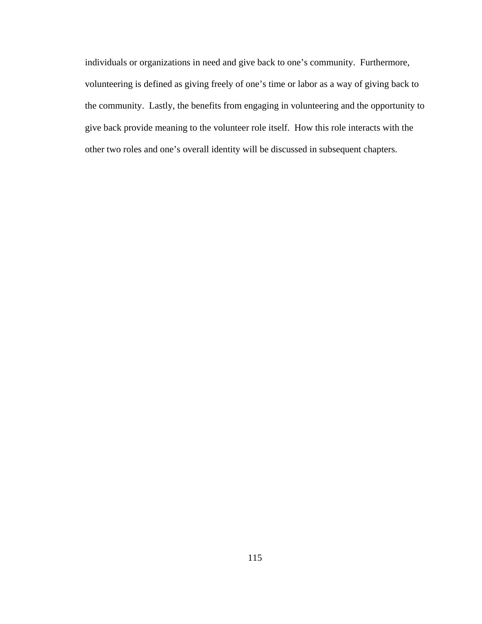individuals or organizations in need and give back to one's community. Furthermore, volunteering is defined as giving freely of one's time or labor as a way of giving back to the community. Lastly, the benefits from engaging in volunteering and the opportunity to give back provide meaning to the volunteer role itself. How this role interacts with the other two roles and one's overall identity will be discussed in subsequent chapters.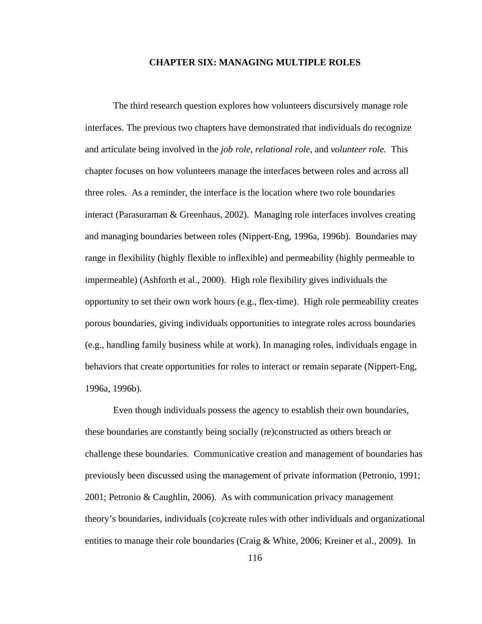### **CHAPTER SIX: MANAGING MULTIPLE ROLES**

The third research question explores how volunteers discursively manage role interfaces. The previous two chapters have demonstrated that individuals do recognize and articulate being involved in the *job role, relational role,* and *volunteer role.* This chapter focuses on how volunteers manage the interfaces between roles and across all three roles. As a reminder, the interface is the location where two role boundaries interact (Parasuraman & Greenhaus, 2002). Managing role interfaces involves creating and managing boundaries between roles (Nippert-Eng, 1996a, 1996b). Boundaries may range in flexibility (highly flexible to inflexible) and permeability (highly permeable to impermeable) (Ashforth et al., 2000). High role flexibility gives individuals the opportunity to set their own work hours (e.g., flex-time). High role permeability creates porous boundaries, giving individuals opportunities to integrate roles across boundaries (e.g., handling family business while at work). In managing roles, individuals engage in behaviors that create opportunities for roles to interact or remain separate (Nippert-Eng, 1996a, 1996b).

Even though individuals possess the agency to establish their own boundaries, these boundaries are constantly being socially (re)constructed as others breach or challenge these boundaries. Communicative creation and management of boundaries has previously been discussed using the management of private information (Petronio, 1991; 2001; Petronio & Caughlin, 2006). As with communication privacy management theory's boundaries, individuals (co)create rules with other individuals and organizational entities to manage their role boundaries (Craig & White, 2006; Kreiner et al., 2009). In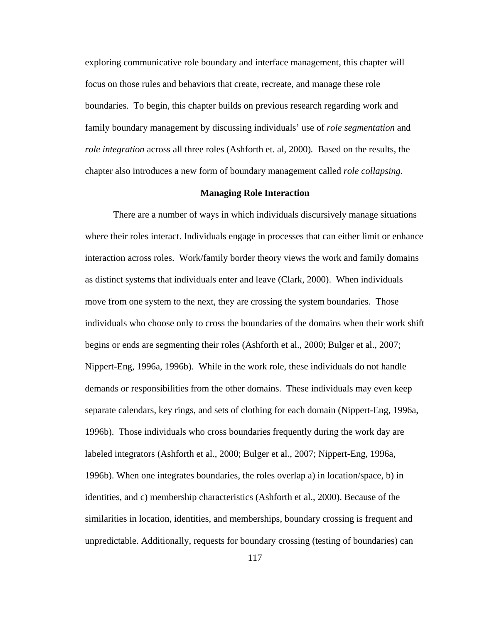exploring communicative role boundary and interface management, this chapter will focus on those rules and behaviors that create, recreate, and manage these role boundaries. To begin, this chapter builds on previous research regarding work and family boundary management by discussing individuals' use of *role segmentation* and *role integration* across all three roles (Ashforth et. al, 2000)*.* Based on the results, the chapter also introduces a new form of boundary management called *role collapsing.*

## **Managing Role Interaction**

There are a number of ways in which individuals discursively manage situations where their roles interact. Individuals engage in processes that can either limit or enhance interaction across roles. Work/family border theory views the work and family domains as distinct systems that individuals enter and leave (Clark, 2000). When individuals move from one system to the next, they are crossing the system boundaries. Those individuals who choose only to cross the boundaries of the domains when their work shift begins or ends are segmenting their roles (Ashforth et al., 2000; Bulger et al., 2007; Nippert-Eng, 1996a, 1996b). While in the work role, these individuals do not handle demands or responsibilities from the other domains. These individuals may even keep separate calendars, key rings, and sets of clothing for each domain (Nippert-Eng, 1996a, 1996b). Those individuals who cross boundaries frequently during the work day are labeled integrators (Ashforth et al., 2000; Bulger et al., 2007; Nippert-Eng, 1996a, 1996b). When one integrates boundaries, the roles overlap a) in location/space, b) in identities, and c) membership characteristics (Ashforth et al., 2000). Because of the similarities in location, identities, and memberships, boundary crossing is frequent and unpredictable. Additionally, requests for boundary crossing (testing of boundaries) can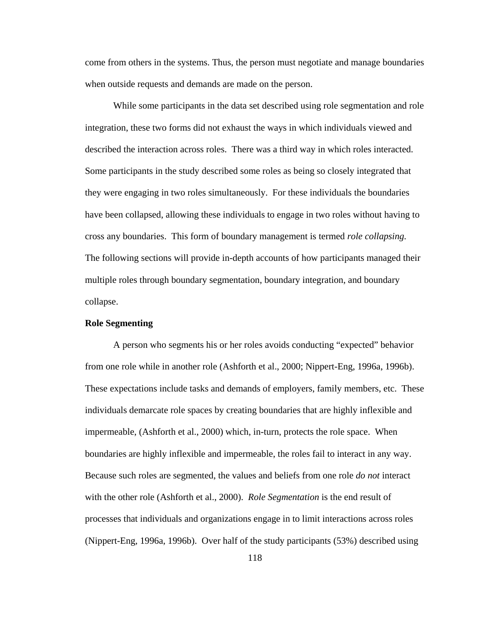come from others in the systems. Thus, the person must negotiate and manage boundaries when outside requests and demands are made on the person.

While some participants in the data set described using role segmentation and role integration, these two forms did not exhaust the ways in which individuals viewed and described the interaction across roles. There was a third way in which roles interacted. Some participants in the study described some roles as being so closely integrated that they were engaging in two roles simultaneously. For these individuals the boundaries have been collapsed, allowing these individuals to engage in two roles without having to cross any boundaries. This form of boundary management is termed *role collapsing.* The following sections will provide in-depth accounts of how participants managed their multiple roles through boundary segmentation, boundary integration, and boundary collapse.

# **Role Segmenting**

A person who segments his or her roles avoids conducting "expected" behavior from one role while in another role (Ashforth et al., 2000; Nippert-Eng, 1996a, 1996b). These expectations include tasks and demands of employers, family members, etc. These individuals demarcate role spaces by creating boundaries that are highly inflexible and impermeable, (Ashforth et al., 2000) which, in-turn, protects the role space. When boundaries are highly inflexible and impermeable, the roles fail to interact in any way. Because such roles are segmented, the values and beliefs from one role *do not* interact with the other role (Ashforth et al., 2000). *Role Segmentation* is the end result of processes that individuals and organizations engage in to limit interactions across roles (Nippert-Eng, 1996a, 1996b). Over half of the study participants (53%) described using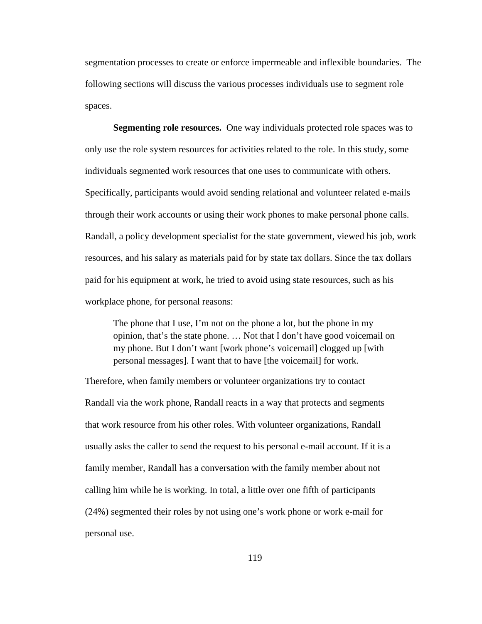segmentation processes to create or enforce impermeable and inflexible boundaries. The following sections will discuss the various processes individuals use to segment role spaces.

**Segmenting role resources.** One way individuals protected role spaces was to only use the role system resources for activities related to the role. In this study, some individuals segmented work resources that one uses to communicate with others. Specifically, participants would avoid sending relational and volunteer related e-mails through their work accounts or using their work phones to make personal phone calls. Randall, a policy development specialist for the state government, viewed his job, work resources, and his salary as materials paid for by state tax dollars. Since the tax dollars paid for his equipment at work, he tried to avoid using state resources, such as his workplace phone, for personal reasons:

The phone that I use, I'm not on the phone a lot, but the phone in my opinion, that's the state phone. … Not that I don't have good voicemail on my phone. But I don't want [work phone's voicemail] clogged up [with personal messages]. I want that to have [the voicemail] for work.

Therefore, when family members or volunteer organizations try to contact Randall via the work phone, Randall reacts in a way that protects and segments that work resource from his other roles. With volunteer organizations, Randall usually asks the caller to send the request to his personal e-mail account. If it is a family member, Randall has a conversation with the family member about not calling him while he is working. In total, a little over one fifth of participants (24%) segmented their roles by not using one's work phone or work e-mail for personal use.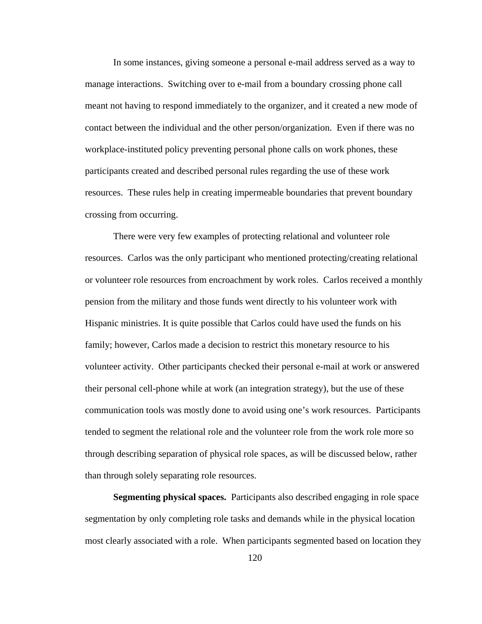In some instances, giving someone a personal e-mail address served as a way to manage interactions. Switching over to e-mail from a boundary crossing phone call meant not having to respond immediately to the organizer, and it created a new mode of contact between the individual and the other person/organization. Even if there was no workplace-instituted policy preventing personal phone calls on work phones, these participants created and described personal rules regarding the use of these work resources. These rules help in creating impermeable boundaries that prevent boundary crossing from occurring.

There were very few examples of protecting relational and volunteer role resources. Carlos was the only participant who mentioned protecting/creating relational or volunteer role resources from encroachment by work roles. Carlos received a monthly pension from the military and those funds went directly to his volunteer work with Hispanic ministries. It is quite possible that Carlos could have used the funds on his family; however, Carlos made a decision to restrict this monetary resource to his volunteer activity. Other participants checked their personal e-mail at work or answered their personal cell-phone while at work (an integration strategy), but the use of these communication tools was mostly done to avoid using one's work resources. Participants tended to segment the relational role and the volunteer role from the work role more so through describing separation of physical role spaces, as will be discussed below, rather than through solely separating role resources.

**Segmenting physical spaces.** Participants also described engaging in role space segmentation by only completing role tasks and demands while in the physical location most clearly associated with a role. When participants segmented based on location they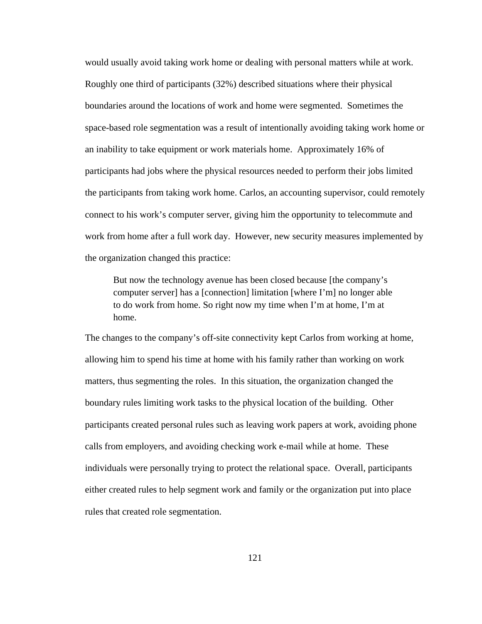would usually avoid taking work home or dealing with personal matters while at work. Roughly one third of participants (32%) described situations where their physical boundaries around the locations of work and home were segmented. Sometimes the space-based role segmentation was a result of intentionally avoiding taking work home or an inability to take equipment or work materials home. Approximately 16% of participants had jobs where the physical resources needed to perform their jobs limited the participants from taking work home. Carlos, an accounting supervisor, could remotely connect to his work's computer server, giving him the opportunity to telecommute and work from home after a full work day. However, new security measures implemented by the organization changed this practice:

But now the technology avenue has been closed because [the company's computer server] has a [connection] limitation [where I'm] no longer able to do work from home. So right now my time when I'm at home, I'm at home.

The changes to the company's off-site connectivity kept Carlos from working at home, allowing him to spend his time at home with his family rather than working on work matters, thus segmenting the roles. In this situation, the organization changed the boundary rules limiting work tasks to the physical location of the building. Other participants created personal rules such as leaving work papers at work, avoiding phone calls from employers, and avoiding checking work e-mail while at home. These individuals were personally trying to protect the relational space. Overall, participants either created rules to help segment work and family or the organization put into place rules that created role segmentation.

121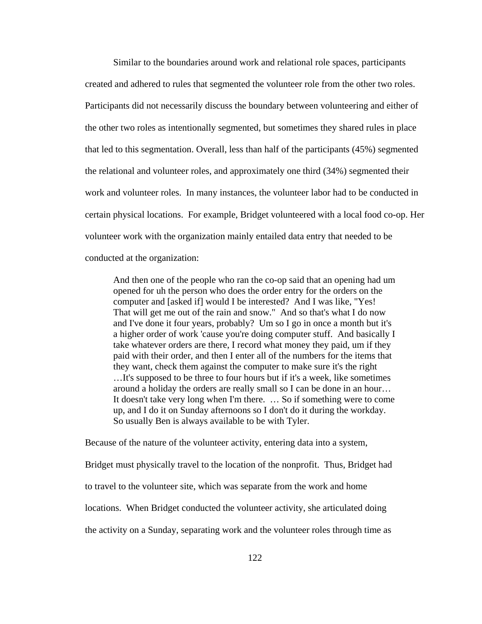Similar to the boundaries around work and relational role spaces, participants created and adhered to rules that segmented the volunteer role from the other two roles. Participants did not necessarily discuss the boundary between volunteering and either of the other two roles as intentionally segmented, but sometimes they shared rules in place that led to this segmentation. Overall, less than half of the participants (45%) segmented the relational and volunteer roles, and approximately one third (34%) segmented their work and volunteer roles. In many instances, the volunteer labor had to be conducted in certain physical locations. For example, Bridget volunteered with a local food co-op. Her volunteer work with the organization mainly entailed data entry that needed to be conducted at the organization:

And then one of the people who ran the co-op said that an opening had um opened for uh the person who does the order entry for the orders on the computer and [asked if] would I be interested? And I was like, "Yes! That will get me out of the rain and snow." And so that's what I do now and I've done it four years, probably? Um so I go in once a month but it's a higher order of work 'cause you're doing computer stuff. And basically I take whatever orders are there, I record what money they paid, um if they paid with their order, and then I enter all of the numbers for the items that they want, check them against the computer to make sure it's the right …It's supposed to be three to four hours but if it's a week, like sometimes around a holiday the orders are really small so I can be done in an hour… It doesn't take very long when I'm there. … So if something were to come up, and I do it on Sunday afternoons so I don't do it during the workday. So usually Ben is always available to be with Tyler.

Because of the nature of the volunteer activity, entering data into a system,

Bridget must physically travel to the location of the nonprofit. Thus, Bridget had

to travel to the volunteer site, which was separate from the work and home

locations. When Bridget conducted the volunteer activity, she articulated doing

the activity on a Sunday, separating work and the volunteer roles through time as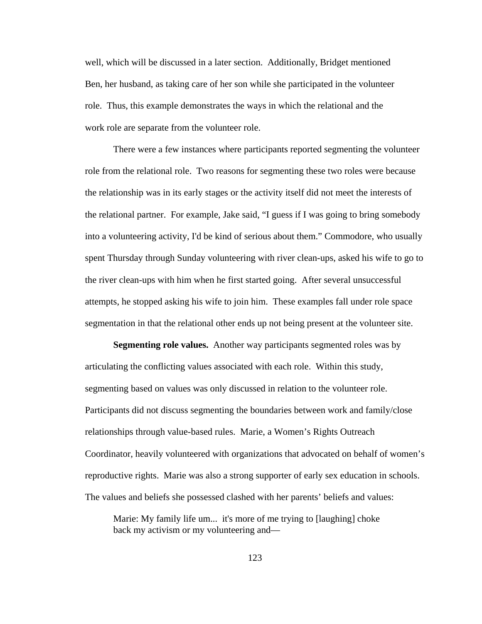well, which will be discussed in a later section. Additionally, Bridget mentioned Ben, her husband, as taking care of her son while she participated in the volunteer role. Thus, this example demonstrates the ways in which the relational and the work role are separate from the volunteer role.

There were a few instances where participants reported segmenting the volunteer role from the relational role. Two reasons for segmenting these two roles were because the relationship was in its early stages or the activity itself did not meet the interests of the relational partner. For example, Jake said, "I guess if I was going to bring somebody into a volunteering activity, I'd be kind of serious about them." Commodore, who usually spent Thursday through Sunday volunteering with river clean-ups, asked his wife to go to the river clean-ups with him when he first started going. After several unsuccessful attempts, he stopped asking his wife to join him. These examples fall under role space segmentation in that the relational other ends up not being present at the volunteer site.

**Segmenting role values.** Another way participants segmented roles was by articulating the conflicting values associated with each role. Within this study, segmenting based on values was only discussed in relation to the volunteer role. Participants did not discuss segmenting the boundaries between work and family/close relationships through value-based rules. Marie, a Women's Rights Outreach Coordinator, heavily volunteered with organizations that advocated on behalf of women's reproductive rights. Marie was also a strong supporter of early sex education in schools. The values and beliefs she possessed clashed with her parents' beliefs and values:

Marie: My family life um... it's more of me trying to [laughing] choke back my activism or my volunteering and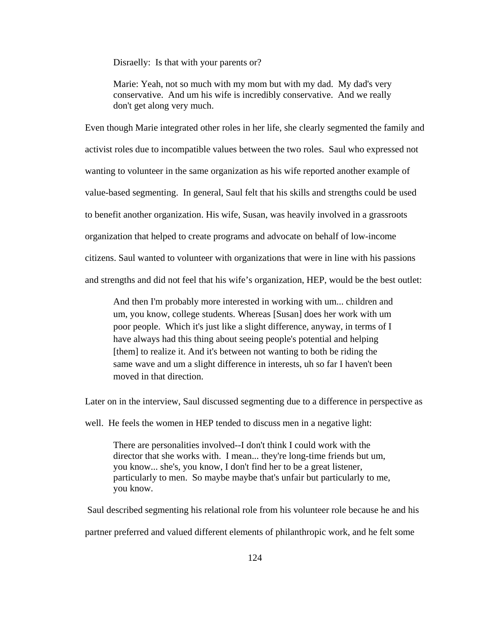Disraelly: Is that with your parents or?

Marie: Yeah, not so much with my mom but with my dad. My dad's very conservative. And um his wife is incredibly conservative. And we really don't get along very much.

Even though Marie integrated other roles in her life, she clearly segmented the family and activist roles due to incompatible values between the two roles. Saul who expressed not wanting to volunteer in the same organization as his wife reported another example of value-based segmenting. In general, Saul felt that his skills and strengths could be used to benefit another organization. His wife, Susan, was heavily involved in a grassroots organization that helped to create programs and advocate on behalf of low-income citizens. Saul wanted to volunteer with organizations that were in line with his passions and strengths and did not feel that his wife's organization, HEP, would be the best outlet:

And then I'm probably more interested in working with um... children and um, you know, college students. Whereas [Susan] does her work with um poor people. Which it's just like a slight difference, anyway, in terms of I have always had this thing about seeing people's potential and helping [them] to realize it. And it's between not wanting to both be riding the same wave and um a slight difference in interests, uh so far I haven't been moved in that direction.

Later on in the interview, Saul discussed segmenting due to a difference in perspective as

well. He feels the women in HEP tended to discuss men in a negative light:

There are personalities involved--I don't think I could work with the director that she works with. I mean... they're long-time friends but um, you know... she's, you know, I don't find her to be a great listener, particularly to men. So maybe maybe that's unfair but particularly to me, you know.

Saul described segmenting his relational role from his volunteer role because he and his

partner preferred and valued different elements of philanthropic work, and he felt some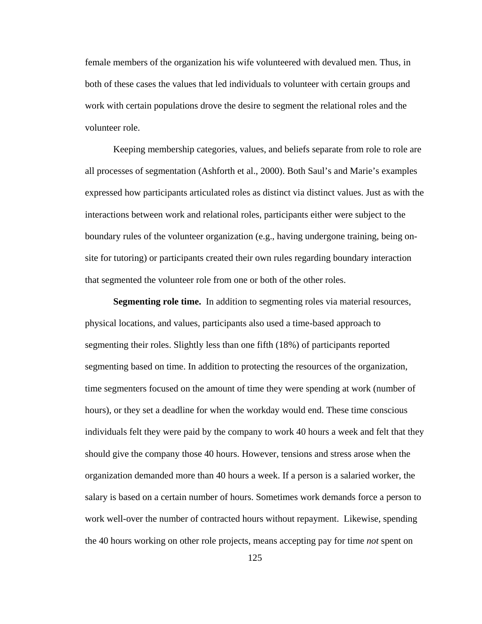female members of the organization his wife volunteered with devalued men. Thus, in both of these cases the values that led individuals to volunteer with certain groups and work with certain populations drove the desire to segment the relational roles and the volunteer role.

Keeping membership categories, values, and beliefs separate from role to role are all processes of segmentation (Ashforth et al., 2000). Both Saul's and Marie's examples expressed how participants articulated roles as distinct via distinct values. Just as with the interactions between work and relational roles, participants either were subject to the boundary rules of the volunteer organization (e.g., having undergone training, being onsite for tutoring) or participants created their own rules regarding boundary interaction that segmented the volunteer role from one or both of the other roles.

**Segmenting role time.** In addition to segmenting roles via material resources, physical locations, and values, participants also used a time-based approach to segmenting their roles. Slightly less than one fifth (18%) of participants reported segmenting based on time. In addition to protecting the resources of the organization, time segmenters focused on the amount of time they were spending at work (number of hours), or they set a deadline for when the workday would end. These time conscious individuals felt they were paid by the company to work 40 hours a week and felt that they should give the company those 40 hours. However, tensions and stress arose when the organization demanded more than 40 hours a week. If a person is a salaried worker, the salary is based on a certain number of hours. Sometimes work demands force a person to work well-over the number of contracted hours without repayment. Likewise, spending the 40 hours working on other role projects, means accepting pay for time *not* spent on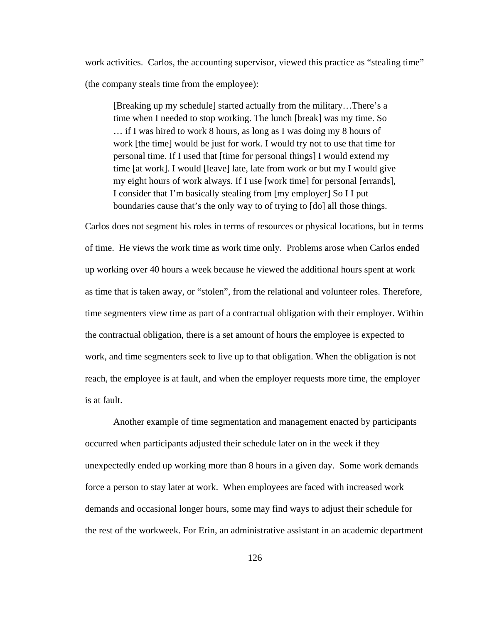work activities. Carlos, the accounting supervisor, viewed this practice as "stealing time" (the company steals time from the employee):

[Breaking up my schedule] started actually from the military…There's a time when I needed to stop working. The lunch [break] was my time. So … if I was hired to work 8 hours, as long as I was doing my 8 hours of work [the time] would be just for work. I would try not to use that time for personal time. If I used that [time for personal things] I would extend my time [at work]. I would [leave] late, late from work or but my I would give my eight hours of work always. If I use [work time] for personal [errands], I consider that I'm basically stealing from [my employer] So I I put boundaries cause that's the only way to of trying to [do] all those things.

Carlos does not segment his roles in terms of resources or physical locations, but in terms of time. He views the work time as work time only. Problems arose when Carlos ended up working over 40 hours a week because he viewed the additional hours spent at work as time that is taken away, or "stolen", from the relational and volunteer roles. Therefore, time segmenters view time as part of a contractual obligation with their employer. Within the contractual obligation, there is a set amount of hours the employee is expected to work, and time segmenters seek to live up to that obligation. When the obligation is not reach, the employee is at fault, and when the employer requests more time, the employer is at fault.

Another example of time segmentation and management enacted by participants occurred when participants adjusted their schedule later on in the week if they unexpectedly ended up working more than 8 hours in a given day. Some work demands force a person to stay later at work. When employees are faced with increased work demands and occasional longer hours, some may find ways to adjust their schedule for the rest of the workweek. For Erin, an administrative assistant in an academic department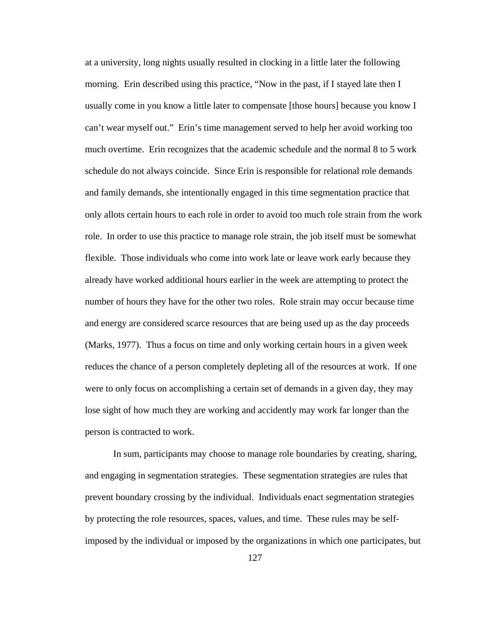at a university, long nights usually resulted in clocking in a little later the following morning. Erin described using this practice, "Now in the past, if I stayed late then I usually come in you know a little later to compensate [those hours] because you know I can't wear myself out." Erin's time management served to help her avoid working too much overtime. Erin recognizes that the academic schedule and the normal 8 to 5 work schedule do not always coincide. Since Erin is responsible for relational role demands and family demands, she intentionally engaged in this time segmentation practice that only allots certain hours to each role in order to avoid too much role strain from the work role. In order to use this practice to manage role strain, the job itself must be somewhat flexible. Those individuals who come into work late or leave work early because they already have worked additional hours earlier in the week are attempting to protect the number of hours they have for the other two roles. Role strain may occur because time and energy are considered scarce resources that are being used up as the day proceeds (Marks, 1977). Thus a focus on time and only working certain hours in a given week reduces the chance of a person completely depleting all of the resources at work. If one were to only focus on accomplishing a certain set of demands in a given day, they may lose sight of how much they are working and accidently may work far longer than the person is contracted to work.

In sum, participants may choose to manage role boundaries by creating, sharing, and engaging in segmentation strategies. These segmentation strategies are rules that prevent boundary crossing by the individual. Individuals enact segmentation strategies by protecting the role resources, spaces, values, and time. These rules may be selfimposed by the individual or imposed by the organizations in which one participates, but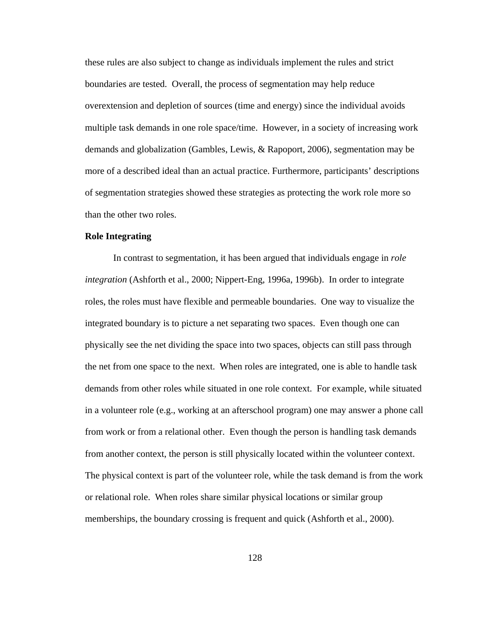these rules are also subject to change as individuals implement the rules and strict boundaries are tested. Overall, the process of segmentation may help reduce overextension and depletion of sources (time and energy) since the individual avoids multiple task demands in one role space/time. However, in a society of increasing work demands and globalization (Gambles, Lewis, & Rapoport, 2006), segmentation may be more of a described ideal than an actual practice. Furthermore, participants' descriptions of segmentation strategies showed these strategies as protecting the work role more so than the other two roles.

# **Role Integrating**

In contrast to segmentation, it has been argued that individuals engage in *role integration* (Ashforth et al., 2000; Nippert-Eng, 1996a, 1996b). In order to integrate roles, the roles must have flexible and permeable boundaries. One way to visualize the integrated boundary is to picture a net separating two spaces. Even though one can physically see the net dividing the space into two spaces, objects can still pass through the net from one space to the next. When roles are integrated, one is able to handle task demands from other roles while situated in one role context. For example, while situated in a volunteer role (e.g., working at an afterschool program) one may answer a phone call from work or from a relational other. Even though the person is handling task demands from another context, the person is still physically located within the volunteer context. The physical context is part of the volunteer role, while the task demand is from the work or relational role. When roles share similar physical locations or similar group memberships, the boundary crossing is frequent and quick (Ashforth et al., 2000).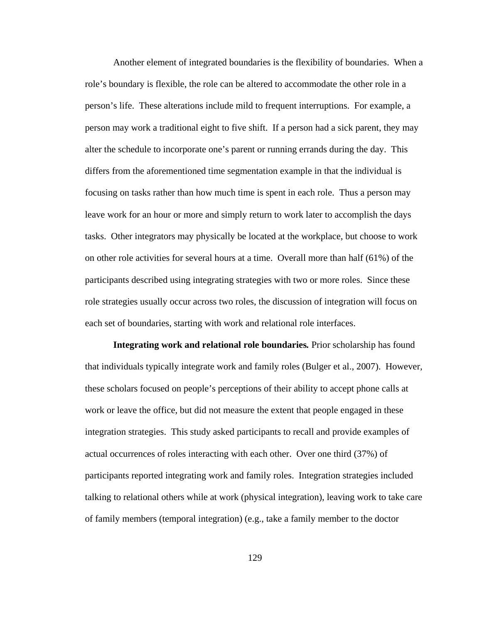Another element of integrated boundaries is the flexibility of boundaries. When a role's boundary is flexible, the role can be altered to accommodate the other role in a person's life. These alterations include mild to frequent interruptions. For example, a person may work a traditional eight to five shift. If a person had a sick parent, they may alter the schedule to incorporate one's parent or running errands during the day. This differs from the aforementioned time segmentation example in that the individual is focusing on tasks rather than how much time is spent in each role. Thus a person may leave work for an hour or more and simply return to work later to accomplish the days tasks. Other integrators may physically be located at the workplace, but choose to work on other role activities for several hours at a time. Overall more than half (61%) of the participants described using integrating strategies with two or more roles. Since these role strategies usually occur across two roles, the discussion of integration will focus on each set of boundaries, starting with work and relational role interfaces.

**Integrating work and relational role boundaries***.* Prior scholarship has found that individuals typically integrate work and family roles (Bulger et al., 2007). However, these scholars focused on people's perceptions of their ability to accept phone calls at work or leave the office, but did not measure the extent that people engaged in these integration strategies. This study asked participants to recall and provide examples of actual occurrences of roles interacting with each other. Over one third (37%) of participants reported integrating work and family roles. Integration strategies included talking to relational others while at work (physical integration), leaving work to take care of family members (temporal integration) (e.g., take a family member to the doctor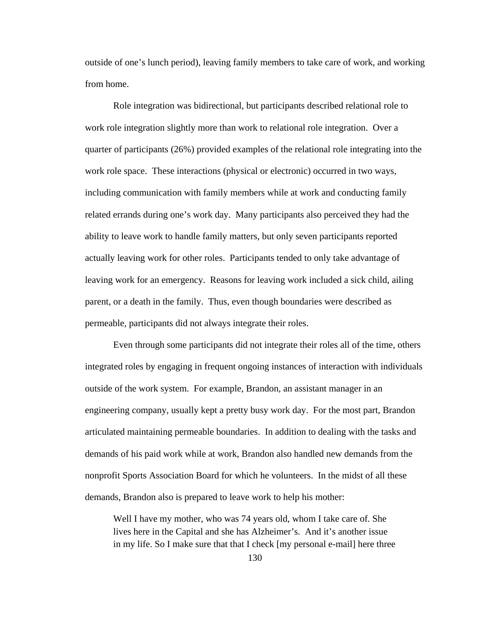outside of one's lunch period), leaving family members to take care of work, and working from home.

Role integration was bidirectional, but participants described relational role to work role integration slightly more than work to relational role integration. Over a quarter of participants (26%) provided examples of the relational role integrating into the work role space. These interactions (physical or electronic) occurred in two ways, including communication with family members while at work and conducting family related errands during one's work day. Many participants also perceived they had the ability to leave work to handle family matters, but only seven participants reported actually leaving work for other roles. Participants tended to only take advantage of leaving work for an emergency. Reasons for leaving work included a sick child, ailing parent, or a death in the family. Thus, even though boundaries were described as permeable, participants did not always integrate their roles.

Even through some participants did not integrate their roles all of the time, others integrated roles by engaging in frequent ongoing instances of interaction with individuals outside of the work system. For example, Brandon, an assistant manager in an engineering company, usually kept a pretty busy work day. For the most part, Brandon articulated maintaining permeable boundaries. In addition to dealing with the tasks and demands of his paid work while at work, Brandon also handled new demands from the nonprofit Sports Association Board for which he volunteers. In the midst of all these demands, Brandon also is prepared to leave work to help his mother:

Well I have my mother, who was 74 years old, whom I take care of. She lives here in the Capital and she has Alzheimer's. And it's another issue in my life. So I make sure that that I check [my personal e-mail] here three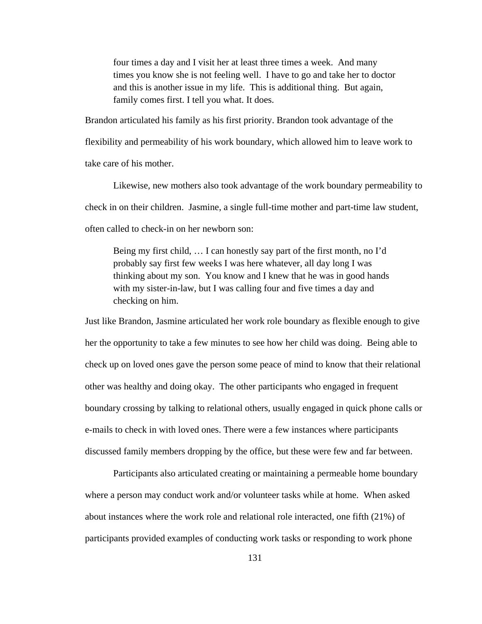four times a day and I visit her at least three times a week. And many times you know she is not feeling well. I have to go and take her to doctor and this is another issue in my life. This is additional thing. But again, family comes first. I tell you what. It does.

Brandon articulated his family as his first priority. Brandon took advantage of the flexibility and permeability of his work boundary, which allowed him to leave work to take care of his mother.

Likewise, new mothers also took advantage of the work boundary permeability to check in on their children. Jasmine, a single full-time mother and part-time law student, often called to check-in on her newborn son:

Being my first child, … I can honestly say part of the first month, no I'd probably say first few weeks I was here whatever, all day long I was thinking about my son. You know and I knew that he was in good hands with my sister-in-law, but I was calling four and five times a day and checking on him.

Just like Brandon, Jasmine articulated her work role boundary as flexible enough to give her the opportunity to take a few minutes to see how her child was doing. Being able to check up on loved ones gave the person some peace of mind to know that their relational other was healthy and doing okay. The other participants who engaged in frequent boundary crossing by talking to relational others, usually engaged in quick phone calls or e-mails to check in with loved ones. There were a few instances where participants discussed family members dropping by the office, but these were few and far between.

Participants also articulated creating or maintaining a permeable home boundary where a person may conduct work and/or volunteer tasks while at home. When asked about instances where the work role and relational role interacted, one fifth (21%) of participants provided examples of conducting work tasks or responding to work phone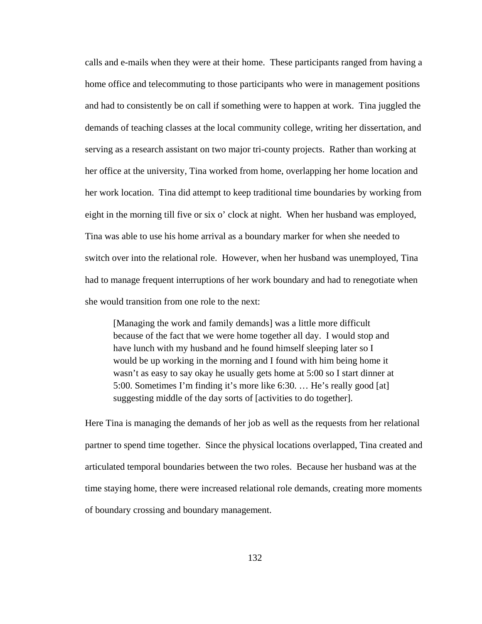calls and e-mails when they were at their home. These participants ranged from having a home office and telecommuting to those participants who were in management positions and had to consistently be on call if something were to happen at work. Tina juggled the demands of teaching classes at the local community college, writing her dissertation, and serving as a research assistant on two major tri-county projects. Rather than working at her office at the university, Tina worked from home, overlapping her home location and her work location. Tina did attempt to keep traditional time boundaries by working from eight in the morning till five or six o' clock at night. When her husband was employed, Tina was able to use his home arrival as a boundary marker for when she needed to switch over into the relational role. However, when her husband was unemployed, Tina had to manage frequent interruptions of her work boundary and had to renegotiate when she would transition from one role to the next:

[Managing the work and family demands] was a little more difficult because of the fact that we were home together all day. I would stop and have lunch with my husband and he found himself sleeping later so I would be up working in the morning and I found with him being home it wasn't as easy to say okay he usually gets home at 5:00 so I start dinner at 5:00. Sometimes I'm finding it's more like 6:30. … He's really good [at] suggesting middle of the day sorts of [activities to do together].

Here Tina is managing the demands of her job as well as the requests from her relational partner to spend time together. Since the physical locations overlapped, Tina created and articulated temporal boundaries between the two roles. Because her husband was at the time staying home, there were increased relational role demands, creating more moments of boundary crossing and boundary management.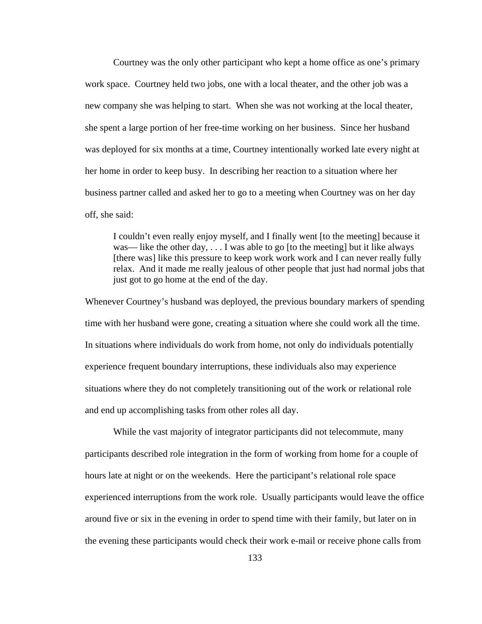Courtney was the only other participant who kept a home office as one's primary work space. Courtney held two jobs, one with a local theater, and the other job was a new company she was helping to start. When she was not working at the local theater, she spent a large portion of her free-time working on her business. Since her husband was deployed for six months at a time, Courtney intentionally worked late every night at her home in order to keep busy. In describing her reaction to a situation where her business partner called and asked her to go to a meeting when Courtney was on her day off, she said:

I couldn't even really enjoy myself, and I finally went [to the meeting] because it was— like the other day,  $\dots$  I was able to go [to the meeting] but it like always [there was] like this pressure to keep work work work and I can never really fully relax. And it made me really jealous of other people that just had normal jobs that just got to go home at the end of the day.

Whenever Courtney's husband was deployed, the previous boundary markers of spending time with her husband were gone, creating a situation where she could work all the time. In situations where individuals do work from home, not only do individuals potentially experience frequent boundary interruptions, these individuals also may experience situations where they do not completely transitioning out of the work or relational role and end up accomplishing tasks from other roles all day.

While the vast majority of integrator participants did not telecommute, many participants described role integration in the form of working from home for a couple of hours late at night or on the weekends. Here the participant's relational role space experienced interruptions from the work role. Usually participants would leave the office around five or six in the evening in order to spend time with their family, but later on in the evening these participants would check their work e-mail or receive phone calls from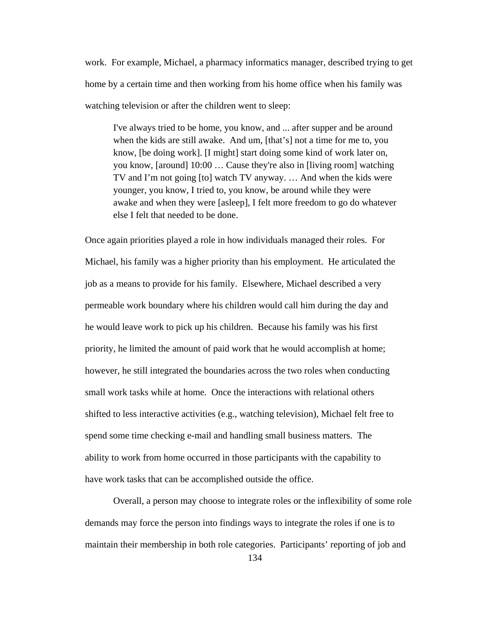work. For example, Michael, a pharmacy informatics manager, described trying to get home by a certain time and then working from his home office when his family was watching television or after the children went to sleep:

I've always tried to be home, you know, and ... after supper and be around when the kids are still awake. And um, [that's] not a time for me to, you know, [be doing work]. [I might] start doing some kind of work later on, you know, [around] 10:00 … Cause they're also in [living room] watching TV and I'm not going [to] watch TV anyway. … And when the kids were younger, you know, I tried to, you know, be around while they were awake and when they were [asleep], I felt more freedom to go do whatever else I felt that needed to be done.

Once again priorities played a role in how individuals managed their roles. For Michael, his family was a higher priority than his employment. He articulated the job as a means to provide for his family. Elsewhere, Michael described a very permeable work boundary where his children would call him during the day and he would leave work to pick up his children. Because his family was his first priority, he limited the amount of paid work that he would accomplish at home; however, he still integrated the boundaries across the two roles when conducting small work tasks while at home. Once the interactions with relational others shifted to less interactive activities (e.g., watching television), Michael felt free to spend some time checking e-mail and handling small business matters. The ability to work from home occurred in those participants with the capability to have work tasks that can be accomplished outside the office.

Overall, a person may choose to integrate roles or the inflexibility of some role demands may force the person into findings ways to integrate the roles if one is to maintain their membership in both role categories. Participants' reporting of job and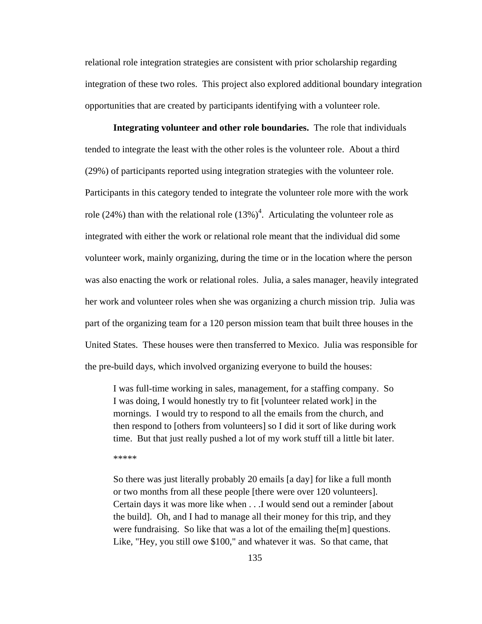relational role integration strategies are consistent with prior scholarship regarding integration of these two roles. This project also explored additional boundary integration opportunities that are created by participants identifying with a volunteer role.

**Integrating volunteer and other role boundaries.** The role that individuals tended to integrate the least with the other roles is the volunteer role. About a third (29%) of participants reported using integration strategies with the volunteer role. Participants in this category tended to integrate the volunteer role more with the work role (24%) than with the relational role  $(13%)^4$ . Articulating the volunteer role as integrated with either the work or relational role meant that the individual did some volunteer work, mainly organizing, during the time or in the location where the person was also enacting the work or relational roles. Julia, a sales manager, heavily integrated her work and volunteer roles when she was organizing a church mission trip. Julia was part of the organizing team for a 120 person mission team that built three houses in the United States. These houses were then transferred to Mexico. Julia was responsible for the pre-build days, which involved organizing everyone to build the houses:

I was full-time working in sales, management, for a staffing company. So I was doing, I would honestly try to fit [volunteer related work] in the mornings. I would try to respond to all the emails from the church, and then respond to [others from volunteers] so I did it sort of like during work time. But that just really pushed a lot of my work stuff till a little bit later.

\*\*\*\*\*

So there was just literally probably 20 emails [a day] for like a full month or two months from all these people [there were over 120 volunteers]. Certain days it was more like when . . .I would send out a reminder [about the build]. Oh, and I had to manage all their money for this trip, and they were fundraising. So like that was a lot of the emailing the[m] questions. Like, "Hey, you still owe \$100," and whatever it was. So that came, that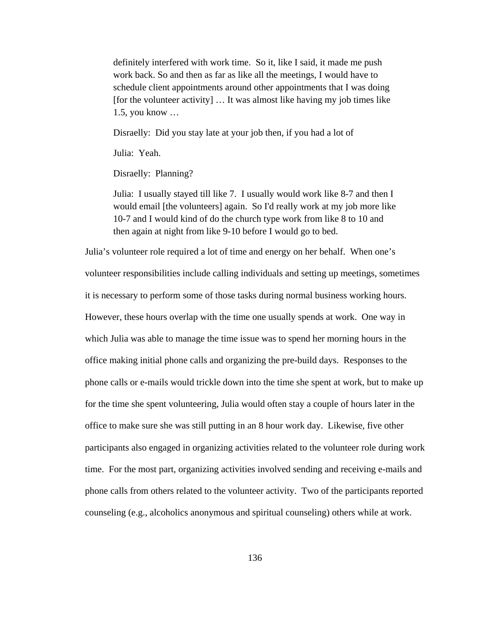definitely interfered with work time. So it, like I said, it made me push work back. So and then as far as like all the meetings, I would have to schedule client appointments around other appointments that I was doing [for the volunteer activity] … It was almost like having my job times like 1.5, you know …

Disraelly: Did you stay late at your job then, if you had a lot of

Julia: Yeah.

Disraelly: Planning?

Julia: I usually stayed till like 7. I usually would work like 8-7 and then I would email [the volunteers] again. So I'd really work at my job more like 10-7 and I would kind of do the church type work from like 8 to 10 and then again at night from like 9-10 before I would go to bed.

Julia's volunteer role required a lot of time and energy on her behalf. When one's volunteer responsibilities include calling individuals and setting up meetings, sometimes it is necessary to perform some of those tasks during normal business working hours. However, these hours overlap with the time one usually spends at work. One way in which Julia was able to manage the time issue was to spend her morning hours in the office making initial phone calls and organizing the pre-build days. Responses to the phone calls or e-mails would trickle down into the time she spent at work, but to make up for the time she spent volunteering, Julia would often stay a couple of hours later in the office to make sure she was still putting in an 8 hour work day. Likewise, five other participants also engaged in organizing activities related to the volunteer role during work time. For the most part, organizing activities involved sending and receiving e-mails and phone calls from others related to the volunteer activity. Two of the participants reported counseling (e.g., alcoholics anonymous and spiritual counseling) others while at work.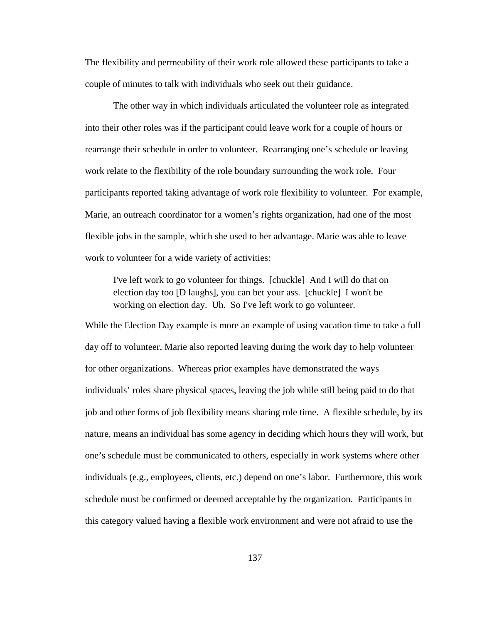The flexibility and permeability of their work role allowed these participants to take a couple of minutes to talk with individuals who seek out their guidance.

The other way in which individuals articulated the volunteer role as integrated into their other roles was if the participant could leave work for a couple of hours or rearrange their schedule in order to volunteer. Rearranging one's schedule or leaving work relate to the flexibility of the role boundary surrounding the work role. Four participants reported taking advantage of work role flexibility to volunteer. For example, Marie, an outreach coordinator for a women's rights organization, had one of the most flexible jobs in the sample, which she used to her advantage. Marie was able to leave work to volunteer for a wide variety of activities:

I've left work to go volunteer for things. [chuckle] And I will do that on election day too [D laughs], you can bet your ass. [chuckle] I won't be working on election day. Uh. So I've left work to go volunteer.

While the Election Day example is more an example of using vacation time to take a full day off to volunteer, Marie also reported leaving during the work day to help volunteer for other organizations. Whereas prior examples have demonstrated the ways individuals' roles share physical spaces, leaving the job while still being paid to do that job and other forms of job flexibility means sharing role time. A flexible schedule, by its nature, means an individual has some agency in deciding which hours they will work, but one's schedule must be communicated to others, especially in work systems where other individuals (e.g., employees, clients, etc.) depend on one's labor. Furthermore, this work schedule must be confirmed or deemed acceptable by the organization. Participants in this category valued having a flexible work environment and were not afraid to use the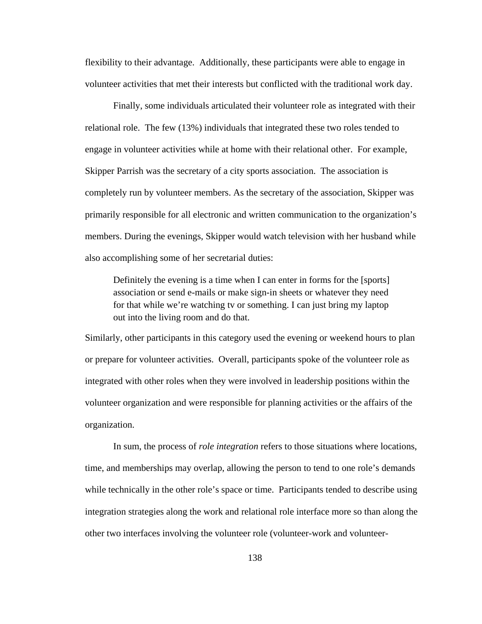flexibility to their advantage. Additionally, these participants were able to engage in volunteer activities that met their interests but conflicted with the traditional work day.

Finally, some individuals articulated their volunteer role as integrated with their relational role. The few (13%) individuals that integrated these two roles tended to engage in volunteer activities while at home with their relational other. For example, Skipper Parrish was the secretary of a city sports association. The association is completely run by volunteer members. As the secretary of the association, Skipper was primarily responsible for all electronic and written communication to the organization's members. During the evenings, Skipper would watch television with her husband while also accomplishing some of her secretarial duties:

Definitely the evening is a time when I can enter in forms for the [sports] association or send e-mails or make sign-in sheets or whatever they need for that while we're watching tv or something. I can just bring my laptop out into the living room and do that.

Similarly, other participants in this category used the evening or weekend hours to plan or prepare for volunteer activities. Overall, participants spoke of the volunteer role as integrated with other roles when they were involved in leadership positions within the volunteer organization and were responsible for planning activities or the affairs of the organization.

In sum, the process of *role integration* refers to those situations where locations, time, and memberships may overlap, allowing the person to tend to one role's demands while technically in the other role's space or time. Participants tended to describe using integration strategies along the work and relational role interface more so than along the other two interfaces involving the volunteer role (volunteer-work and volunteer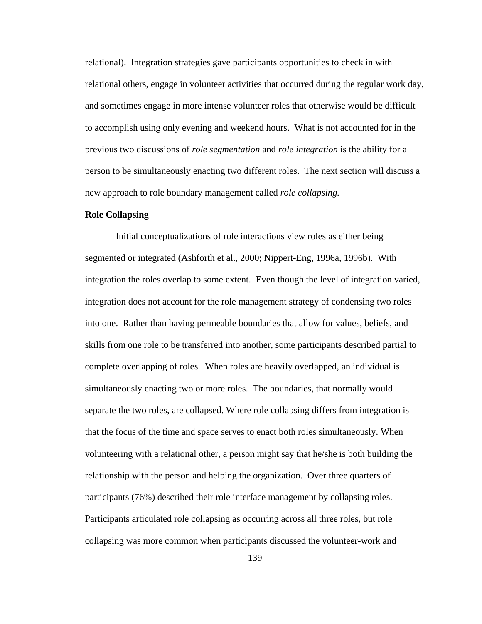relational). Integration strategies gave participants opportunities to check in with relational others, engage in volunteer activities that occurred during the regular work day, and sometimes engage in more intense volunteer roles that otherwise would be difficult to accomplish using only evening and weekend hours. What is not accounted for in the previous two discussions of *role segmentation* and *role integration* is the ability for a person to be simultaneously enacting two different roles. The next section will discuss a new approach to role boundary management called *role collapsing.* 

#### **Role Collapsing**

Initial conceptualizations of role interactions view roles as either being segmented or integrated (Ashforth et al., 2000; Nippert-Eng, 1996a, 1996b). With integration the roles overlap to some extent. Even though the level of integration varied, integration does not account for the role management strategy of condensing two roles into one. Rather than having permeable boundaries that allow for values, beliefs, and skills from one role to be transferred into another, some participants described partial to complete overlapping of roles. When roles are heavily overlapped, an individual is simultaneously enacting two or more roles. The boundaries, that normally would separate the two roles, are collapsed. Where role collapsing differs from integration is that the focus of the time and space serves to enact both roles simultaneously. When volunteering with a relational other, a person might say that he/she is both building the relationship with the person and helping the organization. Over three quarters of participants (76%) described their role interface management by collapsing roles. Participants articulated role collapsing as occurring across all three roles, but role collapsing was more common when participants discussed the volunteer-work and

139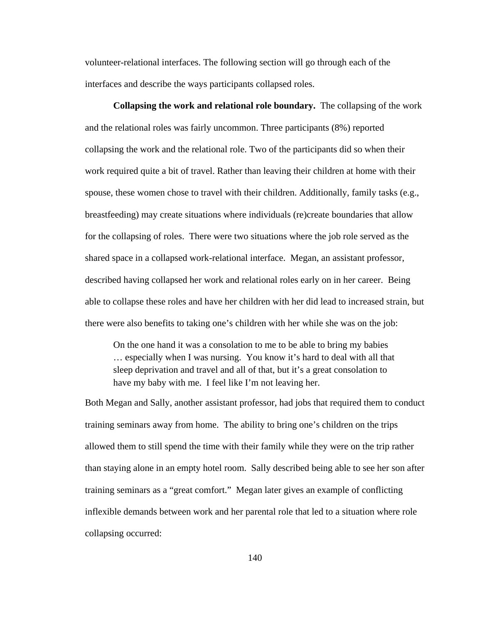volunteer-relational interfaces. The following section will go through each of the interfaces and describe the ways participants collapsed roles.

**Collapsing the work and relational role boundary.** The collapsing of the work and the relational roles was fairly uncommon. Three participants (8%) reported collapsing the work and the relational role. Two of the participants did so when their work required quite a bit of travel. Rather than leaving their children at home with their spouse, these women chose to travel with their children. Additionally, family tasks (e.g., breastfeeding) may create situations where individuals (re)create boundaries that allow for the collapsing of roles. There were two situations where the job role served as the shared space in a collapsed work-relational interface. Megan, an assistant professor, described having collapsed her work and relational roles early on in her career. Being able to collapse these roles and have her children with her did lead to increased strain, but there were also benefits to taking one's children with her while she was on the job:

On the one hand it was a consolation to me to be able to bring my babies … especially when I was nursing. You know it's hard to deal with all that sleep deprivation and travel and all of that, but it's a great consolation to have my baby with me. I feel like I'm not leaving her.

Both Megan and Sally, another assistant professor, had jobs that required them to conduct training seminars away from home. The ability to bring one's children on the trips allowed them to still spend the time with their family while they were on the trip rather than staying alone in an empty hotel room. Sally described being able to see her son after training seminars as a "great comfort." Megan later gives an example of conflicting inflexible demands between work and her parental role that led to a situation where role collapsing occurred: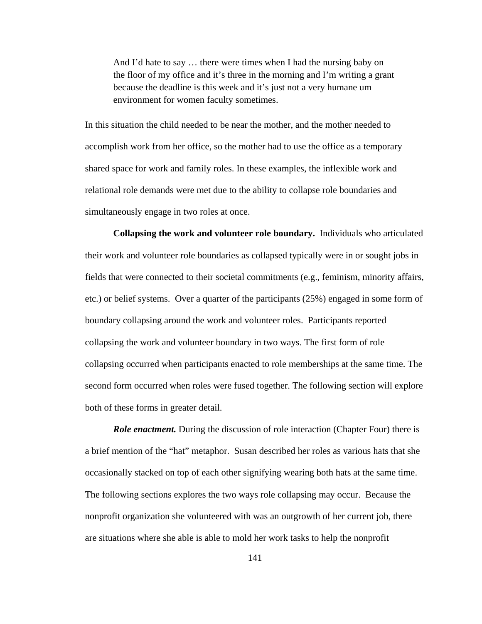And I'd hate to say … there were times when I had the nursing baby on the floor of my office and it's three in the morning and I'm writing a grant because the deadline is this week and it's just not a very humane um environment for women faculty sometimes.

In this situation the child needed to be near the mother, and the mother needed to accomplish work from her office, so the mother had to use the office as a temporary shared space for work and family roles. In these examples, the inflexible work and relational role demands were met due to the ability to collapse role boundaries and simultaneously engage in two roles at once.

**Collapsing the work and volunteer role boundary.** Individuals who articulated their work and volunteer role boundaries as collapsed typically were in or sought jobs in fields that were connected to their societal commitments (e.g., feminism, minority affairs, etc.) or belief systems. Over a quarter of the participants (25%) engaged in some form of boundary collapsing around the work and volunteer roles. Participants reported collapsing the work and volunteer boundary in two ways. The first form of role collapsing occurred when participants enacted to role memberships at the same time. The second form occurred when roles were fused together. The following section will explore both of these forms in greater detail.

*Role enactment.* During the discussion of role interaction (Chapter Four) there is a brief mention of the "hat" metaphor. Susan described her roles as various hats that she occasionally stacked on top of each other signifying wearing both hats at the same time. The following sections explores the two ways role collapsing may occur. Because the nonprofit organization she volunteered with was an outgrowth of her current job, there are situations where she able is able to mold her work tasks to help the nonprofit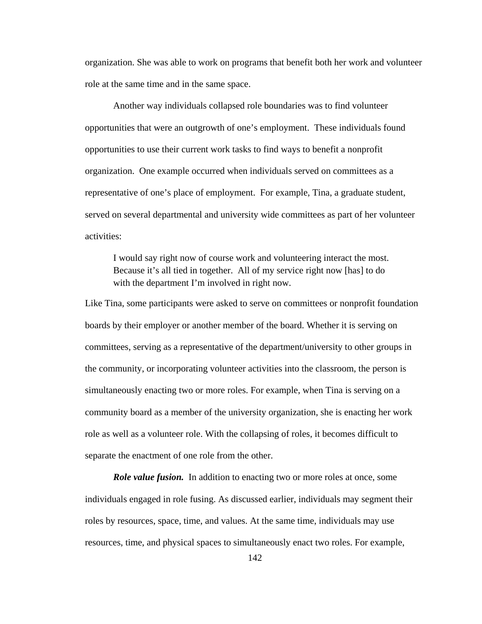organization. She was able to work on programs that benefit both her work and volunteer role at the same time and in the same space.

Another way individuals collapsed role boundaries was to find volunteer opportunities that were an outgrowth of one's employment. These individuals found opportunities to use their current work tasks to find ways to benefit a nonprofit organization. One example occurred when individuals served on committees as a representative of one's place of employment. For example, Tina, a graduate student, served on several departmental and university wide committees as part of her volunteer activities:

I would say right now of course work and volunteering interact the most. Because it's all tied in together. All of my service right now [has] to do with the department I'm involved in right now.

Like Tina, some participants were asked to serve on committees or nonprofit foundation boards by their employer or another member of the board. Whether it is serving on committees, serving as a representative of the department/university to other groups in the community, or incorporating volunteer activities into the classroom, the person is simultaneously enacting two or more roles. For example, when Tina is serving on a community board as a member of the university organization, she is enacting her work role as well as a volunteer role. With the collapsing of roles, it becomes difficult to separate the enactment of one role from the other.

*Role value fusion.* In addition to enacting two or more roles at once, some individuals engaged in role fusing. As discussed earlier, individuals may segment their roles by resources, space, time, and values. At the same time, individuals may use resources, time, and physical spaces to simultaneously enact two roles. For example,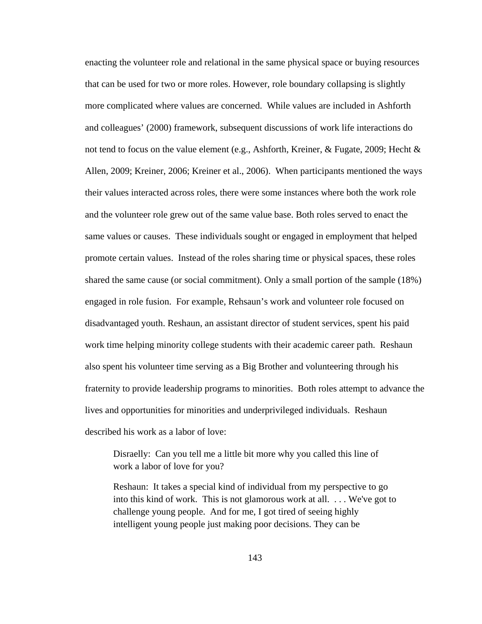enacting the volunteer role and relational in the same physical space or buying resources that can be used for two or more roles. However, role boundary collapsing is slightly more complicated where values are concerned. While values are included in Ashforth and colleagues' (2000) framework, subsequent discussions of work life interactions do not tend to focus on the value element (e.g., Ashforth, Kreiner, & Fugate, 2009; Hecht  $\&$ Allen, 2009; Kreiner, 2006; Kreiner et al., 2006). When participants mentioned the ways their values interacted across roles, there were some instances where both the work role and the volunteer role grew out of the same value base. Both roles served to enact the same values or causes. These individuals sought or engaged in employment that helped promote certain values. Instead of the roles sharing time or physical spaces, these roles shared the same cause (or social commitment). Only a small portion of the sample (18%) engaged in role fusion. For example, Rehsaun's work and volunteer role focused on disadvantaged youth. Reshaun, an assistant director of student services, spent his paid work time helping minority college students with their academic career path. Reshaun also spent his volunteer time serving as a Big Brother and volunteering through his fraternity to provide leadership programs to minorities. Both roles attempt to advance the lives and opportunities for minorities and underprivileged individuals. Reshaun described his work as a labor of love:

Disraelly: Can you tell me a little bit more why you called this line of work a labor of love for you?

Reshaun: It takes a special kind of individual from my perspective to go into this kind of work. This is not glamorous work at all. . . . We've got to challenge young people. And for me, I got tired of seeing highly intelligent young people just making poor decisions. They can be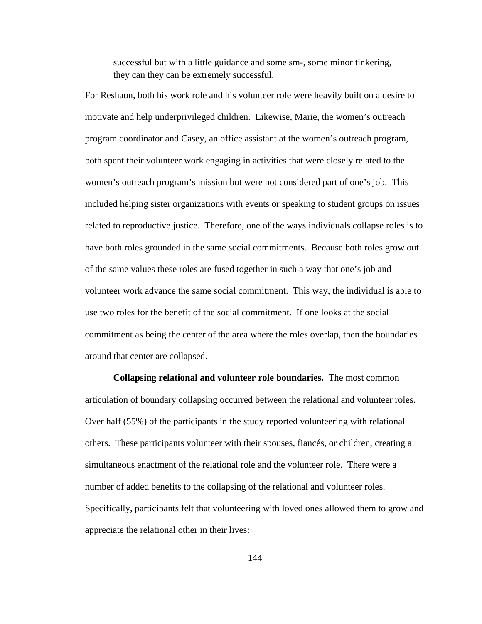successful but with a little guidance and some sm-, some minor tinkering, they can they can be extremely successful.

For Reshaun, both his work role and his volunteer role were heavily built on a desire to motivate and help underprivileged children. Likewise, Marie, the women's outreach program coordinator and Casey, an office assistant at the women's outreach program, both spent their volunteer work engaging in activities that were closely related to the women's outreach program's mission but were not considered part of one's job. This included helping sister organizations with events or speaking to student groups on issues related to reproductive justice. Therefore, one of the ways individuals collapse roles is to have both roles grounded in the same social commitments. Because both roles grow out of the same values these roles are fused together in such a way that one's job and volunteer work advance the same social commitment. This way, the individual is able to use two roles for the benefit of the social commitment. If one looks at the social commitment as being the center of the area where the roles overlap, then the boundaries around that center are collapsed.

**Collapsing relational and volunteer role boundaries.** The most common articulation of boundary collapsing occurred between the relational and volunteer roles. Over half (55%) of the participants in the study reported volunteering with relational others. These participants volunteer with their spouses, fiancés, or children, creating a simultaneous enactment of the relational role and the volunteer role. There were a number of added benefits to the collapsing of the relational and volunteer roles. Specifically, participants felt that volunteering with loved ones allowed them to grow and appreciate the relational other in their lives: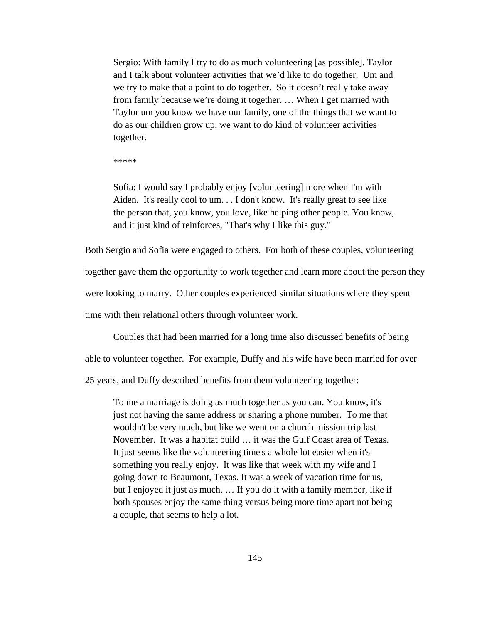Sergio: With family I try to do as much volunteering [as possible]. Taylor and I talk about volunteer activities that we'd like to do together. Um and we try to make that a point to do together. So it doesn't really take away from family because we're doing it together. … When I get married with Taylor um you know we have our family, one of the things that we want to do as our children grow up, we want to do kind of volunteer activities together.

\*\*\*\*\*

Sofia: I would say I probably enjoy [volunteering] more when I'm with Aiden. It's really cool to um. . . I don't know. It's really great to see like the person that, you know, you love, like helping other people. You know, and it just kind of reinforces, "That's why I like this guy."

Both Sergio and Sofia were engaged to others. For both of these couples, volunteering together gave them the opportunity to work together and learn more about the person they were looking to marry. Other couples experienced similar situations where they spent

time with their relational others through volunteer work.

Couples that had been married for a long time also discussed benefits of being

able to volunteer together. For example, Duffy and his wife have been married for over

25 years, and Duffy described benefits from them volunteering together:

To me a marriage is doing as much together as you can. You know, it's just not having the same address or sharing a phone number. To me that wouldn't be very much, but like we went on a church mission trip last November. It was a habitat build … it was the Gulf Coast area of Texas. It just seems like the volunteering time's a whole lot easier when it's something you really enjoy. It was like that week with my wife and I going down to Beaumont, Texas. It was a week of vacation time for us, but I enjoyed it just as much. … If you do it with a family member, like if both spouses enjoy the same thing versus being more time apart not being a couple, that seems to help a lot.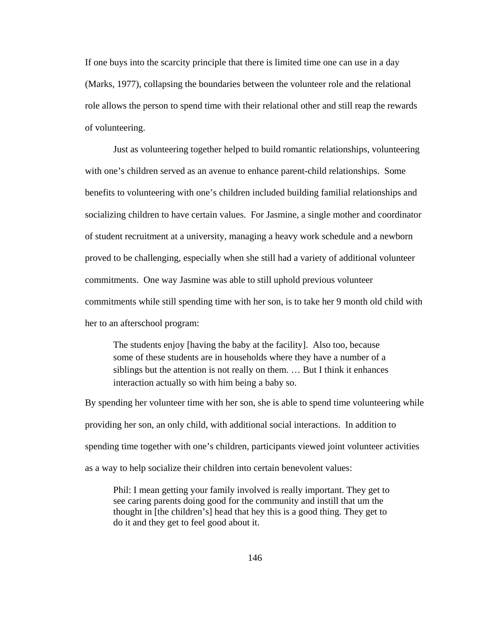If one buys into the scarcity principle that there is limited time one can use in a day (Marks, 1977), collapsing the boundaries between the volunteer role and the relational role allows the person to spend time with their relational other and still reap the rewards of volunteering.

Just as volunteering together helped to build romantic relationships, volunteering with one's children served as an avenue to enhance parent-child relationships. Some benefits to volunteering with one's children included building familial relationships and socializing children to have certain values. For Jasmine, a single mother and coordinator of student recruitment at a university, managing a heavy work schedule and a newborn proved to be challenging, especially when she still had a variety of additional volunteer commitments. One way Jasmine was able to still uphold previous volunteer commitments while still spending time with her son, is to take her 9 month old child with her to an afterschool program:

The students enjoy [having the baby at the facility]. Also too, because some of these students are in households where they have a number of a siblings but the attention is not really on them. … But I think it enhances interaction actually so with him being a baby so.

By spending her volunteer time with her son, she is able to spend time volunteering while providing her son, an only child, with additional social interactions. In addition to spending time together with one's children, participants viewed joint volunteer activities as a way to help socialize their children into certain benevolent values:

Phil: I mean getting your family involved is really important. They get to see caring parents doing good for the community and instill that um the thought in [the children's] head that hey this is a good thing. They get to do it and they get to feel good about it.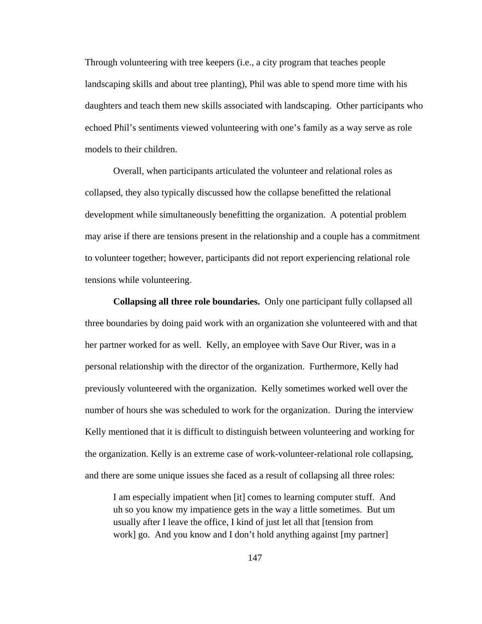Through volunteering with tree keepers (i.e., a city program that teaches people landscaping skills and about tree planting), Phil was able to spend more time with his daughters and teach them new skills associated with landscaping. Other participants who echoed Phil's sentiments viewed volunteering with one's family as a way serve as role models to their children.

Overall, when participants articulated the volunteer and relational roles as collapsed, they also typically discussed how the collapse benefitted the relational development while simultaneously benefitting the organization. A potential problem may arise if there are tensions present in the relationship and a couple has a commitment to volunteer together; however, participants did not report experiencing relational role tensions while volunteering.

**Collapsing all three role boundaries.** Only one participant fully collapsed all three boundaries by doing paid work with an organization she volunteered with and that her partner worked for as well. Kelly, an employee with Save Our River, was in a personal relationship with the director of the organization. Furthermore, Kelly had previously volunteered with the organization. Kelly sometimes worked well over the number of hours she was scheduled to work for the organization. During the interview Kelly mentioned that it is difficult to distinguish between volunteering and working for the organization. Kelly is an extreme case of work-volunteer-relational role collapsing, and there are some unique issues she faced as a result of collapsing all three roles:

I am especially impatient when [it] comes to learning computer stuff. And uh so you know my impatience gets in the way a little sometimes. But um usually after I leave the office, I kind of just let all that [tension from work] go. And you know and I don't hold anything against [my partner]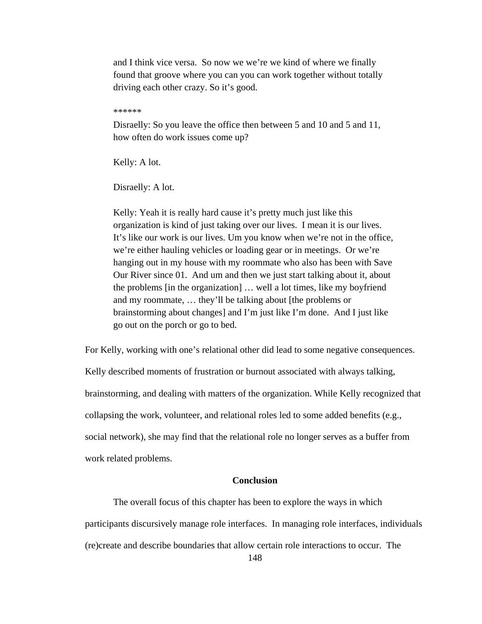and I think vice versa. So now we we're we kind of where we finally found that groove where you can you can work together without totally driving each other crazy. So it's good.

\*\*\*\*\*\*

Disraelly: So you leave the office then between 5 and 10 and 5 and 11, how often do work issues come up?

Kelly: A lot.

Disraelly: A lot.

Kelly: Yeah it is really hard cause it's pretty much just like this organization is kind of just taking over our lives. I mean it is our lives. It's like our work is our lives. Um you know when we're not in the office, we're either hauling vehicles or loading gear or in meetings. Or we're hanging out in my house with my roommate who also has been with Save Our River since 01. And um and then we just start talking about it, about the problems [in the organization] … well a lot times, like my boyfriend and my roommate, … they'll be talking about [the problems or brainstorming about changes] and I'm just like I'm done. And I just like go out on the porch or go to bed.

For Kelly, working with one's relational other did lead to some negative consequences.

Kelly described moments of frustration or burnout associated with always talking, brainstorming, and dealing with matters of the organization. While Kelly recognized that collapsing the work, volunteer, and relational roles led to some added benefits (e.g., social network), she may find that the relational role no longer serves as a buffer from work related problems.

## **Conclusion**

The overall focus of this chapter has been to explore the ways in which participants discursively manage role interfaces. In managing role interfaces, individuals (re)create and describe boundaries that allow certain role interactions to occur. The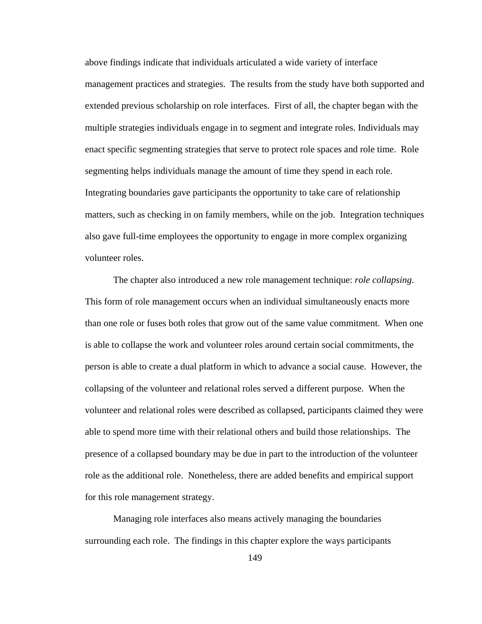above findings indicate that individuals articulated a wide variety of interface management practices and strategies. The results from the study have both supported and extended previous scholarship on role interfaces. First of all, the chapter began with the multiple strategies individuals engage in to segment and integrate roles. Individuals may enact specific segmenting strategies that serve to protect role spaces and role time. Role segmenting helps individuals manage the amount of time they spend in each role. Integrating boundaries gave participants the opportunity to take care of relationship matters, such as checking in on family members, while on the job. Integration techniques also gave full-time employees the opportunity to engage in more complex organizing volunteer roles.

The chapter also introduced a new role management technique: *role collapsing*. This form of role management occurs when an individual simultaneously enacts more than one role or fuses both roles that grow out of the same value commitment. When one is able to collapse the work and volunteer roles around certain social commitments, the person is able to create a dual platform in which to advance a social cause. However, the collapsing of the volunteer and relational roles served a different purpose. When the volunteer and relational roles were described as collapsed, participants claimed they were able to spend more time with their relational others and build those relationships. The presence of a collapsed boundary may be due in part to the introduction of the volunteer role as the additional role. Nonetheless, there are added benefits and empirical support for this role management strategy.

Managing role interfaces also means actively managing the boundaries surrounding each role. The findings in this chapter explore the ways participants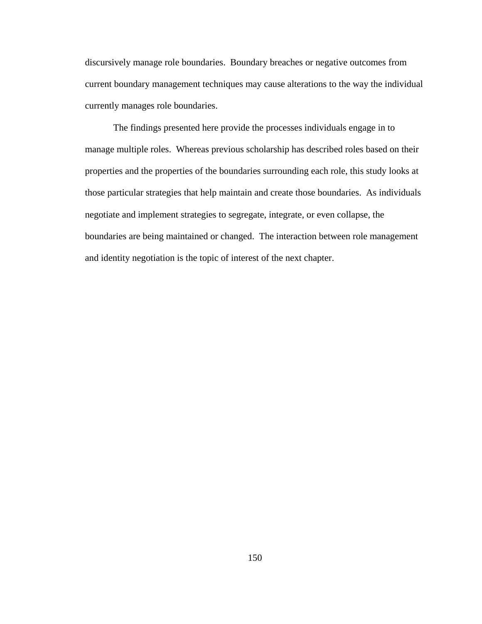discursively manage role boundaries. Boundary breaches or negative outcomes from current boundary management techniques may cause alterations to the way the individual currently manages role boundaries.

The findings presented here provide the processes individuals engage in to manage multiple roles. Whereas previous scholarship has described roles based on their properties and the properties of the boundaries surrounding each role, this study looks at those particular strategies that help maintain and create those boundaries. As individuals negotiate and implement strategies to segregate, integrate, or even collapse, the boundaries are being maintained or changed. The interaction between role management and identity negotiation is the topic of interest of the next chapter.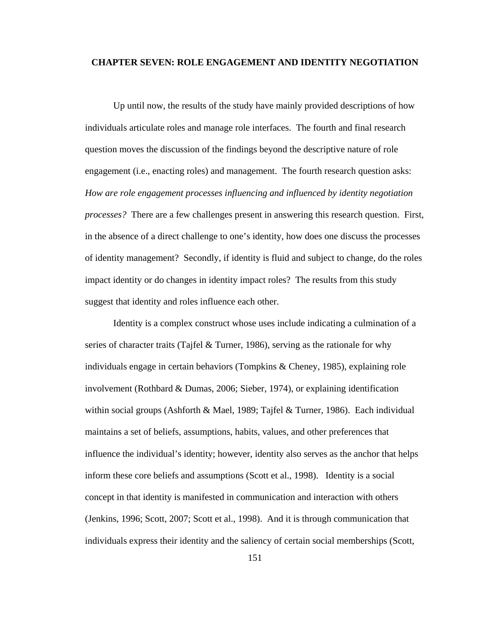### **CHAPTER SEVEN: ROLE ENGAGEMENT AND IDENTITY NEGOTIATION**

Up until now, the results of the study have mainly provided descriptions of how individuals articulate roles and manage role interfaces. The fourth and final research question moves the discussion of the findings beyond the descriptive nature of role engagement (i.e., enacting roles) and management. The fourth research question asks: *How are role engagement processes influencing and influenced by identity negotiation processes?* There are a few challenges present in answering this research question. First, in the absence of a direct challenge to one's identity, how does one discuss the processes of identity management? Secondly, if identity is fluid and subject to change, do the roles impact identity or do changes in identity impact roles? The results from this study suggest that identity and roles influence each other.

Identity is a complex construct whose uses include indicating a culmination of a series of character traits (Tajfel  $&$  Turner, 1986), serving as the rationale for why individuals engage in certain behaviors (Tompkins & Cheney, 1985), explaining role involvement (Rothbard & Dumas, 2006; Sieber, 1974), or explaining identification within social groups (Ashforth & Mael, 1989; Tajfel & Turner, 1986). Each individual maintains a set of beliefs, assumptions, habits, values, and other preferences that influence the individual's identity; however, identity also serves as the anchor that helps inform these core beliefs and assumptions (Scott et al., 1998). Identity is a social concept in that identity is manifested in communication and interaction with others (Jenkins, 1996; Scott, 2007; Scott et al., 1998). And it is through communication that individuals express their identity and the saliency of certain social memberships (Scott,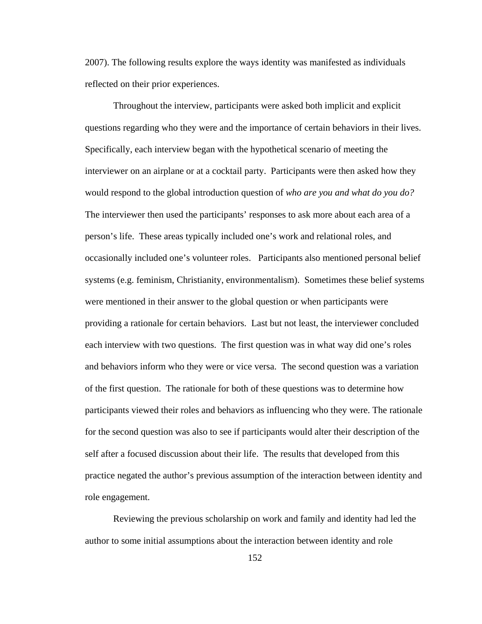2007). The following results explore the ways identity was manifested as individuals reflected on their prior experiences.

Throughout the interview, participants were asked both implicit and explicit questions regarding who they were and the importance of certain behaviors in their lives. Specifically, each interview began with the hypothetical scenario of meeting the interviewer on an airplane or at a cocktail party. Participants were then asked how they would respond to the global introduction question of *who are you and what do you do?*  The interviewer then used the participants' responses to ask more about each area of a person's life. These areas typically included one's work and relational roles, and occasionally included one's volunteer roles. Participants also mentioned personal belief systems (e.g. feminism, Christianity, environmentalism). Sometimes these belief systems were mentioned in their answer to the global question or when participants were providing a rationale for certain behaviors. Last but not least, the interviewer concluded each interview with two questions. The first question was in what way did one's roles and behaviors inform who they were or vice versa. The second question was a variation of the first question. The rationale for both of these questions was to determine how participants viewed their roles and behaviors as influencing who they were. The rationale for the second question was also to see if participants would alter their description of the self after a focused discussion about their life. The results that developed from this practice negated the author's previous assumption of the interaction between identity and role engagement.

Reviewing the previous scholarship on work and family and identity had led the author to some initial assumptions about the interaction between identity and role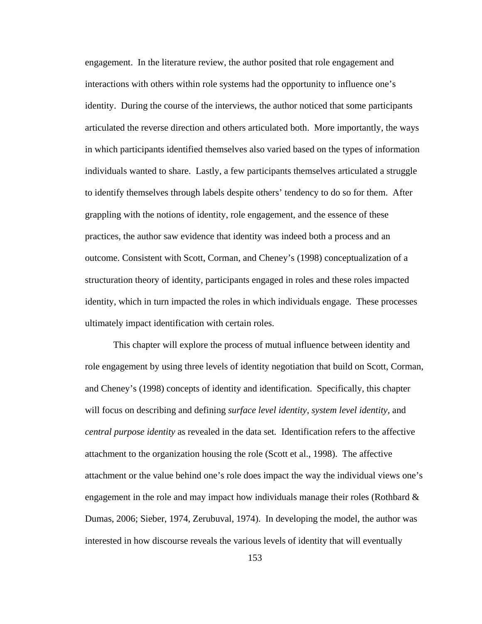engagement. In the literature review, the author posited that role engagement and interactions with others within role systems had the opportunity to influence one's identity. During the course of the interviews, the author noticed that some participants articulated the reverse direction and others articulated both. More importantly, the ways in which participants identified themselves also varied based on the types of information individuals wanted to share. Lastly, a few participants themselves articulated a struggle to identify themselves through labels despite others' tendency to do so for them. After grappling with the notions of identity, role engagement, and the essence of these practices, the author saw evidence that identity was indeed both a process and an outcome. Consistent with Scott, Corman, and Cheney's (1998) conceptualization of a structuration theory of identity, participants engaged in roles and these roles impacted identity, which in turn impacted the roles in which individuals engage. These processes ultimately impact identification with certain roles.

This chapter will explore the process of mutual influence between identity and role engagement by using three levels of identity negotiation that build on Scott, Corman, and Cheney's (1998) concepts of identity and identification. Specifically, this chapter will focus on describing and defining *surface level identity, system level identity,* and *central purpose identity* as revealed in the data set*.* Identification refers to the affective attachment to the organization housing the role (Scott et al., 1998). The affective attachment or the value behind one's role does impact the way the individual views one's engagement in the role and may impact how individuals manage their roles (Rothbard  $\&$ Dumas, 2006; Sieber, 1974, Zerubuval, 1974). In developing the model, the author was interested in how discourse reveals the various levels of identity that will eventually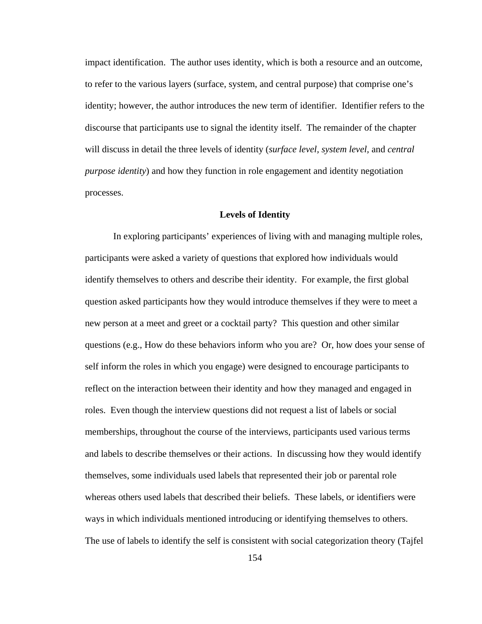impact identification. The author uses identity, which is both a resource and an outcome, to refer to the various layers (surface, system, and central purpose) that comprise one's identity; however, the author introduces the new term of identifier. Identifier refers to the discourse that participants use to signal the identity itself. The remainder of the chapter will discuss in detail the three levels of identity (*surface level, system level,* and *central purpose identity*) and how they function in role engagement and identity negotiation processes.

#### **Levels of Identity**

In exploring participants' experiences of living with and managing multiple roles, participants were asked a variety of questions that explored how individuals would identify themselves to others and describe their identity. For example, the first global question asked participants how they would introduce themselves if they were to meet a new person at a meet and greet or a cocktail party? This question and other similar questions (e.g., How do these behaviors inform who you are? Or, how does your sense of self inform the roles in which you engage) were designed to encourage participants to reflect on the interaction between their identity and how they managed and engaged in roles. Even though the interview questions did not request a list of labels or social memberships, throughout the course of the interviews, participants used various terms and labels to describe themselves or their actions. In discussing how they would identify themselves, some individuals used labels that represented their job or parental role whereas others used labels that described their beliefs. These labels, or identifiers were ways in which individuals mentioned introducing or identifying themselves to others. The use of labels to identify the self is consistent with social categorization theory (Tajfel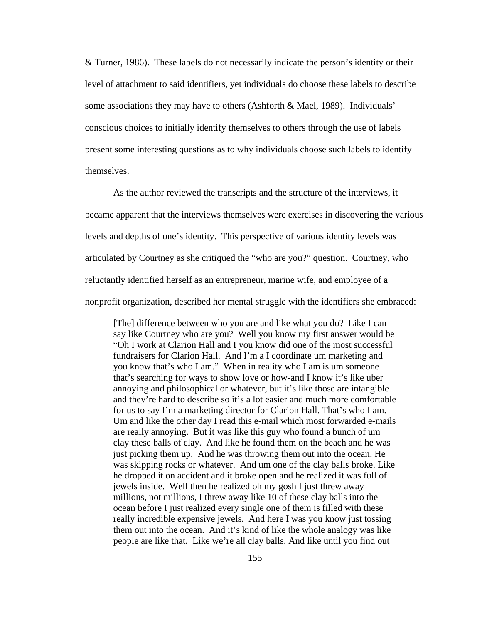& Turner, 1986). These labels do not necessarily indicate the person's identity or their level of attachment to said identifiers, yet individuals do choose these labels to describe some associations they may have to others (Ashforth & Mael, 1989). Individuals' conscious choices to initially identify themselves to others through the use of labels present some interesting questions as to why individuals choose such labels to identify themselves.

As the author reviewed the transcripts and the structure of the interviews, it became apparent that the interviews themselves were exercises in discovering the various levels and depths of one's identity. This perspective of various identity levels was articulated by Courtney as she critiqued the "who are you?" question. Courtney, who reluctantly identified herself as an entrepreneur, marine wife, and employee of a nonprofit organization, described her mental struggle with the identifiers she embraced:

[The] difference between who you are and like what you do? Like I can say like Courtney who are you? Well you know my first answer would be "Oh I work at Clarion Hall and I you know did one of the most successful fundraisers for Clarion Hall. And I'm a I coordinate um marketing and you know that's who I am." When in reality who I am is um someone that's searching for ways to show love or how-and I know it's like uber annoying and philosophical or whatever, but it's like those are intangible and they're hard to describe so it's a lot easier and much more comfortable for us to say I'm a marketing director for Clarion Hall. That's who I am. Um and like the other day I read this e-mail which most forwarded e-mails are really annoying. But it was like this guy who found a bunch of um clay these balls of clay. And like he found them on the beach and he was just picking them up. And he was throwing them out into the ocean. He was skipping rocks or whatever. And um one of the clay balls broke. Like he dropped it on accident and it broke open and he realized it was full of jewels inside. Well then he realized oh my gosh I just threw away millions, not millions, I threw away like 10 of these clay balls into the ocean before I just realized every single one of them is filled with these really incredible expensive jewels. And here I was you know just tossing them out into the ocean. And it's kind of like the whole analogy was like people are like that. Like we're all clay balls. And like until you find out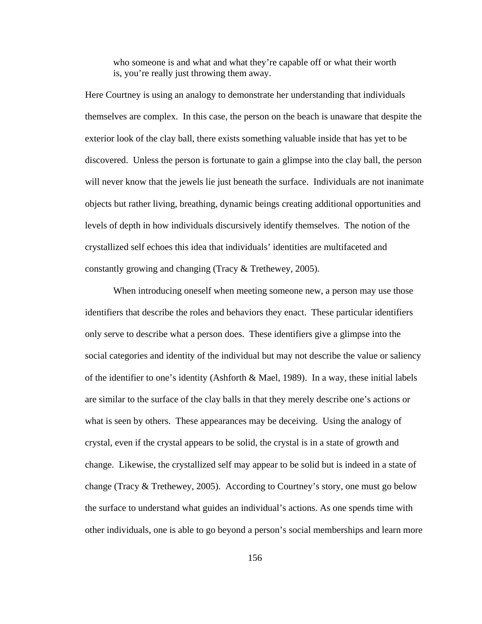who someone is and what and what they're capable off or what their worth is, you're really just throwing them away.

Here Courtney is using an analogy to demonstrate her understanding that individuals themselves are complex. In this case, the person on the beach is unaware that despite the exterior look of the clay ball, there exists something valuable inside that has yet to be discovered. Unless the person is fortunate to gain a glimpse into the clay ball, the person will never know that the jewels lie just beneath the surface. Individuals are not inanimate objects but rather living, breathing, dynamic beings creating additional opportunities and levels of depth in how individuals discursively identify themselves. The notion of the crystallized self echoes this idea that individuals' identities are multifaceted and constantly growing and changing (Tracy & Trethewey, 2005).

When introducing oneself when meeting someone new, a person may use those identifiers that describe the roles and behaviors they enact. These particular identifiers only serve to describe what a person does. These identifiers give a glimpse into the social categories and identity of the individual but may not describe the value or saliency of the identifier to one's identity (Ashforth & Mael, 1989). In a way, these initial labels are similar to the surface of the clay balls in that they merely describe one's actions or what is seen by others. These appearances may be deceiving. Using the analogy of crystal, even if the crystal appears to be solid, the crystal is in a state of growth and change. Likewise, the crystallized self may appear to be solid but is indeed in a state of change (Tracy & Trethewey, 2005). According to Courtney's story, one must go below the surface to understand what guides an individual's actions. As one spends time with other individuals, one is able to go beyond a person's social memberships and learn more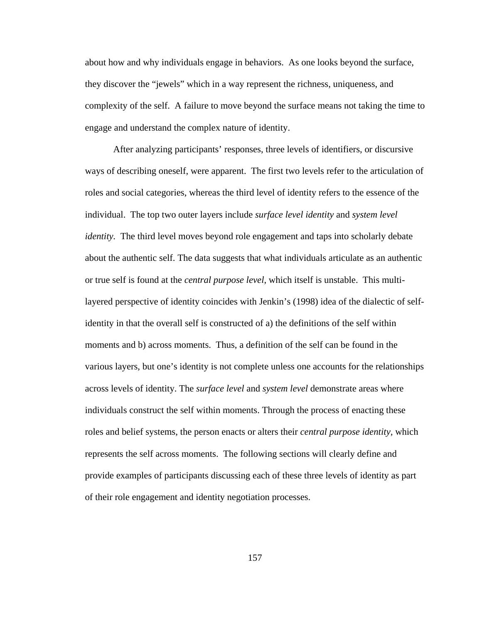about how and why individuals engage in behaviors. As one looks beyond the surface, they discover the "jewels" which in a way represent the richness, uniqueness, and complexity of the self. A failure to move beyond the surface means not taking the time to engage and understand the complex nature of identity.

After analyzing participants' responses, three levels of identifiers, or discursive ways of describing oneself, were apparent. The first two levels refer to the articulation of roles and social categories, whereas the third level of identity refers to the essence of the individual. The top two outer layers include *surface level identity* and *system level identity.* The third level moves beyond role engagement and taps into scholarly debate about the authentic self. The data suggests that what individuals articulate as an authentic or true self is found at the *central purpose level*, which itself is unstable. This multilayered perspective of identity coincides with Jenkin's (1998) idea of the dialectic of selfidentity in that the overall self is constructed of a) the definitions of the self within moments and b) across moments. Thus, a definition of the self can be found in the various layers, but one's identity is not complete unless one accounts for the relationships across levels of identity. The *surface level* and *system level* demonstrate areas where individuals construct the self within moments. Through the process of enacting these roles and belief systems, the person enacts or alters their *central purpose identity,* which represents the self across moments. The following sections will clearly define and provide examples of participants discussing each of these three levels of identity as part of their role engagement and identity negotiation processes.

157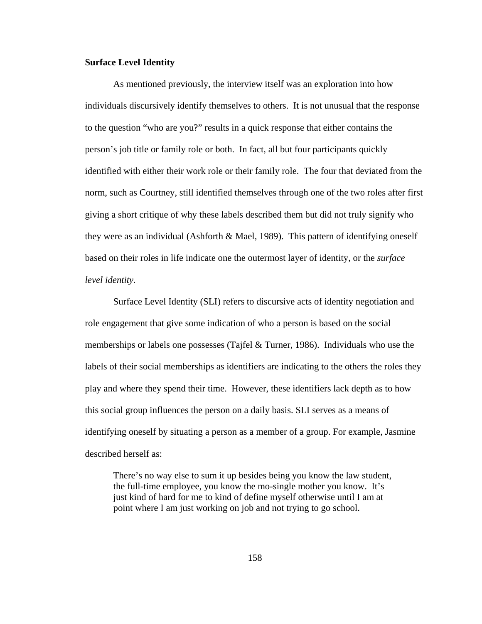# **Surface Level Identity**

As mentioned previously, the interview itself was an exploration into how individuals discursively identify themselves to others. It is not unusual that the response to the question "who are you?" results in a quick response that either contains the person's job title or family role or both. In fact, all but four participants quickly identified with either their work role or their family role. The four that deviated from the norm, such as Courtney, still identified themselves through one of the two roles after first giving a short critique of why these labels described them but did not truly signify who they were as an individual (Ashforth  $\&$  Mael, 1989). This pattern of identifying oneself based on their roles in life indicate one the outermost layer of identity, or the *surface level identity.*

Surface Level Identity (SLI) refers to discursive acts of identity negotiation and role engagement that give some indication of who a person is based on the social memberships or labels one possesses (Tajfel & Turner, 1986). Individuals who use the labels of their social memberships as identifiers are indicating to the others the roles they play and where they spend their time. However, these identifiers lack depth as to how this social group influences the person on a daily basis. SLI serves as a means of identifying oneself by situating a person as a member of a group. For example, Jasmine described herself as:

There's no way else to sum it up besides being you know the law student, the full-time employee, you know the mo-single mother you know. It's just kind of hard for me to kind of define myself otherwise until I am at point where I am just working on job and not trying to go school.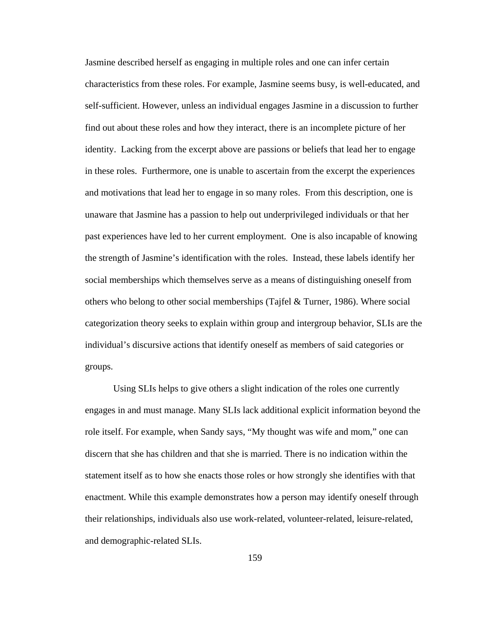Jasmine described herself as engaging in multiple roles and one can infer certain characteristics from these roles. For example, Jasmine seems busy, is well-educated, and self-sufficient. However, unless an individual engages Jasmine in a discussion to further find out about these roles and how they interact, there is an incomplete picture of her identity. Lacking from the excerpt above are passions or beliefs that lead her to engage in these roles. Furthermore, one is unable to ascertain from the excerpt the experiences and motivations that lead her to engage in so many roles. From this description, one is unaware that Jasmine has a passion to help out underprivileged individuals or that her past experiences have led to her current employment. One is also incapable of knowing the strength of Jasmine's identification with the roles. Instead, these labels identify her social memberships which themselves serve as a means of distinguishing oneself from others who belong to other social memberships (Tajfel & Turner, 1986). Where social categorization theory seeks to explain within group and intergroup behavior, SLIs are the individual's discursive actions that identify oneself as members of said categories or groups.

Using SLIs helps to give others a slight indication of the roles one currently engages in and must manage. Many SLIs lack additional explicit information beyond the role itself. For example, when Sandy says, "My thought was wife and mom," one can discern that she has children and that she is married. There is no indication within the statement itself as to how she enacts those roles or how strongly she identifies with that enactment. While this example demonstrates how a person may identify oneself through their relationships, individuals also use work-related, volunteer-related, leisure-related, and demographic-related SLIs.

159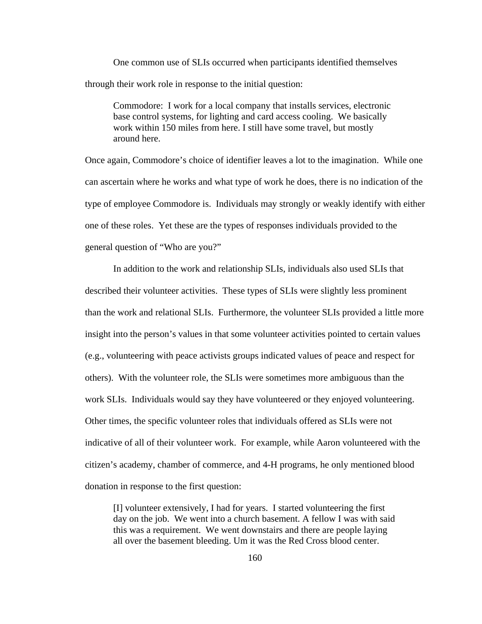One common use of SLIs occurred when participants identified themselves through their work role in response to the initial question:

Commodore: I work for a local company that installs services, electronic base control systems, for lighting and card access cooling. We basically work within 150 miles from here. I still have some travel, but mostly around here.

Once again, Commodore's choice of identifier leaves a lot to the imagination. While one can ascertain where he works and what type of work he does, there is no indication of the type of employee Commodore is. Individuals may strongly or weakly identify with either one of these roles. Yet these are the types of responses individuals provided to the general question of "Who are you?"

In addition to the work and relationship SLIs, individuals also used SLIs that described their volunteer activities. These types of SLIs were slightly less prominent than the work and relational SLIs. Furthermore, the volunteer SLIs provided a little more insight into the person's values in that some volunteer activities pointed to certain values (e.g., volunteering with peace activists groups indicated values of peace and respect for others). With the volunteer role, the SLIs were sometimes more ambiguous than the work SLIs. Individuals would say they have volunteered or they enjoyed volunteering. Other times, the specific volunteer roles that individuals offered as SLIs were not indicative of all of their volunteer work. For example, while Aaron volunteered with the citizen's academy, chamber of commerce, and 4-H programs, he only mentioned blood donation in response to the first question:

[I] volunteer extensively, I had for years. I started volunteering the first day on the job. We went into a church basement. A fellow I was with said this was a requirement. We went downstairs and there are people laying all over the basement bleeding. Um it was the Red Cross blood center.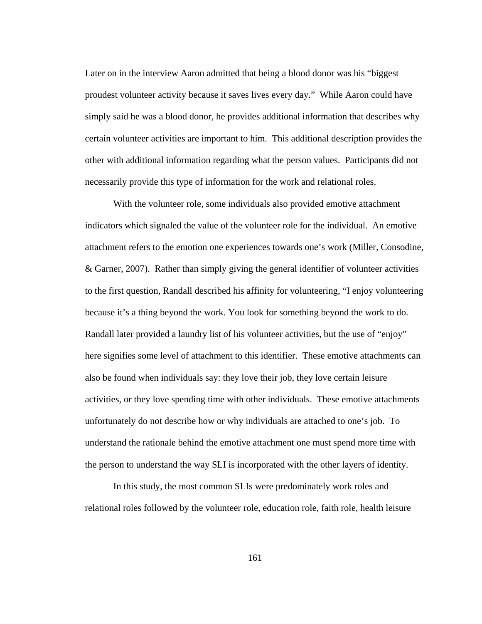Later on in the interview Aaron admitted that being a blood donor was his "biggest proudest volunteer activity because it saves lives every day." While Aaron could have simply said he was a blood donor, he provides additional information that describes why certain volunteer activities are important to him. This additional description provides the other with additional information regarding what the person values. Participants did not necessarily provide this type of information for the work and relational roles.

With the volunteer role, some individuals also provided emotive attachment indicators which signaled the value of the volunteer role for the individual. An emotive attachment refers to the emotion one experiences towards one's work (Miller, Consodine, & Garner, 2007). Rather than simply giving the general identifier of volunteer activities to the first question, Randall described his affinity for volunteering, "I enjoy volunteering because it's a thing beyond the work. You look for something beyond the work to do. Randall later provided a laundry list of his volunteer activities, but the use of "enjoy" here signifies some level of attachment to this identifier. These emotive attachments can also be found when individuals say: they love their job, they love certain leisure activities, or they love spending time with other individuals. These emotive attachments unfortunately do not describe how or why individuals are attached to one's job. To understand the rationale behind the emotive attachment one must spend more time with the person to understand the way SLI is incorporated with the other layers of identity.

In this study, the most common SLIs were predominately work roles and relational roles followed by the volunteer role, education role, faith role, health leisure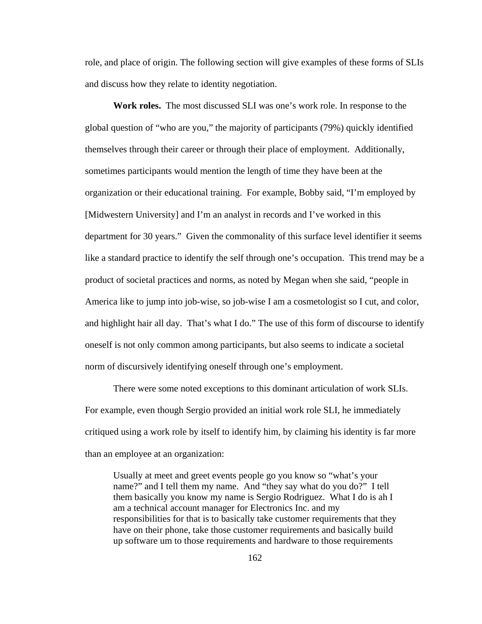role, and place of origin. The following section will give examples of these forms of SLIs and discuss how they relate to identity negotiation.

**Work roles.** The most discussed SLI was one's work role. In response to the global question of "who are you," the majority of participants (79%) quickly identified themselves through their career or through their place of employment. Additionally, sometimes participants would mention the length of time they have been at the organization or their educational training. For example, Bobby said, "I'm employed by [Midwestern University] and I'm an analyst in records and I've worked in this department for 30 years." Given the commonality of this surface level identifier it seems like a standard practice to identify the self through one's occupation. This trend may be a product of societal practices and norms, as noted by Megan when she said, "people in America like to jump into job-wise, so job-wise I am a cosmetologist so I cut, and color, and highlight hair all day. That's what I do." The use of this form of discourse to identify oneself is not only common among participants, but also seems to indicate a societal norm of discursively identifying oneself through one's employment.

There were some noted exceptions to this dominant articulation of work SLIs. For example, even though Sergio provided an initial work role SLI*,* he immediately critiqued using a work role by itself to identify him, by claiming his identity is far more than an employee at an organization:

Usually at meet and greet events people go you know so "what's your name?" and I tell them my name. And "they say what do you do?" I tell them basically you know my name is Sergio Rodriguez. What I do is ah I am a technical account manager for Electronics Inc. and my responsibilities for that is to basically take customer requirements that they have on their phone, take those customer requirements and basically build up software um to those requirements and hardware to those requirements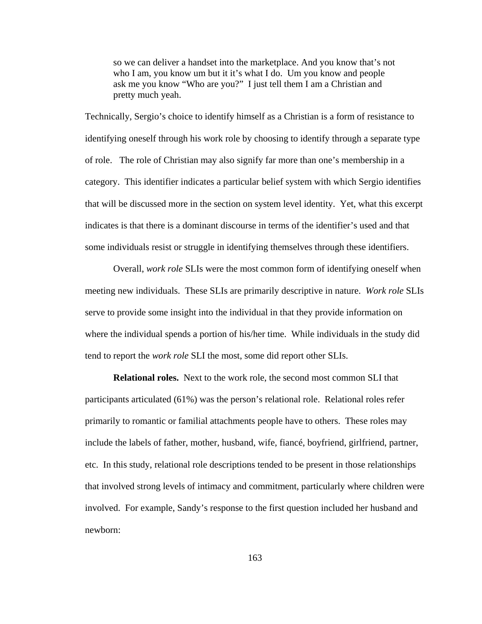so we can deliver a handset into the marketplace. And you know that's not who I am, you know um but it it's what I do. Um you know and people ask me you know "Who are you?" I just tell them I am a Christian and pretty much yeah.

Technically, Sergio's choice to identify himself as a Christian is a form of resistance to identifying oneself through his work role by choosing to identify through a separate type of role. The role of Christian may also signify far more than one's membership in a category. This identifier indicates a particular belief system with which Sergio identifies that will be discussed more in the section on system level identity. Yet, what this excerpt indicates is that there is a dominant discourse in terms of the identifier's used and that some individuals resist or struggle in identifying themselves through these identifiers.

Overall, *work role* SLIs were the most common form of identifying oneself when meeting new individuals. These SLIs are primarily descriptive in nature. *Work role* SLIs serve to provide some insight into the individual in that they provide information on where the individual spends a portion of his/her time. While individuals in the study did tend to report the *work role* SLI the most, some did report other SLIs.

**Relational roles.** Next to the work role, the second most common SLI that participants articulated (61%) was the person's relational role. Relational roles refer primarily to romantic or familial attachments people have to others. These roles may include the labels of father, mother, husband, wife, fiancé, boyfriend, girlfriend, partner, etc. In this study, relational role descriptions tended to be present in those relationships that involved strong levels of intimacy and commitment, particularly where children were involved. For example, Sandy's response to the first question included her husband and newborn: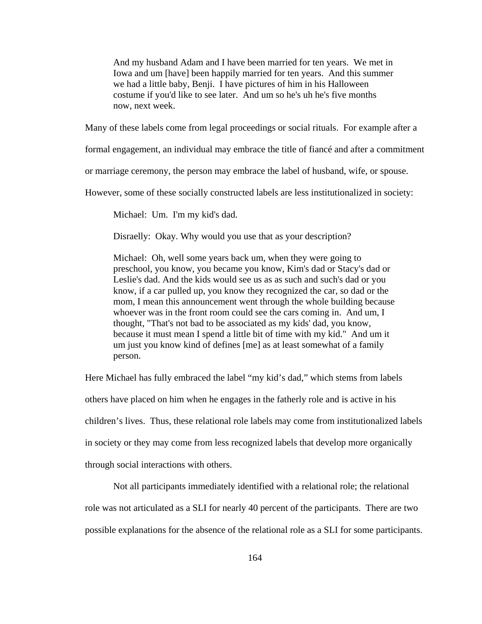And my husband Adam and I have been married for ten years. We met in Iowa and um [have] been happily married for ten years. And this summer we had a little baby, Benji. I have pictures of him in his Halloween costume if you'd like to see later. And um so he's uh he's five months now, next week.

Many of these labels come from legal proceedings or social rituals. For example after a

formal engagement, an individual may embrace the title of fiancé and after a commitment

or marriage ceremony, the person may embrace the label of husband, wife, or spouse.

However, some of these socially constructed labels are less institutionalized in society:

Michael: Um. I'm my kid's dad.

Disraelly: Okay. Why would you use that as your description?

Michael: Oh, well some years back um, when they were going to preschool, you know, you became you know, Kim's dad or Stacy's dad or Leslie's dad. And the kids would see us as as such and such's dad or you know, if a car pulled up, you know they recognized the car, so dad or the mom, I mean this announcement went through the whole building because whoever was in the front room could see the cars coming in. And um, I thought, "That's not bad to be associated as my kids' dad, you know, because it must mean I spend a little bit of time with my kid." And um it um just you know kind of defines [me] as at least somewhat of a family person.

Here Michael has fully embraced the label "my kid's dad," which stems from labels others have placed on him when he engages in the fatherly role and is active in his children's lives. Thus, these relational role labels may come from institutionalized labels in society or they may come from less recognized labels that develop more organically through social interactions with others.

Not all participants immediately identified with a relational role; the relational

role was not articulated as a SLI for nearly 40 percent of the participants. There are two

possible explanations for the absence of the relational role as a SLI for some participants.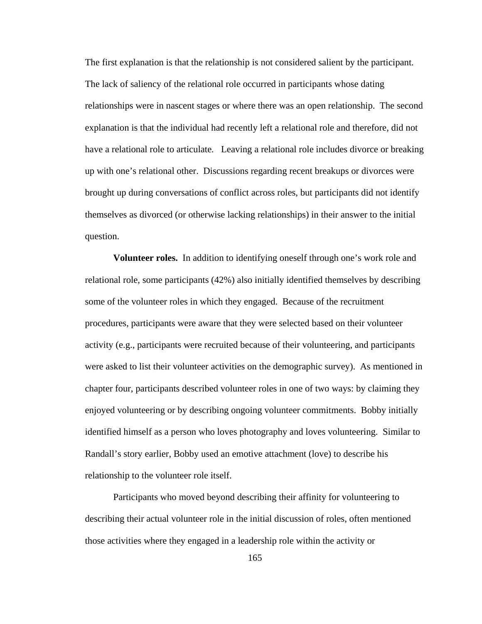The first explanation is that the relationship is not considered salient by the participant. The lack of saliency of the relational role occurred in participants whose dating relationships were in nascent stages or where there was an open relationship. The second explanation is that the individual had recently left a relational role and therefore, did not have a relational role to articulate*.* Leaving a relational role includes divorce or breaking up with one's relational other. Discussions regarding recent breakups or divorces were brought up during conversations of conflict across roles, but participants did not identify themselves as divorced (or otherwise lacking relationships) in their answer to the initial question.

**Volunteer roles.** In addition to identifying oneself through one's work role and relational role, some participants (42%) also initially identified themselves by describing some of the volunteer roles in which they engaged. Because of the recruitment procedures, participants were aware that they were selected based on their volunteer activity (e.g., participants were recruited because of their volunteering, and participants were asked to list their volunteer activities on the demographic survey). As mentioned in chapter four, participants described volunteer roles in one of two ways: by claiming they enjoyed volunteering or by describing ongoing volunteer commitments. Bobby initially identified himself as a person who loves photography and loves volunteering. Similar to Randall's story earlier, Bobby used an emotive attachment (love) to describe his relationship to the volunteer role itself.

Participants who moved beyond describing their affinity for volunteering to describing their actual volunteer role in the initial discussion of roles, often mentioned those activities where they engaged in a leadership role within the activity or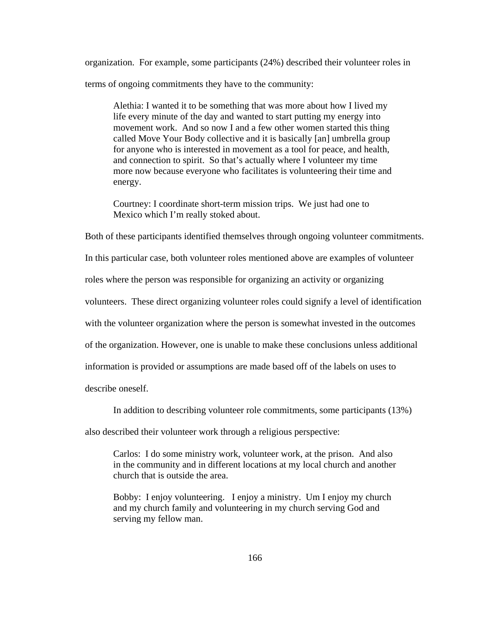organization. For example, some participants (24%) described their volunteer roles in terms of ongoing commitments they have to the community:

Alethia: I wanted it to be something that was more about how I lived my life every minute of the day and wanted to start putting my energy into movement work. And so now I and a few other women started this thing called Move Your Body collective and it is basically [an] umbrella group for anyone who is interested in movement as a tool for peace, and health, and connection to spirit. So that's actually where I volunteer my time more now because everyone who facilitates is volunteering their time and energy.

Courtney: I coordinate short-term mission trips. We just had one to Mexico which I'm really stoked about.

Both of these participants identified themselves through ongoing volunteer commitments.

In this particular case, both volunteer roles mentioned above are examples of volunteer

roles where the person was responsible for organizing an activity or organizing

volunteers. These direct organizing volunteer roles could signify a level of identification

with the volunteer organization where the person is somewhat invested in the outcomes

of the organization. However, one is unable to make these conclusions unless additional

information is provided or assumptions are made based off of the labels on uses to

describe oneself.

In addition to describing volunteer role commitments, some participants (13%)

also described their volunteer work through a religious perspective:

Carlos: I do some ministry work, volunteer work, at the prison. And also in the community and in different locations at my local church and another church that is outside the area.

Bobby: I enjoy volunteering. I enjoy a ministry. Um I enjoy my church and my church family and volunteering in my church serving God and serving my fellow man.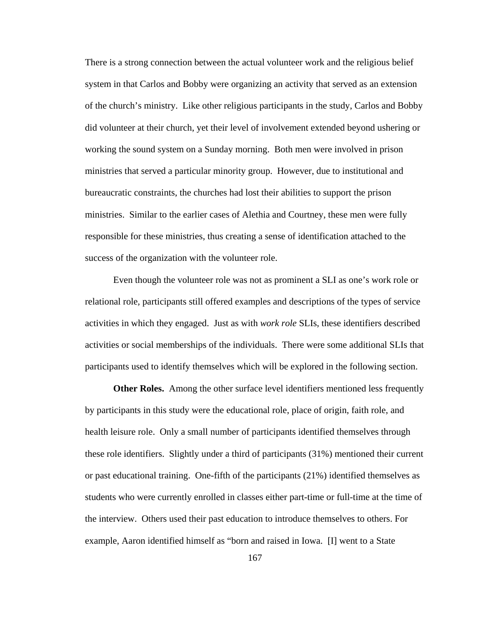There is a strong connection between the actual volunteer work and the religious belief system in that Carlos and Bobby were organizing an activity that served as an extension of the church's ministry. Like other religious participants in the study, Carlos and Bobby did volunteer at their church, yet their level of involvement extended beyond ushering or working the sound system on a Sunday morning. Both men were involved in prison ministries that served a particular minority group. However, due to institutional and bureaucratic constraints, the churches had lost their abilities to support the prison ministries. Similar to the earlier cases of Alethia and Courtney, these men were fully responsible for these ministries, thus creating a sense of identification attached to the success of the organization with the volunteer role.

Even though the volunteer role was not as prominent a SLI as one's work role or relational role*,* participants still offered examples and descriptions of the types of service activities in which they engaged. Just as with *work role* SLIs, these identifiers described activities or social memberships of the individuals. There were some additional SLIs that participants used to identify themselves which will be explored in the following section.

**Other Roles.** Among the other surface level identifiers mentioned less frequently by participants in this study were the educational role, place of origin, faith role, and health leisure role. Only a small number of participants identified themselves through these role identifiers. Slightly under a third of participants (31%) mentioned their current or past educational training. One-fifth of the participants (21%) identified themselves as students who were currently enrolled in classes either part-time or full-time at the time of the interview. Others used their past education to introduce themselves to others. For example, Aaron identified himself as "born and raised in Iowa. [I] went to a State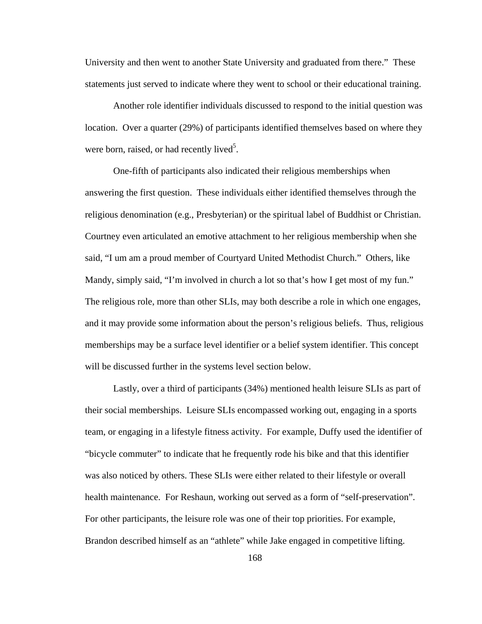University and then went to another State University and graduated from there." These statements just served to indicate where they went to school or their educational training.

Another role identifier individuals discussed to respond to the initial question was location. Over a quarter (29%) of participants identified themselves based on where they were born, raised, or had recently lived<sup>5</sup>.

One-fifth of participants also indicated their religious memberships when answering the first question. These individuals either identified themselves through the religious denomination (e.g., Presbyterian) or the spiritual label of Buddhist or Christian. Courtney even articulated an emotive attachment to her religious membership when she said, "I um am a proud member of Courtyard United Methodist Church." Others, like Mandy, simply said, "I'm involved in church a lot so that's how I get most of my fun." The religious role, more than other SLIs, may both describe a role in which one engages, and it may provide some information about the person's religious beliefs. Thus, religious memberships may be a surface level identifier or a belief system identifier. This concept will be discussed further in the systems level section below.

Lastly, over a third of participants (34%) mentioned health leisure SLIs as part of their social memberships. Leisure SLIs encompassed working out, engaging in a sports team, or engaging in a lifestyle fitness activity. For example, Duffy used the identifier of "bicycle commuter" to indicate that he frequently rode his bike and that this identifier was also noticed by others. These SLIs were either related to their lifestyle or overall health maintenance. For Reshaun, working out served as a form of "self-preservation". For other participants, the leisure role was one of their top priorities. For example, Brandon described himself as an "athlete" while Jake engaged in competitive lifting.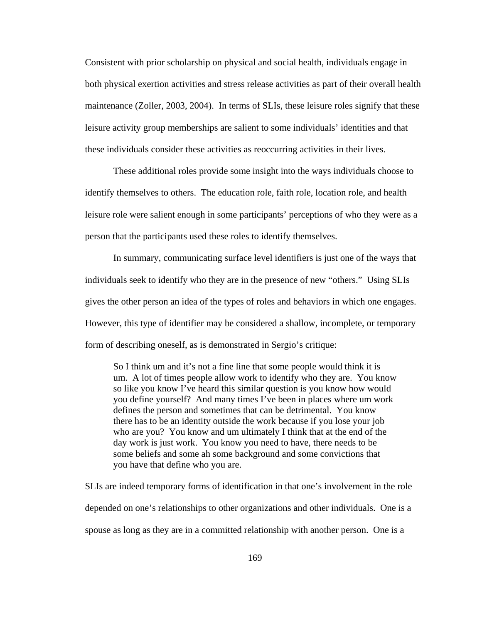Consistent with prior scholarship on physical and social health, individuals engage in both physical exertion activities and stress release activities as part of their overall health maintenance (Zoller, 2003, 2004). In terms of SLIs, these leisure roles signify that these leisure activity group memberships are salient to some individuals' identities and that these individuals consider these activities as reoccurring activities in their lives.

These additional roles provide some insight into the ways individuals choose to identify themselves to others. The education role, faith role, location role, and health leisure role were salient enough in some participants' perceptions of who they were as a person that the participants used these roles to identify themselves.

In summary, communicating surface level identifiers is just one of the ways that individuals seek to identify who they are in the presence of new "others." Using SLIs gives the other person an idea of the types of roles and behaviors in which one engages. However, this type of identifier may be considered a shallow, incomplete, or temporary form of describing oneself, as is demonstrated in Sergio's critique:

So I think um and it's not a fine line that some people would think it is um. A lot of times people allow work to identify who they are. You know so like you know I've heard this similar question is you know how would you define yourself? And many times I've been in places where um work defines the person and sometimes that can be detrimental. You know there has to be an identity outside the work because if you lose your job who are you? You know and um ultimately I think that at the end of the day work is just work. You know you need to have, there needs to be some beliefs and some ah some background and some convictions that you have that define who you are.

SLIs are indeed temporary forms of identification in that one's involvement in the role depended on one's relationships to other organizations and other individuals. One is a spouse as long as they are in a committed relationship with another person. One is a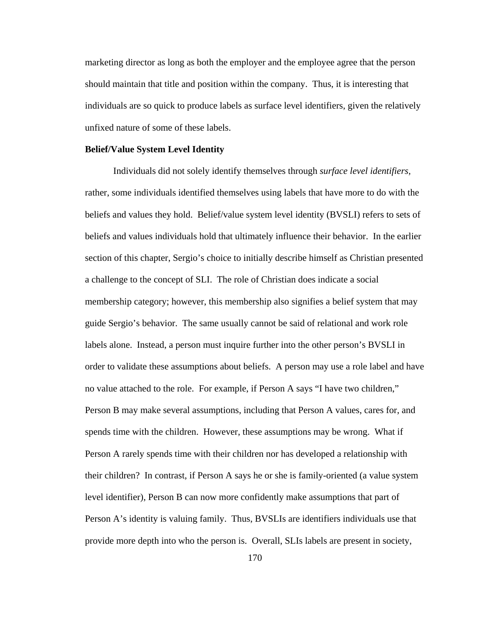marketing director as long as both the employer and the employee agree that the person should maintain that title and position within the company. Thus, it is interesting that individuals are so quick to produce labels as surface level identifiers, given the relatively unfixed nature of some of these labels.

## **Belief/Value System Level Identity**

Individuals did not solely identify themselves through *surface level identifiers,* rather, some individuals identified themselves using labels that have more to do with the beliefs and values they hold. Belief/value system level identity (BVSLI) refers to sets of beliefs and values individuals hold that ultimately influence their behavior. In the earlier section of this chapter, Sergio's choice to initially describe himself as Christian presented a challenge to the concept of SLI. The role of Christian does indicate a social membership category; however, this membership also signifies a belief system that may guide Sergio's behavior. The same usually cannot be said of relational and work role labels alone. Instead, a person must inquire further into the other person's BVSLI in order to validate these assumptions about beliefs. A person may use a role label and have no value attached to the role. For example, if Person A says "I have two children," Person B may make several assumptions, including that Person A values, cares for, and spends time with the children. However, these assumptions may be wrong. What if Person A rarely spends time with their children nor has developed a relationship with their children? In contrast, if Person A says he or she is family-oriented (a value system level identifier), Person B can now more confidently make assumptions that part of Person A's identity is valuing family. Thus, BVSLIs are identifiers individuals use that provide more depth into who the person is. Overall, SLIs labels are present in society,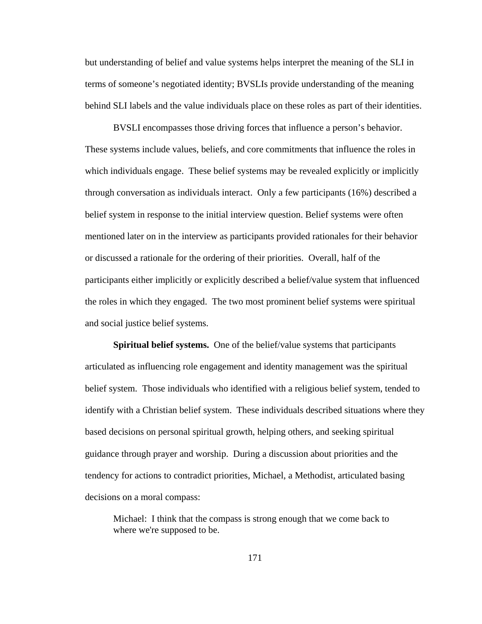but understanding of belief and value systems helps interpret the meaning of the SLI in terms of someone's negotiated identity; BVSLIs provide understanding of the meaning behind SLI labels and the value individuals place on these roles as part of their identities.

BVSLI encompasses those driving forces that influence a person's behavior. These systems include values, beliefs, and core commitments that influence the roles in which individuals engage. These belief systems may be revealed explicitly or implicitly through conversation as individuals interact. Only a few participants (16%) described a belief system in response to the initial interview question. Belief systems were often mentioned later on in the interview as participants provided rationales for their behavior or discussed a rationale for the ordering of their priorities. Overall, half of the participants either implicitly or explicitly described a belief/value system that influenced the roles in which they engaged. The two most prominent belief systems were spiritual and social justice belief systems.

**Spiritual belief systems.** One of the belief/value systems that participants articulated as influencing role engagement and identity management was the spiritual belief system. Those individuals who identified with a religious belief system, tended to identify with a Christian belief system. These individuals described situations where they based decisions on personal spiritual growth, helping others, and seeking spiritual guidance through prayer and worship. During a discussion about priorities and the tendency for actions to contradict priorities, Michael, a Methodist, articulated basing decisions on a moral compass:

Michael: I think that the compass is strong enough that we come back to where we're supposed to be.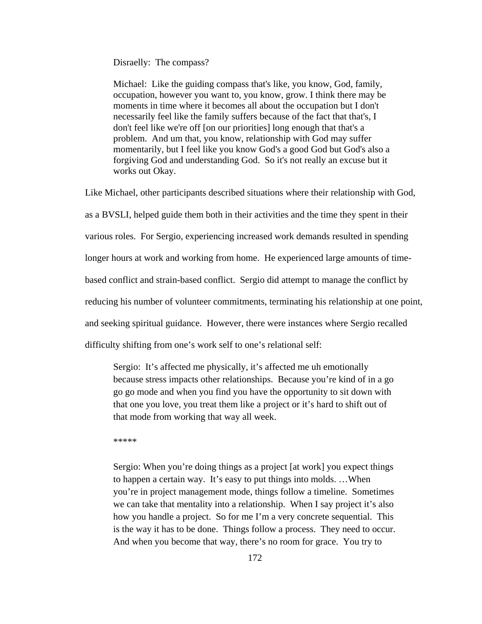Disraelly: The compass?

Michael: Like the guiding compass that's like, you know, God, family, occupation, however you want to, you know, grow. I think there may be moments in time where it becomes all about the occupation but I don't necessarily feel like the family suffers because of the fact that that's, I don't feel like we're off [on our priorities] long enough that that's a problem. And um that, you know, relationship with God may suffer momentarily, but I feel like you know God's a good God but God's also a forgiving God and understanding God. So it's not really an excuse but it works out Okay.

Like Michael, other participants described situations where their relationship with God, as a BVSLI, helped guide them both in their activities and the time they spent in their various roles. For Sergio, experiencing increased work demands resulted in spending longer hours at work and working from home. He experienced large amounts of timebased conflict and strain-based conflict. Sergio did attempt to manage the conflict by reducing his number of volunteer commitments, terminating his relationship at one point, and seeking spiritual guidance. However, there were instances where Sergio recalled difficulty shifting from one's work self to one's relational self:

Sergio: It's affected me physically, it's affected me uh emotionally because stress impacts other relationships. Because you're kind of in a go go go mode and when you find you have the opportunity to sit down with that one you love, you treat them like a project or it's hard to shift out of that mode from working that way all week.

\*\*\*\*\*

Sergio: When you're doing things as a project [at work] you expect things to happen a certain way. It's easy to put things into molds. …When you're in project management mode, things follow a timeline. Sometimes we can take that mentality into a relationship. When I say project it's also how you handle a project. So for me I'm a very concrete sequential. This is the way it has to be done. Things follow a process. They need to occur. And when you become that way, there's no room for grace. You try to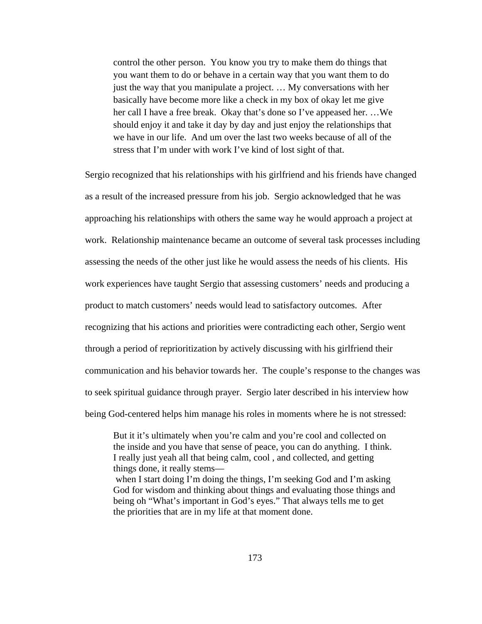control the other person. You know you try to make them do things that you want them to do or behave in a certain way that you want them to do just the way that you manipulate a project. … My conversations with her basically have become more like a check in my box of okay let me give her call I have a free break. Okay that's done so I've appeased her. …We should enjoy it and take it day by day and just enjoy the relationships that we have in our life. And um over the last two weeks because of all of the stress that I'm under with work I've kind of lost sight of that.

Sergio recognized that his relationships with his girlfriend and his friends have changed as a result of the increased pressure from his job. Sergio acknowledged that he was approaching his relationships with others the same way he would approach a project at work. Relationship maintenance became an outcome of several task processes including assessing the needs of the other just like he would assess the needs of his clients. His work experiences have taught Sergio that assessing customers' needs and producing a product to match customers' needs would lead to satisfactory outcomes. After recognizing that his actions and priorities were contradicting each other, Sergio went through a period of reprioritization by actively discussing with his girlfriend their communication and his behavior towards her. The couple's response to the changes was to seek spiritual guidance through prayer. Sergio later described in his interview how being God-centered helps him manage his roles in moments where he is not stressed:

But it it's ultimately when you're calm and you're cool and collected on the inside and you have that sense of peace, you can do anything. I think. I really just yeah all that being calm, cool , and collected, and getting things done, it really stems—

when I start doing I'm doing the things, I'm seeking God and I'm asking God for wisdom and thinking about things and evaluating those things and being oh "What's important in God's eyes." That always tells me to get the priorities that are in my life at that moment done.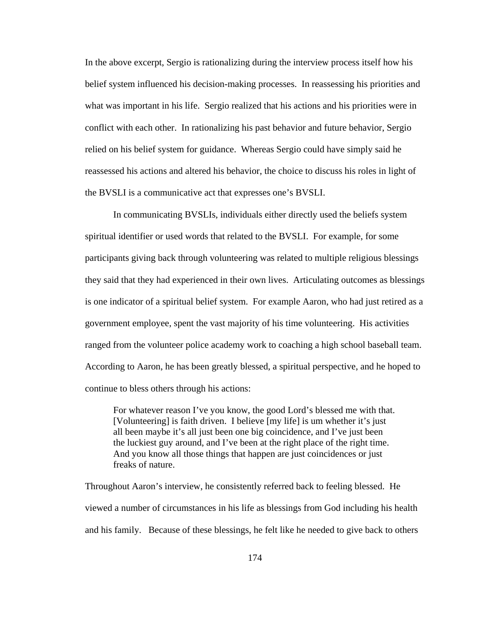In the above excerpt, Sergio is rationalizing during the interview process itself how his belief system influenced his decision-making processes. In reassessing his priorities and what was important in his life. Sergio realized that his actions and his priorities were in conflict with each other. In rationalizing his past behavior and future behavior, Sergio relied on his belief system for guidance. Whereas Sergio could have simply said he reassessed his actions and altered his behavior, the choice to discuss his roles in light of the BVSLI is a communicative act that expresses one's BVSLI.

In communicating BVSLIs, individuals either directly used the beliefs system spiritual identifier or used words that related to the BVSLI. For example, for some participants giving back through volunteering was related to multiple religious blessings they said that they had experienced in their own lives. Articulating outcomes as blessings is one indicator of a spiritual belief system. For example Aaron, who had just retired as a government employee, spent the vast majority of his time volunteering. His activities ranged from the volunteer police academy work to coaching a high school baseball team. According to Aaron, he has been greatly blessed, a spiritual perspective, and he hoped to continue to bless others through his actions:

For whatever reason I've you know, the good Lord's blessed me with that. [Volunteering] is faith driven. I believe [my life] is um whether it's just all been maybe it's all just been one big coincidence, and I've just been the luckiest guy around, and I've been at the right place of the right time. And you know all those things that happen are just coincidences or just freaks of nature.

Throughout Aaron's interview, he consistently referred back to feeling blessed. He viewed a number of circumstances in his life as blessings from God including his health and his family. Because of these blessings, he felt like he needed to give back to others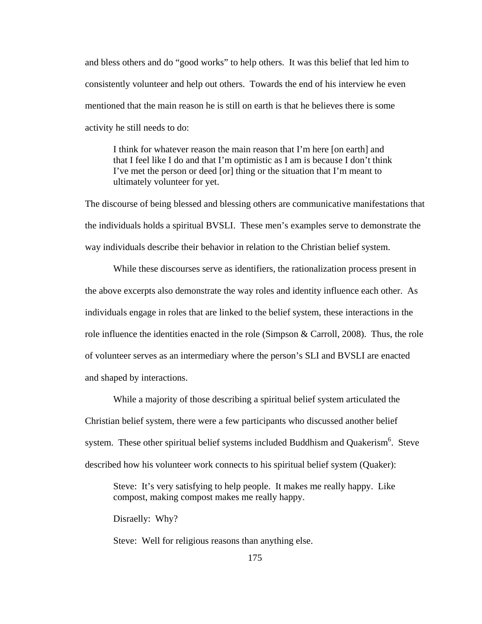and bless others and do "good works" to help others. It was this belief that led him to consistently volunteer and help out others. Towards the end of his interview he even mentioned that the main reason he is still on earth is that he believes there is some activity he still needs to do:

I think for whatever reason the main reason that I'm here [on earth] and that I feel like I do and that I'm optimistic as I am is because I don't think I've met the person or deed [or] thing or the situation that I'm meant to ultimately volunteer for yet.

The discourse of being blessed and blessing others are communicative manifestations that the individuals holds a spiritual BVSLI. These men's examples serve to demonstrate the way individuals describe their behavior in relation to the Christian belief system.

While these discourses serve as identifiers, the rationalization process present in the above excerpts also demonstrate the way roles and identity influence each other. As individuals engage in roles that are linked to the belief system, these interactions in the role influence the identities enacted in the role (Simpson & Carroll, 2008). Thus, the role of volunteer serves as an intermediary where the person's SLI and BVSLI are enacted and shaped by interactions.

While a majority of those describing a spiritual belief system articulated the Christian belief system, there were a few participants who discussed another belief system. These other spiritual belief systems included Buddhism and Quakerism<sup>6</sup>. Steve described how his volunteer work connects to his spiritual belief system (Quaker):

Steve: It's very satisfying to help people. It makes me really happy. Like compost, making compost makes me really happy.

Disraelly: Why?

Steve: Well for religious reasons than anything else.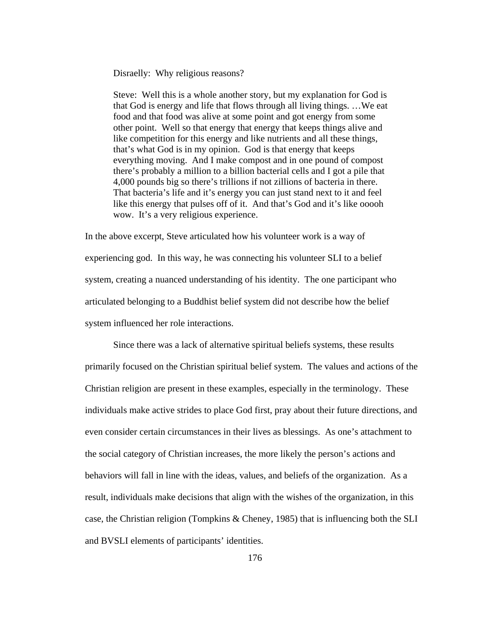Disraelly: Why religious reasons?

Steve: Well this is a whole another story, but my explanation for God is that God is energy and life that flows through all living things. …We eat food and that food was alive at some point and got energy from some other point. Well so that energy that energy that keeps things alive and like competition for this energy and like nutrients and all these things, that's what God is in my opinion. God is that energy that keeps everything moving. And I make compost and in one pound of compost there's probably a million to a billion bacterial cells and I got a pile that 4,000 pounds big so there's trillions if not zillions of bacteria in there. That bacteria's life and it's energy you can just stand next to it and feel like this energy that pulses off of it. And that's God and it's like ooooh wow. It's a very religious experience.

In the above excerpt, Steve articulated how his volunteer work is a way of experiencing god. In this way, he was connecting his volunteer SLI to a belief system, creating a nuanced understanding of his identity. The one participant who articulated belonging to a Buddhist belief system did not describe how the belief system influenced her role interactions.

Since there was a lack of alternative spiritual beliefs systems, these results primarily focused on the Christian spiritual belief system. The values and actions of the Christian religion are present in these examples, especially in the terminology. These individuals make active strides to place God first, pray about their future directions, and even consider certain circumstances in their lives as blessings. As one's attachment to the social category of Christian increases, the more likely the person's actions and behaviors will fall in line with the ideas, values, and beliefs of the organization. As a result, individuals make decisions that align with the wishes of the organization, in this case, the Christian religion (Tompkins & Cheney, 1985) that is influencing both the SLI and BVSLI elements of participants' identities.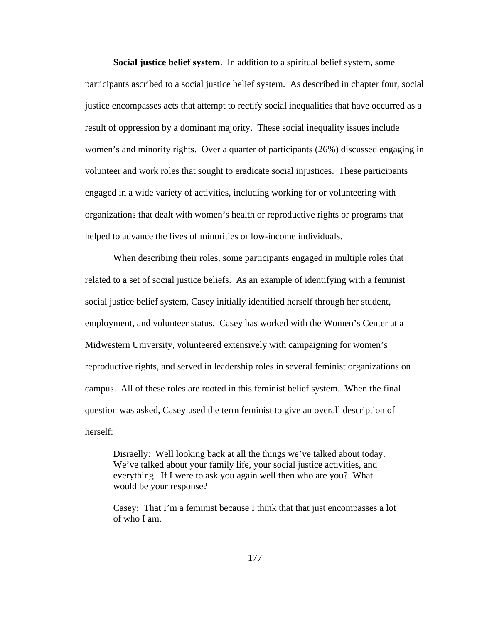**Social justice belief system**. In addition to a spiritual belief system, some participants ascribed to a social justice belief system. As described in chapter four, social justice encompasses acts that attempt to rectify social inequalities that have occurred as a result of oppression by a dominant majority. These social inequality issues include women's and minority rights. Over a quarter of participants (26%) discussed engaging in volunteer and work roles that sought to eradicate social injustices. These participants engaged in a wide variety of activities, including working for or volunteering with organizations that dealt with women's health or reproductive rights or programs that helped to advance the lives of minorities or low-income individuals.

When describing their roles, some participants engaged in multiple roles that related to a set of social justice beliefs. As an example of identifying with a feminist social justice belief system, Casey initially identified herself through her student, employment, and volunteer status. Casey has worked with the Women's Center at a Midwestern University, volunteered extensively with campaigning for women's reproductive rights, and served in leadership roles in several feminist organizations on campus. All of these roles are rooted in this feminist belief system. When the final question was asked, Casey used the term feminist to give an overall description of herself:

Disraelly: Well looking back at all the things we've talked about today. We've talked about your family life, your social justice activities, and everything. If I were to ask you again well then who are you? What would be your response?

Casey: That I'm a feminist because I think that that just encompasses a lot of who I am.

177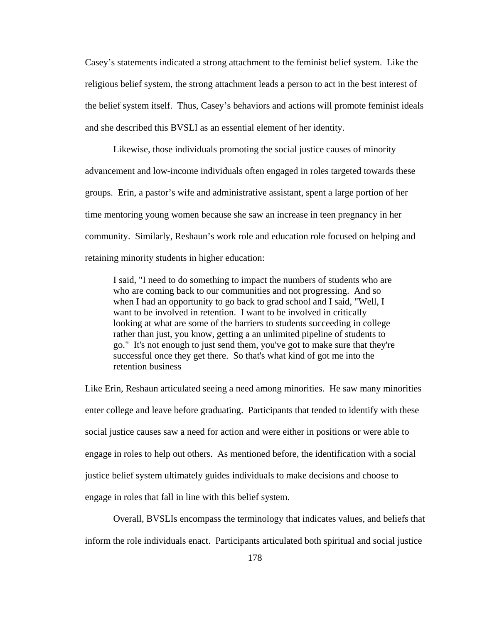Casey's statements indicated a strong attachment to the feminist belief system. Like the religious belief system, the strong attachment leads a person to act in the best interest of the belief system itself. Thus, Casey's behaviors and actions will promote feminist ideals and she described this BVSLI as an essential element of her identity.

Likewise, those individuals promoting the social justice causes of minority advancement and low-income individuals often engaged in roles targeted towards these groups. Erin, a pastor's wife and administrative assistant, spent a large portion of her time mentoring young women because she saw an increase in teen pregnancy in her community. Similarly, Reshaun's work role and education role focused on helping and retaining minority students in higher education:

I said, "I need to do something to impact the numbers of students who are who are coming back to our communities and not progressing. And so when I had an opportunity to go back to grad school and I said, "Well, I want to be involved in retention. I want to be involved in critically looking at what are some of the barriers to students succeeding in college rather than just, you know, getting a an unlimited pipeline of students to go." It's not enough to just send them, you've got to make sure that they're successful once they get there. So that's what kind of got me into the retention business

Like Erin, Reshaun articulated seeing a need among minorities. He saw many minorities enter college and leave before graduating. Participants that tended to identify with these social justice causes saw a need for action and were either in positions or were able to engage in roles to help out others. As mentioned before, the identification with a social justice belief system ultimately guides individuals to make decisions and choose to engage in roles that fall in line with this belief system.

Overall, BVSLIs encompass the terminology that indicates values, and beliefs that inform the role individuals enact. Participants articulated both spiritual and social justice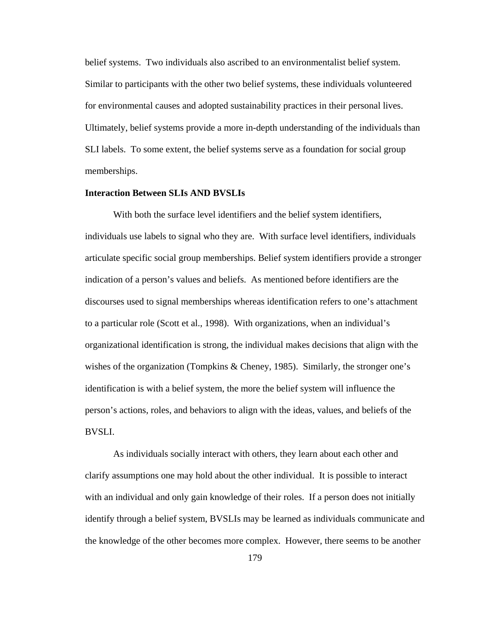belief systems. Two individuals also ascribed to an environmentalist belief system. Similar to participants with the other two belief systems, these individuals volunteered for environmental causes and adopted sustainability practices in their personal lives. Ultimately, belief systems provide a more in-depth understanding of the individuals than SLI labels. To some extent, the belief systems serve as a foundation for social group memberships.

## **Interaction Between SLIs AND BVSLIs**

With both the surface level identifiers and the belief system identifiers, individuals use labels to signal who they are. With surface level identifiers, individuals articulate specific social group memberships. Belief system identifiers provide a stronger indication of a person's values and beliefs. As mentioned before identifiers are the discourses used to signal memberships whereas identification refers to one's attachment to a particular role (Scott et al., 1998). With organizations, when an individual's organizational identification is strong, the individual makes decisions that align with the wishes of the organization (Tompkins & Cheney, 1985). Similarly, the stronger one's identification is with a belief system, the more the belief system will influence the person's actions, roles, and behaviors to align with the ideas, values, and beliefs of the BVSLI.

As individuals socially interact with others, they learn about each other and clarify assumptions one may hold about the other individual. It is possible to interact with an individual and only gain knowledge of their roles. If a person does not initially identify through a belief system, BVSLIs may be learned as individuals communicate and the knowledge of the other becomes more complex. However, there seems to be another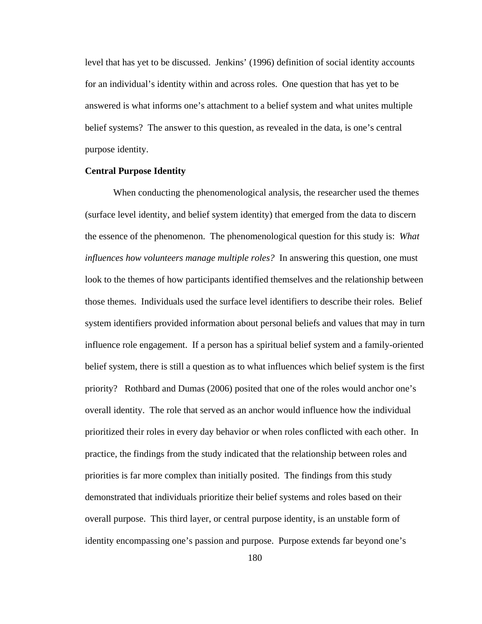level that has yet to be discussed. Jenkins' (1996) definition of social identity accounts for an individual's identity within and across roles. One question that has yet to be answered is what informs one's attachment to a belief system and what unites multiple belief systems? The answer to this question, as revealed in the data, is one's central purpose identity.

# **Central Purpose Identity**

When conducting the phenomenological analysis, the researcher used the themes (surface level identity, and belief system identity) that emerged from the data to discern the essence of the phenomenon. The phenomenological question for this study is: *What influences how volunteers manage multiple roles?* In answering this question, one must look to the themes of how participants identified themselves and the relationship between those themes. Individuals used the surface level identifiers to describe their roles. Belief system identifiers provided information about personal beliefs and values that may in turn influence role engagement. If a person has a spiritual belief system and a family-oriented belief system, there is still a question as to what influences which belief system is the first priority? Rothbard and Dumas (2006) posited that one of the roles would anchor one's overall identity. The role that served as an anchor would influence how the individual prioritized their roles in every day behavior or when roles conflicted with each other. In practice, the findings from the study indicated that the relationship between roles and priorities is far more complex than initially posited. The findings from this study demonstrated that individuals prioritize their belief systems and roles based on their overall purpose. This third layer, or central purpose identity, is an unstable form of identity encompassing one's passion and purpose. Purpose extends far beyond one's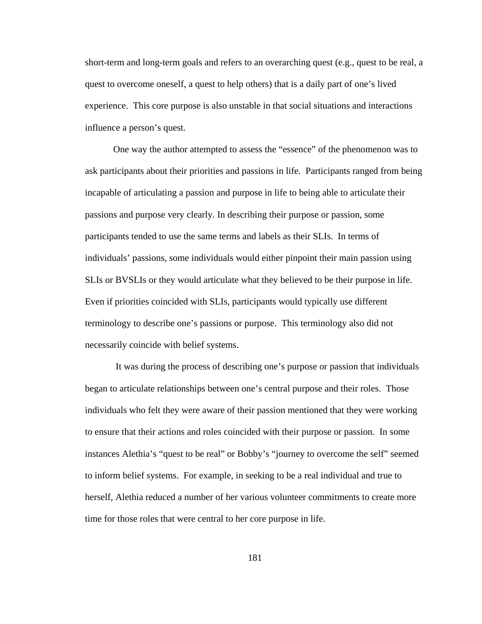short-term and long-term goals and refers to an overarching quest (e.g., quest to be real, a quest to overcome oneself, a quest to help others) that is a daily part of one's lived experience. This core purpose is also unstable in that social situations and interactions influence a person's quest.

One way the author attempted to assess the "essence" of the phenomenon was to ask participants about their priorities and passions in life. Participants ranged from being incapable of articulating a passion and purpose in life to being able to articulate their passions and purpose very clearly. In describing their purpose or passion, some participants tended to use the same terms and labels as their SLIs. In terms of individuals' passions, some individuals would either pinpoint their main passion using SLIs or BVSLIs or they would articulate what they believed to be their purpose in life. Even if priorities coincided with SLIs, participants would typically use different terminology to describe one's passions or purpose. This terminology also did not necessarily coincide with belief systems.

It was during the process of describing one's purpose or passion that individuals began to articulate relationships between one's central purpose and their roles. Those individuals who felt they were aware of their passion mentioned that they were working to ensure that their actions and roles coincided with their purpose or passion. In some instances Alethia's "quest to be real" or Bobby's "journey to overcome the self" seemed to inform belief systems. For example, in seeking to be a real individual and true to herself, Alethia reduced a number of her various volunteer commitments to create more time for those roles that were central to her core purpose in life.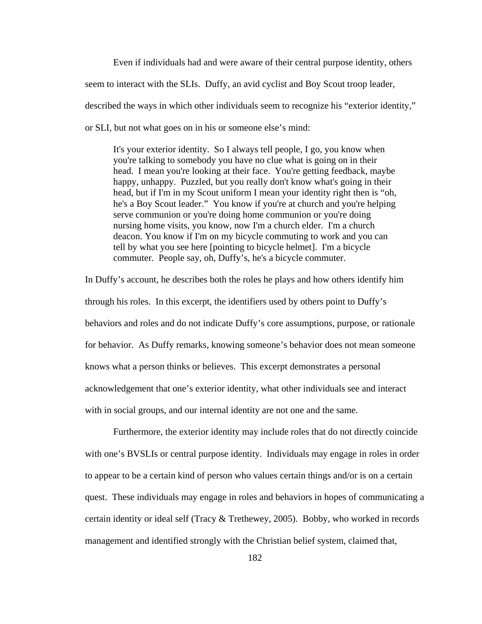Even if individuals had and were aware of their central purpose identity, others seem to interact with the SLIs. Duffy, an avid cyclist and Boy Scout troop leader, described the ways in which other individuals seem to recognize his "exterior identity," or SLI*,* but not what goes on in his or someone else's mind:

It's your exterior identity. So I always tell people, I go, you know when you're talking to somebody you have no clue what is going on in their head. I mean you're looking at their face. You're getting feedback, maybe happy, unhappy. Puzzled, but you really don't know what's going in their head, but if I'm in my Scout uniform I mean your identity right then is "oh, he's a Boy Scout leader." You know if you're at church and you're helping serve communion or you're doing home communion or you're doing nursing home visits, you know, now I'm a church elder. I'm a church deacon. You know if I'm on my bicycle commuting to work and you can tell by what you see here [pointing to bicycle helmet]. I'm a bicycle commuter. People say, oh, Duffy's, he's a bicycle commuter.

In Duffy's account, he describes both the roles he plays and how others identify him through his roles. In this excerpt, the identifiers used by others point to Duffy's behaviors and roles and do not indicate Duffy's core assumptions, purpose, or rationale for behavior. As Duffy remarks, knowing someone's behavior does not mean someone knows what a person thinks or believes. This excerpt demonstrates a personal acknowledgement that one's exterior identity, what other individuals see and interact with in social groups, and our internal identity are not one and the same.

Furthermore, the exterior identity may include roles that do not directly coincide with one's BVSLIs or central purpose identity. Individuals may engage in roles in order to appear to be a certain kind of person who values certain things and/or is on a certain quest. These individuals may engage in roles and behaviors in hopes of communicating a certain identity or ideal self (Tracy  $&$  Trethewey, 2005). Bobby, who worked in records management and identified strongly with the Christian belief system, claimed that,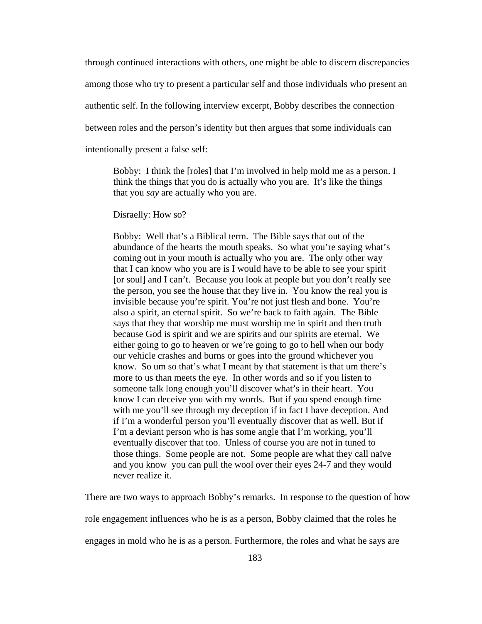through continued interactions with others, one might be able to discern discrepancies among those who try to present a particular self and those individuals who present an authentic self. In the following interview excerpt, Bobby describes the connection between roles and the person's identity but then argues that some individuals can intentionally present a false self:

Bobby: I think the [roles] that I'm involved in help mold me as a person. I think the things that you do is actually who you are. It's like the things that you *say* are actually who you are.

Disraelly: How so?

Bobby: Well that's a Biblical term. The Bible says that out of the abundance of the hearts the mouth speaks. So what you're saying what's coming out in your mouth is actually who you are. The only other way that I can know who you are is I would have to be able to see your spirit [or soul] and I can't. Because you look at people but you don't really see the person, you see the house that they live in. You know the real you is invisible because you're spirit. You're not just flesh and bone. You're also a spirit, an eternal spirit. So we're back to faith again. The Bible says that they that worship me must worship me in spirit and then truth because God is spirit and we are spirits and our spirits are eternal. We either going to go to heaven or we're going to go to hell when our body our vehicle crashes and burns or goes into the ground whichever you know. So um so that's what I meant by that statement is that um there's more to us than meets the eye. In other words and so if you listen to someone talk long enough you'll discover what's in their heart. You know I can deceive you with my words. But if you spend enough time with me you'll see through my deception if in fact I have deception. And if I'm a wonderful person you'll eventually discover that as well. But if I'm a deviant person who is has some angle that I'm working, you'll eventually discover that too. Unless of course you are not in tuned to those things. Some people are not. Some people are what they call naïve and you know you can pull the wool over their eyes 24-7 and they would never realize it.

There are two ways to approach Bobby's remarks. In response to the question of how role engagement influences who he is as a person, Bobby claimed that the roles he engages in mold who he is as a person. Furthermore, the roles and what he says are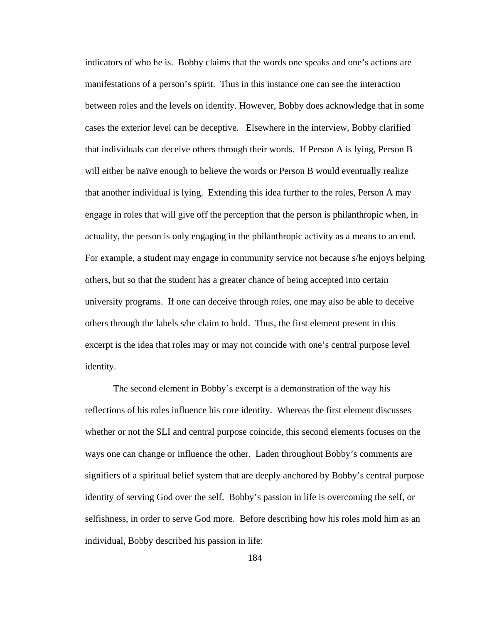indicators of who he is. Bobby claims that the words one speaks and one's actions are manifestations of a person's spirit. Thus in this instance one can see the interaction between roles and the levels on identity. However, Bobby does acknowledge that in some cases the exterior level can be deceptive. Elsewhere in the interview, Bobby clarified that individuals can deceive others through their words. If Person A is lying, Person B will either be naïve enough to believe the words or Person B would eventually realize that another individual is lying. Extending this idea further to the roles, Person A may engage in roles that will give off the perception that the person is philanthropic when, in actuality, the person is only engaging in the philanthropic activity as a means to an end. For example, a student may engage in community service not because s/he enjoys helping others, but so that the student has a greater chance of being accepted into certain university programs. If one can deceive through roles, one may also be able to deceive others through the labels s/he claim to hold. Thus, the first element present in this excerpt is the idea that roles may or may not coincide with one's central purpose level identity.

The second element in Bobby's excerpt is a demonstration of the way his reflections of his roles influence his core identity. Whereas the first element discusses whether or not the SLI and central purpose coincide, this second elements focuses on the ways one can change or influence the other. Laden throughout Bobby's comments are signifiers of a spiritual belief system that are deeply anchored by Bobby's central purpose identity of serving God over the self. Bobby's passion in life is overcoming the self, or selfishness, in order to serve God more. Before describing how his roles mold him as an individual, Bobby described his passion in life:

184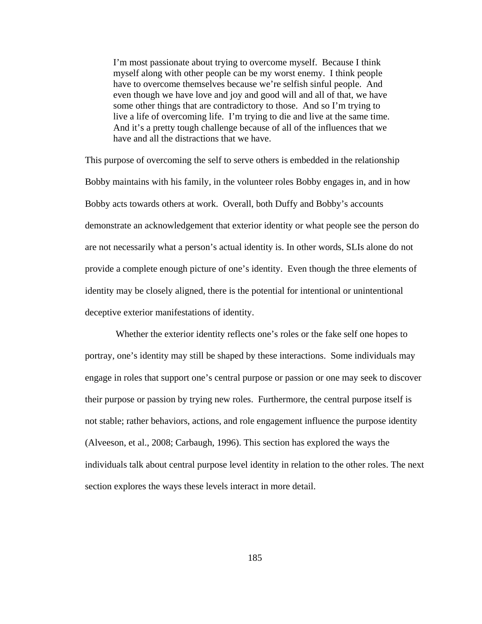I'm most passionate about trying to overcome myself. Because I think myself along with other people can be my worst enemy. I think people have to overcome themselves because we're selfish sinful people. And even though we have love and joy and good will and all of that, we have some other things that are contradictory to those. And so I'm trying to live a life of overcoming life. I'm trying to die and live at the same time. And it's a pretty tough challenge because of all of the influences that we have and all the distractions that we have.

This purpose of overcoming the self to serve others is embedded in the relationship Bobby maintains with his family, in the volunteer roles Bobby engages in, and in how Bobby acts towards others at work. Overall, both Duffy and Bobby's accounts demonstrate an acknowledgement that exterior identity or what people see the person do are not necessarily what a person's actual identity is. In other words, SLIs alone do not provide a complete enough picture of one's identity. Even though the three elements of identity may be closely aligned, there is the potential for intentional or unintentional deceptive exterior manifestations of identity.

Whether the exterior identity reflects one's roles or the fake self one hopes to portray, one's identity may still be shaped by these interactions. Some individuals may engage in roles that support one's central purpose or passion or one may seek to discover their purpose or passion by trying new roles. Furthermore, the central purpose itself is not stable; rather behaviors, actions, and role engagement influence the purpose identity (Alveeson, et al., 2008; Carbaugh, 1996). This section has explored the ways the individuals talk about central purpose level identity in relation to the other roles. The next section explores the ways these levels interact in more detail.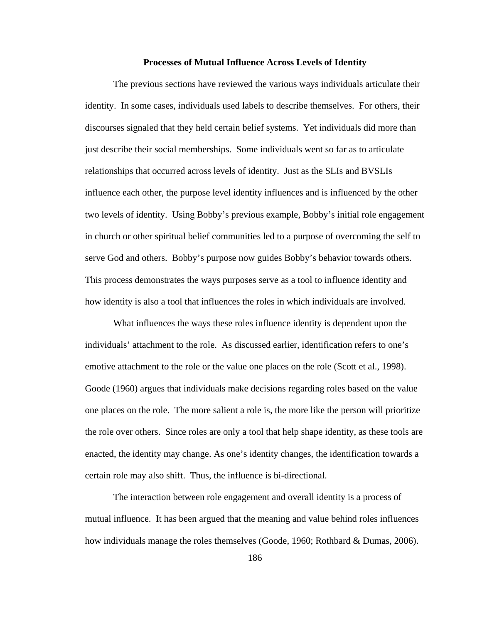### **Processes of Mutual Influence Across Levels of Identity**

The previous sections have reviewed the various ways individuals articulate their identity. In some cases, individuals used labels to describe themselves. For others, their discourses signaled that they held certain belief systems. Yet individuals did more than just describe their social memberships. Some individuals went so far as to articulate relationships that occurred across levels of identity. Just as the SLIs and BVSLIs influence each other, the purpose level identity influences and is influenced by the other two levels of identity. Using Bobby's previous example, Bobby's initial role engagement in church or other spiritual belief communities led to a purpose of overcoming the self to serve God and others. Bobby's purpose now guides Bobby's behavior towards others. This process demonstrates the ways purposes serve as a tool to influence identity and how identity is also a tool that influences the roles in which individuals are involved.

What influences the ways these roles influence identity is dependent upon the individuals' attachment to the role. As discussed earlier, identification refers to one's emotive attachment to the role or the value one places on the role (Scott et al., 1998). Goode (1960) argues that individuals make decisions regarding roles based on the value one places on the role. The more salient a role is, the more like the person will prioritize the role over others. Since roles are only a tool that help shape identity, as these tools are enacted, the identity may change. As one's identity changes, the identification towards a certain role may also shift. Thus, the influence is bi-directional.

The interaction between role engagement and overall identity is a process of mutual influence. It has been argued that the meaning and value behind roles influences how individuals manage the roles themselves (Goode, 1960; Rothbard & Dumas, 2006).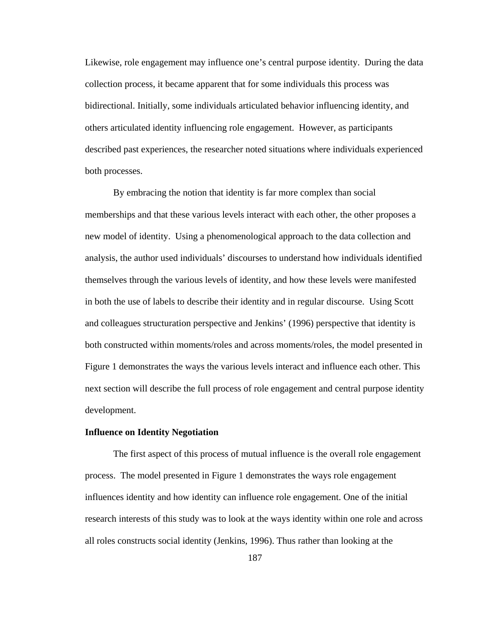Likewise, role engagement may influence one's central purpose identity. During the data collection process, it became apparent that for some individuals this process was bidirectional. Initially, some individuals articulated behavior influencing identity, and others articulated identity influencing role engagement. However, as participants described past experiences, the researcher noted situations where individuals experienced both processes.

By embracing the notion that identity is far more complex than social memberships and that these various levels interact with each other, the other proposes a new model of identity. Using a phenomenological approach to the data collection and analysis, the author used individuals' discourses to understand how individuals identified themselves through the various levels of identity, and how these levels were manifested in both the use of labels to describe their identity and in regular discourse. Using Scott and colleagues structuration perspective and Jenkins' (1996) perspective that identity is both constructed within moments/roles and across moments/roles, the model presented in Figure 1 demonstrates the ways the various levels interact and influence each other. This next section will describe the full process of role engagement and central purpose identity development.

#### **Influence on Identity Negotiation**

The first aspect of this process of mutual influence is the overall role engagement process. The model presented in Figure 1 demonstrates the ways role engagement influences identity and how identity can influence role engagement. One of the initial research interests of this study was to look at the ways identity within one role and across all roles constructs social identity (Jenkins, 1996). Thus rather than looking at the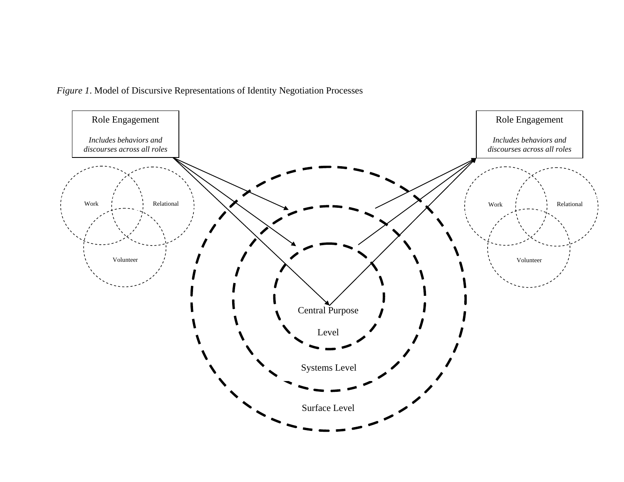*Figure 1*. Model of Discursive Representations of Identity Negotiation Processes

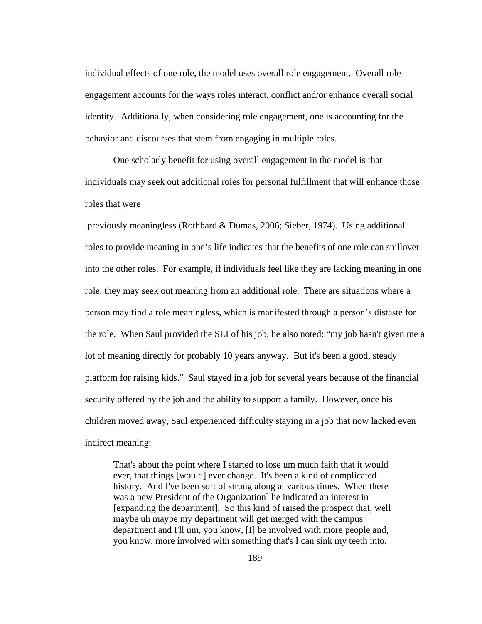individual effects of one role, the model uses overall role engagement. Overall role engagement accounts for the ways roles interact, conflict and/or enhance overall social identity. Additionally, when considering role engagement, one is accounting for the behavior and discourses that stem from engaging in multiple roles.

One scholarly benefit for using overall engagement in the model is that individuals may seek out additional roles for personal fulfillment that will enhance those roles that were

previously meaningless (Rothbard & Dumas, 2006; Sieber, 1974). Using additional roles to provide meaning in one's life indicates that the benefits of one role can spillover into the other roles. For example, if individuals feel like they are lacking meaning in one role, they may seek out meaning from an additional role. There are situations where a person may find a role meaningless, which is manifested through a person's distaste for the role. When Saul provided the SLI of his job, he also noted: "my job hasn't given me a lot of meaning directly for probably 10 years anyway. But it's been a good, steady platform for raising kids." Saul stayed in a job for several years because of the financial security offered by the job and the ability to support a family. However, once his children moved away, Saul experienced difficulty staying in a job that now lacked even indirect meaning:

That's about the point where I started to lose um much faith that it would ever, that things [would] ever change. It's been a kind of complicated history. And I've been sort of strung along at various times. When there was a new President of the Organization] he indicated an interest in [expanding the department]. So this kind of raised the prospect that, well maybe uh maybe my department will get merged with the campus department and I'll um, you know, [I] be involved with more people and, you know, more involved with something that's I can sink my teeth into.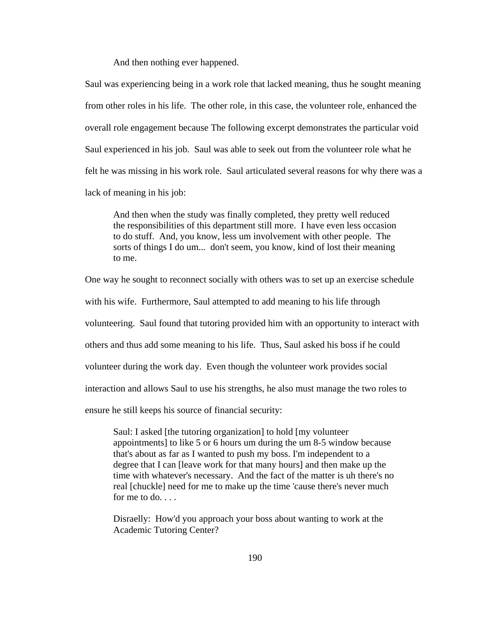And then nothing ever happened.

Saul was experiencing being in a work role that lacked meaning, thus he sought meaning from other roles in his life. The other role, in this case, the volunteer role, enhanced the overall role engagement because The following excerpt demonstrates the particular void Saul experienced in his job. Saul was able to seek out from the volunteer role what he felt he was missing in his work role. Saul articulated several reasons for why there was a lack of meaning in his job:

And then when the study was finally completed, they pretty well reduced the responsibilities of this department still more. I have even less occasion to do stuff. And, you know, less um involvement with other people. The sorts of things I do um... don't seem, you know, kind of lost their meaning to me.

One way he sought to reconnect socially with others was to set up an exercise schedule

with his wife. Furthermore, Saul attempted to add meaning to his life through

volunteering. Saul found that tutoring provided him with an opportunity to interact with

others and thus add some meaning to his life. Thus, Saul asked his boss if he could

volunteer during the work day. Even though the volunteer work provides social

interaction and allows Saul to use his strengths, he also must manage the two roles to

ensure he still keeps his source of financial security:

Saul: I asked [the tutoring organization] to hold [my volunteer appointments] to like 5 or 6 hours um during the um 8-5 window because that's about as far as I wanted to push my boss. I'm independent to a degree that I can [leave work for that many hours] and then make up the time with whatever's necessary. And the fact of the matter is uh there's no real [chuckle] need for me to make up the time 'cause there's never much for me to  $do. \ldots$ 

Disraelly: How'd you approach your boss about wanting to work at the Academic Tutoring Center?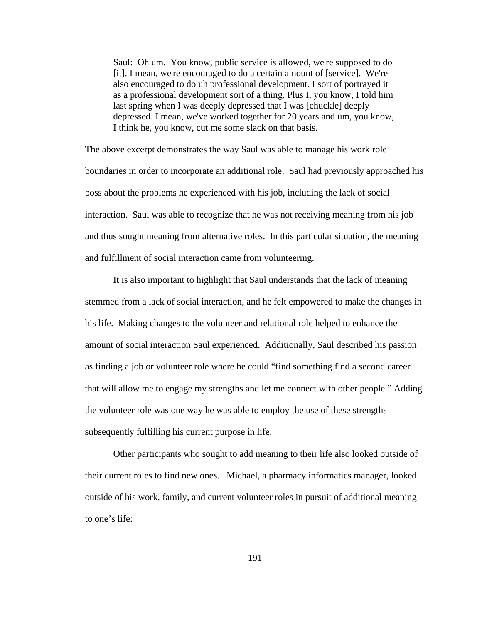Saul: Oh um. You know, public service is allowed, we're supposed to do [it]. I mean, we're encouraged to do a certain amount of [service]. We're also encouraged to do uh professional development. I sort of portrayed it as a professional development sort of a thing. Plus I, you know, I told him last spring when I was deeply depressed that I was [chuckle] deeply depressed. I mean, we've worked together for 20 years and um, you know, I think he, you know, cut me some slack on that basis.

The above excerpt demonstrates the way Saul was able to manage his work role boundaries in order to incorporate an additional role. Saul had previously approached his boss about the problems he experienced with his job, including the lack of social interaction. Saul was able to recognize that he was not receiving meaning from his job and thus sought meaning from alternative roles. In this particular situation, the meaning and fulfillment of social interaction came from volunteering.

It is also important to highlight that Saul understands that the lack of meaning stemmed from a lack of social interaction, and he felt empowered to make the changes in his life. Making changes to the volunteer and relational role helped to enhance the amount of social interaction Saul experienced. Additionally, Saul described his passion as finding a job or volunteer role where he could "find something find a second career that will allow me to engage my strengths and let me connect with other people." Adding the volunteer role was one way he was able to employ the use of these strengths subsequently fulfilling his current purpose in life.

Other participants who sought to add meaning to their life also looked outside of their current roles to find new ones. Michael, a pharmacy informatics manager, looked outside of his work, family, and current volunteer roles in pursuit of additional meaning to one's life: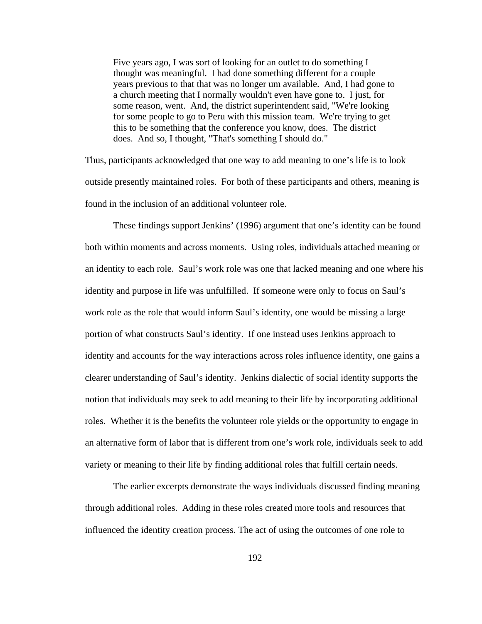Five years ago, I was sort of looking for an outlet to do something I thought was meaningful. I had done something different for a couple years previous to that that was no longer um available. And, I had gone to a church meeting that I normally wouldn't even have gone to. I just, for some reason, went. And, the district superintendent said, "We're looking for some people to go to Peru with this mission team. We're trying to get this to be something that the conference you know, does. The district does. And so, I thought, "That's something I should do."

Thus, participants acknowledged that one way to add meaning to one's life is to look outside presently maintained roles. For both of these participants and others, meaning is found in the inclusion of an additional volunteer role.

These findings support Jenkins' (1996) argument that one's identity can be found both within moments and across moments. Using roles, individuals attached meaning or an identity to each role. Saul's work role was one that lacked meaning and one where his identity and purpose in life was unfulfilled. If someone were only to focus on Saul's work role as the role that would inform Saul's identity, one would be missing a large portion of what constructs Saul's identity. If one instead uses Jenkins approach to identity and accounts for the way interactions across roles influence identity, one gains a clearer understanding of Saul's identity. Jenkins dialectic of social identity supports the notion that individuals may seek to add meaning to their life by incorporating additional roles. Whether it is the benefits the volunteer role yields or the opportunity to engage in an alternative form of labor that is different from one's work role, individuals seek to add variety or meaning to their life by finding additional roles that fulfill certain needs.

The earlier excerpts demonstrate the ways individuals discussed finding meaning through additional roles. Adding in these roles created more tools and resources that influenced the identity creation process. The act of using the outcomes of one role to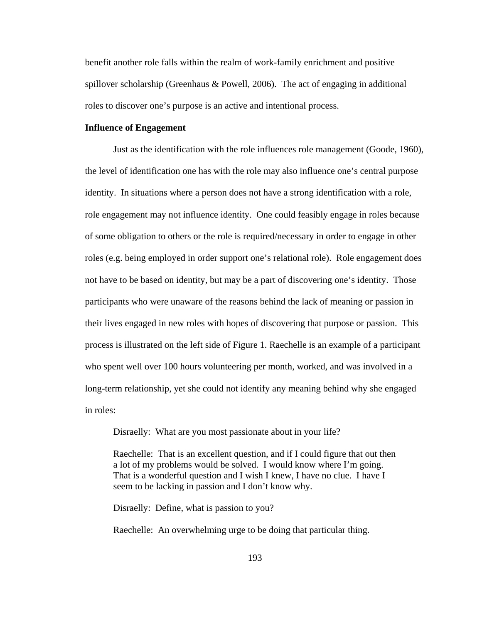benefit another role falls within the realm of work-family enrichment and positive spillover scholarship (Greenhaus & Powell, 2006). The act of engaging in additional roles to discover one's purpose is an active and intentional process.

# **Influence of Engagement**

Just as the identification with the role influences role management (Goode, 1960), the level of identification one has with the role may also influence one's central purpose identity. In situations where a person does not have a strong identification with a role, role engagement may not influence identity. One could feasibly engage in roles because of some obligation to others or the role is required/necessary in order to engage in other roles (e.g. being employed in order support one's relational role). Role engagement does not have to be based on identity, but may be a part of discovering one's identity. Those participants who were unaware of the reasons behind the lack of meaning or passion in their lives engaged in new roles with hopes of discovering that purpose or passion. This process is illustrated on the left side of Figure 1. Raechelle is an example of a participant who spent well over 100 hours volunteering per month, worked, and was involved in a long-term relationship, yet she could not identify any meaning behind why she engaged in roles:

Disraelly: What are you most passionate about in your life?

Raechelle: That is an excellent question, and if I could figure that out then a lot of my problems would be solved. I would know where I'm going. That is a wonderful question and I wish I knew, I have no clue. I have I seem to be lacking in passion and I don't know why.

Disraelly: Define, what is passion to you?

Raechelle: An overwhelming urge to be doing that particular thing.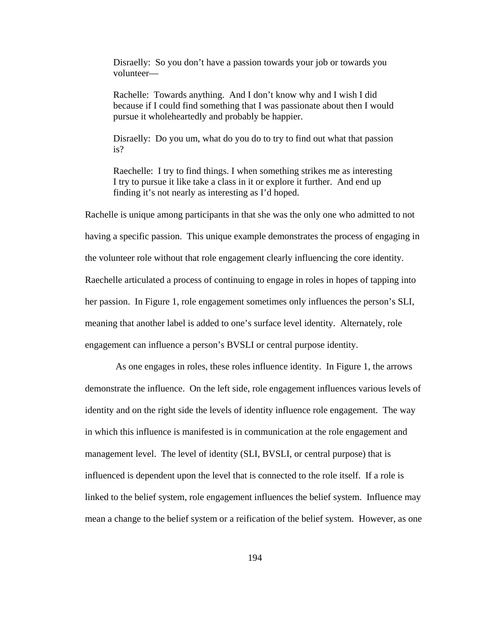Disraelly: So you don't have a passion towards your job or towards you volunteer—

Rachelle: Towards anything. And I don't know why and I wish I did because if I could find something that I was passionate about then I would pursue it wholeheartedly and probably be happier.

Disraelly: Do you um, what do you do to try to find out what that passion is?

Raechelle: I try to find things. I when something strikes me as interesting I try to pursue it like take a class in it or explore it further. And end up finding it's not nearly as interesting as I'd hoped.

Rachelle is unique among participants in that she was the only one who admitted to not having a specific passion. This unique example demonstrates the process of engaging in the volunteer role without that role engagement clearly influencing the core identity. Raechelle articulated a process of continuing to engage in roles in hopes of tapping into her passion. In Figure 1, role engagement sometimes only influences the person's SLI, meaning that another label is added to one's surface level identity. Alternately, role engagement can influence a person's BVSLI or central purpose identity.

As one engages in roles, these roles influence identity. In Figure 1, the arrows demonstrate the influence. On the left side, role engagement influences various levels of identity and on the right side the levels of identity influence role engagement. The way in which this influence is manifested is in communication at the role engagement and management level. The level of identity (SLI, BVSLI, or central purpose) that is influenced is dependent upon the level that is connected to the role itself. If a role is linked to the belief system, role engagement influences the belief system. Influence may mean a change to the belief system or a reification of the belief system. However, as one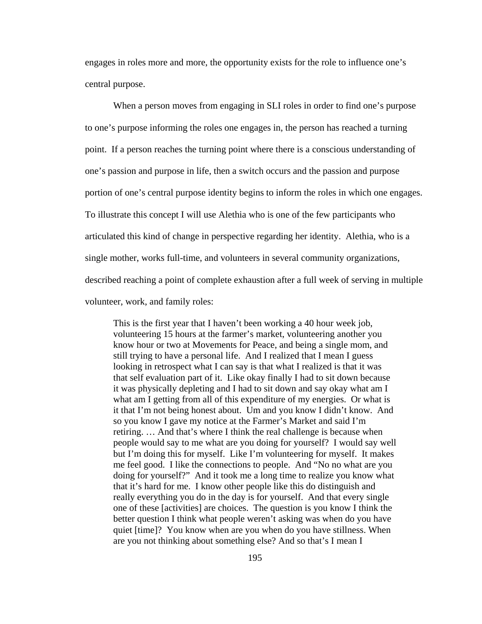engages in roles more and more, the opportunity exists for the role to influence one's central purpose.

When a person moves from engaging in SLI roles in order to find one's purpose to one's purpose informing the roles one engages in, the person has reached a turning point. If a person reaches the turning point where there is a conscious understanding of one's passion and purpose in life, then a switch occurs and the passion and purpose portion of one's central purpose identity begins to inform the roles in which one engages. To illustrate this concept I will use Alethia who is one of the few participants who articulated this kind of change in perspective regarding her identity. Alethia, who is a single mother, works full-time, and volunteers in several community organizations, described reaching a point of complete exhaustion after a full week of serving in multiple volunteer, work, and family roles:

This is the first year that I haven't been working a 40 hour week job, volunteering 15 hours at the farmer's market, volunteering another you know hour or two at Movements for Peace, and being a single mom, and still trying to have a personal life. And I realized that I mean I guess looking in retrospect what I can say is that what I realized is that it was that self evaluation part of it. Like okay finally I had to sit down because it was physically depleting and I had to sit down and say okay what am I what am I getting from all of this expenditure of my energies. Or what is it that I'm not being honest about. Um and you know I didn't know. And so you know I gave my notice at the Farmer's Market and said I'm retiring. … And that's where I think the real challenge is because when people would say to me what are you doing for yourself? I would say well but I'm doing this for myself. Like I'm volunteering for myself. It makes me feel good. I like the connections to people. And "No no what are you doing for yourself?" And it took me a long time to realize you know what that it's hard for me. I know other people like this do distinguish and really everything you do in the day is for yourself. And that every single one of these [activities] are choices. The question is you know I think the better question I think what people weren't asking was when do you have quiet [time]? You know when are you when do you have stillness. When are you not thinking about something else? And so that's I mean I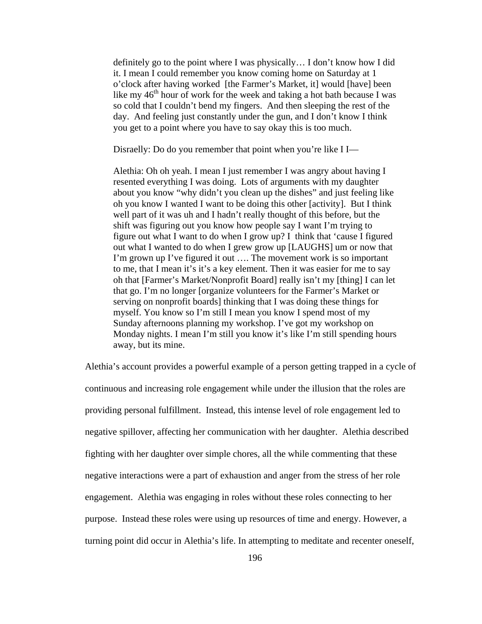definitely go to the point where I was physically… I don't know how I did it. I mean I could remember you know coming home on Saturday at 1 o'clock after having worked [the Farmer's Market, it] would [have] been like my  $46<sup>th</sup>$  hour of work for the week and taking a hot bath because I was so cold that I couldn't bend my fingers. And then sleeping the rest of the day. And feeling just constantly under the gun, and I don't know I think you get to a point where you have to say okay this is too much.

Disraelly: Do do you remember that point when you're like I I—

Alethia: Oh oh yeah. I mean I just remember I was angry about having I resented everything I was doing. Lots of arguments with my daughter about you know "why didn't you clean up the dishes" and just feeling like oh you know I wanted I want to be doing this other [activity]. But I think well part of it was uh and I hadn't really thought of this before, but the shift was figuring out you know how people say I want I'm trying to figure out what I want to do when I grow up? I think that 'cause I figured out what I wanted to do when I grew grow up [LAUGHS] um or now that I'm grown up I've figured it out …. The movement work is so important to me, that I mean it's it's a key element. Then it was easier for me to say oh that [Farmer's Market/Nonprofit Board] really isn't my [thing] I can let that go. I'm no longer [organize volunteers for the Farmer's Market or serving on nonprofit boards] thinking that I was doing these things for myself. You know so I'm still I mean you know I spend most of my Sunday afternoons planning my workshop. I've got my workshop on Monday nights. I mean I'm still you know it's like I'm still spending hours away, but its mine.

Alethia's account provides a powerful example of a person getting trapped in a cycle of continuous and increasing role engagement while under the illusion that the roles are providing personal fulfillment. Instead, this intense level of role engagement led to negative spillover, affecting her communication with her daughter. Alethia described fighting with her daughter over simple chores, all the while commenting that these negative interactions were a part of exhaustion and anger from the stress of her role engagement. Alethia was engaging in roles without these roles connecting to her purpose. Instead these roles were using up resources of time and energy. However, a turning point did occur in Alethia's life. In attempting to meditate and recenter oneself,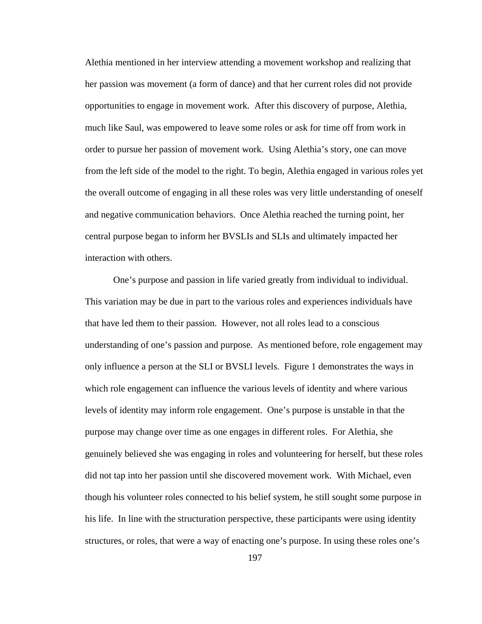Alethia mentioned in her interview attending a movement workshop and realizing that her passion was movement (a form of dance) and that her current roles did not provide opportunities to engage in movement work. After this discovery of purpose, Alethia, much like Saul, was empowered to leave some roles or ask for time off from work in order to pursue her passion of movement work. Using Alethia's story, one can move from the left side of the model to the right. To begin, Alethia engaged in various roles yet the overall outcome of engaging in all these roles was very little understanding of oneself and negative communication behaviors. Once Alethia reached the turning point, her central purpose began to inform her BVSLIs and SLIs and ultimately impacted her interaction with others.

One's purpose and passion in life varied greatly from individual to individual. This variation may be due in part to the various roles and experiences individuals have that have led them to their passion. However, not all roles lead to a conscious understanding of one's passion and purpose. As mentioned before, role engagement may only influence a person at the SLI or BVSLI levels. Figure 1 demonstrates the ways in which role engagement can influence the various levels of identity and where various levels of identity may inform role engagement. One's purpose is unstable in that the purpose may change over time as one engages in different roles. For Alethia, she genuinely believed she was engaging in roles and volunteering for herself, but these roles did not tap into her passion until she discovered movement work. With Michael, even though his volunteer roles connected to his belief system, he still sought some purpose in his life. In line with the structuration perspective, these participants were using identity structures, or roles, that were a way of enacting one's purpose. In using these roles one's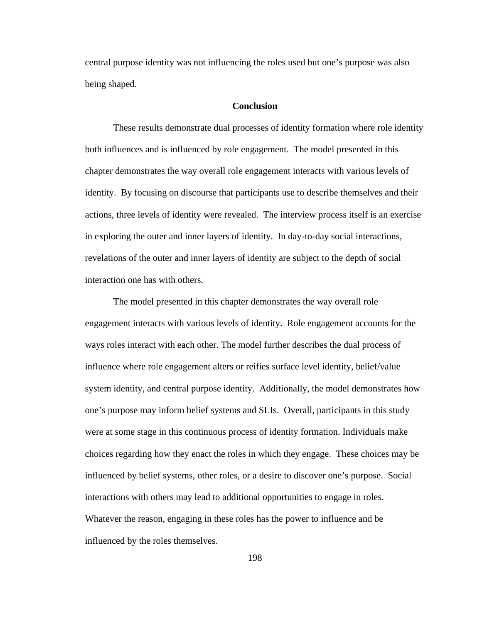central purpose identity was not influencing the roles used but one's purpose was also being shaped.

# **Conclusion**

These results demonstrate dual processes of identity formation where role identity both influences and is influenced by role engagement. The model presented in this chapter demonstrates the way overall role engagement interacts with various levels of identity. By focusing on discourse that participants use to describe themselves and their actions, three levels of identity were revealed. The interview process itself is an exercise in exploring the outer and inner layers of identity. In day-to-day social interactions, revelations of the outer and inner layers of identity are subject to the depth of social interaction one has with others.

The model presented in this chapter demonstrates the way overall role engagement interacts with various levels of identity. Role engagement accounts for the ways roles interact with each other. The model further describes the dual process of influence where role engagement alters or reifies surface level identity, belief/value system identity, and central purpose identity. Additionally, the model demonstrates how one's purpose may inform belief systems and SLIs. Overall, participants in this study were at some stage in this continuous process of identity formation. Individuals make choices regarding how they enact the roles in which they engage. These choices may be influenced by belief systems, other roles, or a desire to discover one's purpose. Social interactions with others may lead to additional opportunities to engage in roles. Whatever the reason, engaging in these roles has the power to influence and be influenced by the roles themselves.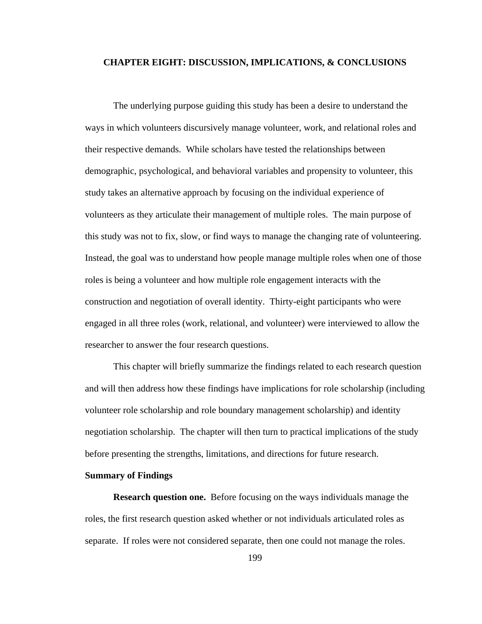# **CHAPTER EIGHT: DISCUSSION, IMPLICATIONS, & CONCLUSIONS**

The underlying purpose guiding this study has been a desire to understand the ways in which volunteers discursively manage volunteer, work, and relational roles and their respective demands. While scholars have tested the relationships between demographic, psychological, and behavioral variables and propensity to volunteer, this study takes an alternative approach by focusing on the individual experience of volunteers as they articulate their management of multiple roles. The main purpose of this study was not to fix, slow, or find ways to manage the changing rate of volunteering. Instead, the goal was to understand how people manage multiple roles when one of those roles is being a volunteer and how multiple role engagement interacts with the construction and negotiation of overall identity. Thirty-eight participants who were engaged in all three roles (work, relational, and volunteer) were interviewed to allow the researcher to answer the four research questions.

This chapter will briefly summarize the findings related to each research question and will then address how these findings have implications for role scholarship (including volunteer role scholarship and role boundary management scholarship) and identity negotiation scholarship. The chapter will then turn to practical implications of the study before presenting the strengths, limitations, and directions for future research.

## **Summary of Findings**

**Research question one.** Before focusing on the ways individuals manage the roles, the first research question asked whether or not individuals articulated roles as separate. If roles were not considered separate, then one could not manage the roles.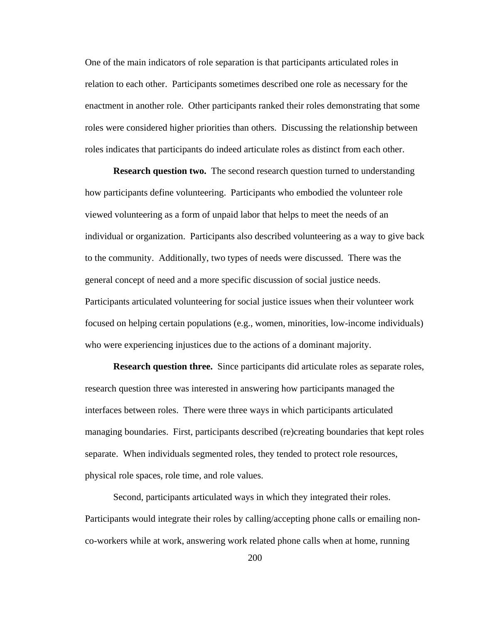One of the main indicators of role separation is that participants articulated roles in relation to each other. Participants sometimes described one role as necessary for the enactment in another role. Other participants ranked their roles demonstrating that some roles were considered higher priorities than others. Discussing the relationship between roles indicates that participants do indeed articulate roles as distinct from each other.

**Research question two.** The second research question turned to understanding how participants define volunteering. Participants who embodied the volunteer role viewed volunteering as a form of unpaid labor that helps to meet the needs of an individual or organization. Participants also described volunteering as a way to give back to the community. Additionally, two types of needs were discussed. There was the general concept of need and a more specific discussion of social justice needs. Participants articulated volunteering for social justice issues when their volunteer work focused on helping certain populations (e.g., women, minorities, low-income individuals) who were experiencing injustices due to the actions of a dominant majority.

**Research question three.** Since participants did articulate roles as separate roles, research question three was interested in answering how participants managed the interfaces between roles. There were three ways in which participants articulated managing boundaries. First, participants described (re)creating boundaries that kept roles separate. When individuals segmented roles, they tended to protect role resources, physical role spaces, role time, and role values.

Second, participants articulated ways in which they integrated their roles. Participants would integrate their roles by calling/accepting phone calls or emailing nonco-workers while at work, answering work related phone calls when at home, running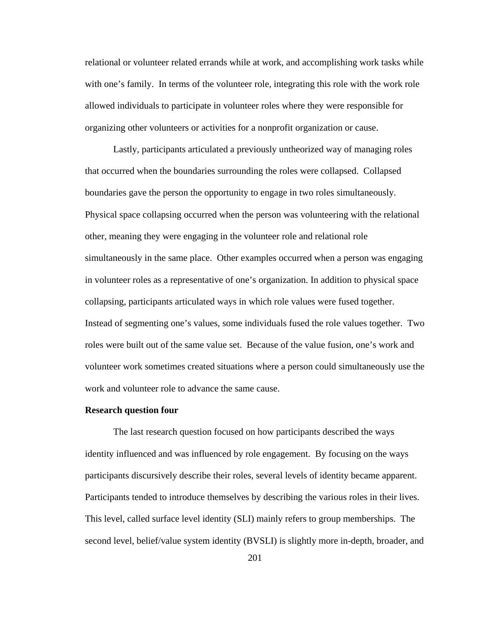relational or volunteer related errands while at work, and accomplishing work tasks while with one's family. In terms of the volunteer role, integrating this role with the work role allowed individuals to participate in volunteer roles where they were responsible for organizing other volunteers or activities for a nonprofit organization or cause.

Lastly, participants articulated a previously untheorized way of managing roles that occurred when the boundaries surrounding the roles were collapsed. Collapsed boundaries gave the person the opportunity to engage in two roles simultaneously. Physical space collapsing occurred when the person was volunteering with the relational other, meaning they were engaging in the volunteer role and relational role simultaneously in the same place. Other examples occurred when a person was engaging in volunteer roles as a representative of one's organization. In addition to physical space collapsing, participants articulated ways in which role values were fused together. Instead of segmenting one's values, some individuals fused the role values together. Two roles were built out of the same value set. Because of the value fusion, one's work and volunteer work sometimes created situations where a person could simultaneously use the work and volunteer role to advance the same cause.

### **Research question four**

The last research question focused on how participants described the ways identity influenced and was influenced by role engagement. By focusing on the ways participants discursively describe their roles, several levels of identity became apparent. Participants tended to introduce themselves by describing the various roles in their lives. This level, called surface level identity (SLI) mainly refers to group memberships. The second level, belief/value system identity (BVSLI) is slightly more in-depth, broader, and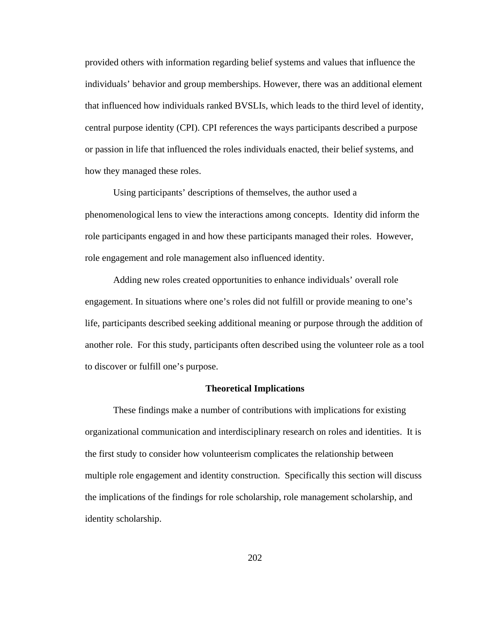provided others with information regarding belief systems and values that influence the individuals' behavior and group memberships. However, there was an additional element that influenced how individuals ranked BVSLIs, which leads to the third level of identity, central purpose identity (CPI). CPI references the ways participants described a purpose or passion in life that influenced the roles individuals enacted, their belief systems, and how they managed these roles.

Using participants' descriptions of themselves, the author used a phenomenological lens to view the interactions among concepts. Identity did inform the role participants engaged in and how these participants managed their roles. However, role engagement and role management also influenced identity.

Adding new roles created opportunities to enhance individuals' overall role engagement. In situations where one's roles did not fulfill or provide meaning to one's life, participants described seeking additional meaning or purpose through the addition of another role. For this study, participants often described using the volunteer role as a tool to discover or fulfill one's purpose.

### **Theoretical Implications**

These findings make a number of contributions with implications for existing organizational communication and interdisciplinary research on roles and identities. It is the first study to consider how volunteerism complicates the relationship between multiple role engagement and identity construction. Specifically this section will discuss the implications of the findings for role scholarship, role management scholarship, and identity scholarship.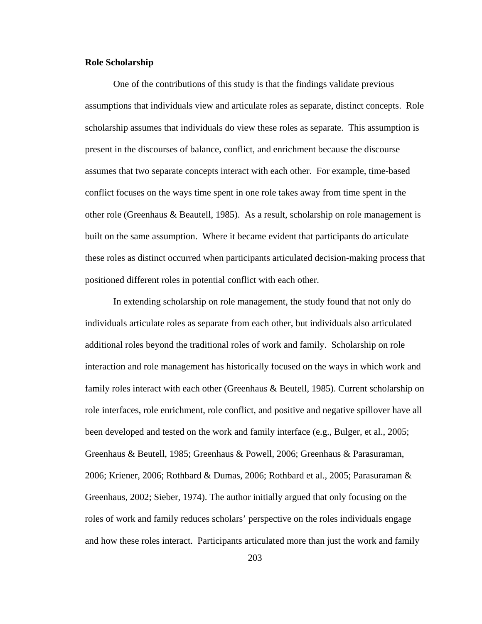#### **Role Scholarship**

One of the contributions of this study is that the findings validate previous assumptions that individuals view and articulate roles as separate, distinct concepts. Role scholarship assumes that individuals do view these roles as separate. This assumption is present in the discourses of balance, conflict, and enrichment because the discourse assumes that two separate concepts interact with each other. For example, time-based conflict focuses on the ways time spent in one role takes away from time spent in the other role (Greenhaus  $\&$  Beautell, 1985). As a result, scholarship on role management is built on the same assumption. Where it became evident that participants do articulate these roles as distinct occurred when participants articulated decision-making process that positioned different roles in potential conflict with each other.

In extending scholarship on role management, the study found that not only do individuals articulate roles as separate from each other, but individuals also articulated additional roles beyond the traditional roles of work and family. Scholarship on role interaction and role management has historically focused on the ways in which work and family roles interact with each other (Greenhaus & Beutell, 1985). Current scholarship on role interfaces, role enrichment, role conflict, and positive and negative spillover have all been developed and tested on the work and family interface (e.g., Bulger, et al., 2005; Greenhaus & Beutell, 1985; Greenhaus & Powell, 2006; Greenhaus & Parasuraman, 2006; Kriener, 2006; Rothbard & Dumas, 2006; Rothbard et al., 2005; Parasuraman & Greenhaus, 2002; Sieber, 1974). The author initially argued that only focusing on the roles of work and family reduces scholars' perspective on the roles individuals engage and how these roles interact. Participants articulated more than just the work and family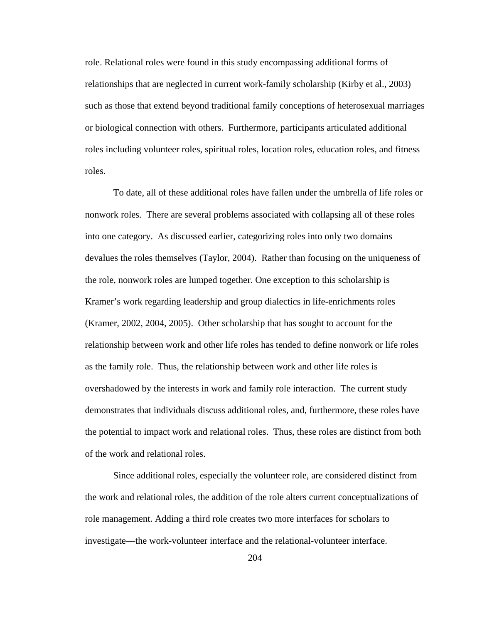role. Relational roles were found in this study encompassing additional forms of relationships that are neglected in current work-family scholarship (Kirby et al., 2003) such as those that extend beyond traditional family conceptions of heterosexual marriages or biological connection with others. Furthermore, participants articulated additional roles including volunteer roles, spiritual roles, location roles, education roles, and fitness roles.

To date, all of these additional roles have fallen under the umbrella of life roles or nonwork roles. There are several problems associated with collapsing all of these roles into one category. As discussed earlier, categorizing roles into only two domains devalues the roles themselves (Taylor, 2004). Rather than focusing on the uniqueness of the role, nonwork roles are lumped together. One exception to this scholarship is Kramer's work regarding leadership and group dialectics in life-enrichments roles (Kramer, 2002, 2004, 2005). Other scholarship that has sought to account for the relationship between work and other life roles has tended to define nonwork or life roles as the family role. Thus, the relationship between work and other life roles is overshadowed by the interests in work and family role interaction. The current study demonstrates that individuals discuss additional roles, and, furthermore, these roles have the potential to impact work and relational roles. Thus, these roles are distinct from both of the work and relational roles.

Since additional roles, especially the volunteer role, are considered distinct from the work and relational roles, the addition of the role alters current conceptualizations of role management. Adding a third role creates two more interfaces for scholars to investigate—the work-volunteer interface and the relational-volunteer interface.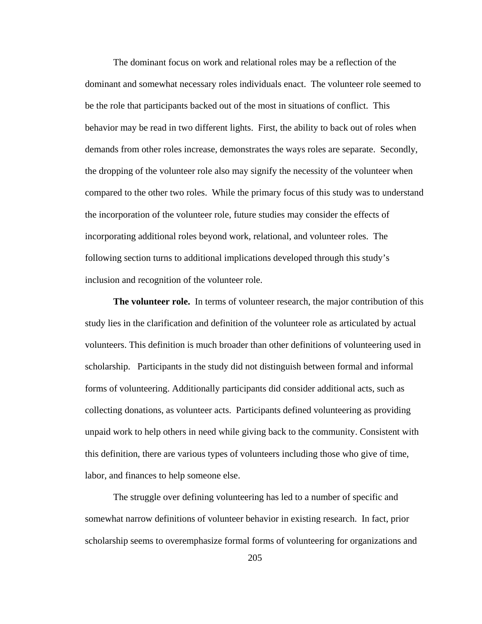The dominant focus on work and relational roles may be a reflection of the dominant and somewhat necessary roles individuals enact. The volunteer role seemed to be the role that participants backed out of the most in situations of conflict. This behavior may be read in two different lights. First, the ability to back out of roles when demands from other roles increase, demonstrates the ways roles are separate. Secondly, the dropping of the volunteer role also may signify the necessity of the volunteer when compared to the other two roles. While the primary focus of this study was to understand the incorporation of the volunteer role, future studies may consider the effects of incorporating additional roles beyond work, relational, and volunteer roles. The following section turns to additional implications developed through this study's inclusion and recognition of the volunteer role.

**The volunteer role.** In terms of volunteer research, the major contribution of this study lies in the clarification and definition of the volunteer role as articulated by actual volunteers. This definition is much broader than other definitions of volunteering used in scholarship. Participants in the study did not distinguish between formal and informal forms of volunteering. Additionally participants did consider additional acts, such as collecting donations, as volunteer acts. Participants defined volunteering as providing unpaid work to help others in need while giving back to the community. Consistent with this definition, there are various types of volunteers including those who give of time, labor, and finances to help someone else.

The struggle over defining volunteering has led to a number of specific and somewhat narrow definitions of volunteer behavior in existing research. In fact, prior scholarship seems to overemphasize formal forms of volunteering for organizations and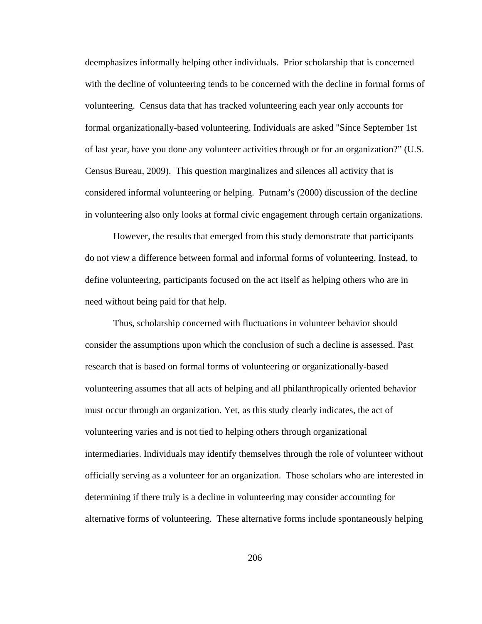deemphasizes informally helping other individuals. Prior scholarship that is concerned with the decline of volunteering tends to be concerned with the decline in formal forms of volunteering. Census data that has tracked volunteering each year only accounts for formal organizationally-based volunteering. Individuals are asked "Since September 1st of last year, have you done any volunteer activities through or for an organization?" (U.S. Census Bureau, 2009). This question marginalizes and silences all activity that is considered informal volunteering or helping. Putnam's (2000) discussion of the decline in volunteering also only looks at formal civic engagement through certain organizations.

However, the results that emerged from this study demonstrate that participants do not view a difference between formal and informal forms of volunteering. Instead, to define volunteering, participants focused on the act itself as helping others who are in need without being paid for that help.

Thus, scholarship concerned with fluctuations in volunteer behavior should consider the assumptions upon which the conclusion of such a decline is assessed. Past research that is based on formal forms of volunteering or organizationally-based volunteering assumes that all acts of helping and all philanthropically oriented behavior must occur through an organization. Yet, as this study clearly indicates, the act of volunteering varies and is not tied to helping others through organizational intermediaries. Individuals may identify themselves through the role of volunteer without officially serving as a volunteer for an organization. Those scholars who are interested in determining if there truly is a decline in volunteering may consider accounting for alternative forms of volunteering. These alternative forms include spontaneously helping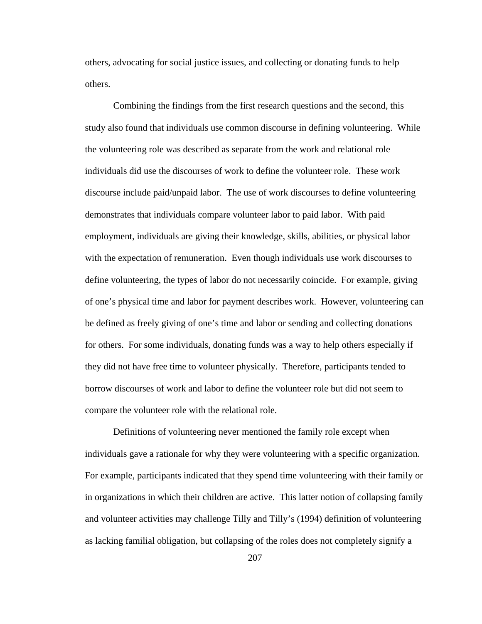others, advocating for social justice issues, and collecting or donating funds to help others.

Combining the findings from the first research questions and the second, this study also found that individuals use common discourse in defining volunteering. While the volunteering role was described as separate from the work and relational role individuals did use the discourses of work to define the volunteer role. These work discourse include paid/unpaid labor. The use of work discourses to define volunteering demonstrates that individuals compare volunteer labor to paid labor. With paid employment, individuals are giving their knowledge, skills, abilities, or physical labor with the expectation of remuneration. Even though individuals use work discourses to define volunteering, the types of labor do not necessarily coincide. For example, giving of one's physical time and labor for payment describes work. However, volunteering can be defined as freely giving of one's time and labor or sending and collecting donations for others. For some individuals, donating funds was a way to help others especially if they did not have free time to volunteer physically. Therefore, participants tended to borrow discourses of work and labor to define the volunteer role but did not seem to compare the volunteer role with the relational role.

Definitions of volunteering never mentioned the family role except when individuals gave a rationale for why they were volunteering with a specific organization. For example, participants indicated that they spend time volunteering with their family or in organizations in which their children are active. This latter notion of collapsing family and volunteer activities may challenge Tilly and Tilly's (1994) definition of volunteering as lacking familial obligation, but collapsing of the roles does not completely signify a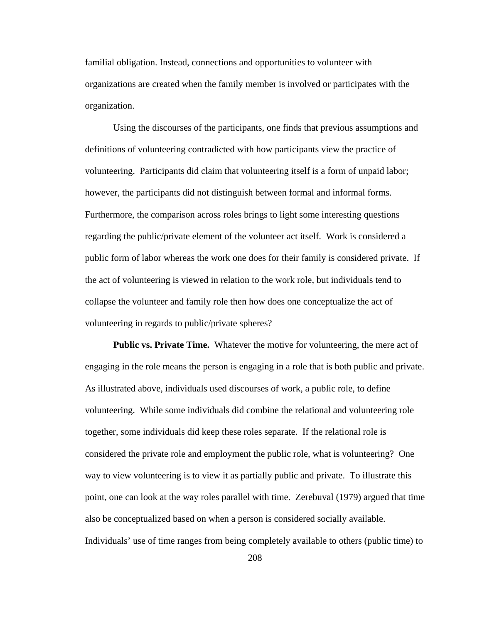familial obligation. Instead, connections and opportunities to volunteer with organizations are created when the family member is involved or participates with the organization.

Using the discourses of the participants, one finds that previous assumptions and definitions of volunteering contradicted with how participants view the practice of volunteering. Participants did claim that volunteering itself is a form of unpaid labor; however, the participants did not distinguish between formal and informal forms. Furthermore, the comparison across roles brings to light some interesting questions regarding the public/private element of the volunteer act itself. Work is considered a public form of labor whereas the work one does for their family is considered private. If the act of volunteering is viewed in relation to the work role, but individuals tend to collapse the volunteer and family role then how does one conceptualize the act of volunteering in regards to public/private spheres?

**Public vs. Private Time.** Whatever the motive for volunteering, the mere act of engaging in the role means the person is engaging in a role that is both public and private. As illustrated above, individuals used discourses of work, a public role, to define volunteering. While some individuals did combine the relational and volunteering role together, some individuals did keep these roles separate. If the relational role is considered the private role and employment the public role, what is volunteering? One way to view volunteering is to view it as partially public and private. To illustrate this point, one can look at the way roles parallel with time. Zerebuval (1979) argued that time also be conceptualized based on when a person is considered socially available. Individuals' use of time ranges from being completely available to others (public time) to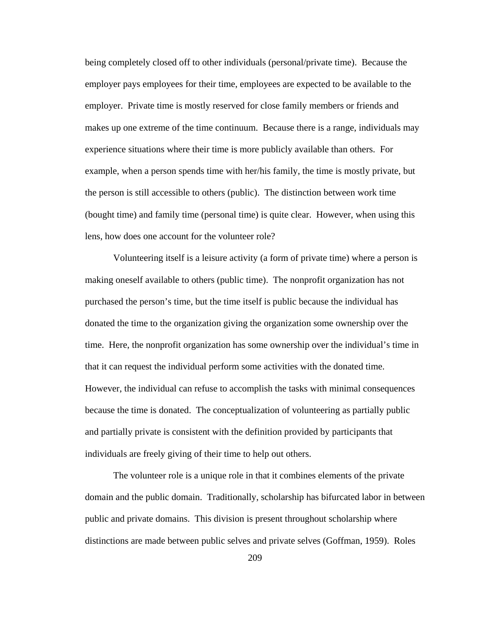being completely closed off to other individuals (personal/private time). Because the employer pays employees for their time, employees are expected to be available to the employer. Private time is mostly reserved for close family members or friends and makes up one extreme of the time continuum. Because there is a range, individuals may experience situations where their time is more publicly available than others. For example, when a person spends time with her/his family, the time is mostly private, but the person is still accessible to others (public). The distinction between work time (bought time) and family time (personal time) is quite clear. However, when using this lens, how does one account for the volunteer role?

Volunteering itself is a leisure activity (a form of private time) where a person is making oneself available to others (public time). The nonprofit organization has not purchased the person's time, but the time itself is public because the individual has donated the time to the organization giving the organization some ownership over the time. Here, the nonprofit organization has some ownership over the individual's time in that it can request the individual perform some activities with the donated time. However, the individual can refuse to accomplish the tasks with minimal consequences because the time is donated. The conceptualization of volunteering as partially public and partially private is consistent with the definition provided by participants that individuals are freely giving of their time to help out others.

The volunteer role is a unique role in that it combines elements of the private domain and the public domain. Traditionally, scholarship has bifurcated labor in between public and private domains. This division is present throughout scholarship where distinctions are made between public selves and private selves (Goffman, 1959). Roles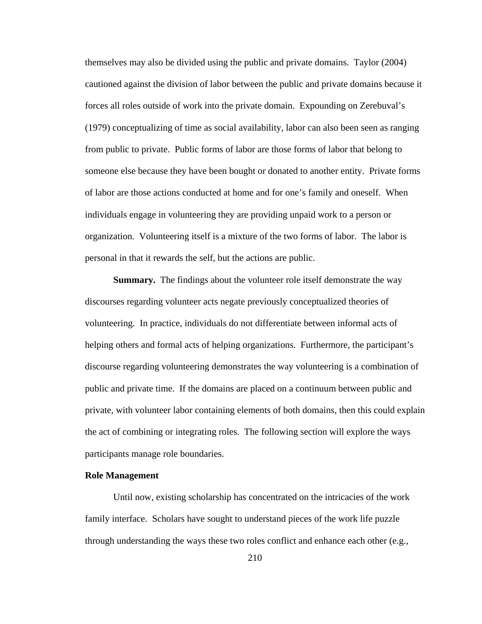themselves may also be divided using the public and private domains. Taylor (2004) cautioned against the division of labor between the public and private domains because it forces all roles outside of work into the private domain. Expounding on Zerebuval's (1979) conceptualizing of time as social availability, labor can also been seen as ranging from public to private. Public forms of labor are those forms of labor that belong to someone else because they have been bought or donated to another entity. Private forms of labor are those actions conducted at home and for one's family and oneself. When individuals engage in volunteering they are providing unpaid work to a person or organization. Volunteering itself is a mixture of the two forms of labor. The labor is personal in that it rewards the self, but the actions are public.

**Summary.** The findings about the volunteer role itself demonstrate the way discourses regarding volunteer acts negate previously conceptualized theories of volunteering. In practice, individuals do not differentiate between informal acts of helping others and formal acts of helping organizations. Furthermore, the participant's discourse regarding volunteering demonstrates the way volunteering is a combination of public and private time. If the domains are placed on a continuum between public and private, with volunteer labor containing elements of both domains, then this could explain the act of combining or integrating roles. The following section will explore the ways participants manage role boundaries.

# **Role Management**

Until now, existing scholarship has concentrated on the intricacies of the work family interface. Scholars have sought to understand pieces of the work life puzzle through understanding the ways these two roles conflict and enhance each other (e.g.,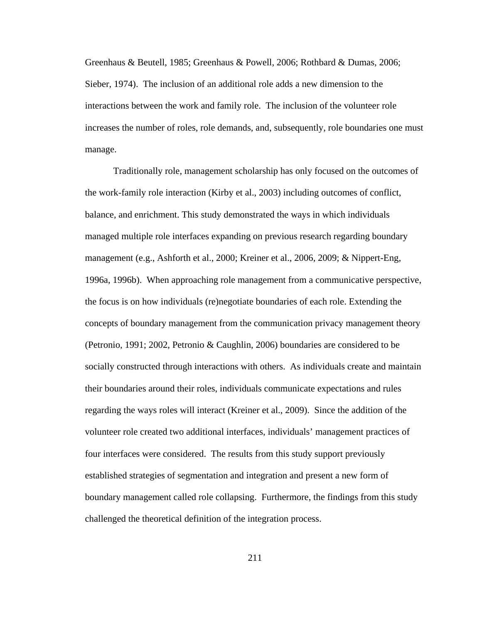Greenhaus & Beutell, 1985; Greenhaus & Powell, 2006; Rothbard & Dumas, 2006; Sieber, 1974). The inclusion of an additional role adds a new dimension to the interactions between the work and family role. The inclusion of the volunteer role increases the number of roles, role demands, and, subsequently, role boundaries one must manage.

Traditionally role, management scholarship has only focused on the outcomes of the work-family role interaction (Kirby et al., 2003) including outcomes of conflict, balance, and enrichment. This study demonstrated the ways in which individuals managed multiple role interfaces expanding on previous research regarding boundary management (e.g., Ashforth et al., 2000; Kreiner et al., 2006, 2009; & Nippert-Eng, 1996a, 1996b). When approaching role management from a communicative perspective, the focus is on how individuals (re)negotiate boundaries of each role. Extending the concepts of boundary management from the communication privacy management theory (Petronio, 1991; 2002, Petronio & Caughlin, 2006) boundaries are considered to be socially constructed through interactions with others. As individuals create and maintain their boundaries around their roles, individuals communicate expectations and rules regarding the ways roles will interact (Kreiner et al., 2009). Since the addition of the volunteer role created two additional interfaces, individuals' management practices of four interfaces were considered. The results from this study support previously established strategies of segmentation and integration and present a new form of boundary management called role collapsing. Furthermore, the findings from this study challenged the theoretical definition of the integration process.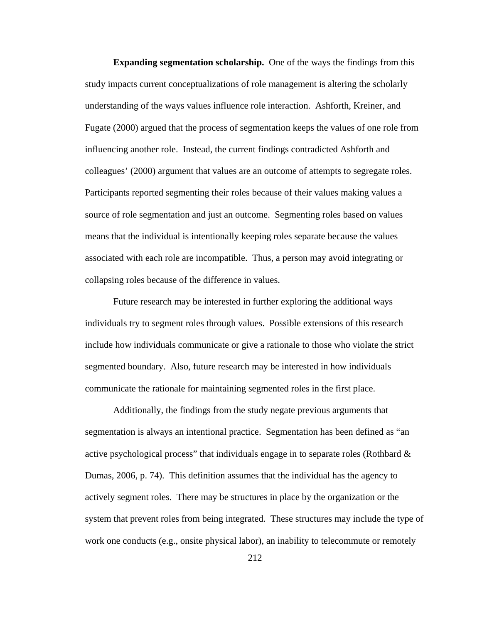**Expanding segmentation scholarship.** One of the ways the findings from this study impacts current conceptualizations of role management is altering the scholarly understanding of the ways values influence role interaction. Ashforth, Kreiner, and Fugate (2000) argued that the process of segmentation keeps the values of one role from influencing another role. Instead, the current findings contradicted Ashforth and colleagues' (2000) argument that values are an outcome of attempts to segregate roles. Participants reported segmenting their roles because of their values making values a source of role segmentation and just an outcome. Segmenting roles based on values means that the individual is intentionally keeping roles separate because the values associated with each role are incompatible. Thus, a person may avoid integrating or collapsing roles because of the difference in values.

Future research may be interested in further exploring the additional ways individuals try to segment roles through values. Possible extensions of this research include how individuals communicate or give a rationale to those who violate the strict segmented boundary. Also, future research may be interested in how individuals communicate the rationale for maintaining segmented roles in the first place.

Additionally, the findings from the study negate previous arguments that segmentation is always an intentional practice. Segmentation has been defined as "an active psychological process" that individuals engage in to separate roles (Rothbard  $\&$ Dumas, 2006, p. 74). This definition assumes that the individual has the agency to actively segment roles. There may be structures in place by the organization or the system that prevent roles from being integrated. These structures may include the type of work one conducts (e.g., onsite physical labor), an inability to telecommute or remotely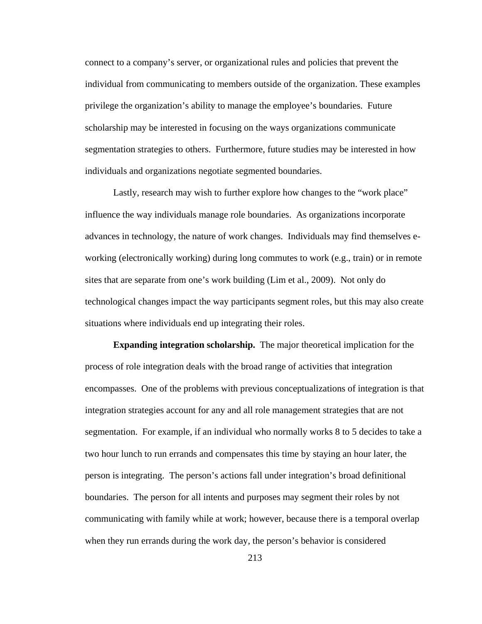connect to a company's server, or organizational rules and policies that prevent the individual from communicating to members outside of the organization. These examples privilege the organization's ability to manage the employee's boundaries. Future scholarship may be interested in focusing on the ways organizations communicate segmentation strategies to others. Furthermore, future studies may be interested in how individuals and organizations negotiate segmented boundaries.

Lastly, research may wish to further explore how changes to the "work place" influence the way individuals manage role boundaries. As organizations incorporate advances in technology, the nature of work changes. Individuals may find themselves eworking (electronically working) during long commutes to work (e.g., train) or in remote sites that are separate from one's work building (Lim et al., 2009). Not only do technological changes impact the way participants segment roles, but this may also create situations where individuals end up integrating their roles.

**Expanding integration scholarship.** The major theoretical implication for the process of role integration deals with the broad range of activities that integration encompasses. One of the problems with previous conceptualizations of integration is that integration strategies account for any and all role management strategies that are not segmentation. For example, if an individual who normally works 8 to 5 decides to take a two hour lunch to run errands and compensates this time by staying an hour later, the person is integrating. The person's actions fall under integration's broad definitional boundaries. The person for all intents and purposes may segment their roles by not communicating with family while at work; however, because there is a temporal overlap when they run errands during the work day, the person's behavior is considered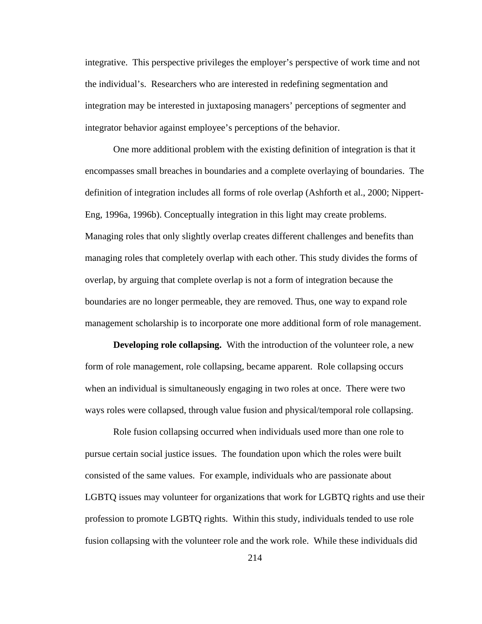integrative. This perspective privileges the employer's perspective of work time and not the individual's. Researchers who are interested in redefining segmentation and integration may be interested in juxtaposing managers' perceptions of segmenter and integrator behavior against employee's perceptions of the behavior.

One more additional problem with the existing definition of integration is that it encompasses small breaches in boundaries and a complete overlaying of boundaries. The definition of integration includes all forms of role overlap (Ashforth et al., 2000; Nippert-Eng, 1996a, 1996b). Conceptually integration in this light may create problems. Managing roles that only slightly overlap creates different challenges and benefits than managing roles that completely overlap with each other. This study divides the forms of overlap, by arguing that complete overlap is not a form of integration because the boundaries are no longer permeable, they are removed. Thus, one way to expand role management scholarship is to incorporate one more additional form of role management.

**Developing role collapsing.** With the introduction of the volunteer role, a new form of role management, role collapsing, became apparent. Role collapsing occurs when an individual is simultaneously engaging in two roles at once. There were two ways roles were collapsed, through value fusion and physical/temporal role collapsing.

Role fusion collapsing occurred when individuals used more than one role to pursue certain social justice issues. The foundation upon which the roles were built consisted of the same values. For example, individuals who are passionate about LGBTQ issues may volunteer for organizations that work for LGBTQ rights and use their profession to promote LGBTQ rights. Within this study, individuals tended to use role fusion collapsing with the volunteer role and the work role. While these individuals did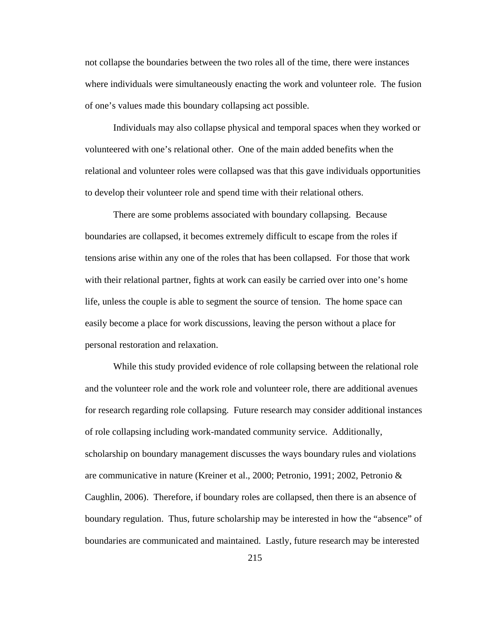not collapse the boundaries between the two roles all of the time, there were instances where individuals were simultaneously enacting the work and volunteer role. The fusion of one's values made this boundary collapsing act possible.

Individuals may also collapse physical and temporal spaces when they worked or volunteered with one's relational other. One of the main added benefits when the relational and volunteer roles were collapsed was that this gave individuals opportunities to develop their volunteer role and spend time with their relational others.

There are some problems associated with boundary collapsing. Because boundaries are collapsed, it becomes extremely difficult to escape from the roles if tensions arise within any one of the roles that has been collapsed. For those that work with their relational partner, fights at work can easily be carried over into one's home life, unless the couple is able to segment the source of tension. The home space can easily become a place for work discussions, leaving the person without a place for personal restoration and relaxation.

While this study provided evidence of role collapsing between the relational role and the volunteer role and the work role and volunteer role, there are additional avenues for research regarding role collapsing. Future research may consider additional instances of role collapsing including work-mandated community service. Additionally, scholarship on boundary management discusses the ways boundary rules and violations are communicative in nature (Kreiner et al., 2000; Petronio, 1991; 2002, Petronio & Caughlin, 2006). Therefore, if boundary roles are collapsed, then there is an absence of boundary regulation. Thus, future scholarship may be interested in how the "absence" of boundaries are communicated and maintained. Lastly, future research may be interested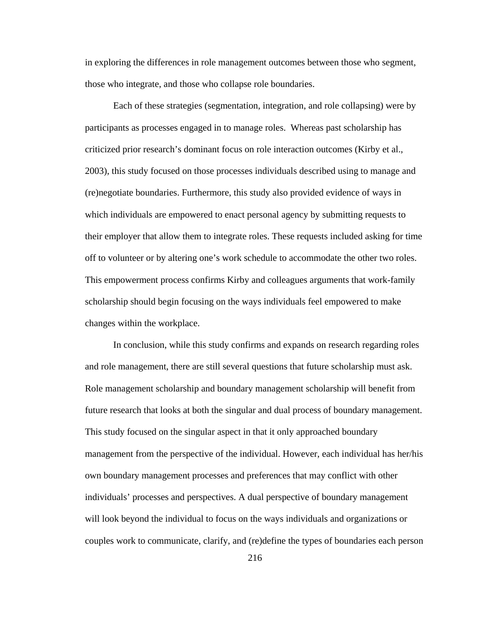in exploring the differences in role management outcomes between those who segment, those who integrate, and those who collapse role boundaries.

Each of these strategies (segmentation, integration, and role collapsing) were by participants as processes engaged in to manage roles. Whereas past scholarship has criticized prior research's dominant focus on role interaction outcomes (Kirby et al., 2003), this study focused on those processes individuals described using to manage and (re)negotiate boundaries. Furthermore, this study also provided evidence of ways in which individuals are empowered to enact personal agency by submitting requests to their employer that allow them to integrate roles. These requests included asking for time off to volunteer or by altering one's work schedule to accommodate the other two roles. This empowerment process confirms Kirby and colleagues arguments that work-family scholarship should begin focusing on the ways individuals feel empowered to make changes within the workplace.

In conclusion, while this study confirms and expands on research regarding roles and role management, there are still several questions that future scholarship must ask. Role management scholarship and boundary management scholarship will benefit from future research that looks at both the singular and dual process of boundary management. This study focused on the singular aspect in that it only approached boundary management from the perspective of the individual. However, each individual has her/his own boundary management processes and preferences that may conflict with other individuals' processes and perspectives. A dual perspective of boundary management will look beyond the individual to focus on the ways individuals and organizations or couples work to communicate, clarify, and (re)define the types of boundaries each person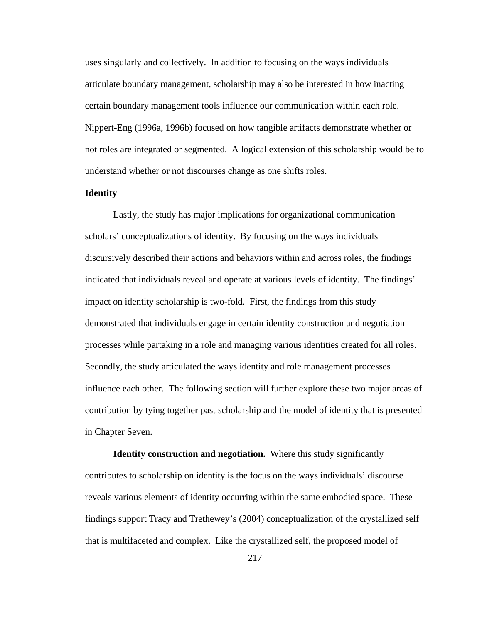uses singularly and collectively. In addition to focusing on the ways individuals articulate boundary management, scholarship may also be interested in how inacting certain boundary management tools influence our communication within each role. Nippert-Eng (1996a, 1996b) focused on how tangible artifacts demonstrate whether or not roles are integrated or segmented. A logical extension of this scholarship would be to understand whether or not discourses change as one shifts roles.

# **Identity**

Lastly, the study has major implications for organizational communication scholars' conceptualizations of identity. By focusing on the ways individuals discursively described their actions and behaviors within and across roles, the findings indicated that individuals reveal and operate at various levels of identity. The findings' impact on identity scholarship is two-fold. First, the findings from this study demonstrated that individuals engage in certain identity construction and negotiation processes while partaking in a role and managing various identities created for all roles. Secondly, the study articulated the ways identity and role management processes influence each other. The following section will further explore these two major areas of contribution by tying together past scholarship and the model of identity that is presented in Chapter Seven.

**Identity construction and negotiation.** Where this study significantly contributes to scholarship on identity is the focus on the ways individuals' discourse reveals various elements of identity occurring within the same embodied space. These findings support Tracy and Trethewey's (2004) conceptualization of the crystallized self that is multifaceted and complex. Like the crystallized self, the proposed model of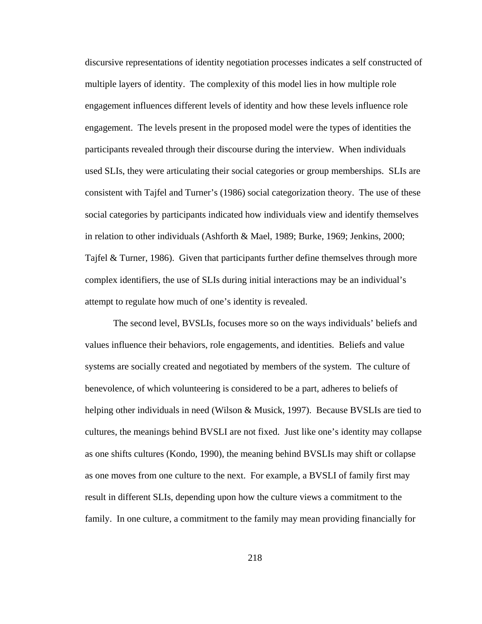discursive representations of identity negotiation processes indicates a self constructed of multiple layers of identity. The complexity of this model lies in how multiple role engagement influences different levels of identity and how these levels influence role engagement. The levels present in the proposed model were the types of identities the participants revealed through their discourse during the interview. When individuals used SLIs, they were articulating their social categories or group memberships. SLIs are consistent with Tajfel and Turner's (1986) social categorization theory. The use of these social categories by participants indicated how individuals view and identify themselves in relation to other individuals (Ashforth & Mael, 1989; Burke, 1969; Jenkins, 2000; Tajfel & Turner, 1986). Given that participants further define themselves through more complex identifiers, the use of SLIs during initial interactions may be an individual's attempt to regulate how much of one's identity is revealed.

The second level, BVSLIs, focuses more so on the ways individuals' beliefs and values influence their behaviors, role engagements, and identities. Beliefs and value systems are socially created and negotiated by members of the system. The culture of benevolence, of which volunteering is considered to be a part, adheres to beliefs of helping other individuals in need (Wilson & Musick, 1997). Because BVSLIs are tied to cultures, the meanings behind BVSLI are not fixed. Just like one's identity may collapse as one shifts cultures (Kondo, 1990), the meaning behind BVSLIs may shift or collapse as one moves from one culture to the next. For example, a BVSLI of family first may result in different SLIs, depending upon how the culture views a commitment to the family. In one culture, a commitment to the family may mean providing financially for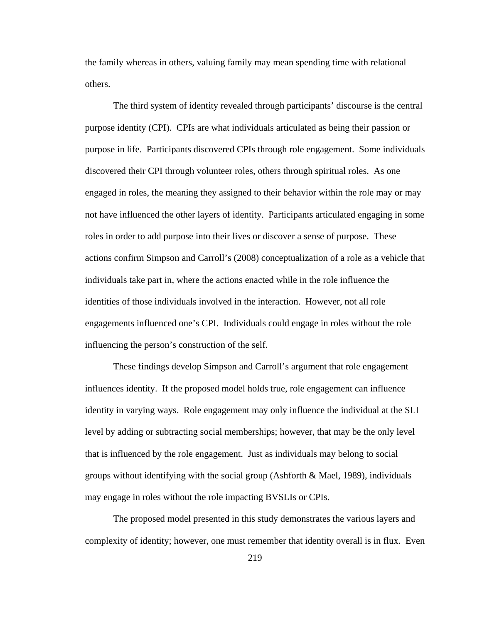the family whereas in others, valuing family may mean spending time with relational others.

The third system of identity revealed through participants' discourse is the central purpose identity (CPI). CPIs are what individuals articulated as being their passion or purpose in life. Participants discovered CPIs through role engagement. Some individuals discovered their CPI through volunteer roles, others through spiritual roles. As one engaged in roles, the meaning they assigned to their behavior within the role may or may not have influenced the other layers of identity. Participants articulated engaging in some roles in order to add purpose into their lives or discover a sense of purpose. These actions confirm Simpson and Carroll's (2008) conceptualization of a role as a vehicle that individuals take part in, where the actions enacted while in the role influence the identities of those individuals involved in the interaction. However, not all role engagements influenced one's CPI. Individuals could engage in roles without the role influencing the person's construction of the self.

These findings develop Simpson and Carroll's argument that role engagement influences identity. If the proposed model holds true, role engagement can influence identity in varying ways. Role engagement may only influence the individual at the SLI level by adding or subtracting social memberships; however, that may be the only level that is influenced by the role engagement. Just as individuals may belong to social groups without identifying with the social group (Ashforth & Mael, 1989), individuals may engage in roles without the role impacting BVSLIs or CPIs.

The proposed model presented in this study demonstrates the various layers and complexity of identity; however, one must remember that identity overall is in flux. Even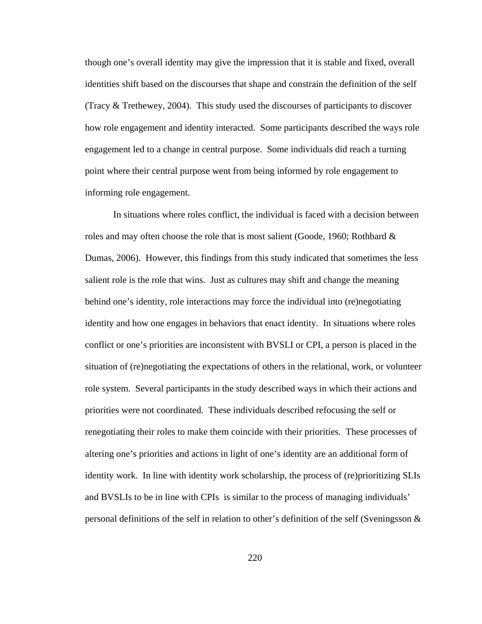though one's overall identity may give the impression that it is stable and fixed, overall identities shift based on the discourses that shape and constrain the definition of the self (Tracy & Trethewey, 2004). This study used the discourses of participants to discover how role engagement and identity interacted. Some participants described the ways role engagement led to a change in central purpose. Some individuals did reach a turning point where their central purpose went from being informed by role engagement to informing role engagement.

In situations where roles conflict, the individual is faced with a decision between roles and may often choose the role that is most salient (Goode, 1960; Rothbard  $\&$ Dumas, 2006). However, this findings from this study indicated that sometimes the less salient role is the role that wins. Just as cultures may shift and change the meaning behind one's identity, role interactions may force the individual into (re)negotiating identity and how one engages in behaviors that enact identity. In situations where roles conflict or one's priorities are inconsistent with BVSLI or CPI, a person is placed in the situation of (re)negotiating the expectations of others in the relational, work, or volunteer role system. Several participants in the study described ways in which their actions and priorities were not coordinated. These individuals described refocusing the self or renegotiating their roles to make them coincide with their priorities. These processes of altering one's priorities and actions in light of one's identity are an additional form of identity work. In line with identity work scholarship, the process of (re)prioritizing SLIs and BVSLIs to be in line with CPIs is similar to the process of managing individuals' personal definitions of the self in relation to other's definition of the self (Sveningsson &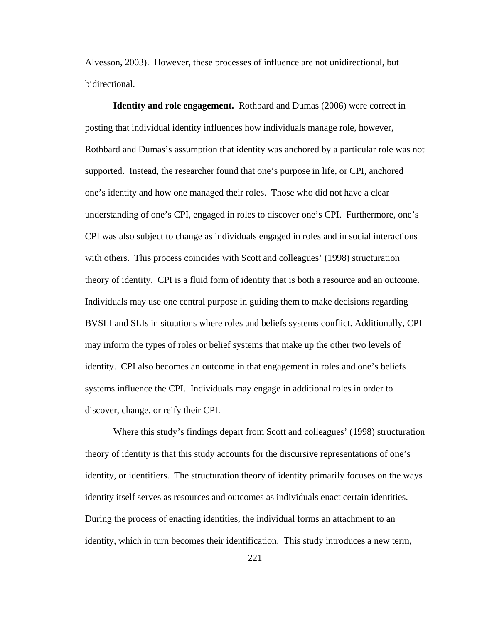Alvesson, 2003). However, these processes of influence are not unidirectional, but bidirectional.

**Identity and role engagement.** Rothbard and Dumas (2006) were correct in posting that individual identity influences how individuals manage role, however, Rothbard and Dumas's assumption that identity was anchored by a particular role was not supported. Instead, the researcher found that one's purpose in life, or CPI, anchored one's identity and how one managed their roles. Those who did not have a clear understanding of one's CPI, engaged in roles to discover one's CPI. Furthermore, one's CPI was also subject to change as individuals engaged in roles and in social interactions with others. This process coincides with Scott and colleagues' (1998) structuration theory of identity. CPI is a fluid form of identity that is both a resource and an outcome. Individuals may use one central purpose in guiding them to make decisions regarding BVSLI and SLIs in situations where roles and beliefs systems conflict. Additionally, CPI may inform the types of roles or belief systems that make up the other two levels of identity. CPI also becomes an outcome in that engagement in roles and one's beliefs systems influence the CPI. Individuals may engage in additional roles in order to discover, change, or reify their CPI.

Where this study's findings depart from Scott and colleagues' (1998) structuration theory of identity is that this study accounts for the discursive representations of one's identity, or identifiers. The structuration theory of identity primarily focuses on the ways identity itself serves as resources and outcomes as individuals enact certain identities. During the process of enacting identities, the individual forms an attachment to an identity, which in turn becomes their identification. This study introduces a new term,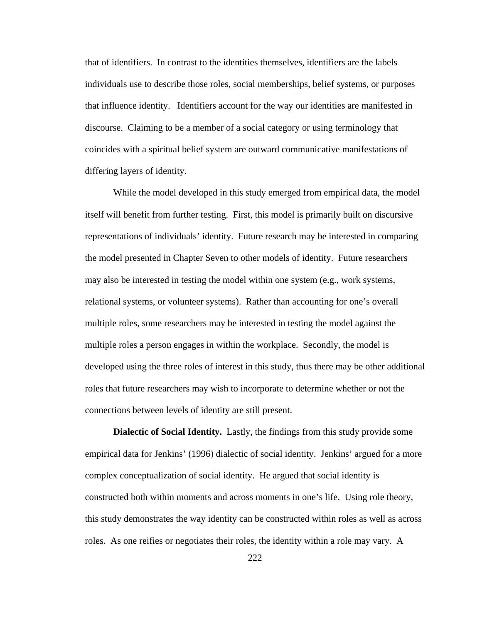that of identifiers. In contrast to the identities themselves, identifiers are the labels individuals use to describe those roles, social memberships, belief systems, or purposes that influence identity. Identifiers account for the way our identities are manifested in discourse. Claiming to be a member of a social category or using terminology that coincides with a spiritual belief system are outward communicative manifestations of differing layers of identity.

While the model developed in this study emerged from empirical data, the model itself will benefit from further testing. First, this model is primarily built on discursive representations of individuals' identity. Future research may be interested in comparing the model presented in Chapter Seven to other models of identity. Future researchers may also be interested in testing the model within one system (e.g., work systems, relational systems, or volunteer systems). Rather than accounting for one's overall multiple roles, some researchers may be interested in testing the model against the multiple roles a person engages in within the workplace. Secondly, the model is developed using the three roles of interest in this study, thus there may be other additional roles that future researchers may wish to incorporate to determine whether or not the connections between levels of identity are still present.

**Dialectic of Social Identity.** Lastly, the findings from this study provide some empirical data for Jenkins' (1996) dialectic of social identity. Jenkins' argued for a more complex conceptualization of social identity. He argued that social identity is constructed both within moments and across moments in one's life. Using role theory, this study demonstrates the way identity can be constructed within roles as well as across roles. As one reifies or negotiates their roles, the identity within a role may vary. A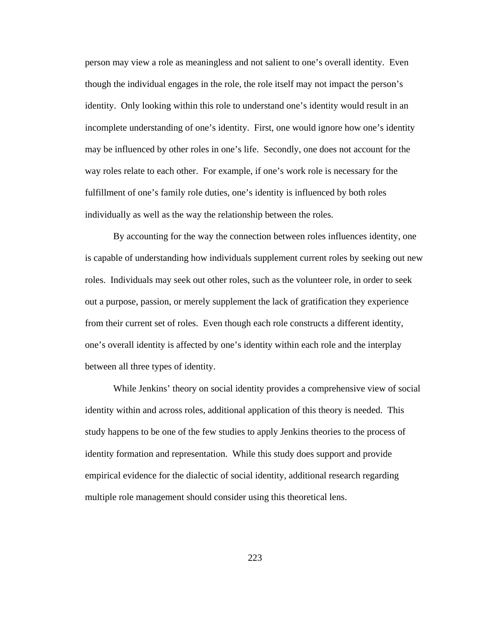person may view a role as meaningless and not salient to one's overall identity. Even though the individual engages in the role, the role itself may not impact the person's identity. Only looking within this role to understand one's identity would result in an incomplete understanding of one's identity. First, one would ignore how one's identity may be influenced by other roles in one's life. Secondly, one does not account for the way roles relate to each other. For example, if one's work role is necessary for the fulfillment of one's family role duties, one's identity is influenced by both roles individually as well as the way the relationship between the roles.

By accounting for the way the connection between roles influences identity, one is capable of understanding how individuals supplement current roles by seeking out new roles. Individuals may seek out other roles, such as the volunteer role, in order to seek out a purpose, passion, or merely supplement the lack of gratification they experience from their current set of roles. Even though each role constructs a different identity, one's overall identity is affected by one's identity within each role and the interplay between all three types of identity.

While Jenkins' theory on social identity provides a comprehensive view of social identity within and across roles, additional application of this theory is needed. This study happens to be one of the few studies to apply Jenkins theories to the process of identity formation and representation. While this study does support and provide empirical evidence for the dialectic of social identity, additional research regarding multiple role management should consider using this theoretical lens.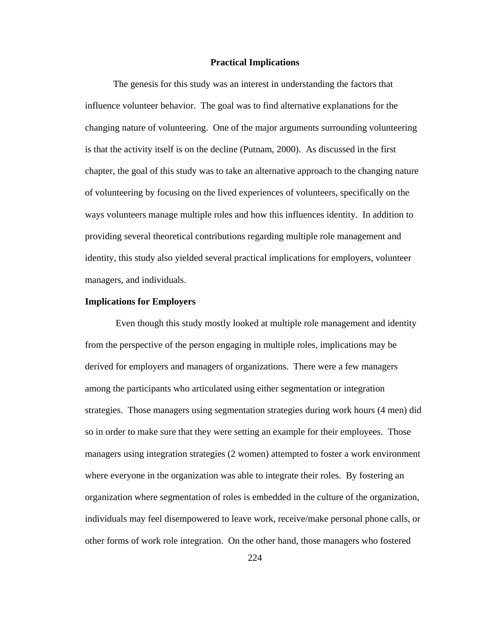#### **Practical Implications**

The genesis for this study was an interest in understanding the factors that influence volunteer behavior. The goal was to find alternative explanations for the changing nature of volunteering. One of the major arguments surrounding volunteering is that the activity itself is on the decline (Putnam, 2000). As discussed in the first chapter, the goal of this study was to take an alternative approach to the changing nature of volunteering by focusing on the lived experiences of volunteers, specifically on the ways volunteers manage multiple roles and how this influences identity. In addition to providing several theoretical contributions regarding multiple role management and identity, this study also yielded several practical implications for employers, volunteer managers, and individuals.

#### **Implications for Employers**

Even though this study mostly looked at multiple role management and identity from the perspective of the person engaging in multiple roles, implications may be derived for employers and managers of organizations. There were a few managers among the participants who articulated using either segmentation or integration strategies. Those managers using segmentation strategies during work hours (4 men) did so in order to make sure that they were setting an example for their employees. Those managers using integration strategies (2 women) attempted to foster a work environment where everyone in the organization was able to integrate their roles. By fostering an organization where segmentation of roles is embedded in the culture of the organization, individuals may feel disempowered to leave work, receive/make personal phone calls, or other forms of work role integration. On the other hand, those managers who fostered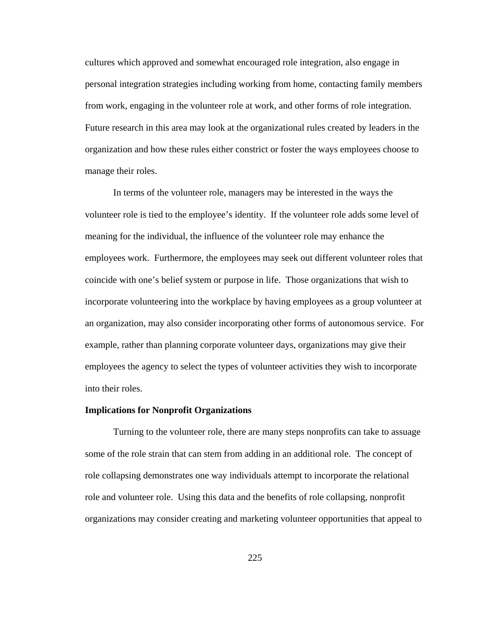cultures which approved and somewhat encouraged role integration, also engage in personal integration strategies including working from home, contacting family members from work, engaging in the volunteer role at work, and other forms of role integration. Future research in this area may look at the organizational rules created by leaders in the organization and how these rules either constrict or foster the ways employees choose to manage their roles.

In terms of the volunteer role, managers may be interested in the ways the volunteer role is tied to the employee's identity. If the volunteer role adds some level of meaning for the individual, the influence of the volunteer role may enhance the employees work. Furthermore, the employees may seek out different volunteer roles that coincide with one's belief system or purpose in life. Those organizations that wish to incorporate volunteering into the workplace by having employees as a group volunteer at an organization, may also consider incorporating other forms of autonomous service. For example, rather than planning corporate volunteer days, organizations may give their employees the agency to select the types of volunteer activities they wish to incorporate into their roles.

#### **Implications for Nonprofit Organizations**

Turning to the volunteer role, there are many steps nonprofits can take to assuage some of the role strain that can stem from adding in an additional role. The concept of role collapsing demonstrates one way individuals attempt to incorporate the relational role and volunteer role. Using this data and the benefits of role collapsing, nonprofit organizations may consider creating and marketing volunteer opportunities that appeal to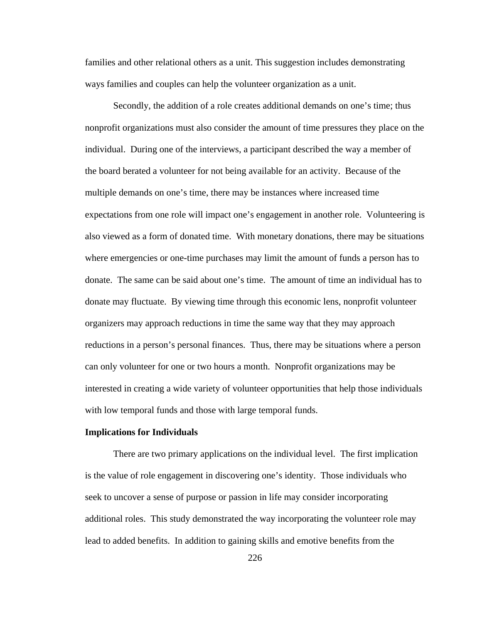families and other relational others as a unit. This suggestion includes demonstrating ways families and couples can help the volunteer organization as a unit.

Secondly, the addition of a role creates additional demands on one's time; thus nonprofit organizations must also consider the amount of time pressures they place on the individual. During one of the interviews, a participant described the way a member of the board berated a volunteer for not being available for an activity. Because of the multiple demands on one's time, there may be instances where increased time expectations from one role will impact one's engagement in another role. Volunteering is also viewed as a form of donated time. With monetary donations, there may be situations where emergencies or one-time purchases may limit the amount of funds a person has to donate. The same can be said about one's time. The amount of time an individual has to donate may fluctuate. By viewing time through this economic lens, nonprofit volunteer organizers may approach reductions in time the same way that they may approach reductions in a person's personal finances. Thus, there may be situations where a person can only volunteer for one or two hours a month. Nonprofit organizations may be interested in creating a wide variety of volunteer opportunities that help those individuals with low temporal funds and those with large temporal funds.

#### **Implications for Individuals**

There are two primary applications on the individual level. The first implication is the value of role engagement in discovering one's identity. Those individuals who seek to uncover a sense of purpose or passion in life may consider incorporating additional roles. This study demonstrated the way incorporating the volunteer role may lead to added benefits. In addition to gaining skills and emotive benefits from the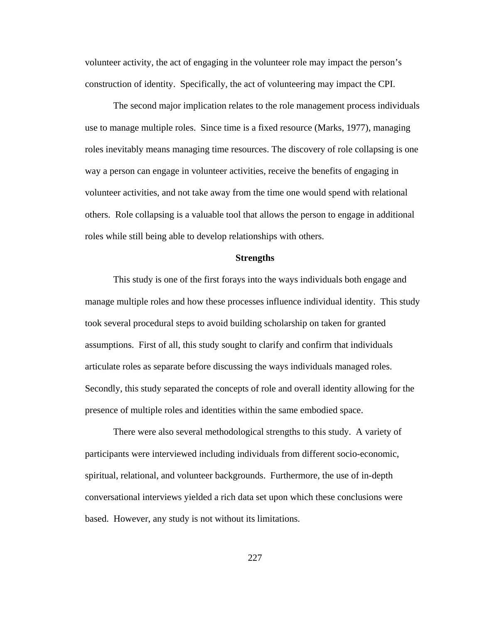volunteer activity, the act of engaging in the volunteer role may impact the person's construction of identity. Specifically, the act of volunteering may impact the CPI.

The second major implication relates to the role management process individuals use to manage multiple roles. Since time is a fixed resource (Marks, 1977), managing roles inevitably means managing time resources. The discovery of role collapsing is one way a person can engage in volunteer activities, receive the benefits of engaging in volunteer activities, and not take away from the time one would spend with relational others. Role collapsing is a valuable tool that allows the person to engage in additional roles while still being able to develop relationships with others.

## **Strengths**

This study is one of the first forays into the ways individuals both engage and manage multiple roles and how these processes influence individual identity. This study took several procedural steps to avoid building scholarship on taken for granted assumptions. First of all, this study sought to clarify and confirm that individuals articulate roles as separate before discussing the ways individuals managed roles. Secondly, this study separated the concepts of role and overall identity allowing for the presence of multiple roles and identities within the same embodied space.

There were also several methodological strengths to this study. A variety of participants were interviewed including individuals from different socio-economic, spiritual, relational, and volunteer backgrounds. Furthermore, the use of in-depth conversational interviews yielded a rich data set upon which these conclusions were based. However, any study is not without its limitations.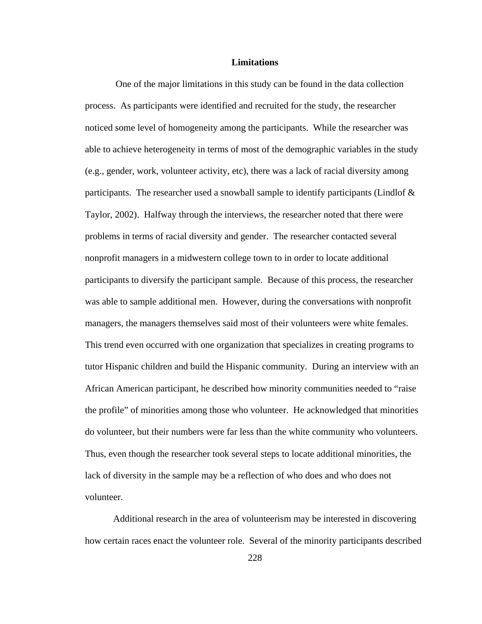### **Limitations**

One of the major limitations in this study can be found in the data collection process. As participants were identified and recruited for the study, the researcher noticed some level of homogeneity among the participants. While the researcher was able to achieve heterogeneity in terms of most of the demographic variables in the study (e.g., gender, work, volunteer activity, etc), there was a lack of racial diversity among participants. The researcher used a snowball sample to identify participants (Lindlof  $\&$ Taylor, 2002). Halfway through the interviews, the researcher noted that there were problems in terms of racial diversity and gender. The researcher contacted several nonprofit managers in a midwestern college town to in order to locate additional participants to diversify the participant sample. Because of this process, the researcher was able to sample additional men. However, during the conversations with nonprofit managers, the managers themselves said most of their volunteers were white females. This trend even occurred with one organization that specializes in creating programs to tutor Hispanic children and build the Hispanic community. During an interview with an African American participant, he described how minority communities needed to "raise the profile" of minorities among those who volunteer. He acknowledged that minorities do volunteer, but their numbers were far less than the white community who volunteers. Thus, even though the researcher took several steps to locate additional minorities, the lack of diversity in the sample may be a reflection of who does and who does not volunteer.

Additional research in the area of volunteerism may be interested in discovering how certain races enact the volunteer role. Several of the minority participants described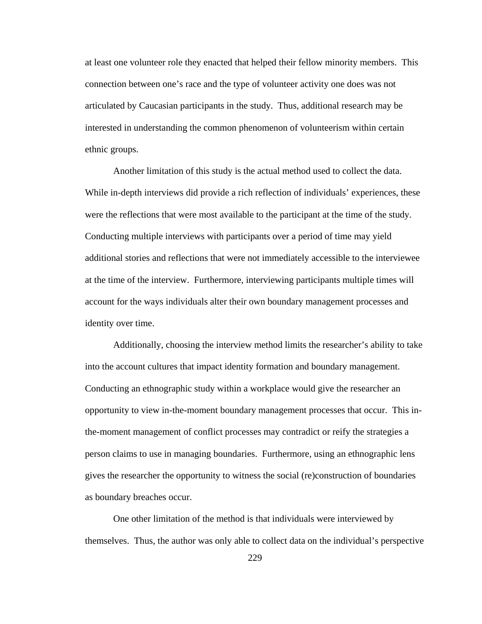at least one volunteer role they enacted that helped their fellow minority members. This connection between one's race and the type of volunteer activity one does was not articulated by Caucasian participants in the study. Thus, additional research may be interested in understanding the common phenomenon of volunteerism within certain ethnic groups.

Another limitation of this study is the actual method used to collect the data. While in-depth interviews did provide a rich reflection of individuals' experiences, these were the reflections that were most available to the participant at the time of the study. Conducting multiple interviews with participants over a period of time may yield additional stories and reflections that were not immediately accessible to the interviewee at the time of the interview. Furthermore, interviewing participants multiple times will account for the ways individuals alter their own boundary management processes and identity over time.

Additionally, choosing the interview method limits the researcher's ability to take into the account cultures that impact identity formation and boundary management. Conducting an ethnographic study within a workplace would give the researcher an opportunity to view in-the-moment boundary management processes that occur. This inthe-moment management of conflict processes may contradict or reify the strategies a person claims to use in managing boundaries. Furthermore, using an ethnographic lens gives the researcher the opportunity to witness the social (re)construction of boundaries as boundary breaches occur.

One other limitation of the method is that individuals were interviewed by themselves. Thus, the author was only able to collect data on the individual's perspective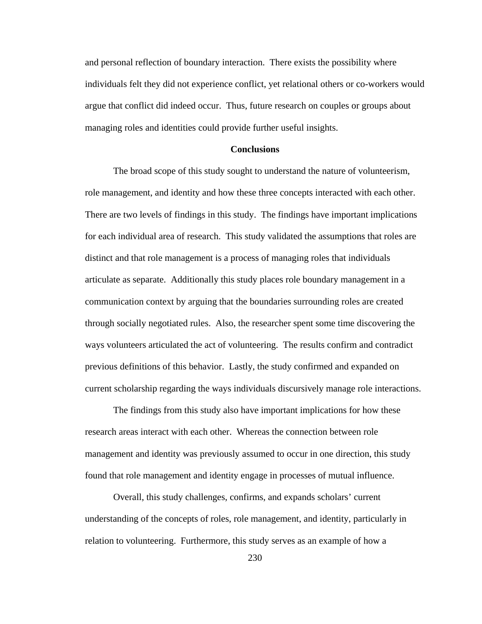and personal reflection of boundary interaction. There exists the possibility where individuals felt they did not experience conflict, yet relational others or co-workers would argue that conflict did indeed occur. Thus, future research on couples or groups about managing roles and identities could provide further useful insights.

## **Conclusions**

The broad scope of this study sought to understand the nature of volunteerism, role management, and identity and how these three concepts interacted with each other. There are two levels of findings in this study. The findings have important implications for each individual area of research. This study validated the assumptions that roles are distinct and that role management is a process of managing roles that individuals articulate as separate. Additionally this study places role boundary management in a communication context by arguing that the boundaries surrounding roles are created through socially negotiated rules. Also, the researcher spent some time discovering the ways volunteers articulated the act of volunteering. The results confirm and contradict previous definitions of this behavior. Lastly, the study confirmed and expanded on current scholarship regarding the ways individuals discursively manage role interactions.

The findings from this study also have important implications for how these research areas interact with each other. Whereas the connection between role management and identity was previously assumed to occur in one direction, this study found that role management and identity engage in processes of mutual influence.

Overall, this study challenges, confirms, and expands scholars' current understanding of the concepts of roles, role management, and identity, particularly in relation to volunteering. Furthermore, this study serves as an example of how a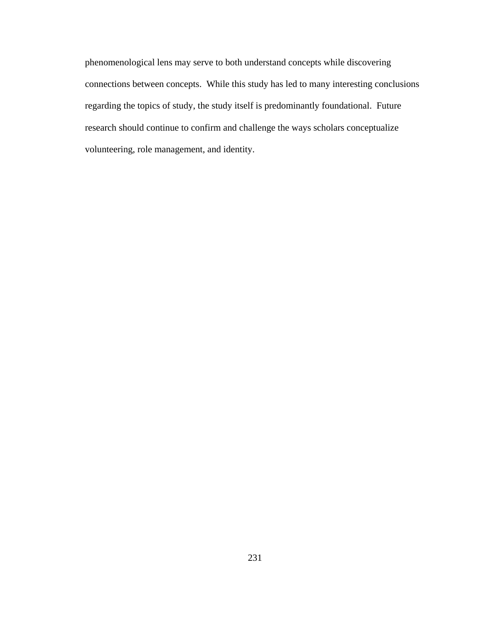phenomenological lens may serve to both understand concepts while discovering connections between concepts. While this study has led to many interesting conclusions regarding the topics of study, the study itself is predominantly foundational. Future research should continue to confirm and challenge the ways scholars conceptualize volunteering, role management, and identity.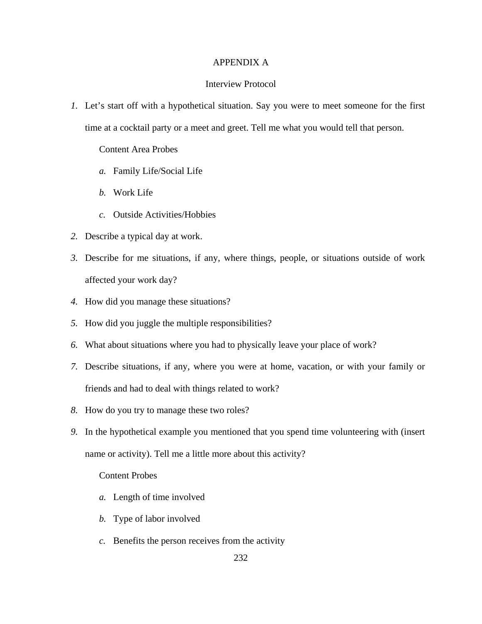## APPENDIX A

# Interview Protocol

*1.* Let's start off with a hypothetical situation. Say you were to meet someone for the first time at a cocktail party or a meet and greet. Tell me what you would tell that person.

Content Area Probes

- *a.* Family Life/Social Life
- *b.* Work Life
- *c.* Outside Activities/Hobbies
- *2.* Describe a typical day at work.
- *3.* Describe for me situations, if any, where things, people, or situations outside of work affected your work day?
- *4.* How did you manage these situations?
- *5.* How did you juggle the multiple responsibilities?
- *6.* What about situations where you had to physically leave your place of work?
- *7.* Describe situations, if any, where you were at home, vacation, or with your family or friends and had to deal with things related to work?
- *8.* How do you try to manage these two roles?
- *9.* In the hypothetical example you mentioned that you spend time volunteering with (insert name or activity). Tell me a little more about this activity?

## Content Probes

- *a.* Length of time involved
- *b.* Type of labor involved
- *c.* Benefits the person receives from the activity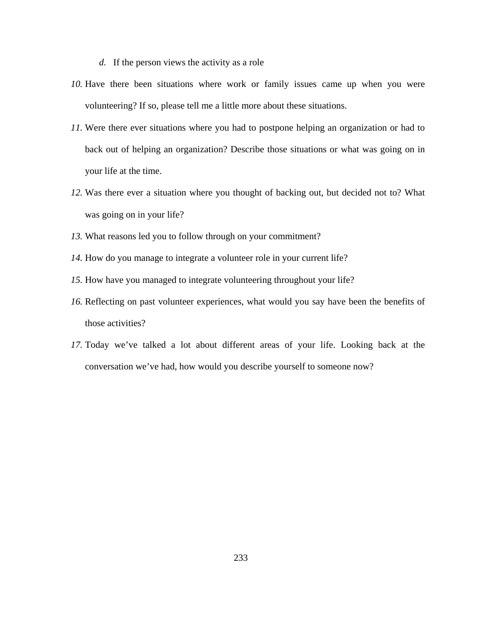- *d.* If the person views the activity as a role
- *10.* Have there been situations where work or family issues came up when you were volunteering? If so, please tell me a little more about these situations.
- *11.* Were there ever situations where you had to postpone helping an organization or had to back out of helping an organization? Describe those situations or what was going on in your life at the time.
- *12.* Was there ever a situation where you thought of backing out, but decided not to? What was going on in your life?
- *13.* What reasons led you to follow through on your commitment?
- *14.* How do you manage to integrate a volunteer role in your current life?
- *15.* How have you managed to integrate volunteering throughout your life?
- *16.* Reflecting on past volunteer experiences, what would you say have been the benefits of those activities?
- *17.* Today we've talked a lot about different areas of your life. Looking back at the conversation we've had, how would you describe yourself to someone now?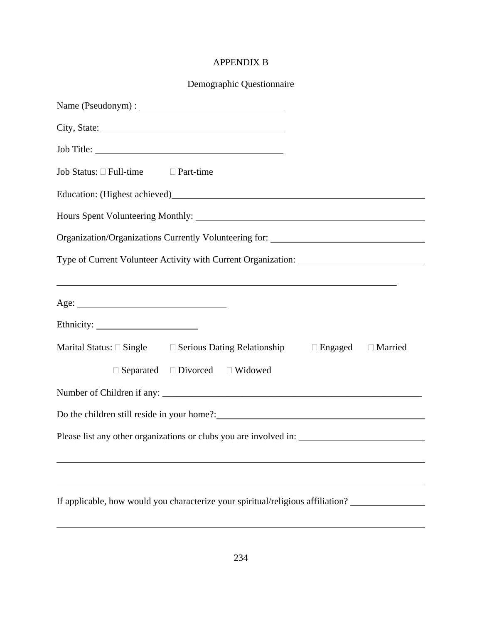# APPENDIX B

| Job Title:                                                                                                             |
|------------------------------------------------------------------------------------------------------------------------|
| Job Status: $\Box$ Full-time $\Box$ Part-time                                                                          |
|                                                                                                                        |
|                                                                                                                        |
| Organization/Organizations Currently Volunteering for: __________________________                                      |
| Type of Current Volunteer Activity with Current Organization: ___________________                                      |
| <u> 1989 - Johann Stoff, deutscher Stoffen und der Stoffen und der Stoffen und der Stoffen und der Stoffen und der</u> |
|                                                                                                                        |
|                                                                                                                        |
| Marital Status: $\square$ Single $\square$ Serious Dating Relationship $\square$ Engaged $\square$ Married             |
| $\Box$ Separated $\Box$ Divorced $\Box$ Widowed                                                                        |
|                                                                                                                        |
|                                                                                                                        |
|                                                                                                                        |
|                                                                                                                        |
|                                                                                                                        |
| If applicable, how would you characterize your spiritual/religious affiliation?                                        |
|                                                                                                                        |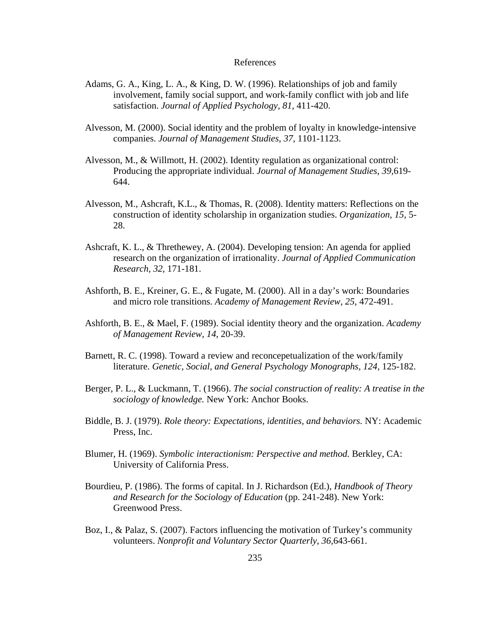## References

- Adams, G. A., King, L. A., & King, D. W. (1996). Relationships of job and family involvement, family social support, and work-family conflict with job and life satisfaction. *Journal of Applied Psychology, 81,* 411-420.
- Alvesson, M. (2000). Social identity and the problem of loyalty in knowledge-intensive companies. *Journal of Management Studies, 37,* 1101-1123.
- Alvesson, M., & Willmott, H. (2002). Identity regulation as organizational control: Producing the appropriate individual. *Journal of Management Studies, 39,*619- 644.
- Alvesson, M., Ashcraft, K.L., & Thomas, R. (2008). Identity matters: Reflections on the construction of identity scholarship in organization studies. *Organization, 15,* 5- 28.
- Ashcraft, K. L., & Threthewey, A. (2004). Developing tension: An agenda for applied research on the organization of irrationality. *Journal of Applied Communication Research, 32,* 171-181.
- Ashforth, B. E., Kreiner, G. E., & Fugate, M. (2000). All in a day's work: Boundaries and micro role transitions. *Academy of Management Review, 25,* 472-491.
- Ashforth, B. E., & Mael, F. (1989). Social identity theory and the organization. *Academy of Management Review, 14,* 20-39.
- Barnett, R. C. (1998). Toward a review and reconcepetualization of the work/family literature. *Genetic, Social, and General Psychology Monographs, 124, 125-182.*
- Berger, P. L., & Luckmann, T. (1966). *The social construction of reality: A treatise in the sociology of knowledge.* New York: Anchor Books.
- Biddle, B. J. (1979). *Role theory: Expectations, identities, and behaviors.* NY: Academic Press, Inc.
- Blumer, H. (1969). *Symbolic interactionism: Perspective and method.* Berkley, CA: University of California Press.
- Bourdieu, P. (1986). The forms of capital. In J. Richardson (Ed.), *Handbook of Theory and Research for the Sociology of Education* (pp. 241-248). New York: Greenwood Press.
- Boz, I., & Palaz, S. (2007). Factors influencing the motivation of Turkey's community volunteers. *Nonprofit and Voluntary Sector Quarterly, 36,*643-661.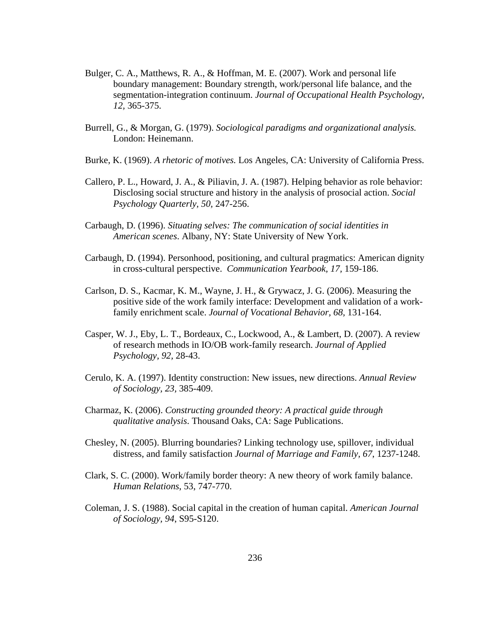- Bulger, C. A., Matthews, R. A., & Hoffman, M. E. (2007). Work and personal life boundary management: Boundary strength, work/personal life balance, and the segmentation-integration continuum. *Journal of Occupational Health Psychology, 12,* 365-375.
- Burrell, G., & Morgan, G. (1979). *Sociological paradigms and organizational analysis.* London: Heinemann.
- Burke, K. (1969). *A rhetoric of motives.* Los Angeles, CA: University of California Press.
- Callero, P. L., Howard, J. A., & Piliavin, J. A. (1987). Helping behavior as role behavior: Disclosing social structure and history in the analysis of prosocial action. *Social Psychology Quarterly, 50,* 247-256.
- Carbaugh, D. (1996). *Situating selves: The communication of social identities in American scenes*. Albany, NY: State University of New York.
- Carbaugh, D. (1994). Personhood, positioning, and cultural pragmatics: American dignity in cross-cultural perspective. *Communication Yearbook, 17,* 159-186.
- Carlson, D. S., Kacmar, K. M., Wayne, J. H., & Grywacz, J. G. (2006). Measuring the positive side of the work family interface: Development and validation of a workfamily enrichment scale. *Journal of Vocational Behavior, 68,* 131-164.
- Casper, W. J., Eby, L. T., Bordeaux, C., Lockwood, A., & Lambert, D. (2007). A review of research methods in IO/OB work-family research. *Journal of Applied Psychology, 92,* 28-43.
- Cerulo, K. A. (1997). Identity construction: New issues, new directions. *Annual Review of Sociology, 23,* 385-409.
- Charmaz, K. (2006). *Constructing grounded theory: A practical guide through qualitative analysis*. Thousand Oaks, CA: Sage Publications.
- Chesley, N. (2005). Blurring boundaries? Linking technology use, spillover, individual distress, and family satisfaction *Journal of Marriage and Family, 67*, 1237-1248.
- Clark, S. C. (2000). Work/family border theory: A new theory of work family balance. *Human Relations*, 53, 747-770.
- Coleman, J. S. (1988). Social capital in the creation of human capital. *American Journal of Sociology, 94*, S95-S120.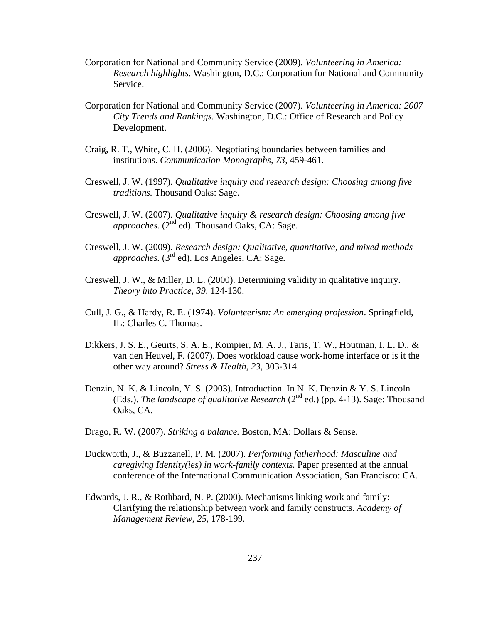- Corporation for National and Community Service (2009). *Volunteering in America: Research highlights.* Washington, D.C.: Corporation for National and Community Service.
- Corporation for National and Community Service (2007). *Volunteering in America: 2007 City Trends and Rankings.* Washington, D.C.: Office of Research and Policy Development.
- Craig, R. T., White, C. H. (2006). Negotiating boundaries between families and institutions. *Communication Monographs, 73,* 459-461.
- Creswell, J. W. (1997). *Qualitative inquiry and research design: Choosing among five traditions.* Thousand Oaks: Sage.
- Creswell, J. W. (2007). *Qualitative inquiry & research design: Choosing among five approaches.* (2<sup>nd</sup> ed). Thousand Oaks, CA: Sage.
- Creswell, J. W. (2009). *Research design: Qualitative, quantitative, and mixed methods approaches.* (3<sup>rd</sup> ed). Los Angeles, CA: Sage.
- Creswell, J. W., & Miller, D. L. (2000). Determining validity in qualitative inquiry. *Theory into Practice, 39,* 124-130.
- Cull, J. G., & Hardy, R. E. (1974). *Volunteerism: An emerging profession*. Springfield, IL: Charles C. Thomas.
- Dikkers, J. S. E., Geurts, S. A. E., Kompier, M. A. J., Taris, T. W., Houtman, I. L. D., & van den Heuvel, F. (2007). Does workload cause work-home interface or is it the other way around? *Stress & Health, 23,* 303-314.
- Denzin, N. K. & Lincoln, Y. S. (2003). Introduction. In N. K. Denzin & Y. S. Lincoln (Eds.). *The landscape of qualitative Research* ( $2<sup>nd</sup>$  ed.) (pp. 4-13). Sage: Thousand Oaks, CA.
- Drago, R. W. (2007). *Striking a balance.* Boston, MA: Dollars & Sense.
- Duckworth, J., & Buzzanell, P. M. (2007). *Performing fatherhood: Masculine and caregiving Identity(ies) in work-family contexts.* Paper presented at the annual conference of the International Communication Association, San Francisco: CA.
- Edwards, J. R., & Rothbard, N. P. (2000). Mechanisms linking work and family: Clarifying the relationship between work and family constructs. *Academy of Management Review, 25,* 178-199.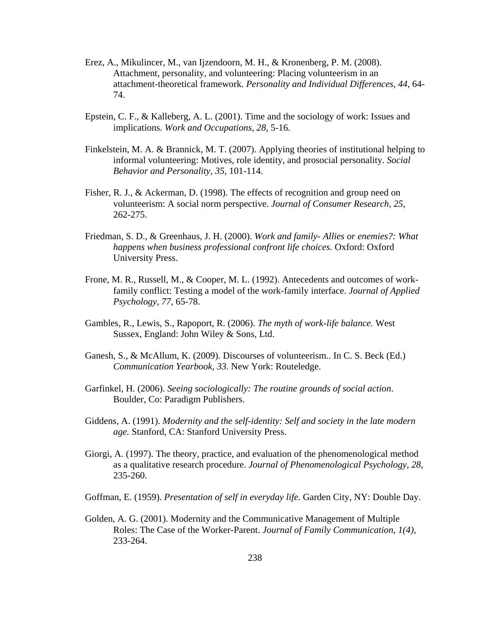- Erez, A., Mikulincer, M., van Ijzendoorn, M. H., & Kronenberg, P. M. (2008). Attachment, personality, and volunteering: Placing volunteerism in an attachment-theoretical framework. *Personality and Individual Differences, 44*, 64- 74.
- Epstein, C. F., & Kalleberg, A. L. (2001). Time and the sociology of work: Issues and implications. *Work and Occupations, 28,* 5-16.
- Finkelstein, M. A. & Brannick, M. T. (2007). Applying theories of institutional helping to informal volunteering: Motives, role identity, and prosocial personality. *Social Behavior and Personality, 35,* 101-114.
- Fisher, R. J., & Ackerman, D. (1998). The effects of recognition and group need on volunteerism: A social norm perspective. *Journal of Consumer Research, 25,*  262-275.
- Friedman, S. D., & Greenhaus, J. H. (2000). *Work and family- Allies or enemies?: What happens when business professional confront life choices.* Oxford: Oxford University Press.
- Frone, M. R., Russell, M., & Cooper, M. L. (1992). Antecedents and outcomes of workfamily conflict: Testing a model of the work-family interface. *Journal of Applied Psychology, 77,* 65-78.
- Gambles, R., Lewis, S., Rapoport, R. (2006). *The myth of work-life balance.* West Sussex, England: John Wiley & Sons, Ltd.
- Ganesh, S., & McAllum, K. (2009). Discourses of volunteerism.. In C. S. Beck (Ed.) *Communication Yearbook, 33.* New York: Routeledge.
- Garfinkel, H. (2006). *Seeing sociologically: The routine grounds of social action*. Boulder, Co: Paradigm Publishers.
- Giddens, A. (1991). *Modernity and the self-identity: Self and society in the late modern age.* Stanford, CA: Stanford University Press.
- Giorgi, A. (1997). The theory, practice, and evaluation of the phenomenological method as a qualitative research procedure. *Journal of Phenomenological Psychology, 28,*  235-260.
- Goffman, E. (1959). *Presentation of self in everyday life.* Garden City, NY: Double Day.
- Golden, A. G. (2001). Modernity and the Communicative Management of Multiple Roles: The Case of the Worker-Parent. *Journal of Family Communication, 1(4)*, 233-264.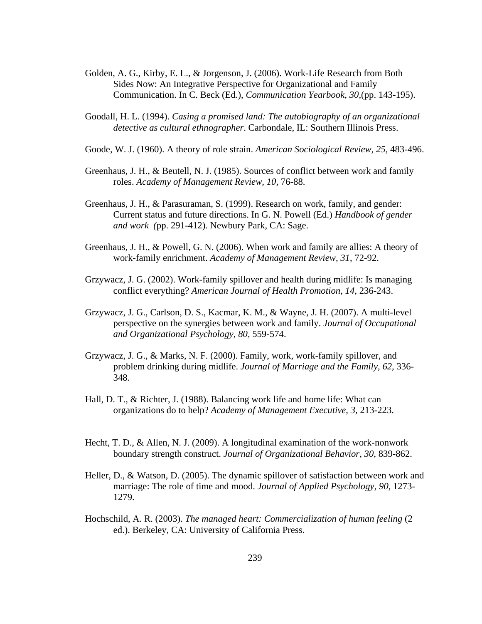- Golden, A. G., Kirby, E. L., & Jorgenson, J. (2006). Work-Life Research from Both Sides Now: An Integrative Perspective for Organizational and Family Communication. In C. Beck (Ed.), *Communication Yearbook, 30,*(pp. 143-195).
- Goodall, H. L. (1994). *Casing a promised land: The autobiography of an organizational detective as cultural ethnographer*. Carbondale, IL: Southern Illinois Press.
- Goode, W. J. (1960). A theory of role strain. *American Sociological Review, 25,* 483-496.
- Greenhaus, J. H., & Beutell, N. J. (1985). Sources of conflict between work and family roles. *Academy of Management Review, 10,* 76-88.
- Greenhaus, J. H., & Parasuraman, S. (1999). Research on work, family, and gender: Current status and future directions. In G. N. Powell (Ed.) *Handbook of gender and work (*pp. 291-412)*.* Newbury Park, CA: Sage.
- Greenhaus, J. H., & Powell, G. N. (2006). When work and family are allies: A theory of work-family enrichment. *Academy of Management Review, 31*, 72-92.
- Grzywacz, J. G. (2002). Work-family spillover and health during midlife: Is managing conflict everything? *American Journal of Health Promotion, 14,* 236-243.
- Grzywacz, J. G., Carlson, D. S., Kacmar, K. M., & Wayne, J. H. (2007). A multi-level perspective on the synergies between work and family. *Journal of Occupational and Organizational Psychology, 80,* 559-574.
- Grzywacz, J. G., & Marks, N. F. (2000). Family, work, work-family spillover, and problem drinking during midlife. *Journal of Marriage and the Family, 62,* 336- 348.
- Hall, D. T., & Richter, J. (1988). Balancing work life and home life: What can organizations do to help? *Academy of Management Executive, 3,* 213-223.
- Hecht, T. D., & Allen, N. J. (2009). A longitudinal examination of the work-nonwork boundary strength construct. *Journal of Organizational Behavior, 30,* 839-862.
- Heller, D., & Watson, D. (2005). The dynamic spillover of satisfaction between work and marriage: The role of time and mood. *Journal of Applied Psychology, 90*, 1273- 1279.
- Hochschild, A. R. (2003). *The managed heart: Commercialization of human feeling* (2 ed.). Berkeley, CA: University of California Press.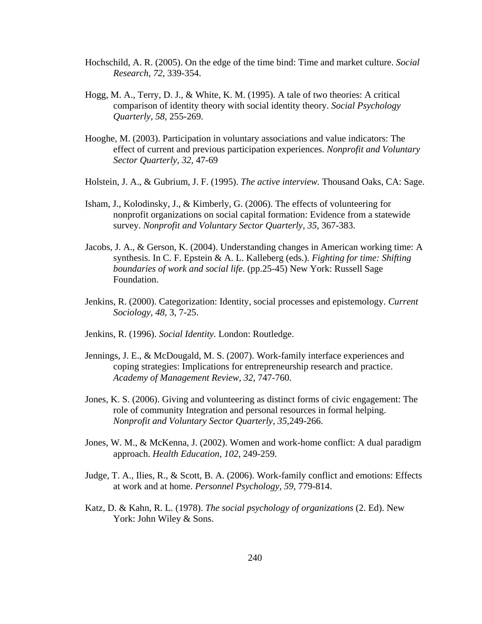- Hochschild, A. R. (2005). On the edge of the time bind: Time and market culture. *Social Research, 72,* 339-354.
- Hogg, M. A., Terry, D. J., & White, K. M. (1995). A tale of two theories: A critical comparison of identity theory with social identity theory. *Social Psychology Quarterly, 58,* 255-269.
- Hooghe, M. (2003). Participation in voluntary associations and value indicators: The effect of current and previous participation experiences. *Nonprofit and Voluntary Sector Quarterly, 32,* 47-69
- Holstein, J. A., & Gubrium, J. F. (1995). *The active interview.* Thousand Oaks, CA: Sage.
- Isham, J., Kolodinsky, J., & Kimberly, G. (2006). The effects of volunteering for nonprofit organizations on social capital formation: Evidence from a statewide survey. *Nonprofit and Voluntary Sector Quarterly, 35,* 367-383.
- Jacobs, J. A., & Gerson, K. (2004). Understanding changes in American working time: A synthesis. In C. F. Epstein & A. L. Kalleberg (eds.). *Fighting for time: Shifting boundaries of work and social life.* (pp.25-45) New York: Russell Sage Foundation.
- Jenkins, R. (2000). Categorization: Identity, social processes and epistemology. *Current Sociology, 48,* 3, 7-25.
- Jenkins, R. (1996). *Social Identity.* London: Routledge.
- Jennings, J. E., & McDougald, M. S. (2007). Work-family interface experiences and coping strategies: Implications for entrepreneurship research and practice. *Academy of Management Review, 32*, 747-760.
- Jones, K. S. (2006). Giving and volunteering as distinct forms of civic engagement: The role of community Integration and personal resources in formal helping. *Nonprofit and Voluntary Sector Quarterly, 35,*249-266.
- Jones, W. M., & McKenna, J. (2002). Women and work-home conflict: A dual paradigm approach. *Health Education, 102,* 249-259.
- Judge, T. A., Ilies, R., & Scott, B. A. (2006). Work-family conflict and emotions: Effects at work and at home. *Personnel Psychology, 59,* 779-814.
- Katz, D. & Kahn, R. L. (1978). *The social psychology of organizations* (2. Ed). New York: John Wiley & Sons.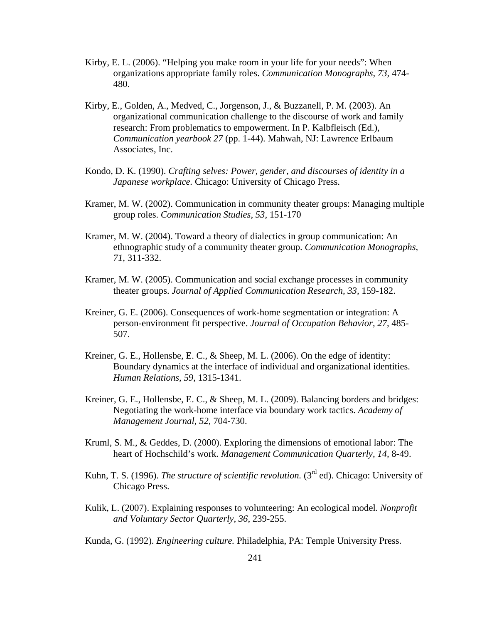- Kirby, E. L. (2006). "Helping you make room in your life for your needs": When organizations appropriate family roles. *Communication Monographs, 73,* 474- 480.
- Kirby, E., Golden, A., Medved, C., Jorgenson, J., & Buzzanell, P. M. (2003). An organizational communication challenge to the discourse of work and family research: From problematics to empowerment. In P. Kalbfleisch (Ed.), *Communication yearbook 27* (pp. 1-44). Mahwah, NJ: Lawrence Erlbaum Associates, Inc.
- Kondo, D. K. (1990). *Crafting selves: Power, gender, and discourses of identity in a Japanese workplace.* Chicago: University of Chicago Press.
- Kramer, M. W. (2002). Communication in community theater groups: Managing multiple group roles. *Communication Studies, 53,* 151-170
- Kramer, M. W. (2004). Toward a theory of dialectics in group communication: An ethnographic study of a community theater group. *Communication Monographs, 71,* 311-332.
- Kramer, M. W. (2005). Communication and social exchange processes in community theater groups. *Journal of Applied Communication Research, 33,* 159-182.
- Kreiner, G. E. (2006). Consequences of work-home segmentation or integration: A person-environment fit perspective. *Journal of Occupation Behavior, 27,* 485- 507.
- Kreiner, G. E., Hollensbe, E. C., & Sheep, M. L. (2006). On the edge of identity: Boundary dynamics at the interface of individual and organizational identities. *Human Relations, 59*, 1315-1341.
- Kreiner, G. E., Hollensbe, E. C., & Sheep, M. L. (2009). Balancing borders and bridges: Negotiating the work-home interface via boundary work tactics. *Academy of Management Journal, 52,* 704-730.
- Kruml, S. M., & Geddes, D. (2000). Exploring the dimensions of emotional labor: The heart of Hochschild's work. *Management Communication Quarterly, 14,* 8-49.
- Kuhn, T. S. (1996). *The structure of scientific revolution*. (3<sup>rd</sup> ed). Chicago: University of Chicago Press.
- Kulik, L. (2007). Explaining responses to volunteering: An ecological model. *Nonprofit and Voluntary Sector Quarterly, 36*, 239-255.
- Kunda, G. (1992). *Engineering culture.* Philadelphia, PA: Temple University Press.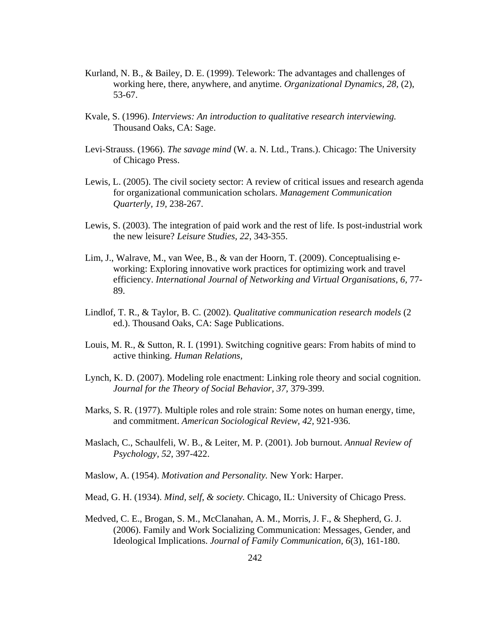- Kurland, N. B., & Bailey, D. E. (1999). Telework: The advantages and challenges of working here, there, anywhere, and anytime. *Organizational Dynamics, 28,* (2), 53-67.
- Kvale, S. (1996). *Interviews: An introduction to qualitative research interviewing.*  Thousand Oaks, CA: Sage.
- Levi-Strauss. (1966). *The savage mind* (W. a. N. Ltd., Trans.). Chicago: The University of Chicago Press.
- Lewis, L. (2005). The civil society sector: A review of critical issues and research agenda for organizational communication scholars. *Management Communication Quarterly, 19,* 238-267.
- Lewis, S. (2003). The integration of paid work and the rest of life. Is post-industrial work the new leisure? *Leisure Studies, 22*, 343-355.
- Lim, J., Walrave, M., van Wee, B., & van der Hoorn, T. (2009). Conceptualising eworking: Exploring innovative work practices for optimizing work and travel efficiency. *International Journal of Networking and Virtual Organisations, 6,* 77- 89.
- Lindlof, T. R., & Taylor, B. C. (2002). *Qualitative communication research models* (2 ed.). Thousand Oaks, CA: Sage Publications.
- Louis, M. R., & Sutton, R. I. (1991). Switching cognitive gears: From habits of mind to active thinking. *Human Relations,*
- Lynch, K. D. (2007). Modeling role enactment: Linking role theory and social cognition. *Journal for the Theory of Social Behavior, 37,* 379-399.
- Marks, S. R. (1977). Multiple roles and role strain: Some notes on human energy, time, and commitment. *American Sociological Review, 42,* 921-936.
- Maslach, C., Schaulfeli, W. B., & Leiter, M. P. (2001). Job burnout. *Annual Review of Psychology, 52*, 397-422.
- Maslow, A. (1954). *Motivation and Personality.* New York: Harper.
- Mead, G. H. (1934). *Mind, self, & society.* Chicago, IL: University of Chicago Press.
- Medved, C. E., Brogan, S. M., McClanahan, A. M., Morris, J. F., & Shepherd, G. J. (2006). Family and Work Socializing Communication: Messages, Gender, and Ideological Implications. *Journal of Family Communication, 6*(3), 161-180.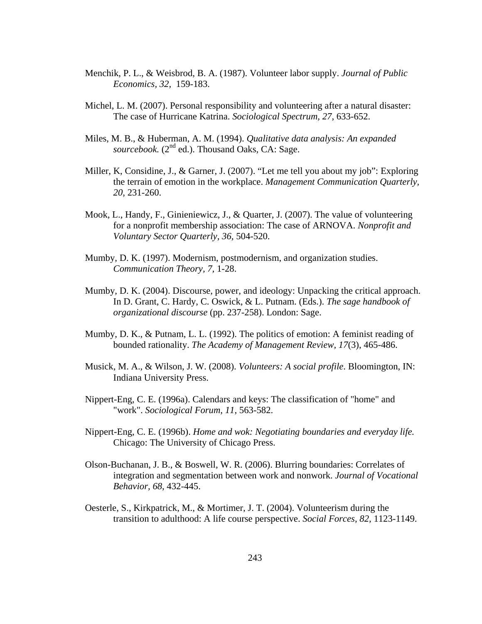- Menchik, P. L., & Weisbrod, B. A. (1987). Volunteer labor supply. *Journal of Public Economics, 32,* 159-183.
- Michel, L. M. (2007). Personal responsibility and volunteering after a natural disaster: The case of Hurricane Katrina. *Sociological Spectrum, 27*, 633-652.
- Miles, M. B., & Huberman, A. M. (1994). *Qualitative data analysis: An expanded*  sourcebook. (2<sup>nd</sup> ed.). Thousand Oaks, CA: Sage.
- Miller, K, Considine, J., & Garner, J. (2007). "Let me tell you about my job": Exploring the terrain of emotion in the workplace. *Management Communication Quarterly, 20,* 231-260.
- Mook, L., Handy, F., Ginieniewicz, J., & Quarter, J. (2007). The value of volunteering for a nonprofit membership association: The case of ARNOVA. *Nonprofit and Voluntary Sector Quarterly, 36,* 504-520.
- Mumby, D. K. (1997). Modernism, postmodernism, and organization studies. *Communication Theory, 7,* 1-28.
- Mumby, D. K. (2004). Discourse, power, and ideology: Unpacking the critical approach. In D. Grant, C. Hardy, C. Oswick, & L. Putnam. (Eds.). *The sage handbook of organizational discourse* (pp. 237-258). London: Sage.
- Mumby, D. K., & Putnam, L. L. (1992). The politics of emotion: A feminist reading of bounded rationality. *The Academy of Management Review, 17*(3), 465-486.
- Musick, M. A., & Wilson, J. W. (2008). *Volunteers: A social profile*. Bloomington, IN: Indiana University Press.
- Nippert-Eng, C. E. (1996a). Calendars and keys: The classification of "home" and "work". *Sociological Forum, 11*, 563-582.
- Nippert-Eng, C. E. (1996b). *Home and wok: Negotiating boundaries and everyday life.*  Chicago: The University of Chicago Press.
- Olson-Buchanan, J. B., & Boswell, W. R. (2006). Blurring boundaries: Correlates of integration and segmentation between work and nonwork. *Journal of Vocational Behavior, 68*, 432-445.
- Oesterle, S., Kirkpatrick, M., & Mortimer, J. T. (2004). Volunteerism during the transition to adulthood: A life course perspective. *Social Forces, 82,* 1123-1149.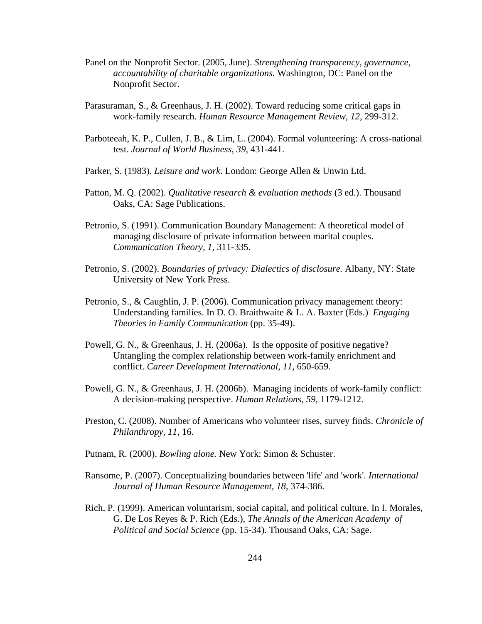- Panel on the Nonprofit Sector. (2005, June). *Strengthening transparency, governance, accountability of charitable organizations.* Washington, DC: Panel on the Nonprofit Sector.
- Parasuraman, S., & Greenhaus, J. H. (2002). Toward reducing some critical gaps in work-family research. *Human Resource Management Review, 12,* 299-312.
- Parboteeah, K. P., Cullen, J. B., & Lim, L. (2004). Formal volunteering: A cross-national test. *Journal of World Business, 39,* 431-441.
- Parker, S. (1983). *Leisure and work*. London: George Allen & Unwin Ltd.
- Patton, M. Q. (2002). *Qualitative research & evaluation methods* (3 ed.). Thousand Oaks, CA: Sage Publications.
- Petronio, S. (1991). Communication Boundary Management: A theoretical model of managing disclosure of private information between marital couples. *Communication Theory, 1,* 311-335.
- Petronio, S. (2002). *Boundaries of privacy: Dialectics of disclosure.* Albany, NY: State University of New York Press.
- Petronio, S., & Caughlin, J. P. (2006). Communication privacy management theory: Understanding families. In D. O. Braithwaite & L. A. Baxter (Eds.) *Engaging Theories in Family Communication* (pp. 35-49).
- Powell, G. N., & Greenhaus, J. H. (2006a). Is the opposite of positive negative? Untangling the complex relationship between work-family enrichment and conflict. *Career Development International, 11,* 650-659.
- Powell, G. N., & Greenhaus, J. H. (2006b). Managing incidents of work-family conflict: A decision-making perspective. *Human Relations, 59,* 1179-1212.
- Preston, C. (2008). Number of Americans who volunteer rises, survey finds. *Chronicle of Philanthropy, 11,* 16.
- Putnam, R. (2000). *Bowling alone.* New York: Simon & Schuster.
- Ransome, P. (2007). Conceptualizing boundaries between 'life' and 'work'. *International Journal of Human Resource Management, 18*, 374-386.
- Rich, P. (1999). American voluntarism, social capital, and political culture. In I. Morales, G. De Los Reyes & P. Rich (Eds.), *The Annals of the American Academy of Political and Social Science* (pp. 15-34). Thousand Oaks, CA: Sage.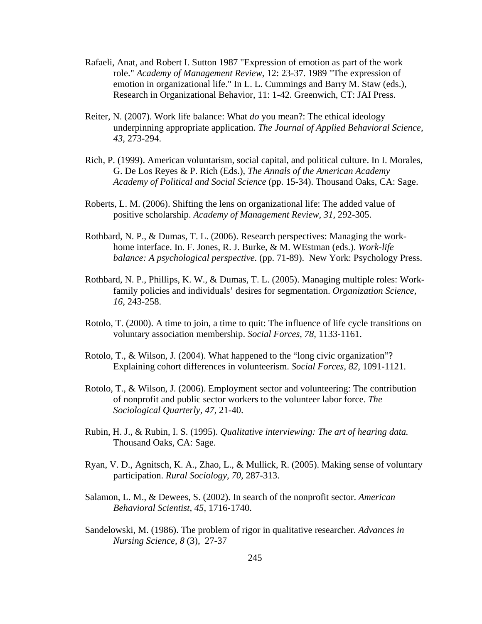- Rafaeli, Anat, and Robert I. Sutton 1987 "Expression of emotion as part of the work role." *Academy of Management Review*, 12: 23-37. 1989 "The expression of emotion in organizational life." In L. L. Cummings and Barry M. Staw (eds.), Research in Organizational Behavior, 11: 1-42. Greenwich, CT: JAI Press.
- Reiter, N. (2007). Work life balance: What *do* you mean?: The ethical ideology underpinning appropriate application. *The Journal of Applied Behavioral Science, 43,* 273-294.
- Rich, P. (1999). American voluntarism, social capital, and political culture. In I. Morales, G. De Los Reyes & P. Rich (Eds.), *The Annals of the American Academy Academy of Political and Social Science* (pp. 15-34). Thousand Oaks, CA: Sage.
- Roberts, L. M. (2006). Shifting the lens on organizational life: The added value of positive scholarship. *Academy of Management Review, 31,* 292-305.
- Rothbard, N. P., & Dumas, T. L. (2006). Research perspectives: Managing the workhome interface. In. F. Jones, R. J. Burke, & M. WEstman (eds.). *Work-life balance: A psychological perspective.* (pp. 71-89). New York: Psychology Press.
- Rothbard, N. P., Phillips, K. W., & Dumas, T. L. (2005). Managing multiple roles: Workfamily policies and individuals' desires for segmentation. *Organization Science, 16,* 243-258.
- Rotolo, T. (2000). A time to join, a time to quit: The influence of life cycle transitions on voluntary association membership. *Social Forces*, *78,* 1133-1161.
- Rotolo, T., & Wilson, J. (2004). What happened to the "long civic organization"? Explaining cohort differences in volunteerism. *Social Forces, 82,* 1091-1121.
- Rotolo, T., & Wilson, J. (2006). Employment sector and volunteering: The contribution of nonprofit and public sector workers to the volunteer labor force. *The Sociological Quarterly, 47,* 21-40.
- Rubin, H. J., & Rubin, I. S. (1995). *Qualitative interviewing: The art of hearing data.*  Thousand Oaks, CA: Sage.
- Ryan, V. D., Agnitsch, K. A., Zhao, L., & Mullick, R. (2005). Making sense of voluntary participation. *Rural Sociology, 70,* 287-313.
- Salamon, L. M., & Dewees, S. (2002). In search of the nonprofit sector. *American Behavioral Scientist, 45*, 1716-1740.
- Sandelowski, M. (1986). The problem of rigor in qualitative researcher. *Advances in Nursing Science, 8* (3)*,* 27-37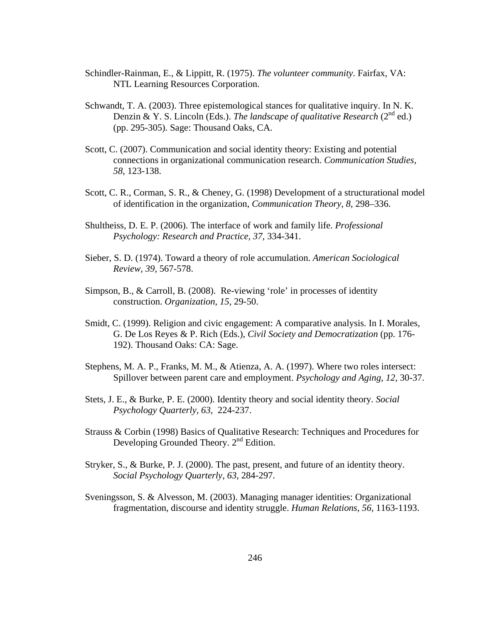- Schindler-Rainman, E., & Lippitt, R. (1975). *The volunteer community.* Fairfax, VA: NTL Learning Resources Corporation.
- Schwandt, T. A. (2003). Three epistemological stances for qualitative inquiry. In N. K. Denzin & Y. S. Lincoln (Eds.). *The landscape of qualitative Research* (2<sup>nd</sup> ed.) (pp. 295-305). Sage: Thousand Oaks, CA.
- Scott, C. (2007). Communication and social identity theory: Existing and potential connections in organizational communication research. *Communication Studies, 58*, 123-138.
- Scott, C. R., Corman, S. R., & Cheney, G. (1998) Development of a structurational model of identification in the organization, *Communication Theory, 8,* 298–336.
- Shultheiss, D. E. P. (2006). The interface of work and family life. *Professional Psychology: Research and Practice, 37,* 334-341.
- Sieber, S. D. (1974). Toward a theory of role accumulation. *American Sociological Review, 39,* 567-578.
- Simpson, B., & Carroll, B. (2008). Re-viewing 'role' in processes of identity construction. *Organization, 15,* 29-50.
- Smidt, C. (1999). Religion and civic engagement: A comparative analysis. In I. Morales, G. De Los Reyes & P. Rich (Eds.), *Civil Society and Democratization* (pp. 176- 192). Thousand Oaks: CA: Sage.
- Stephens, M. A. P., Franks, M. M., & Atienza, A. A. (1997). Where two roles intersect: Spillover between parent care and employment. *Psychology and Aging, 12,* 30-37.
- Stets, J. E., & Burke, P. E. (2000). Identity theory and social identity theory. *Social Psychology Quarterly, 63,* 224-237.
- Strauss & Corbin (1998) Basics of Qualitative Research: Techniques and Procedures for Developing Grounded Theory.  $2<sup>nd</sup>$  Edition.
- Stryker, S., & Burke, P. J. (2000). The past, present, and future of an identity theory. *Social Psychology Quarterly, 63*, 284-297.
- Sveningsson, S. & Alvesson, M. (2003). Managing manager identities: Organizational fragmentation, discourse and identity struggle. *Human Relations, 56,* 1163-1193.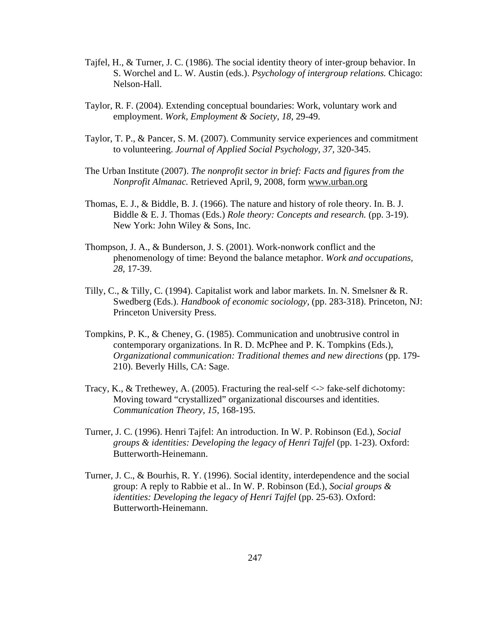- Tajfel, H., & Turner, J. C. (1986). The social identity theory of inter-group behavior. In S. Worchel and L. W. Austin (eds.). *Psychology of intergroup relations.* Chicago: Nelson-Hall.
- Taylor, R. F. (2004). Extending conceptual boundaries: Work, voluntary work and employment. *Work, Employment & Society, 18*, 29-49.
- Taylor, T. P., & Pancer, S. M. (2007). Community service experiences and commitment to volunteering. *Journal of Applied Social Psychology, 37,* 320-345.
- The Urban Institute (2007). *The nonprofit sector in brief: Facts and figures from the Nonprofit Almanac.* Retrieved April, 9, 2008, form www.urban.org
- Thomas, E. J., & Biddle, B. J. (1966). The nature and history of role theory. In. B. J. Biddle & E. J. Thomas (Eds.) *Role theory: Concepts and research.* (pp. 3-19). New York: John Wiley & Sons, Inc.
- Thompson, J. A., & Bunderson, J. S. (2001). Work-nonwork conflict and the phenomenology of time: Beyond the balance metaphor. *Work and occupations, 28,* 17-39.
- Tilly, C., & Tilly, C. (1994). Capitalist work and labor markets. In. N. Smelsner & R. Swedberg (Eds.). *Handbook of economic sociology,* (pp. 283-318). Princeton, NJ: Princeton University Press.
- Tompkins, P. K., & Cheney, G. (1985). Communication and unobtrusive control in contemporary organizations. In R. D. McPhee and P. K. Tompkins (Eds.), *Organizational communication: Traditional themes and new directions* (pp. 179- 210). Beverly Hills, CA: Sage.
- Tracy, K., & Trethewey, A. (2005). Fracturing the real-self  $\langle -\rangle$  fake-self dichotomy: Moving toward "crystallized" organizational discourses and identities. *Communication Theory, 15,* 168-195.
- Turner, J. C. (1996). Henri Tajfel: An introduction. In W. P. Robinson (Ed.), *Social groups & identities: Developing the legacy of Henri Tajfel* (pp. 1-23). Oxford: Butterworth-Heinemann.
- Turner, J. C., & Bourhis, R. Y. (1996). Social identity, interdependence and the social group: A reply to Rabbie et al.. In W. P. Robinson (Ed.), *Social groups & identities: Developing the legacy of Henri Tajfel* (pp. 25-63). Oxford: Butterworth-Heinemann.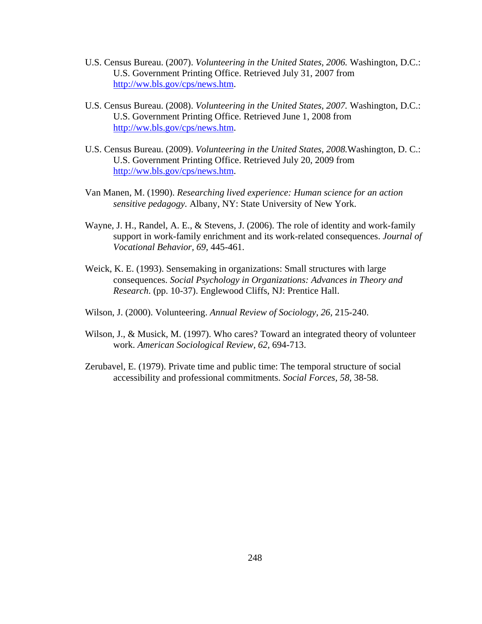- U.S. Census Bureau. (2007). *Volunteering in the United States, 2006.* Washington, D.C.: U.S. Government Printing Office. Retrieved July 31, 2007 from [http://ww.bls.gov/cps/news.htm.](http://ww.bls.gov/cps/news.htm)
- U.S. Census Bureau. (2008). *Volunteering in the United States, 2007.* Washington, D.C.: U.S. Government Printing Office. Retrieved June 1, 2008 from [http://ww.bls.gov/cps/news.htm.](http://ww.bls.gov/cps/news.htm)
- U.S. Census Bureau. (2009). *Volunteering in the United States, 2008.*Washington, D. C.: U.S. Government Printing Office. Retrieved July 20, 2009 from [http://ww.bls.gov/cps/news.htm.](http://ww.bls.gov/cps/news.htm)
- Van Manen, M. (1990). *Researching lived experience: Human science for an action sensitive pedagogy.* Albany, NY: State University of New York.
- Wayne, J. H., Randel, A. E., & Stevens, J. (2006). The role of identity and work-family support in work-family enrichment and its work-related consequences. *Journal of Vocational Behavior, 69,* 445-461.
- Weick, K. E. (1993). Sensemaking in organizations: Small structures with large consequences. *Social Psychology in Organizations: Advances in Theory and Research*. (pp. 10-37). Englewood Cliffs, NJ: Prentice Hall.
- Wilson, J. (2000). Volunteering. *Annual Review of Sociology, 26,* 215-240.
- Wilson, J., & Musick, M. (1997). Who cares? Toward an integrated theory of volunteer work. *American Sociological Review, 62,* 694-713.
- Zerubavel, E. (1979). Private time and public time: The temporal structure of social accessibility and professional commitments. *Social Forces, 58,* 38-58.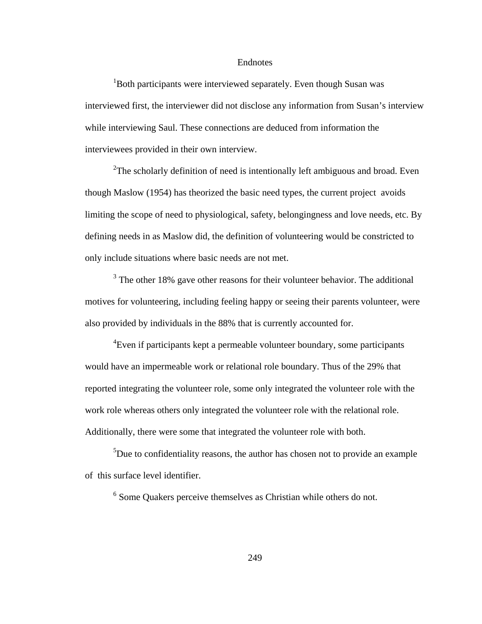#### Endnotes

<sup>1</sup>Both participants were interviewed separately. Even though Susan was interviewed first, the interviewer did not disclose any information from Susan's interview while interviewing Saul. These connections are deduced from information the interviewees provided in their own interview.

<sup>2</sup>The scholarly definition of need is intentionally left ambiguous and broad. Even though Maslow (1954) has theorized the basic need types, the current project avoids limiting the scope of need to physiological, safety, belongingness and love needs, etc. By defining needs in as Maslow did, the definition of volunteering would be constricted to only include situations where basic needs are not met.

 $3$  The other 18% gave other reasons for their volunteer behavior. The additional motives for volunteering, including feeling happy or seeing their parents volunteer, were also provided by individuals in the 88% that is currently accounted for.

<sup>4</sup> Even if participants kept a permeable volunteer boundary, some participants would have an impermeable work or relational role boundary. Thus of the 29% that reported integrating the volunteer role, some only integrated the volunteer role with the work role whereas others only integrated the volunteer role with the relational role. Additionally, there were some that integrated the volunteer role with both.

 $5$ Due to confidentiality reasons, the author has chosen not to provide an example of this surface level identifier.

 $6$  Some Quakers perceive themselves as Christian while others do not.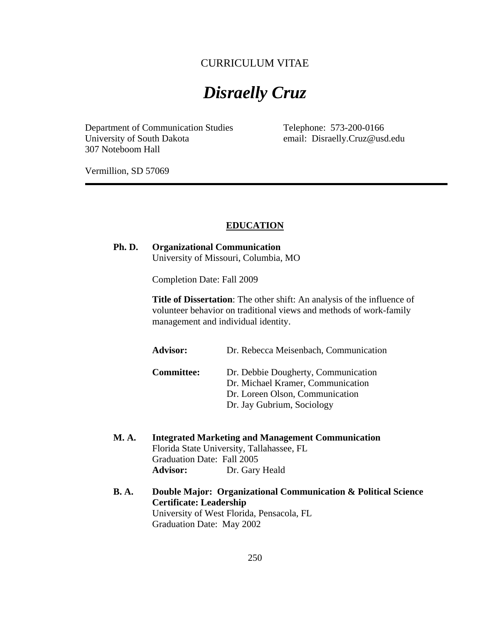# CURRICULUM VITAE

# *Disraelly Cruz*

Department of Communication Studies Telephone: 573-200-0166 University of South Dakota email: Disraelly.Cruz@usd.edu 307 Noteboom Hall

Vermillion, SD 57069

#### **EDUCATION**

#### **Ph. D. Organizational Communication** University of Missouri, Columbia, MO

Completion Date: Fall 2009

**Title of Dissertation**: The other shift: An analysis of the influence of volunteer behavior on traditional views and methods of work-family management and individual identity.

**Advisor:** Dr. Rebecca Meisenbach, Communication

**Committee:** Dr. Debbie Dougherty, Communication Dr. Michael Kramer, Communication Dr. Loreen Olson, Communication Dr. Jay Gubrium, Sociology

- **M. A. Integrated Marketing and Management Communication** Florida State University, Tallahassee, FL Graduation Date: Fall 2005 **Advisor:** Dr. Gary Heald
- **B. A. Double Major: Organizational Communication & Political Science Certificate: Leadership** University of West Florida, Pensacola, FL Graduation Date: May 2002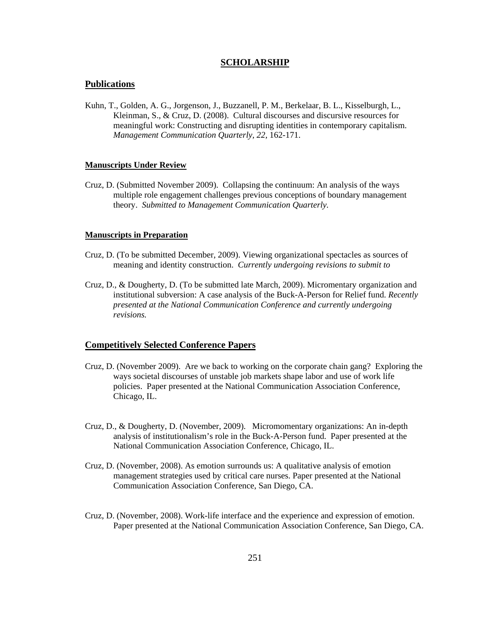#### **SCHOLARSHIP**

#### **Publications**

Kuhn, T., Golden, A. G., Jorgenson, J., Buzzanell, P. M., Berkelaar, B. L., Kisselburgh, L., Kleinman, S., & Cruz, D. (2008). Cultural discourses and discursive resources for meaningful work: Constructing and disrupting identities in contemporary capitalism. *Management Communication Quarterly, 22,* 162-171.

#### **Manuscripts Under Review**

Cruz, D. (Submitted November 2009). Collapsing the continuum: An analysis of the ways multiple role engagement challenges previous conceptions of boundary management theory. *Submitted to Management Communication Quarterly.* 

#### **Manuscripts in Preparation**

- Cruz, D. (To be submitted December, 2009). Viewing organizational spectacles as sources of meaning and identity construction. *Currently undergoing revisions to submit to*
- Cruz, D., & Dougherty, D. (To be submitted late March, 2009). Micromentary organization and institutional subversion: A case analysis of the Buck-A-Person for Relief fund. *Recently presented at the National Communication Conference and currently undergoing revisions.*

#### **Competitively Selected Conference Papers**

- Cruz, D. (November 2009). Are we back to working on the corporate chain gang? Exploring the ways societal discourses of unstable job markets shape labor and use of work life policies. Paper presented at the National Communication Association Conference, Chicago, IL.
- Cruz, D., & Dougherty, D. (November, 2009). Micromomentary organizations: An in-depth analysis of institutionalism's role in the Buck-A-Person fund. Paper presented at the National Communication Association Conference, Chicago, IL.
- Cruz, D. (November, 2008). As emotion surrounds us: A qualitative analysis of emotion management strategies used by critical care nurses. Paper presented at the National Communication Association Conference, San Diego, CA.
- Cruz, D. (November, 2008). Work-life interface and the experience and expression of emotion. Paper presented at the National Communication Association Conference, San Diego, CA.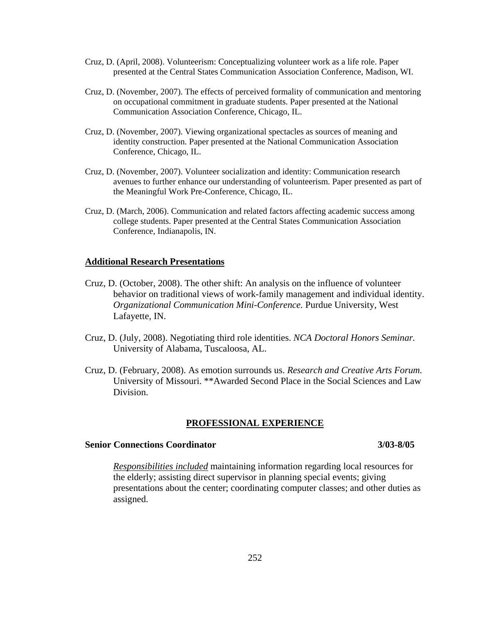- Cruz, D. (April, 2008). Volunteerism: Conceptualizing volunteer work as a life role. Paper presented at the Central States Communication Association Conference, Madison, WI.
- Cruz, D. (November, 2007). The effects of perceived formality of communication and mentoring on occupational commitment in graduate students. Paper presented at the National Communication Association Conference, Chicago, IL.
- Cruz, D. (November, 2007). Viewing organizational spectacles as sources of meaning and identity construction. Paper presented at the National Communication Association Conference, Chicago, IL.
- Cruz, D. (November, 2007). Volunteer socialization and identity: Communication research avenues to further enhance our understanding of volunteerism. Paper presented as part of the Meaningful Work Pre-Conference, Chicago, IL.
- Cruz, D. (March, 2006). Communication and related factors affecting academic success among college students. Paper presented at the Central States Communication Association Conference, Indianapolis, IN.

#### **Additional Research Presentations**

- Cruz, D. (October, 2008). The other shift: An analysis on the influence of volunteer behavior on traditional views of work-family management and individual identity. *Organizational Communication Mini-Conference.* Purdue University, West Lafayette, IN.
- Cruz, D. (July, 2008). Negotiating third role identities. *NCA Doctoral Honors Seminar.* University of Alabama, Tuscaloosa, AL.
- Cruz, D. (February, 2008). As emotion surrounds us. *Research and Creative Arts Forum.* University of Missouri. \*\*Awarded Second Place in the Social Sciences and Law Division.

#### **PROFESSIONAL EXPERIENCE**

#### **Senior Connections Coordinator 3/03-8/05**

*Responsibilities included* maintaining information regarding local resources for the elderly; assisting direct supervisor in planning special events; giving presentations about the center; coordinating computer classes; and other duties as assigned.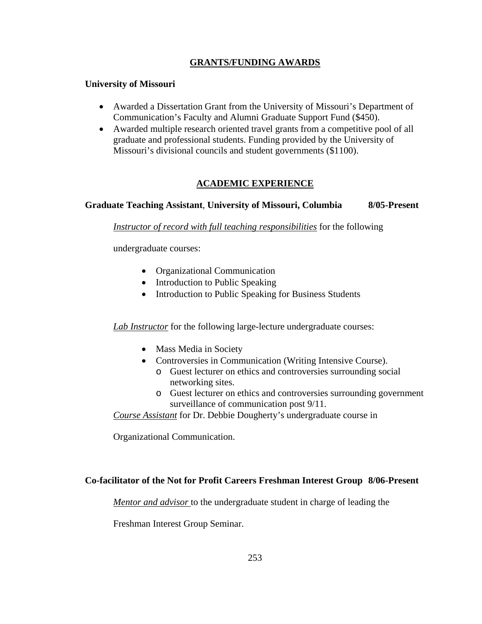# **GRANTS/FUNDING AWARDS**

#### **University of Missouri**

- Awarded a Dissertation Grant from the University of Missouri's Department of Communication's Faculty and Alumni Graduate Support Fund (\$450).
- Awarded multiple research oriented travel grants from a competitive pool of all graduate and professional students. Funding provided by the University of Missouri's divisional councils and student governments (\$1100).

### **ACADEMIC EXPERIENCE**

### **Graduate Teaching Assistant**, **University of Missouri, Columbia 8/05-Present**

*Instructor of record with full teaching responsibilities* for the following

undergraduate courses:

- Organizational Communication
- Introduction to Public Speaking
- Introduction to Public Speaking for Business Students

*Lab Instructor* for the following large-lecture undergraduate courses:

- Mass Media in Society
- Controversies in Communication (Writing Intensive Course).
	- o Guest lecturer on ethics and controversies surrounding social networking sites.
	- o Guest lecturer on ethics and controversies surrounding government surveillance of communication post 9/11.

*Course Assistant* for Dr. Debbie Dougherty's undergraduate course in

Organizational Communication.

### **Co-facilitator of the Not for Profit Careers Freshman Interest Group 8/06-Present**

*Mentor and advisor* to the undergraduate student in charge of leading the

Freshman Interest Group Seminar.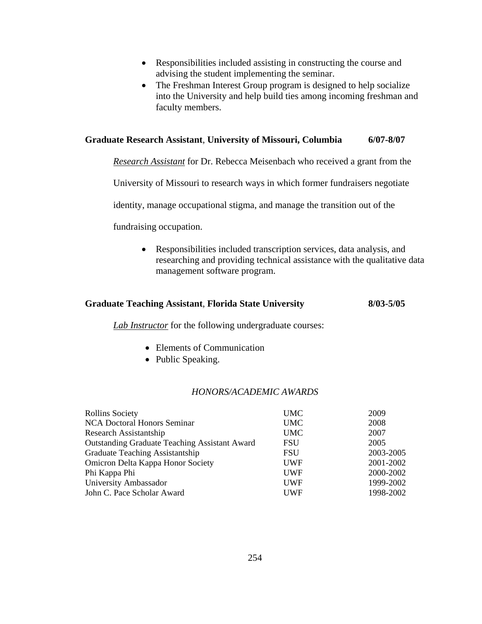- Responsibilities included assisting in constructing the course and advising the student implementing the seminar.
- The Freshman Interest Group program is designed to help socialize into the University and help build ties among incoming freshman and faculty members.

#### **Graduate Research Assistant**, **University of Missouri, Columbia 6/07-8/07**

*Research Assistant* for Dr. Rebecca Meisenbach who received a grant from the

University of Missouri to research ways in which former fundraisers negotiate

identity, manage occupational stigma, and manage the transition out of the

fundraising occupation.

• Responsibilities included transcription services, data analysis, and researching and providing technical assistance with the qualitative data management software program.

#### **Graduate Teaching Assistant**, **Florida State University 8/03-5/05**

*Lab Instructor* for the following undergraduate courses:

- Elements of Communication
- Public Speaking.

#### *HONORS/ACADEMIC AWARDS*

| <b>Rollins Society</b>                               | <b>UMC</b> | 2009      |
|------------------------------------------------------|------------|-----------|
| <b>NCA Doctoral Honors Seminar</b>                   | <b>UMC</b> | 2008      |
| Research Assistantship                               | <b>UMC</b> | 2007      |
| <b>Outstanding Graduate Teaching Assistant Award</b> | <b>FSU</b> | 2005      |
| Graduate Teaching Assistantship                      | <b>FSU</b> | 2003-2005 |
| Omicron Delta Kappa Honor Society                    | <b>UWF</b> | 2001-2002 |
| Phi Kappa Phi                                        | <b>UWF</b> | 2000-2002 |
| University Ambassador                                | <b>UWF</b> | 1999-2002 |
| John C. Pace Scholar Award                           | <b>UWF</b> | 1998-2002 |
|                                                      |            |           |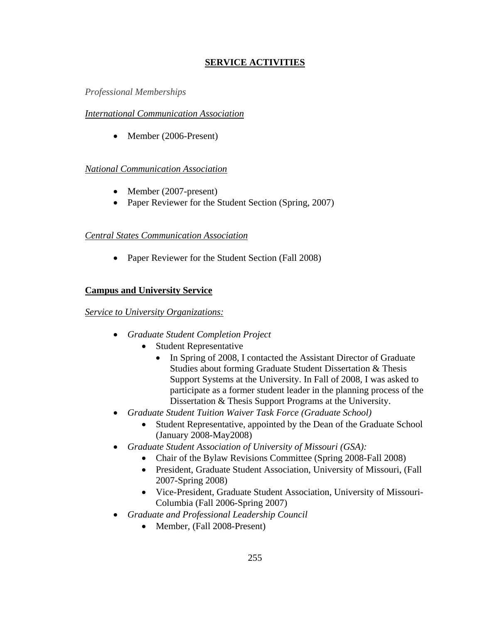# **SERVICE ACTIVITIES**

# *Professional Memberships*

# *International Communication Association*

• Member (2006-Present)

# *National Communication Association*

- Member (2007-present)
- Paper Reviewer for the Student Section (Spring, 2007)

# *Central States Communication Association*

• Paper Reviewer for the Student Section (Fall 2008)

# **Campus and University Service**

# *Service to University Organizations:*

- *Graduate Student Completion Project*
	- Student Representative
		- In Spring of 2008, I contacted the Assistant Director of Graduate Studies about forming Graduate Student Dissertation & Thesis Support Systems at the University. In Fall of 2008, I was asked to participate as a former student leader in the planning process of the Dissertation & Thesis Support Programs at the University.
- *Graduate Student Tuition Waiver Task Force (Graduate School)*
	- Student Representative, appointed by the Dean of the Graduate School (January 2008-May2008)
- *Graduate Student Association of University of Missouri (GSA):*
	- Chair of the Bylaw Revisions Committee (Spring 2008-Fall 2008)
	- President, Graduate Student Association, University of Missouri, (Fall 2007-Spring 2008)
	- Vice-President, Graduate Student Association, University of Missouri-Columbia (Fall 2006-Spring 2007)
- *Graduate and Professional Leadership Council*
	- Member, (Fall 2008-Present)